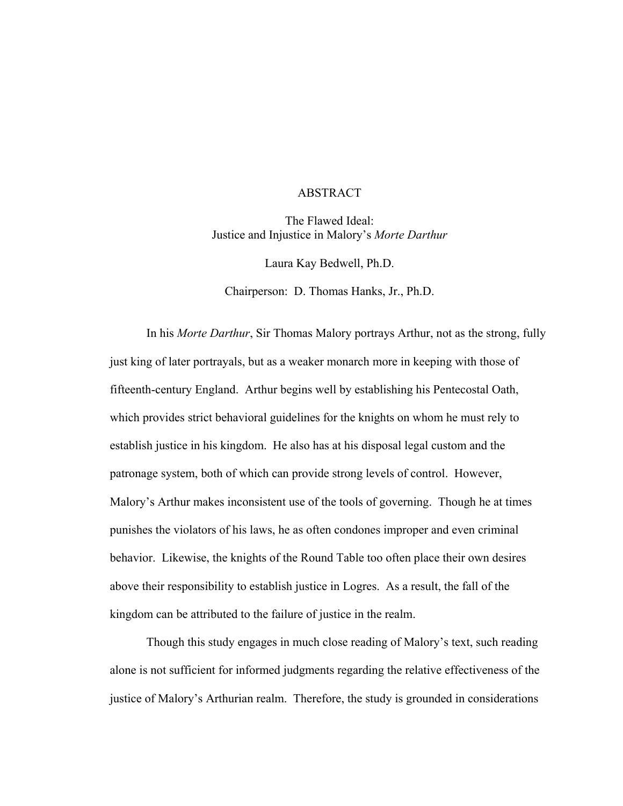## ABSTRACT

The Flawed Ideal: Justice and Injustice in Malory's *Morte Darthur*

Laura Kay Bedwell, Ph.D.

Chairperson: D. Thomas Hanks, Jr., Ph.D.

In his *Morte Darthur*, Sir Thomas Malory portrays Arthur, not as the strong, fully just king of later portrayals, but as a weaker monarch more in keeping with those of fifteenth-century England. Arthur begins well by establishing his Pentecostal Oath, which provides strict behavioral guidelines for the knights on whom he must rely to establish justice in his kingdom. He also has at his disposal legal custom and the patronage system, both of which can provide strong levels of control. However, Malory's Arthur makes inconsistent use of the tools of governing. Though he at times punishes the violators of his laws, he as often condones improper and even criminal behavior. Likewise, the knights of the Round Table too often place their own desires above their responsibility to establish justice in Logres. As a result, the fall of the kingdom can be attributed to the failure of justice in the realm.

Though this study engages in much close reading of Malory's text, such reading alone is not sufficient for informed judgments regarding the relative effectiveness of the justice of Malory's Arthurian realm. Therefore, the study is grounded in considerations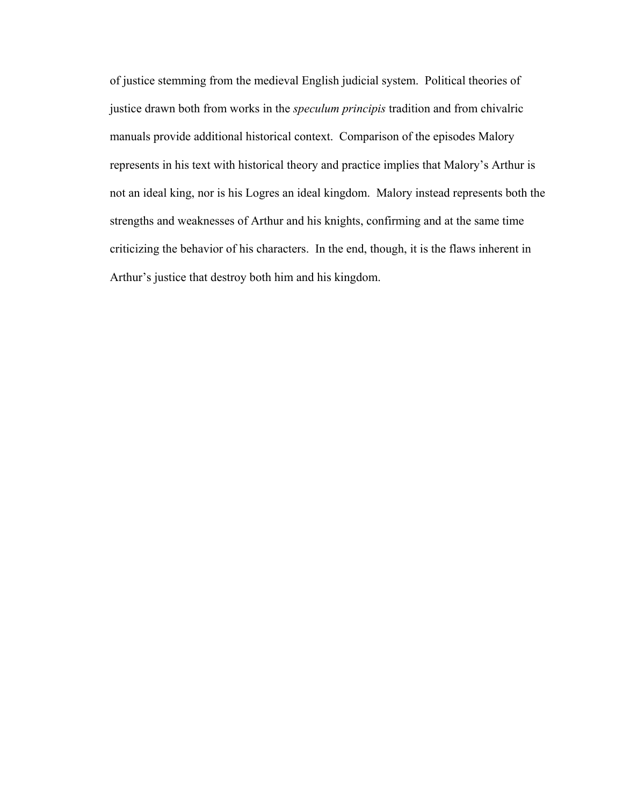of justice stemming from the medieval English judicial system. Political theories of justice drawn both from works in the *speculum principis* tradition and from chivalric manuals provide additional historical context. Comparison of the episodes Malory represents in his text with historical theory and practice implies that Malory's Arthur is not an ideal king, nor is his Logres an ideal kingdom. Malory instead represents both the strengths and weaknesses of Arthur and his knights, confirming and at the same time criticizing the behavior of his characters. In the end, though, it is the flaws inherent in Arthur's justice that destroy both him and his kingdom.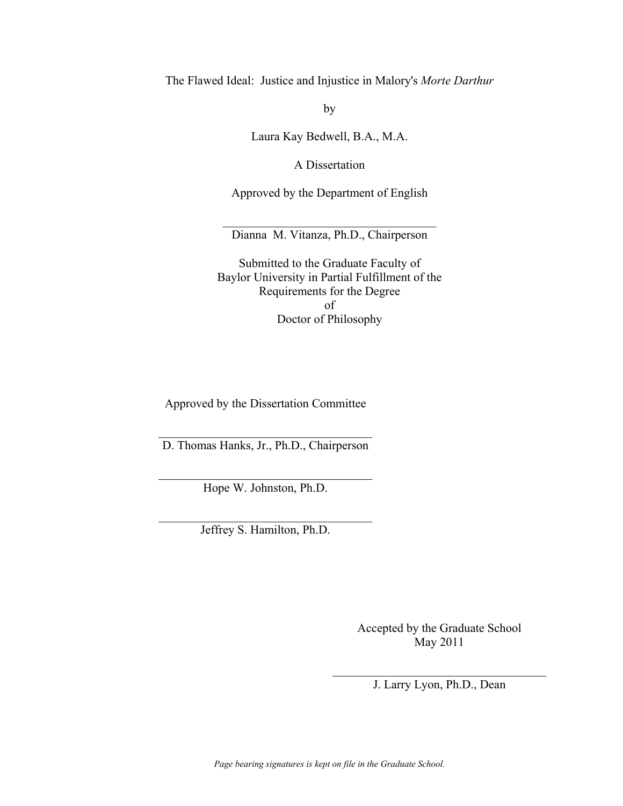The Flawed Ideal: Justice and Injustice in Malory's *Morte Darthur* 

by

Laura Kay Bedwell, B.A., M.A.

A Dissertation

Approved by the Department of English

 $\mathcal{L}_\text{max}$  , and the set of the set of the set of the set of the set of the set of the set of the set of the set of the set of the set of the set of the set of the set of the set of the set of the set of the set of the Dianna M. Vitanza, Ph.D., Chairperson

Submitted to the Graduate Faculty of Baylor University in Partial Fulfillment of the Requirements for the Degree of Doctor of Philosophy

Approved by the Dissertation Committee

 $\mathcal{L}_\text{max}$  , and the set of the set of the set of the set of the set of the set of the set of the set of the set of the set of the set of the set of the set of the set of the set of the set of the set of the set of the D. Thomas Hanks, Jr., Ph.D., Chairperson

 $\mathcal{L}_\text{max}$ Hope W. Johnston, Ph.D.

 $\mathcal{L}_\text{max}$  , and the set of the set of the set of the set of the set of the set of the set of the set of the set of the set of the set of the set of the set of the set of the set of the set of the set of the set of the Jeffrey S. Hamilton, Ph.D.

> Accepted by the Graduate School May 2011

 $\mathcal{L}_\text{max}$  , and the set of the set of the set of the set of the set of the set of the set of the set of the set of the set of the set of the set of the set of the set of the set of the set of the set of the set of the J. Larry Lyon, Ph.D., Dean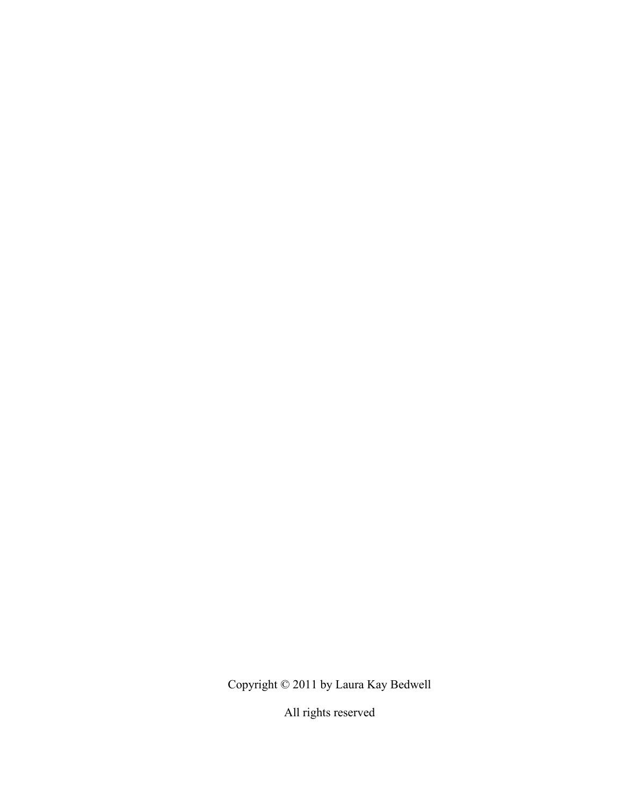Copyright © 2011 by Laura Kay Bedwell

All rights reserved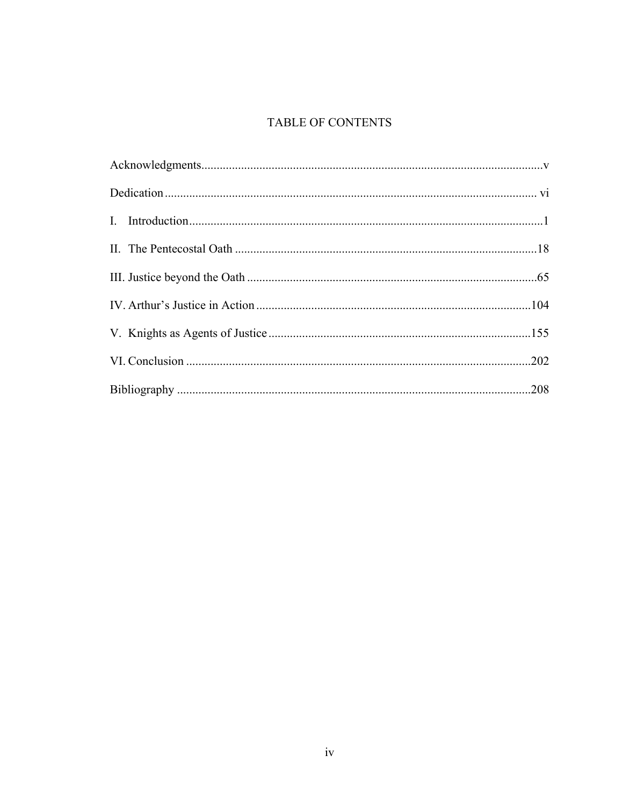# TABLE OF CONTENTS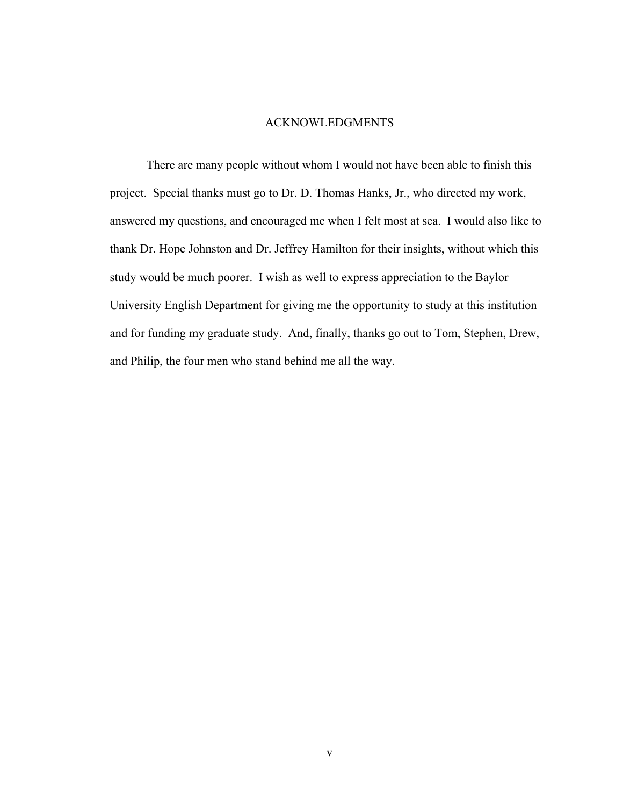#### ACKNOWLEDGMENTS

 There are many people without whom I would not have been able to finish this project. Special thanks must go to Dr. D. Thomas Hanks, Jr., who directed my work, answered my questions, and encouraged me when I felt most at sea. I would also like to thank Dr. Hope Johnston and Dr. Jeffrey Hamilton for their insights, without which this study would be much poorer. I wish as well to express appreciation to the Baylor University English Department for giving me the opportunity to study at this institution and for funding my graduate study. And, finally, thanks go out to Tom, Stephen, Drew, and Philip, the four men who stand behind me all the way.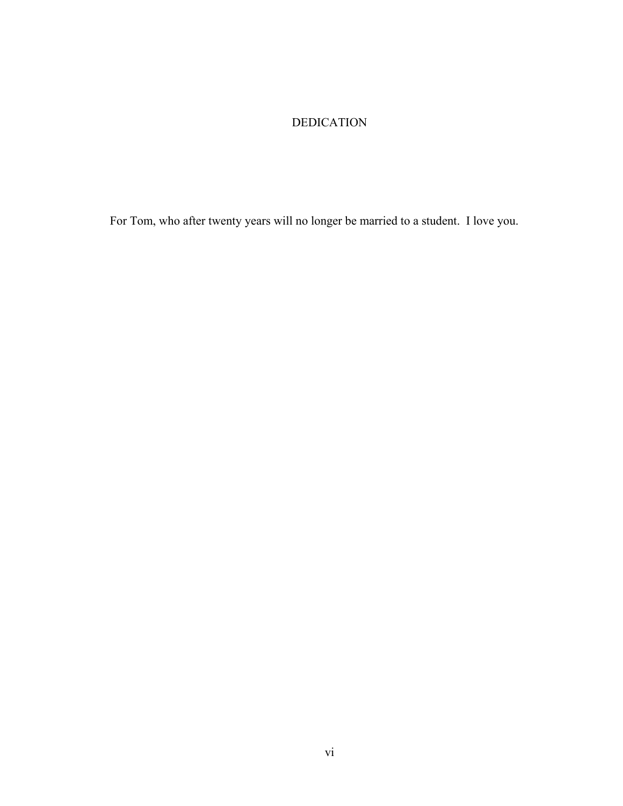## DEDICATION

For Tom, who after twenty years will no longer be married to a student. I love you.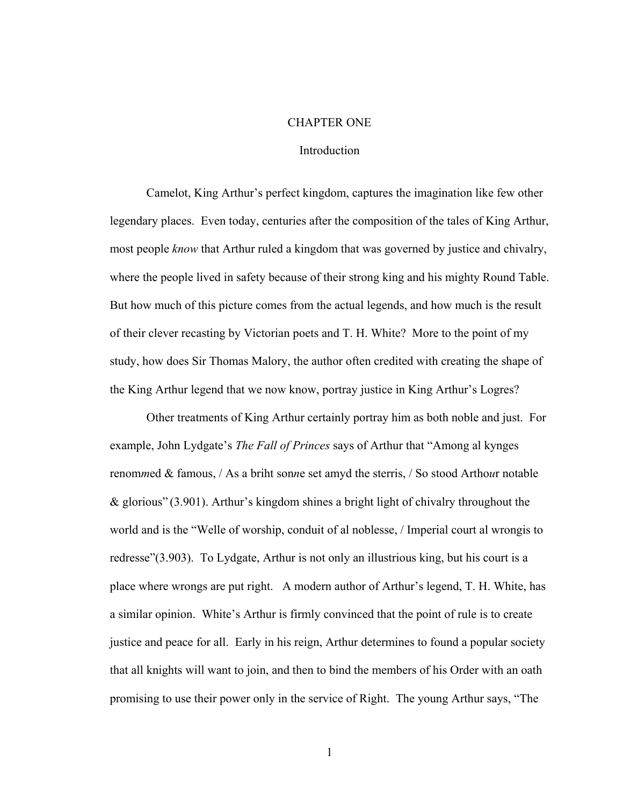#### CHAPTER ONE

## Introduction

Camelot, King Arthur's perfect kingdom, captures the imagination like few other legendary places. Even today, centuries after the composition of the tales of King Arthur, most people *know* that Arthur ruled a kingdom that was governed by justice and chivalry, where the people lived in safety because of their strong king and his mighty Round Table. But how much of this picture comes from the actual legends, and how much is the result of their clever recasting by Victorian poets and T. H. White? More to the point of my study, how does Sir Thomas Malory, the author often credited with creating the shape of the King Arthur legend that we now know, portray justice in King Arthur's Logres?

Other treatments of King Arthur certainly portray him as both noble and just. For example, John Lydgate's *The Fall of Princes* says of Arthur that "Among al kynges renom*m*ed & famous, / As a briht son*n*e set amyd the sterris, / So stood Artho*u*r notable & glorious" (3.901). Arthur's kingdom shines a bright light of chivalry throughout the world and is the "Welle of worship, conduit of al noblesse, / Imperial court al wrongis to redresse"(3.903). To Lydgate, Arthur is not only an illustrious king, but his court is a place where wrongs are put right. A modern author of Arthur's legend, T. H. White, has a similar opinion. White's Arthur is firmly convinced that the point of rule is to create justice and peace for all. Early in his reign, Arthur determines to found a popular society that all knights will want to join, and then to bind the members of his Order with an oath promising to use their power only in the service of Right. The young Arthur says, "The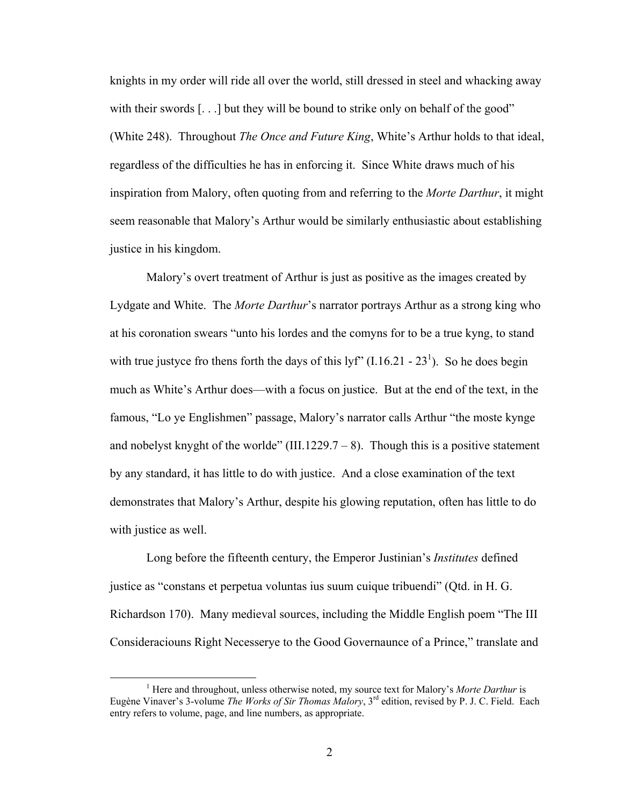knights in my order will ride all over the world, still dressed in steel and whacking away with their swords [...] but they will be bound to strike only on behalf of the good" (White 248). Throughout *The Once and Future King*, White's Arthur holds to that ideal, regardless of the difficulties he has in enforcing it. Since White draws much of his inspiration from Malory, often quoting from and referring to the *Morte Darthur*, it might seem reasonable that Malory's Arthur would be similarly enthusiastic about establishing justice in his kingdom.

Malory's overt treatment of Arthur is just as positive as the images created by Lydgate and White. The *Morte Darthur*'s narrator portrays Arthur as a strong king who at his coronation swears "unto his lordes and the comyns for to be a true kyng, to stand with true justyce fro thens forth the days of this lyf"  $(1.16.21 - 23<sup>1</sup>)$ . So he does begin much as White's Arthur does—with a focus on justice. But at the end of the text, in the famous, "Lo ye Englishmen" passage, Malory's narrator calls Arthur "the moste kynge and nobelyst knyght of the worlde" (III.1229.7 – 8). Though this is a positive statement by any standard, it has little to do with justice. And a close examination of the text demonstrates that Malory's Arthur, despite his glowing reputation, often has little to do with justice as well.

Long before the fifteenth century, the Emperor Justinian's *Institutes* defined justice as "constans et perpetua voluntas ius suum cuique tribuendi" (Qtd. in H. G. Richardson 170). Many medieval sources, including the Middle English poem "The III Consideraciouns Right Necesserye to the Good Governaunce of a Prince," translate and

<sup>&</sup>lt;u>1</u> <sup>1</sup> Here and throughout, unless otherwise noted, my source text for Malory's *Morte Darthur* is Eugène Vinaver's 3-volume *The Works of Sir Thomas Malory*, 3rd edition, revised by P. J. C. Field. Each entry refers to volume, page, and line numbers, as appropriate.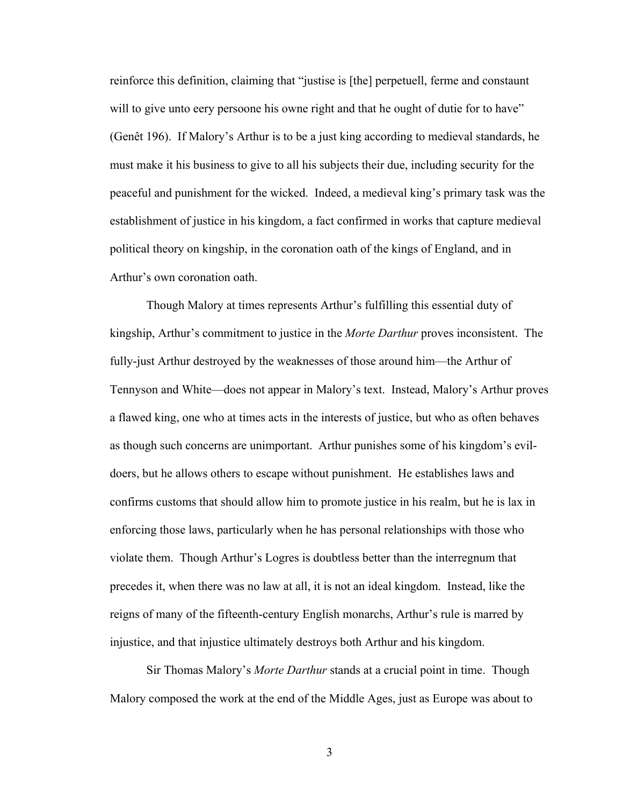reinforce this definition, claiming that "justise is [the] perpetuell, ferme and constaunt will to give unto eery persoone his owne right and that he ought of dutie for to have" (Genêt 196). If Malory's Arthur is to be a just king according to medieval standards, he must make it his business to give to all his subjects their due, including security for the peaceful and punishment for the wicked. Indeed, a medieval king's primary task was the establishment of justice in his kingdom, a fact confirmed in works that capture medieval political theory on kingship, in the coronation oath of the kings of England, and in Arthur's own coronation oath.

Though Malory at times represents Arthur's fulfilling this essential duty of kingship, Arthur's commitment to justice in the *Morte Darthur* proves inconsistent. The fully-just Arthur destroyed by the weaknesses of those around him—the Arthur of Tennyson and White—does not appear in Malory's text. Instead, Malory's Arthur proves a flawed king, one who at times acts in the interests of justice, but who as often behaves as though such concerns are unimportant. Arthur punishes some of his kingdom's evildoers, but he allows others to escape without punishment. He establishes laws and confirms customs that should allow him to promote justice in his realm, but he is lax in enforcing those laws, particularly when he has personal relationships with those who violate them. Though Arthur's Logres is doubtless better than the interregnum that precedes it, when there was no law at all, it is not an ideal kingdom. Instead, like the reigns of many of the fifteenth-century English monarchs, Arthur's rule is marred by injustice, and that injustice ultimately destroys both Arthur and his kingdom.

Sir Thomas Malory's *Morte Darthur* stands at a crucial point in time. Though Malory composed the work at the end of the Middle Ages, just as Europe was about to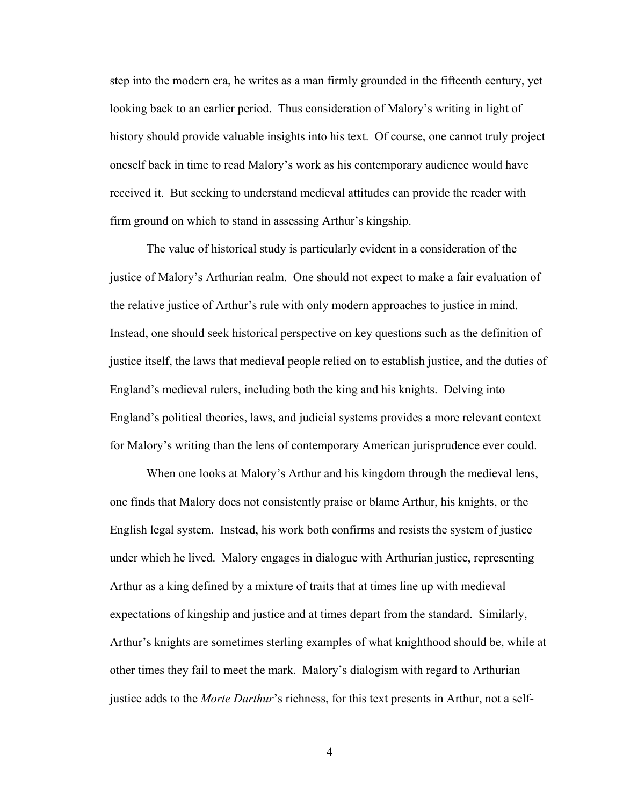step into the modern era, he writes as a man firmly grounded in the fifteenth century, yet looking back to an earlier period. Thus consideration of Malory's writing in light of history should provide valuable insights into his text. Of course, one cannot truly project oneself back in time to read Malory's work as his contemporary audience would have received it. But seeking to understand medieval attitudes can provide the reader with firm ground on which to stand in assessing Arthur's kingship.

The value of historical study is particularly evident in a consideration of the justice of Malory's Arthurian realm. One should not expect to make a fair evaluation of the relative justice of Arthur's rule with only modern approaches to justice in mind. Instead, one should seek historical perspective on key questions such as the definition of justice itself, the laws that medieval people relied on to establish justice, and the duties of England's medieval rulers, including both the king and his knights. Delving into England's political theories, laws, and judicial systems provides a more relevant context for Malory's writing than the lens of contemporary American jurisprudence ever could.

When one looks at Malory's Arthur and his kingdom through the medieval lens, one finds that Malory does not consistently praise or blame Arthur, his knights, or the English legal system. Instead, his work both confirms and resists the system of justice under which he lived. Malory engages in dialogue with Arthurian justice, representing Arthur as a king defined by a mixture of traits that at times line up with medieval expectations of kingship and justice and at times depart from the standard. Similarly, Arthur's knights are sometimes sterling examples of what knighthood should be, while at other times they fail to meet the mark. Malory's dialogism with regard to Arthurian justice adds to the *Morte Darthur*'s richness, for this text presents in Arthur, not a self-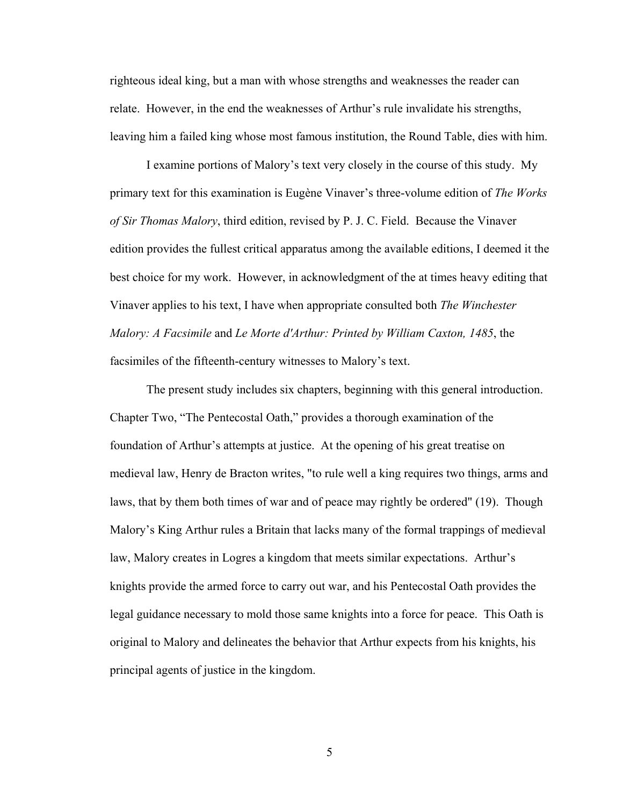righteous ideal king, but a man with whose strengths and weaknesses the reader can relate. However, in the end the weaknesses of Arthur's rule invalidate his strengths, leaving him a failed king whose most famous institution, the Round Table, dies with him.

I examine portions of Malory's text very closely in the course of this study. My primary text for this examination is Eugène Vinaver's three-volume edition of *The Works of Sir Thomas Malory*, third edition, revised by P. J. C. Field. Because the Vinaver edition provides the fullest critical apparatus among the available editions, I deemed it the best choice for my work. However, in acknowledgment of the at times heavy editing that Vinaver applies to his text, I have when appropriate consulted both *The Winchester Malory: A Facsimile* and *Le Morte d'Arthur: Printed by William Caxton, 1485*, the facsimiles of the fifteenth-century witnesses to Malory's text.

The present study includes six chapters, beginning with this general introduction. Chapter Two, "The Pentecostal Oath," provides a thorough examination of the foundation of Arthur's attempts at justice. At the opening of his great treatise on medieval law, Henry de Bracton writes, "to rule well a king requires two things, arms and laws, that by them both times of war and of peace may rightly be ordered" (19). Though Malory's King Arthur rules a Britain that lacks many of the formal trappings of medieval law, Malory creates in Logres a kingdom that meets similar expectations. Arthur's knights provide the armed force to carry out war, and his Pentecostal Oath provides the legal guidance necessary to mold those same knights into a force for peace. This Oath is original to Malory and delineates the behavior that Arthur expects from his knights, his principal agents of justice in the kingdom.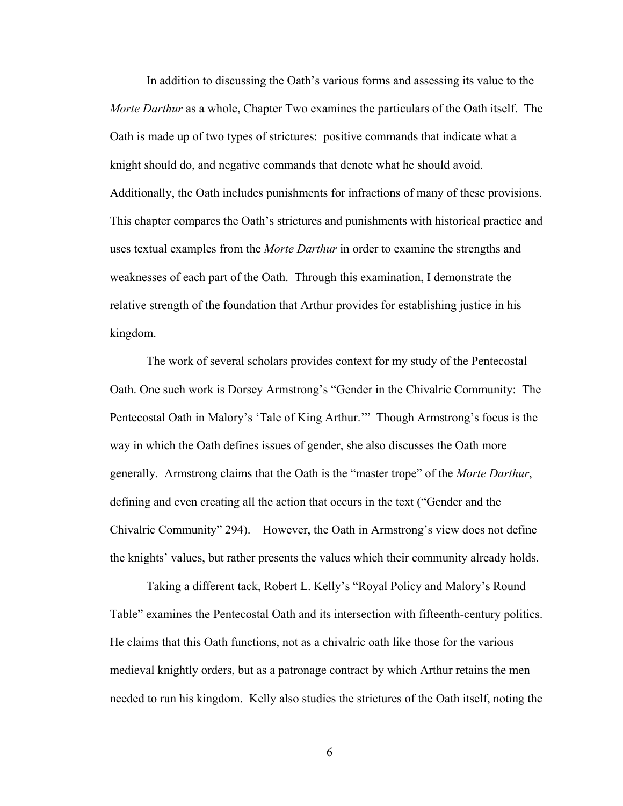In addition to discussing the Oath's various forms and assessing its value to the *Morte Darthur* as a whole, Chapter Two examines the particulars of the Oath itself. The Oath is made up of two types of strictures: positive commands that indicate what a knight should do, and negative commands that denote what he should avoid. Additionally, the Oath includes punishments for infractions of many of these provisions. This chapter compares the Oath's strictures and punishments with historical practice and uses textual examples from the *Morte Darthur* in order to examine the strengths and weaknesses of each part of the Oath. Through this examination, I demonstrate the relative strength of the foundation that Arthur provides for establishing justice in his kingdom.

The work of several scholars provides context for my study of the Pentecostal Oath. One such work is Dorsey Armstrong's "Gender in the Chivalric Community: The Pentecostal Oath in Malory's 'Tale of King Arthur.'" Though Armstrong's focus is the way in which the Oath defines issues of gender, she also discusses the Oath more generally. Armstrong claims that the Oath is the "master trope" of the *Morte Darthur*, defining and even creating all the action that occurs in the text ("Gender and the Chivalric Community" 294). However, the Oath in Armstrong's view does not define the knights' values, but rather presents the values which their community already holds.

Taking a different tack, Robert L. Kelly's "Royal Policy and Malory's Round Table" examines the Pentecostal Oath and its intersection with fifteenth-century politics. He claims that this Oath functions, not as a chivalric oath like those for the various medieval knightly orders, but as a patronage contract by which Arthur retains the men needed to run his kingdom. Kelly also studies the strictures of the Oath itself, noting the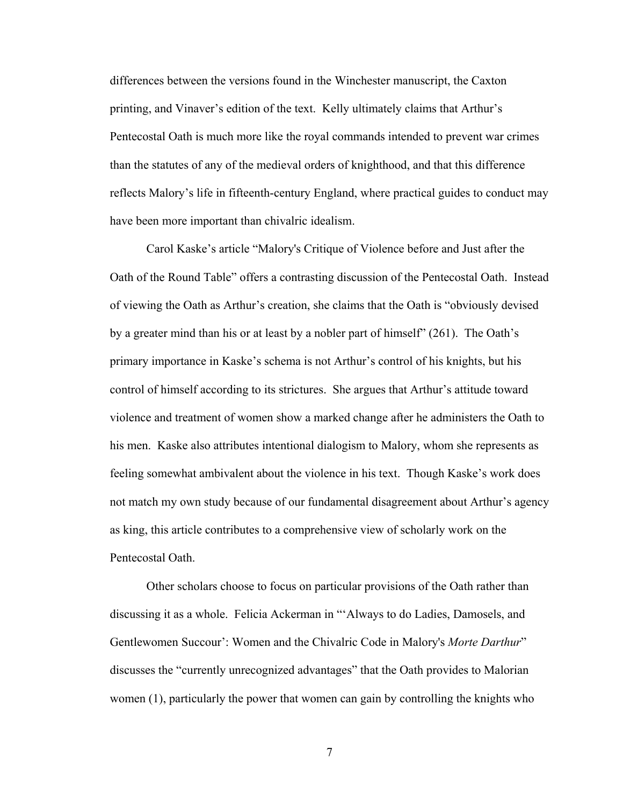differences between the versions found in the Winchester manuscript, the Caxton printing, and Vinaver's edition of the text. Kelly ultimately claims that Arthur's Pentecostal Oath is much more like the royal commands intended to prevent war crimes than the statutes of any of the medieval orders of knighthood, and that this difference reflects Malory's life in fifteenth-century England, where practical guides to conduct may have been more important than chivalric idealism.

Carol Kaske's article "Malory's Critique of Violence before and Just after the Oath of the Round Table" offers a contrasting discussion of the Pentecostal Oath. Instead of viewing the Oath as Arthur's creation, she claims that the Oath is "obviously devised by a greater mind than his or at least by a nobler part of himself" (261). The Oath's primary importance in Kaske's schema is not Arthur's control of his knights, but his control of himself according to its strictures. She argues that Arthur's attitude toward violence and treatment of women show a marked change after he administers the Oath to his men. Kaske also attributes intentional dialogism to Malory, whom she represents as feeling somewhat ambivalent about the violence in his text. Though Kaske's work does not match my own study because of our fundamental disagreement about Arthur's agency as king, this article contributes to a comprehensive view of scholarly work on the Pentecostal Oath.

Other scholars choose to focus on particular provisions of the Oath rather than discussing it as a whole. Felicia Ackerman in "'Always to do Ladies, Damosels, and Gentlewomen Succour': Women and the Chivalric Code in Malory's *Morte Darthur*" discusses the "currently unrecognized advantages" that the Oath provides to Malorian women (1), particularly the power that women can gain by controlling the knights who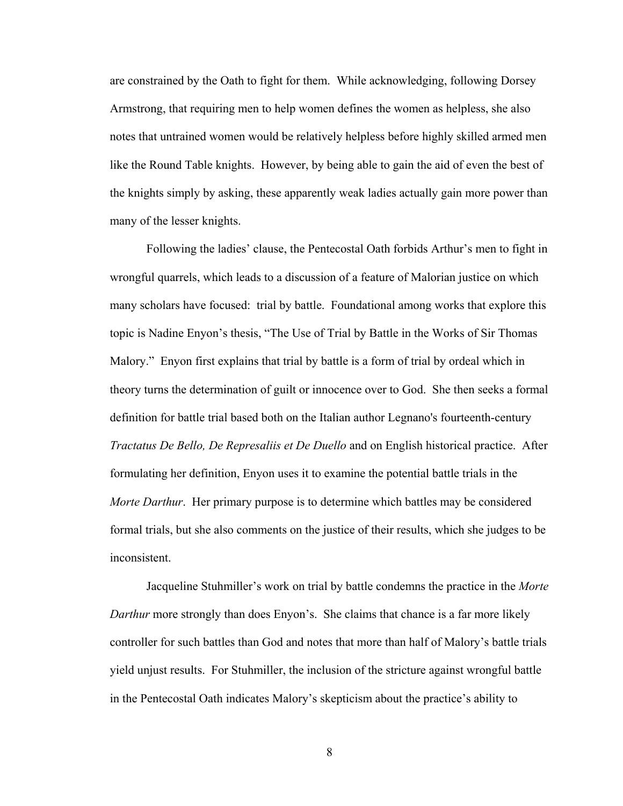are constrained by the Oath to fight for them. While acknowledging, following Dorsey Armstrong, that requiring men to help women defines the women as helpless, she also notes that untrained women would be relatively helpless before highly skilled armed men like the Round Table knights. However, by being able to gain the aid of even the best of the knights simply by asking, these apparently weak ladies actually gain more power than many of the lesser knights.

Following the ladies' clause, the Pentecostal Oath forbids Arthur's men to fight in wrongful quarrels, which leads to a discussion of a feature of Malorian justice on which many scholars have focused: trial by battle. Foundational among works that explore this topic is Nadine Enyon's thesis, "The Use of Trial by Battle in the Works of Sir Thomas Malory." Enyon first explains that trial by battle is a form of trial by ordeal which in theory turns the determination of guilt or innocence over to God. She then seeks a formal definition for battle trial based both on the Italian author Legnano's fourteenth-century *Tractatus De Bello, De Represaliis et De Duello* and on English historical practice. After formulating her definition, Enyon uses it to examine the potential battle trials in the *Morte Darthur*. Her primary purpose is to determine which battles may be considered formal trials, but she also comments on the justice of their results, which she judges to be inconsistent.

Jacqueline Stuhmiller's work on trial by battle condemns the practice in the *Morte Darthur* more strongly than does Enyon's. She claims that chance is a far more likely controller for such battles than God and notes that more than half of Malory's battle trials yield unjust results. For Stuhmiller, the inclusion of the stricture against wrongful battle in the Pentecostal Oath indicates Malory's skepticism about the practice's ability to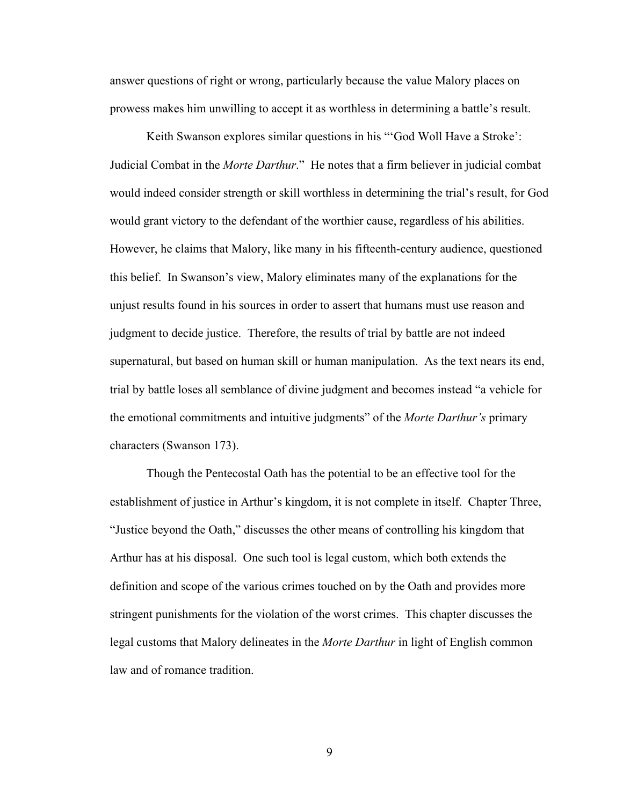answer questions of right or wrong, particularly because the value Malory places on prowess makes him unwilling to accept it as worthless in determining a battle's result.

Keith Swanson explores similar questions in his "'God Woll Have a Stroke': Judicial Combat in the *Morte Darthur*." He notes that a firm believer in judicial combat would indeed consider strength or skill worthless in determining the trial's result, for God would grant victory to the defendant of the worthier cause, regardless of his abilities. However, he claims that Malory, like many in his fifteenth-century audience, questioned this belief. In Swanson's view, Malory eliminates many of the explanations for the unjust results found in his sources in order to assert that humans must use reason and judgment to decide justice. Therefore, the results of trial by battle are not indeed supernatural, but based on human skill or human manipulation. As the text nears its end, trial by battle loses all semblance of divine judgment and becomes instead "a vehicle for the emotional commitments and intuitive judgments" of the *Morte Darthur's* primary characters (Swanson 173).

Though the Pentecostal Oath has the potential to be an effective tool for the establishment of justice in Arthur's kingdom, it is not complete in itself. Chapter Three, "Justice beyond the Oath," discusses the other means of controlling his kingdom that Arthur has at his disposal. One such tool is legal custom, which both extends the definition and scope of the various crimes touched on by the Oath and provides more stringent punishments for the violation of the worst crimes. This chapter discusses the legal customs that Malory delineates in the *Morte Darthur* in light of English common law and of romance tradition.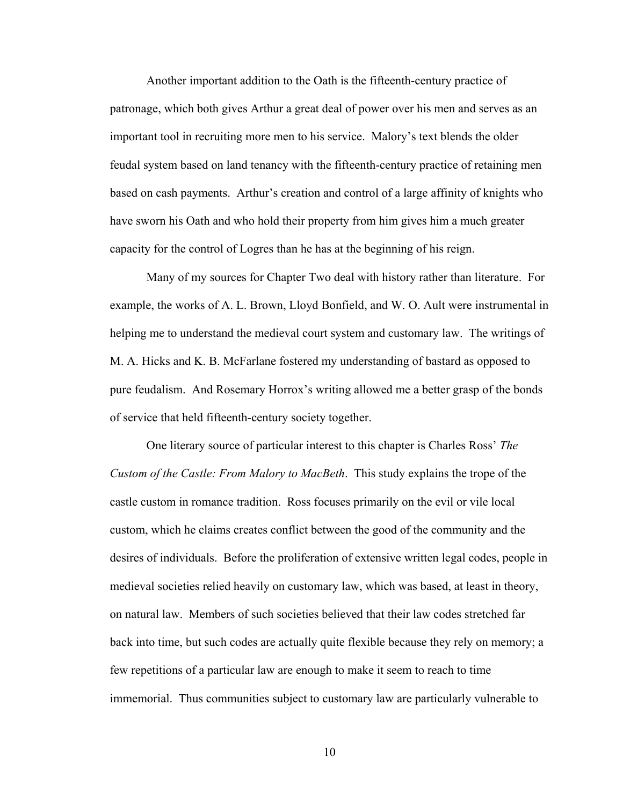Another important addition to the Oath is the fifteenth-century practice of patronage, which both gives Arthur a great deal of power over his men and serves as an important tool in recruiting more men to his service. Malory's text blends the older feudal system based on land tenancy with the fifteenth-century practice of retaining men based on cash payments. Arthur's creation and control of a large affinity of knights who have sworn his Oath and who hold their property from him gives him a much greater capacity for the control of Logres than he has at the beginning of his reign.

Many of my sources for Chapter Two deal with history rather than literature. For example, the works of A. L. Brown, Lloyd Bonfield, and W. O. Ault were instrumental in helping me to understand the medieval court system and customary law. The writings of M. A. Hicks and K. B. McFarlane fostered my understanding of bastard as opposed to pure feudalism. And Rosemary Horrox's writing allowed me a better grasp of the bonds of service that held fifteenth-century society together.

One literary source of particular interest to this chapter is Charles Ross' *The Custom of the Castle: From Malory to MacBeth*. This study explains the trope of the castle custom in romance tradition. Ross focuses primarily on the evil or vile local custom, which he claims creates conflict between the good of the community and the desires of individuals. Before the proliferation of extensive written legal codes, people in medieval societies relied heavily on customary law, which was based, at least in theory, on natural law. Members of such societies believed that their law codes stretched far back into time, but such codes are actually quite flexible because they rely on memory; a few repetitions of a particular law are enough to make it seem to reach to time immemorial. Thus communities subject to customary law are particularly vulnerable to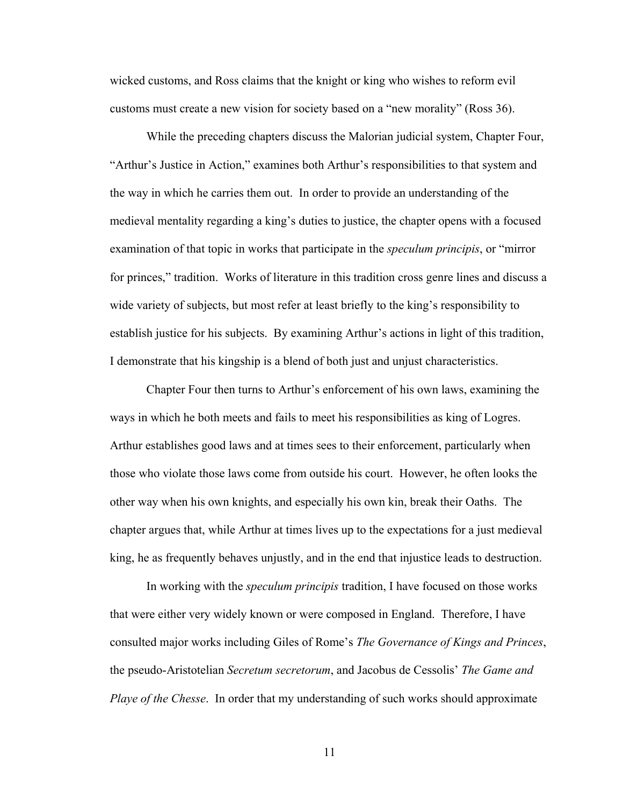wicked customs, and Ross claims that the knight or king who wishes to reform evil customs must create a new vision for society based on a "new morality" (Ross 36).

While the preceding chapters discuss the Malorian judicial system, Chapter Four, "Arthur's Justice in Action," examines both Arthur's responsibilities to that system and the way in which he carries them out. In order to provide an understanding of the medieval mentality regarding a king's duties to justice, the chapter opens with a focused examination of that topic in works that participate in the *speculum principis*, or "mirror for princes," tradition. Works of literature in this tradition cross genre lines and discuss a wide variety of subjects, but most refer at least briefly to the king's responsibility to establish justice for his subjects. By examining Arthur's actions in light of this tradition, I demonstrate that his kingship is a blend of both just and unjust characteristics.

Chapter Four then turns to Arthur's enforcement of his own laws, examining the ways in which he both meets and fails to meet his responsibilities as king of Logres. Arthur establishes good laws and at times sees to their enforcement, particularly when those who violate those laws come from outside his court. However, he often looks the other way when his own knights, and especially his own kin, break their Oaths. The chapter argues that, while Arthur at times lives up to the expectations for a just medieval king, he as frequently behaves unjustly, and in the end that injustice leads to destruction.

In working with the *speculum principis* tradition, I have focused on those works that were either very widely known or were composed in England. Therefore, I have consulted major works including Giles of Rome's *The Governance of Kings and Princes*, the pseudo-Aristotelian *Secretum secretorum*, and Jacobus de Cessolis' *The Game and Playe of the Chesse*. In order that my understanding of such works should approximate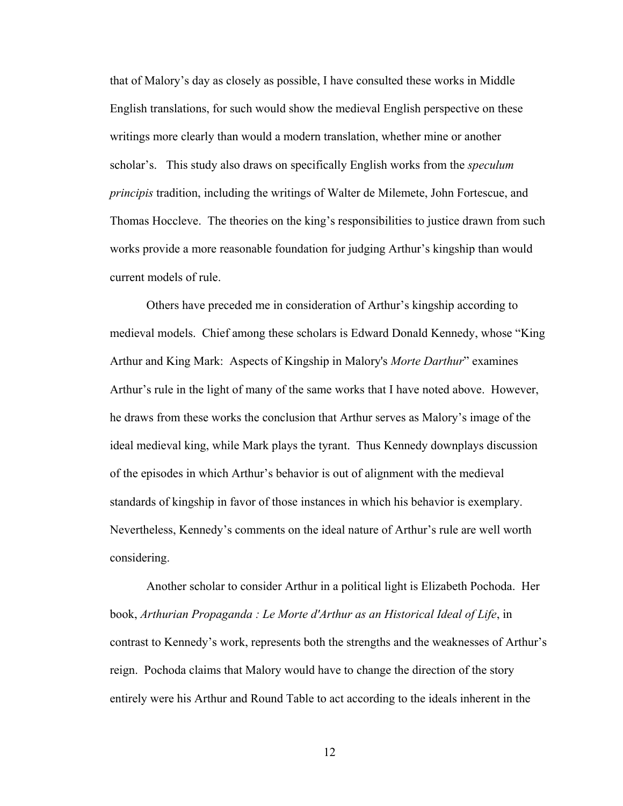that of Malory's day as closely as possible, I have consulted these works in Middle English translations, for such would show the medieval English perspective on these writings more clearly than would a modern translation, whether mine or another scholar's. This study also draws on specifically English works from the *speculum principis* tradition, including the writings of Walter de Milemete, John Fortescue, and Thomas Hoccleve. The theories on the king's responsibilities to justice drawn from such works provide a more reasonable foundation for judging Arthur's kingship than would current models of rule.

Others have preceded me in consideration of Arthur's kingship according to medieval models. Chief among these scholars is Edward Donald Kennedy, whose "King Arthur and King Mark: Aspects of Kingship in Malory's *Morte Darthur*" examines Arthur's rule in the light of many of the same works that I have noted above. However, he draws from these works the conclusion that Arthur serves as Malory's image of the ideal medieval king, while Mark plays the tyrant. Thus Kennedy downplays discussion of the episodes in which Arthur's behavior is out of alignment with the medieval standards of kingship in favor of those instances in which his behavior is exemplary. Nevertheless, Kennedy's comments on the ideal nature of Arthur's rule are well worth considering.

Another scholar to consider Arthur in a political light is Elizabeth Pochoda. Her book, *Arthurian Propaganda : Le Morte d'Arthur as an Historical Ideal of Life*, in contrast to Kennedy's work, represents both the strengths and the weaknesses of Arthur's reign. Pochoda claims that Malory would have to change the direction of the story entirely were his Arthur and Round Table to act according to the ideals inherent in the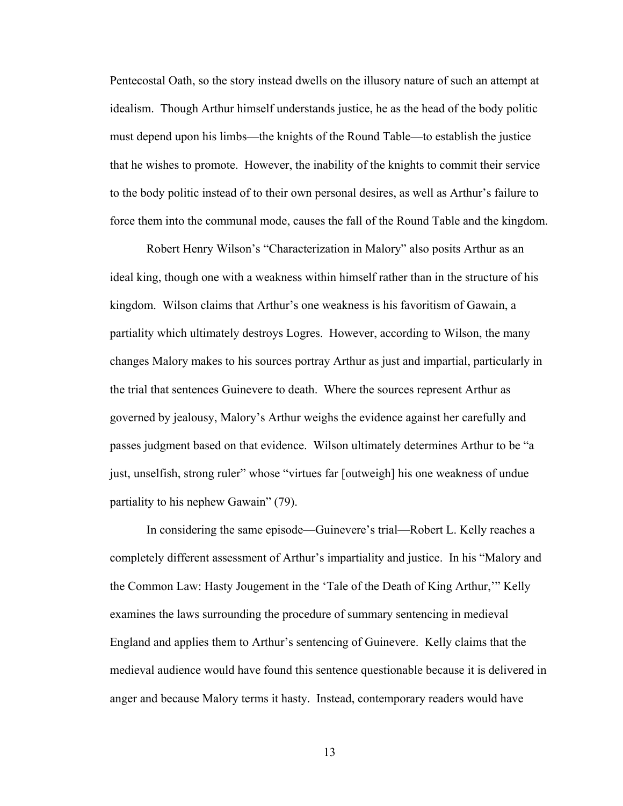Pentecostal Oath, so the story instead dwells on the illusory nature of such an attempt at idealism. Though Arthur himself understands justice, he as the head of the body politic must depend upon his limbs—the knights of the Round Table—to establish the justice that he wishes to promote. However, the inability of the knights to commit their service to the body politic instead of to their own personal desires, as well as Arthur's failure to force them into the communal mode, causes the fall of the Round Table and the kingdom.

Robert Henry Wilson's "Characterization in Malory" also posits Arthur as an ideal king, though one with a weakness within himself rather than in the structure of his kingdom. Wilson claims that Arthur's one weakness is his favoritism of Gawain, a partiality which ultimately destroys Logres. However, according to Wilson, the many changes Malory makes to his sources portray Arthur as just and impartial, particularly in the trial that sentences Guinevere to death. Where the sources represent Arthur as governed by jealousy, Malory's Arthur weighs the evidence against her carefully and passes judgment based on that evidence. Wilson ultimately determines Arthur to be "a just, unselfish, strong ruler" whose "virtues far [outweigh] his one weakness of undue partiality to his nephew Gawain" (79).

In considering the same episode—Guinevere's trial—Robert L. Kelly reaches a completely different assessment of Arthur's impartiality and justice. In his "Malory and the Common Law: Hasty Jougement in the 'Tale of the Death of King Arthur,'" Kelly examines the laws surrounding the procedure of summary sentencing in medieval England and applies them to Arthur's sentencing of Guinevere. Kelly claims that the medieval audience would have found this sentence questionable because it is delivered in anger and because Malory terms it hasty. Instead, contemporary readers would have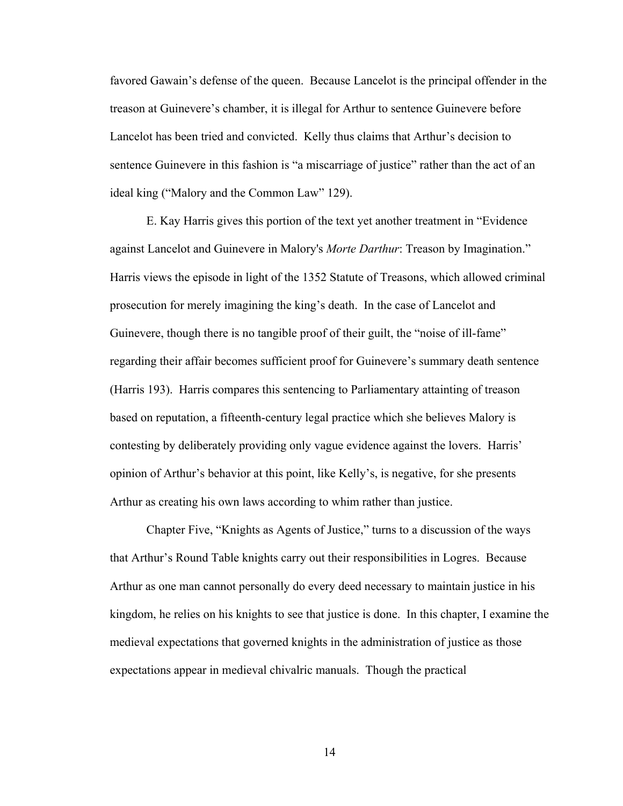favored Gawain's defense of the queen. Because Lancelot is the principal offender in the treason at Guinevere's chamber, it is illegal for Arthur to sentence Guinevere before Lancelot has been tried and convicted. Kelly thus claims that Arthur's decision to sentence Guinevere in this fashion is "a miscarriage of justice" rather than the act of an ideal king ("Malory and the Common Law" 129).

E. Kay Harris gives this portion of the text yet another treatment in "Evidence against Lancelot and Guinevere in Malory's *Morte Darthur*: Treason by Imagination." Harris views the episode in light of the 1352 Statute of Treasons, which allowed criminal prosecution for merely imagining the king's death. In the case of Lancelot and Guinevere, though there is no tangible proof of their guilt, the "noise of ill-fame" regarding their affair becomes sufficient proof for Guinevere's summary death sentence (Harris 193). Harris compares this sentencing to Parliamentary attainting of treason based on reputation, a fifteenth-century legal practice which she believes Malory is contesting by deliberately providing only vague evidence against the lovers. Harris' opinion of Arthur's behavior at this point, like Kelly's, is negative, for she presents Arthur as creating his own laws according to whim rather than justice.

Chapter Five, "Knights as Agents of Justice," turns to a discussion of the ways that Arthur's Round Table knights carry out their responsibilities in Logres. Because Arthur as one man cannot personally do every deed necessary to maintain justice in his kingdom, he relies on his knights to see that justice is done. In this chapter, I examine the medieval expectations that governed knights in the administration of justice as those expectations appear in medieval chivalric manuals. Though the practical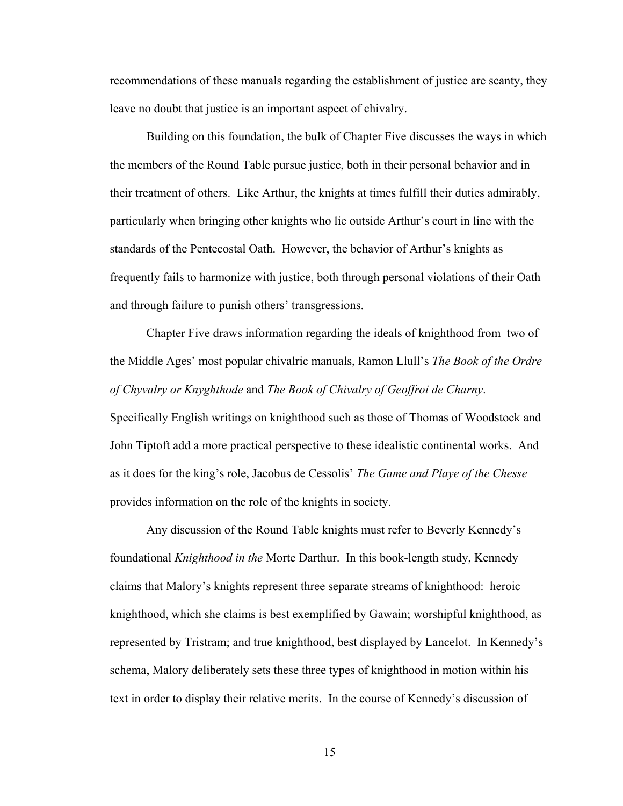recommendations of these manuals regarding the establishment of justice are scanty, they leave no doubt that justice is an important aspect of chivalry.

Building on this foundation, the bulk of Chapter Five discusses the ways in which the members of the Round Table pursue justice, both in their personal behavior and in their treatment of others. Like Arthur, the knights at times fulfill their duties admirably, particularly when bringing other knights who lie outside Arthur's court in line with the standards of the Pentecostal Oath. However, the behavior of Arthur's knights as frequently fails to harmonize with justice, both through personal violations of their Oath and through failure to punish others' transgressions.

Chapter Five draws information regarding the ideals of knighthood from two of the Middle Ages' most popular chivalric manuals, Ramon Llull's *The Book of the Ordre of Chyvalry or Knyghthode* and *The Book of Chivalry of Geoffroi de Charny*.

Specifically English writings on knighthood such as those of Thomas of Woodstock and John Tiptoft add a more practical perspective to these idealistic continental works. And as it does for the king's role, Jacobus de Cessolis' *The Game and Playe of the Chesse* provides information on the role of the knights in society.

Any discussion of the Round Table knights must refer to Beverly Kennedy's foundational *Knighthood in the* Morte Darthur. In this book-length study, Kennedy claims that Malory's knights represent three separate streams of knighthood: heroic knighthood, which she claims is best exemplified by Gawain; worshipful knighthood, as represented by Tristram; and true knighthood, best displayed by Lancelot. In Kennedy's schema, Malory deliberately sets these three types of knighthood in motion within his text in order to display their relative merits. In the course of Kennedy's discussion of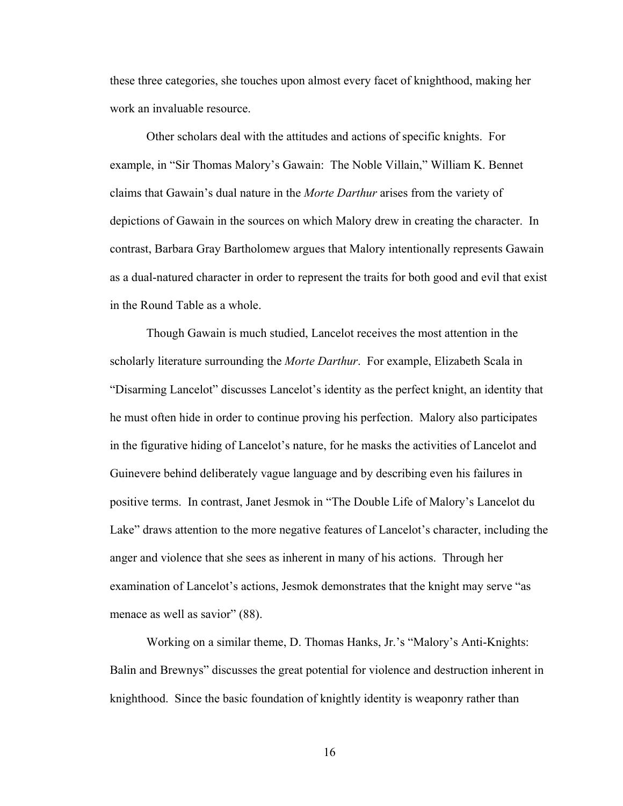these three categories, she touches upon almost every facet of knighthood, making her work an invaluable resource.

Other scholars deal with the attitudes and actions of specific knights. For example, in "Sir Thomas Malory's Gawain: The Noble Villain," William K. Bennet claims that Gawain's dual nature in the *Morte Darthur* arises from the variety of depictions of Gawain in the sources on which Malory drew in creating the character. In contrast, Barbara Gray Bartholomew argues that Malory intentionally represents Gawain as a dual-natured character in order to represent the traits for both good and evil that exist in the Round Table as a whole.

Though Gawain is much studied, Lancelot receives the most attention in the scholarly literature surrounding the *Morte Darthur*. For example, Elizabeth Scala in "Disarming Lancelot" discusses Lancelot's identity as the perfect knight, an identity that he must often hide in order to continue proving his perfection. Malory also participates in the figurative hiding of Lancelot's nature, for he masks the activities of Lancelot and Guinevere behind deliberately vague language and by describing even his failures in positive terms. In contrast, Janet Jesmok in "The Double Life of Malory's Lancelot du Lake" draws attention to the more negative features of Lancelot's character, including the anger and violence that she sees as inherent in many of his actions. Through her examination of Lancelot's actions, Jesmok demonstrates that the knight may serve "as menace as well as savior" (88).

Working on a similar theme, D. Thomas Hanks, Jr.'s "Malory's Anti-Knights: Balin and Brewnys" discusses the great potential for violence and destruction inherent in knighthood. Since the basic foundation of knightly identity is weaponry rather than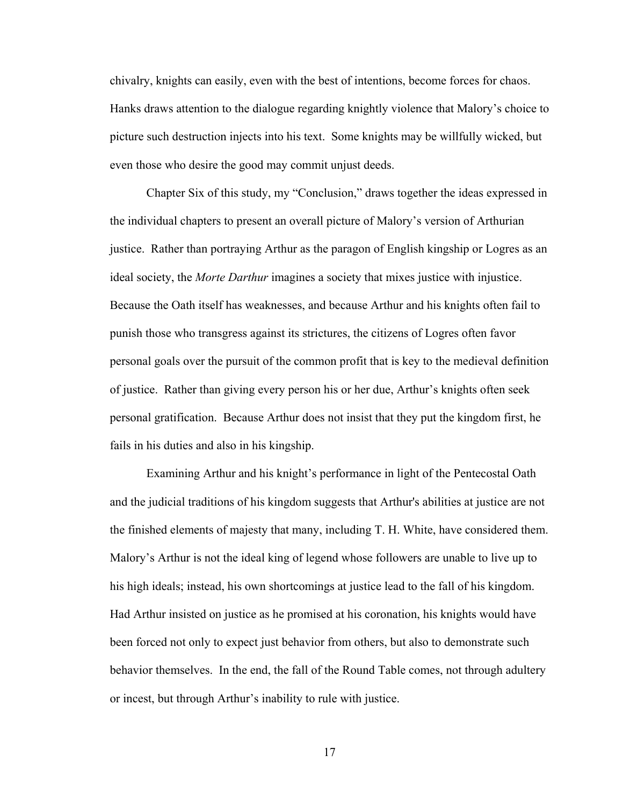chivalry, knights can easily, even with the best of intentions, become forces for chaos. Hanks draws attention to the dialogue regarding knightly violence that Malory's choice to picture such destruction injects into his text. Some knights may be willfully wicked, but even those who desire the good may commit unjust deeds.

Chapter Six of this study, my "Conclusion," draws together the ideas expressed in the individual chapters to present an overall picture of Malory's version of Arthurian justice. Rather than portraying Arthur as the paragon of English kingship or Logres as an ideal society, the *Morte Darthur* imagines a society that mixes justice with injustice. Because the Oath itself has weaknesses, and because Arthur and his knights often fail to punish those who transgress against its strictures, the citizens of Logres often favor personal goals over the pursuit of the common profit that is key to the medieval definition of justice. Rather than giving every person his or her due, Arthur's knights often seek personal gratification. Because Arthur does not insist that they put the kingdom first, he fails in his duties and also in his kingship.

Examining Arthur and his knight's performance in light of the Pentecostal Oath and the judicial traditions of his kingdom suggests that Arthur's abilities at justice are not the finished elements of majesty that many, including T. H. White, have considered them. Malory's Arthur is not the ideal king of legend whose followers are unable to live up to his high ideals; instead, his own shortcomings at justice lead to the fall of his kingdom. Had Arthur insisted on justice as he promised at his coronation, his knights would have been forced not only to expect just behavior from others, but also to demonstrate such behavior themselves. In the end, the fall of the Round Table comes, not through adultery or incest, but through Arthur's inability to rule with justice.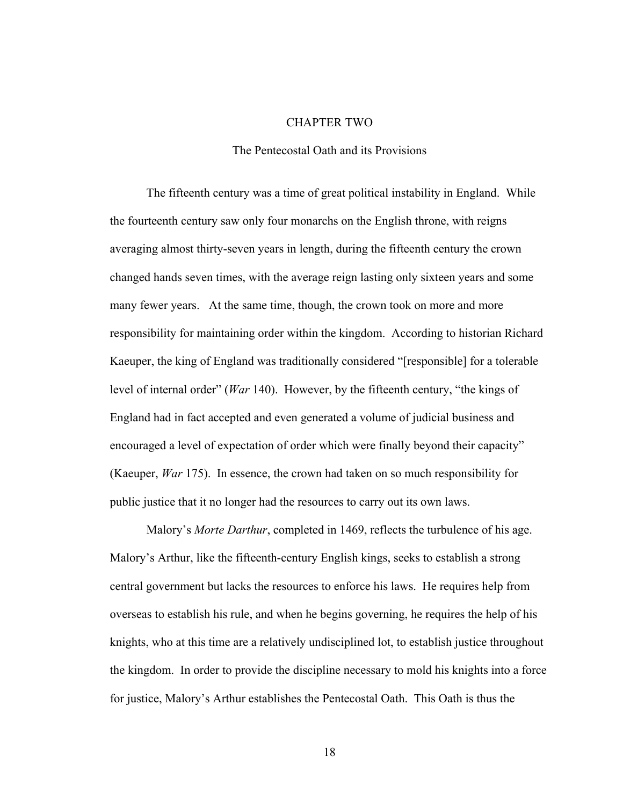#### CHAPTER TWO

## The Pentecostal Oath and its Provisions

The fifteenth century was a time of great political instability in England. While the fourteenth century saw only four monarchs on the English throne, with reigns averaging almost thirty-seven years in length, during the fifteenth century the crown changed hands seven times, with the average reign lasting only sixteen years and some many fewer years. At the same time, though, the crown took on more and more responsibility for maintaining order within the kingdom. According to historian Richard Kaeuper, the king of England was traditionally considered "[responsible] for a tolerable level of internal order" (*War* 140). However, by the fifteenth century, "the kings of England had in fact accepted and even generated a volume of judicial business and encouraged a level of expectation of order which were finally beyond their capacity" (Kaeuper, *War* 175). In essence, the crown had taken on so much responsibility for public justice that it no longer had the resources to carry out its own laws.

Malory's *Morte Darthur*, completed in 1469, reflects the turbulence of his age. Malory's Arthur, like the fifteenth-century English kings, seeks to establish a strong central government but lacks the resources to enforce his laws. He requires help from overseas to establish his rule, and when he begins governing, he requires the help of his knights, who at this time are a relatively undisciplined lot, to establish justice throughout the kingdom. In order to provide the discipline necessary to mold his knights into a force for justice, Malory's Arthur establishes the Pentecostal Oath. This Oath is thus the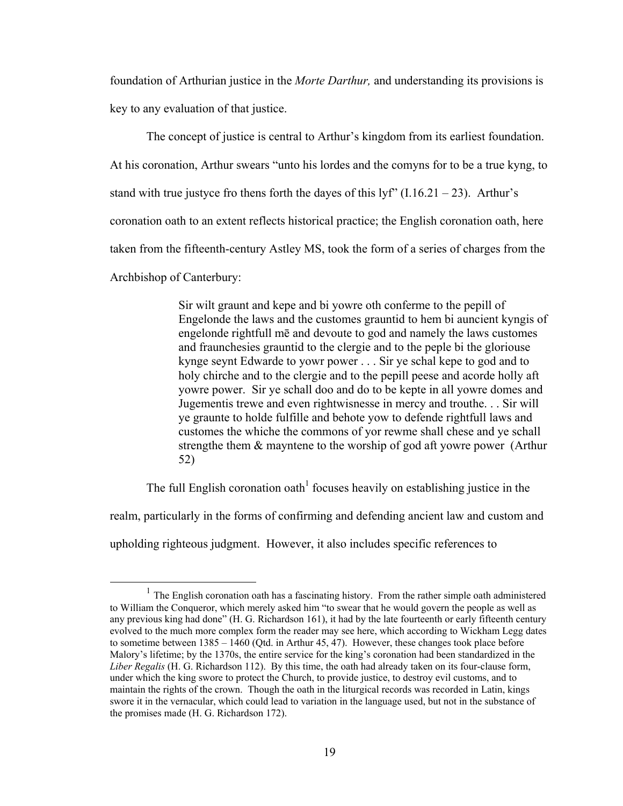foundation of Arthurian justice in the *Morte Darthur,* and understanding its provisions is key to any evaluation of that justice.

The concept of justice is central to Arthur's kingdom from its earliest foundation. At his coronation, Arthur swears "unto his lordes and the comyns for to be a true kyng, to stand with true justyce fro thens forth the dayes of this  $\frac{1}{r}$  (I.16.21 – 23). Arthur's coronation oath to an extent reflects historical practice; the English coronation oath, here taken from the fifteenth-century Astley MS, took the form of a series of charges from the Archbishop of Canterbury:

> Sir wilt graunt and kepe and bi yowre oth conferme to the pepill of Engelonde the laws and the customes grauntid to hem bi auncient kyngis of engelonde rightfull mē and devoute to god and namely the laws customes and fraunchesies grauntid to the clergie and to the peple bi the gloriouse kynge seynt Edwarde to yowr power . . . Sir ye schal kepe to god and to holy chirche and to the clergie and to the pepill peese and acorde holly aft yowre power. Sir ye schall doo and do to be kepte in all yowre domes and Jugementis trewe and even rightwisnesse in mercy and trouthe. . . Sir will ye graunte to holde fulfille and behote yow to defende rightfull laws and customes the whiche the commons of yor rewme shall chese and ye schall strengthe them & mayntene to the worship of god aft yowre power (Arthur 52)

The full English coronation oath<sup>1</sup> focuses heavily on establishing justice in the realm, particularly in the forms of confirming and defending ancient law and custom and upholding righteous judgment. However, it also includes specific references to

 $1$  The English coronation oath has a fascinating history. From the rather simple oath administered to William the Conqueror, which merely asked him "to swear that he would govern the people as well as any previous king had done" (H. G. Richardson 161), it had by the late fourteenth or early fifteenth century evolved to the much more complex form the reader may see here, which according to Wickham Legg dates to sometime between 1385 – 1460 (Qtd. in Arthur 45, 47). However, these changes took place before Malory's lifetime; by the 1370s, the entire service for the king's coronation had been standardized in the *Liber Regalis* (H. G. Richardson 112). By this time, the oath had already taken on its four-clause form, under which the king swore to protect the Church, to provide justice, to destroy evil customs, and to maintain the rights of the crown. Though the oath in the liturgical records was recorded in Latin, kings swore it in the vernacular, which could lead to variation in the language used, but not in the substance of the promises made (H. G. Richardson 172).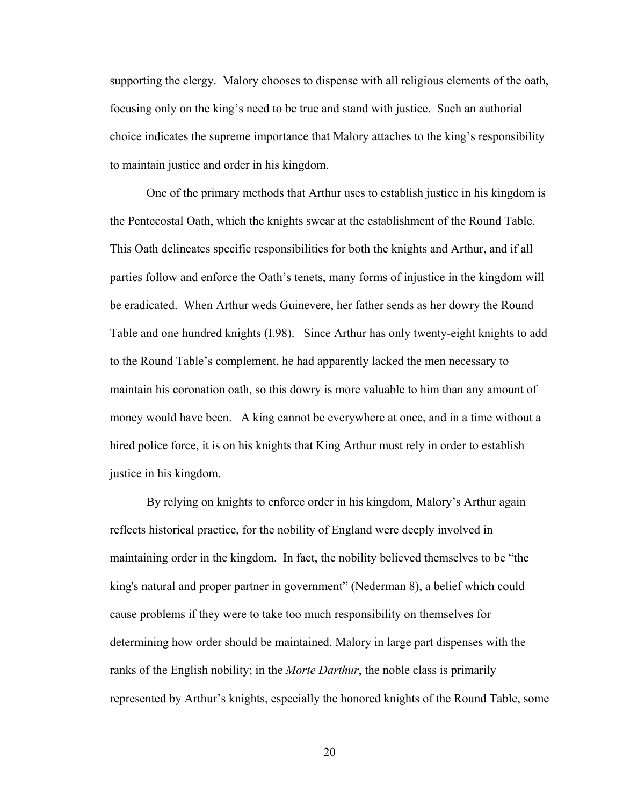supporting the clergy. Malory chooses to dispense with all religious elements of the oath, focusing only on the king's need to be true and stand with justice. Such an authorial choice indicates the supreme importance that Malory attaches to the king's responsibility to maintain justice and order in his kingdom.

One of the primary methods that Arthur uses to establish justice in his kingdom is the Pentecostal Oath, which the knights swear at the establishment of the Round Table. This Oath delineates specific responsibilities for both the knights and Arthur, and if all parties follow and enforce the Oath's tenets, many forms of injustice in the kingdom will be eradicated. When Arthur weds Guinevere, her father sends as her dowry the Round Table and one hundred knights (I.98). Since Arthur has only twenty-eight knights to add to the Round Table's complement, he had apparently lacked the men necessary to maintain his coronation oath, so this dowry is more valuable to him than any amount of money would have been. A king cannot be everywhere at once, and in a time without a hired police force, it is on his knights that King Arthur must rely in order to establish justice in his kingdom.

By relying on knights to enforce order in his kingdom, Malory's Arthur again reflects historical practice, for the nobility of England were deeply involved in maintaining order in the kingdom. In fact, the nobility believed themselves to be "the king's natural and proper partner in government" (Nederman 8), a belief which could cause problems if they were to take too much responsibility on themselves for determining how order should be maintained. Malory in large part dispenses with the ranks of the English nobility; in the *Morte Darthur*, the noble class is primarily represented by Arthur's knights, especially the honored knights of the Round Table, some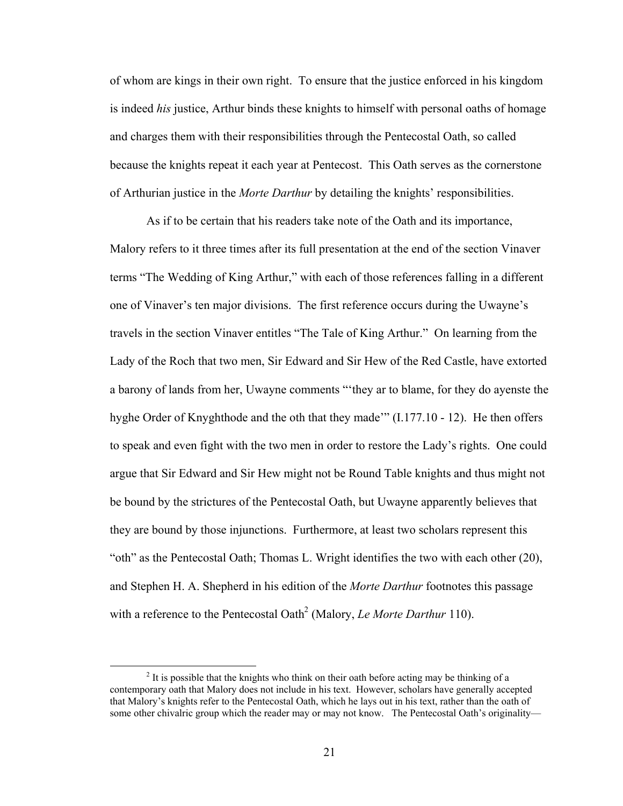of whom are kings in their own right. To ensure that the justice enforced in his kingdom is indeed *his* justice, Arthur binds these knights to himself with personal oaths of homage and charges them with their responsibilities through the Pentecostal Oath, so called because the knights repeat it each year at Pentecost. This Oath serves as the cornerstone of Arthurian justice in the *Morte Darthur* by detailing the knights' responsibilities.

As if to be certain that his readers take note of the Oath and its importance, Malory refers to it three times after its full presentation at the end of the section Vinaver terms "The Wedding of King Arthur," with each of those references falling in a different one of Vinaver's ten major divisions. The first reference occurs during the Uwayne's travels in the section Vinaver entitles "The Tale of King Arthur." On learning from the Lady of the Roch that two men, Sir Edward and Sir Hew of the Red Castle, have extorted a barony of lands from her, Uwayne comments "'they ar to blame, for they do ayenste the hyghe Order of Knyghthode and the oth that they made'" (I.177.10 - 12). He then offers to speak and even fight with the two men in order to restore the Lady's rights. One could argue that Sir Edward and Sir Hew might not be Round Table knights and thus might not be bound by the strictures of the Pentecostal Oath, but Uwayne apparently believes that they are bound by those injunctions. Furthermore, at least two scholars represent this "oth" as the Pentecostal Oath; Thomas L. Wright identifies the two with each other (20), and Stephen H. A. Shepherd in his edition of the *Morte Darthur* footnotes this passage with a reference to the Pentecostal Oath<sup>2</sup> (Malory, *Le Morte Darthur* 110).

 $\overline{\phantom{a}}$  $<sup>2</sup>$  It is possible that the knights who think on their oath before acting may be thinking of a</sup> contemporary oath that Malory does not include in his text. However, scholars have generally accepted that Malory's knights refer to the Pentecostal Oath, which he lays out in his text, rather than the oath of some other chivalric group which the reader may or may not know. The Pentecostal Oath's originality—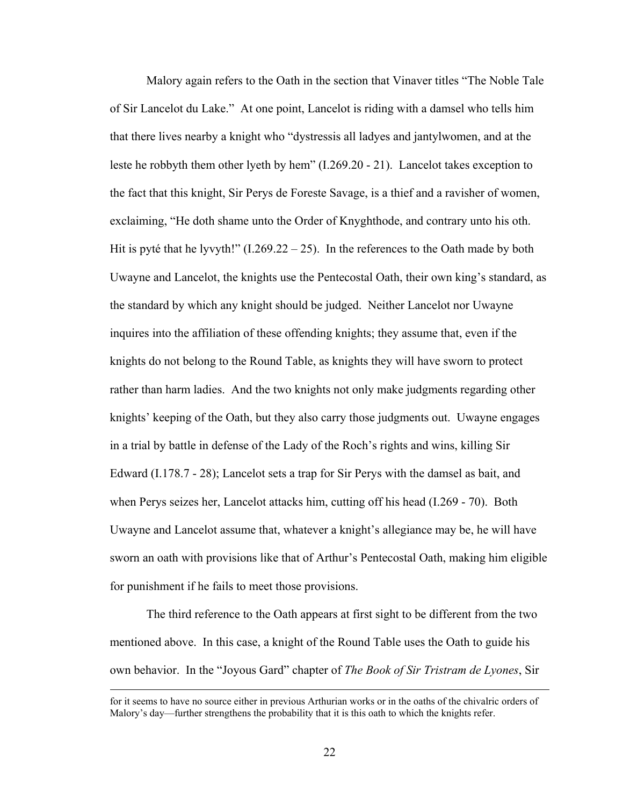Malory again refers to the Oath in the section that Vinaver titles "The Noble Tale of Sir Lancelot du Lake." At one point, Lancelot is riding with a damsel who tells him that there lives nearby a knight who "dystressis all ladyes and jantylwomen, and at the leste he robbyth them other lyeth by hem" (I.269.20 - 21). Lancelot takes exception to the fact that this knight, Sir Perys de Foreste Savage, is a thief and a ravisher of women, exclaiming, "He doth shame unto the Order of Knyghthode, and contrary unto his oth. Hit is pyté that he lyvyth!"  $(1.269.22 - 25)$ . In the references to the Oath made by both Uwayne and Lancelot, the knights use the Pentecostal Oath, their own king's standard, as the standard by which any knight should be judged. Neither Lancelot nor Uwayne inquires into the affiliation of these offending knights; they assume that, even if the knights do not belong to the Round Table, as knights they will have sworn to protect rather than harm ladies. And the two knights not only make judgments regarding other knights' keeping of the Oath, but they also carry those judgments out. Uwayne engages in a trial by battle in defense of the Lady of the Roch's rights and wins, killing Sir Edward (I.178.7 - 28); Lancelot sets a trap for Sir Perys with the damsel as bait, and when Perys seizes her, Lancelot attacks him, cutting off his head (I.269 - 70). Both Uwayne and Lancelot assume that, whatever a knight's allegiance may be, he will have sworn an oath with provisions like that of Arthur's Pentecostal Oath, making him eligible for punishment if he fails to meet those provisions.

The third reference to the Oath appears at first sight to be different from the two mentioned above. In this case, a knight of the Round Table uses the Oath to guide his own behavior. In the "Joyous Gard" chapter of *The Book of Sir Tristram de Lyones*, Sir

for it seems to have no source either in previous Arthurian works or in the oaths of the chivalric orders of Malory's day—further strengthens the probability that it is this oath to which the knights refer.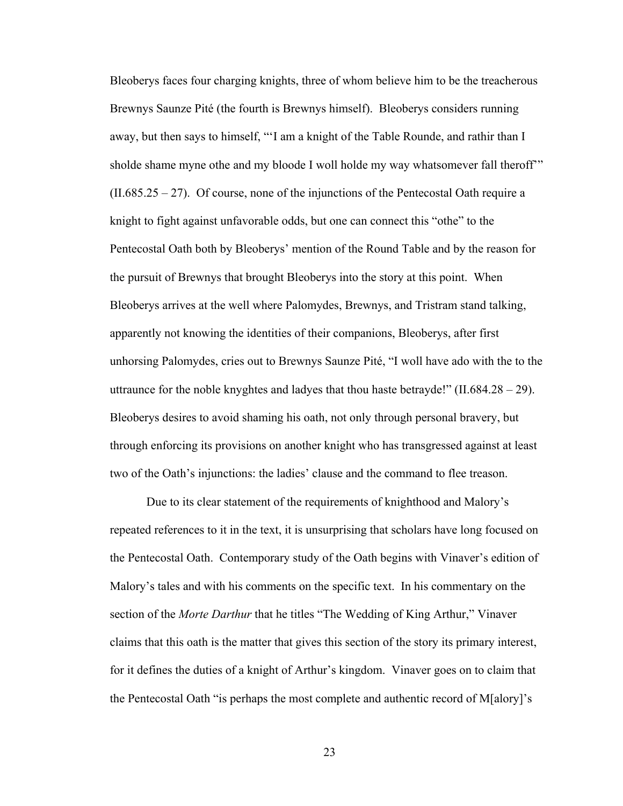Bleoberys faces four charging knights, three of whom believe him to be the treacherous Brewnys Saunze Pité (the fourth is Brewnys himself). Bleoberys considers running away, but then says to himself, "'I am a knight of the Table Rounde, and rathir than I sholde shame myne othe and my bloode I woll holde my way whatsomever fall theroff"  $(II.685.25 - 27)$ . Of course, none of the injunctions of the Pentecostal Oath require a knight to fight against unfavorable odds, but one can connect this "othe" to the Pentecostal Oath both by Bleoberys' mention of the Round Table and by the reason for the pursuit of Brewnys that brought Bleoberys into the story at this point. When Bleoberys arrives at the well where Palomydes, Brewnys, and Tristram stand talking, apparently not knowing the identities of their companions, Bleoberys, after first unhorsing Palomydes, cries out to Brewnys Saunze Pité, "I woll have ado with the to the uttraunce for the noble knyghtes and ladyes that thou haste betrayde!"  $(II.684.28 - 29)$ . Bleoberys desires to avoid shaming his oath, not only through personal bravery, but through enforcing its provisions on another knight who has transgressed against at least two of the Oath's injunctions: the ladies' clause and the command to flee treason.

Due to its clear statement of the requirements of knighthood and Malory's repeated references to it in the text, it is unsurprising that scholars have long focused on the Pentecostal Oath. Contemporary study of the Oath begins with Vinaver's edition of Malory's tales and with his comments on the specific text. In his commentary on the section of the *Morte Darthur* that he titles "The Wedding of King Arthur," Vinaver claims that this oath is the matter that gives this section of the story its primary interest, for it defines the duties of a knight of Arthur's kingdom. Vinaver goes on to claim that the Pentecostal Oath "is perhaps the most complete and authentic record of M[alory]'s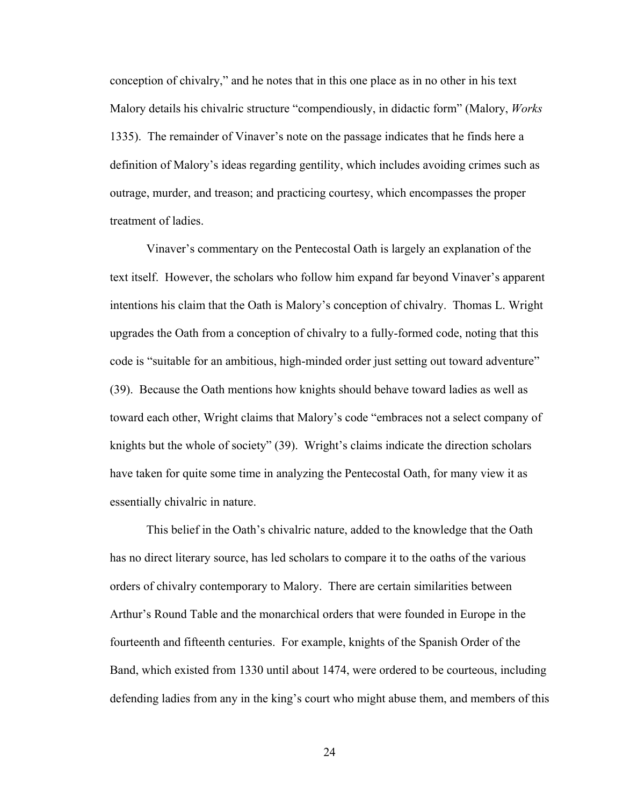conception of chivalry," and he notes that in this one place as in no other in his text Malory details his chivalric structure "compendiously, in didactic form" (Malory, *Works* 1335). The remainder of Vinaver's note on the passage indicates that he finds here a definition of Malory's ideas regarding gentility, which includes avoiding crimes such as outrage, murder, and treason; and practicing courtesy, which encompasses the proper treatment of ladies.

Vinaver's commentary on the Pentecostal Oath is largely an explanation of the text itself. However, the scholars who follow him expand far beyond Vinaver's apparent intentions his claim that the Oath is Malory's conception of chivalry. Thomas L. Wright upgrades the Oath from a conception of chivalry to a fully-formed code, noting that this code is "suitable for an ambitious, high-minded order just setting out toward adventure" (39). Because the Oath mentions how knights should behave toward ladies as well as toward each other, Wright claims that Malory's code "embraces not a select company of knights but the whole of society" (39). Wright's claims indicate the direction scholars have taken for quite some time in analyzing the Pentecostal Oath, for many view it as essentially chivalric in nature.

This belief in the Oath's chivalric nature, added to the knowledge that the Oath has no direct literary source, has led scholars to compare it to the oaths of the various orders of chivalry contemporary to Malory. There are certain similarities between Arthur's Round Table and the monarchical orders that were founded in Europe in the fourteenth and fifteenth centuries. For example, knights of the Spanish Order of the Band, which existed from 1330 until about 1474, were ordered to be courteous, including defending ladies from any in the king's court who might abuse them, and members of this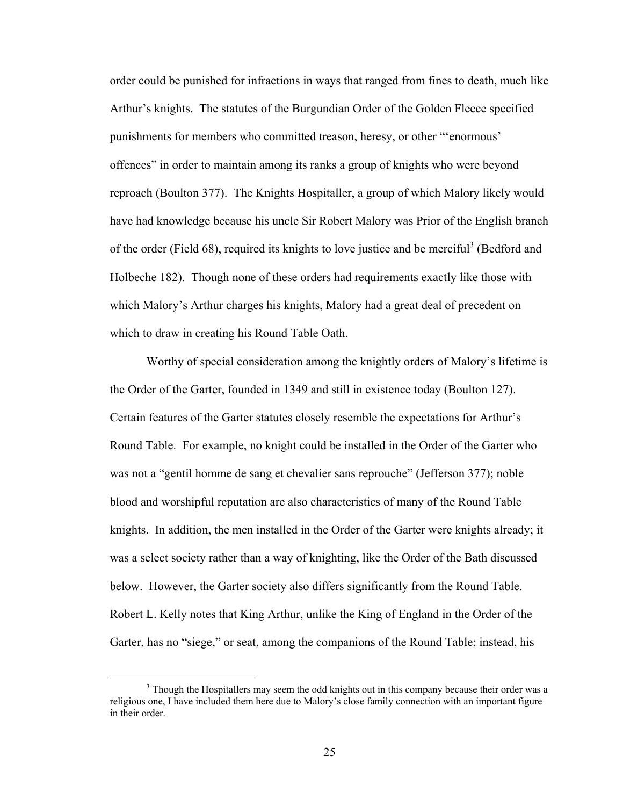order could be punished for infractions in ways that ranged from fines to death, much like Arthur's knights. The statutes of the Burgundian Order of the Golden Fleece specified punishments for members who committed treason, heresy, or other "'enormous' offences" in order to maintain among its ranks a group of knights who were beyond reproach (Boulton 377). The Knights Hospitaller, a group of which Malory likely would have had knowledge because his uncle Sir Robert Malory was Prior of the English branch of the order (Field 68), required its knights to love justice and be merciful<sup>3</sup> (Bedford and Holbeche 182). Though none of these orders had requirements exactly like those with which Malory's Arthur charges his knights, Malory had a great deal of precedent on which to draw in creating his Round Table Oath.

Worthy of special consideration among the knightly orders of Malory's lifetime is the Order of the Garter, founded in 1349 and still in existence today (Boulton 127). Certain features of the Garter statutes closely resemble the expectations for Arthur's Round Table. For example, no knight could be installed in the Order of the Garter who was not a "gentil homme de sang et chevalier sans reprouche" (Jefferson 377); noble blood and worshipful reputation are also characteristics of many of the Round Table knights. In addition, the men installed in the Order of the Garter were knights already; it was a select society rather than a way of knighting, like the Order of the Bath discussed below. However, the Garter society also differs significantly from the Round Table. Robert L. Kelly notes that King Arthur, unlike the King of England in the Order of the Garter, has no "siege," or seat, among the companions of the Round Table; instead, his

 $\frac{1}{3}$ <sup>3</sup> Though the Hospitallers may seem the odd knights out in this company because their order was a religious one, I have included them here due to Malory's close family connection with an important figure in their order.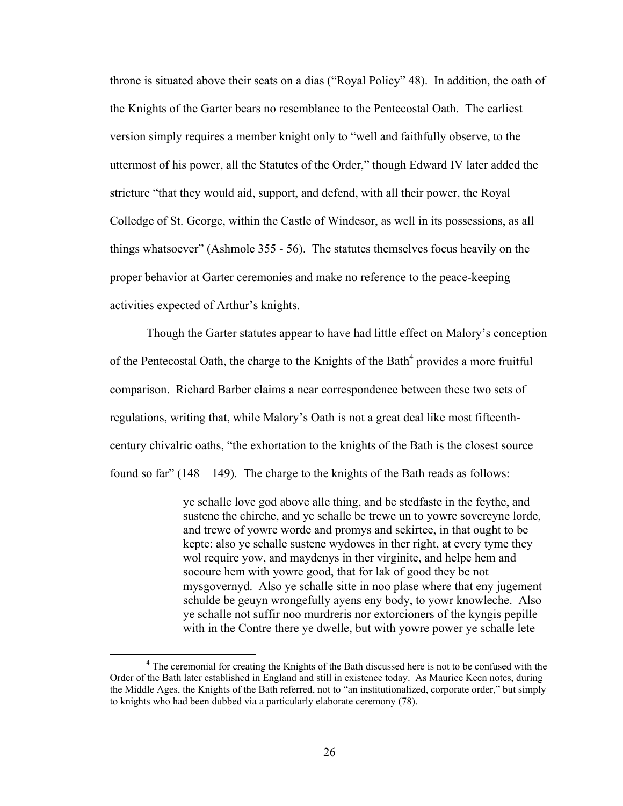throne is situated above their seats on a dias ("Royal Policy" 48). In addition, the oath of the Knights of the Garter bears no resemblance to the Pentecostal Oath. The earliest version simply requires a member knight only to "well and faithfully observe, to the uttermost of his power, all the Statutes of the Order," though Edward IV later added the stricture "that they would aid, support, and defend, with all their power, the Royal Colledge of St. George, within the Castle of Windesor, as well in its possessions, as all things whatsoever" (Ashmole 355 - 56). The statutes themselves focus heavily on the proper behavior at Garter ceremonies and make no reference to the peace-keeping activities expected of Arthur's knights.

Though the Garter statutes appear to have had little effect on Malory's conception of the Pentecostal Oath, the charge to the Knights of the Bath<sup>4</sup> provides a more fruitful comparison. Richard Barber claims a near correspondence between these two sets of regulations, writing that, while Malory's Oath is not a great deal like most fifteenthcentury chivalric oaths, "the exhortation to the knights of the Bath is the closest source found so far"  $(148 - 149)$ . The charge to the knights of the Bath reads as follows:

> ye schalle love god above alle thing, and be stedfaste in the feythe, and sustene the chirche, and ye schalle be trewe un to yowre sovereyne lorde, and trewe of yowre worde and promys and sekirtee, in that ought to be kepte: also ye schalle sustene wydowes in ther right, at every tyme they wol require yow, and maydenys in ther virginite, and helpe hem and socoure hem with yowre good, that for lak of good they be not mysgovernyd. Also ye schalle sitte in noo plase where that eny jugement schulde be geuyn wrongefully ayens eny body, to yowr knowleche. Also ye schalle not suffir noo murdreris nor extorcioners of the kyngis pepille with in the Contre there ye dwelle, but with yowre power ye schalle lete

 $\frac{1}{4}$ <sup>4</sup> The ceremonial for creating the Knights of the Bath discussed here is not to be confused with the Order of the Bath later established in England and still in existence today. As Maurice Keen notes, during the Middle Ages, the Knights of the Bath referred, not to "an institutionalized, corporate order," but simply to knights who had been dubbed via a particularly elaborate ceremony (78).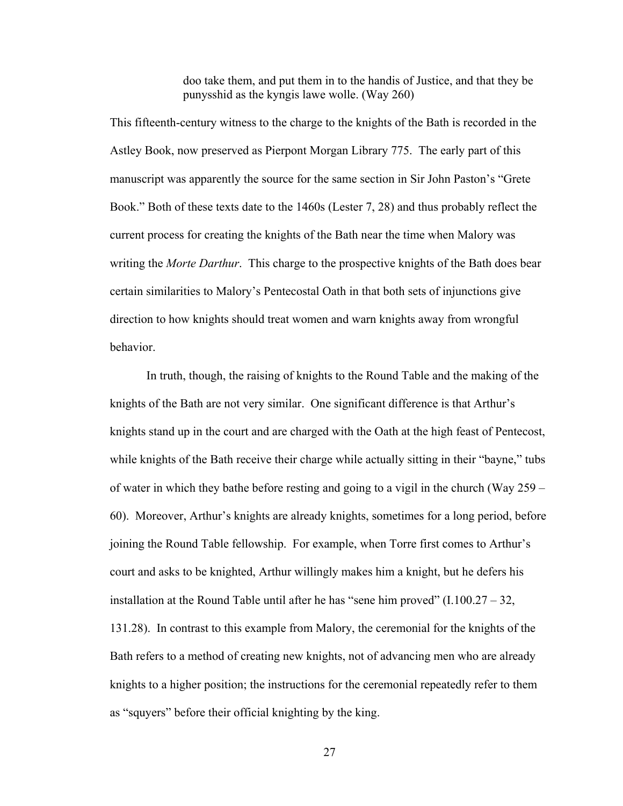doo take them, and put them in to the handis of Justice, and that they be punysshid as the kyngis lawe wolle. (Way 260)

This fifteenth-century witness to the charge to the knights of the Bath is recorded in the Astley Book, now preserved as Pierpont Morgan Library 775. The early part of this manuscript was apparently the source for the same section in Sir John Paston's "Grete Book." Both of these texts date to the 1460s (Lester 7, 28) and thus probably reflect the current process for creating the knights of the Bath near the time when Malory was writing the *Morte Darthur*. This charge to the prospective knights of the Bath does bear certain similarities to Malory's Pentecostal Oath in that both sets of injunctions give direction to how knights should treat women and warn knights away from wrongful behavior.

In truth, though, the raising of knights to the Round Table and the making of the knights of the Bath are not very similar. One significant difference is that Arthur's knights stand up in the court and are charged with the Oath at the high feast of Pentecost, while knights of the Bath receive their charge while actually sitting in their "bayne," tubs of water in which they bathe before resting and going to a vigil in the church (Way 259 – 60). Moreover, Arthur's knights are already knights, sometimes for a long period, before joining the Round Table fellowship. For example, when Torre first comes to Arthur's court and asks to be knighted, Arthur willingly makes him a knight, but he defers his installation at the Round Table until after he has "sene him proved"  $(1.100.27 - 32, 1.001)$ 131.28). In contrast to this example from Malory, the ceremonial for the knights of the Bath refers to a method of creating new knights, not of advancing men who are already knights to a higher position; the instructions for the ceremonial repeatedly refer to them as "squyers" before their official knighting by the king.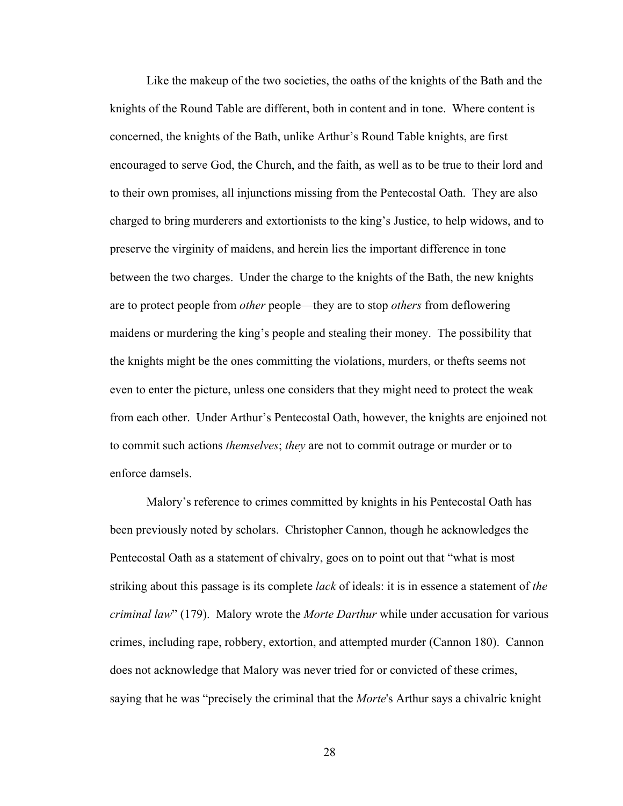Like the makeup of the two societies, the oaths of the knights of the Bath and the knights of the Round Table are different, both in content and in tone. Where content is concerned, the knights of the Bath, unlike Arthur's Round Table knights, are first encouraged to serve God, the Church, and the faith, as well as to be true to their lord and to their own promises, all injunctions missing from the Pentecostal Oath. They are also charged to bring murderers and extortionists to the king's Justice, to help widows, and to preserve the virginity of maidens, and herein lies the important difference in tone between the two charges. Under the charge to the knights of the Bath, the new knights are to protect people from *other* people—they are to stop *others* from deflowering maidens or murdering the king's people and stealing their money. The possibility that the knights might be the ones committing the violations, murders, or thefts seems not even to enter the picture, unless one considers that they might need to protect the weak from each other. Under Arthur's Pentecostal Oath, however, the knights are enjoined not to commit such actions *themselves*; *they* are not to commit outrage or murder or to enforce damsels.

Malory's reference to crimes committed by knights in his Pentecostal Oath has been previously noted by scholars. Christopher Cannon, though he acknowledges the Pentecostal Oath as a statement of chivalry, goes on to point out that "what is most striking about this passage is its complete *lack* of ideals: it is in essence a statement of *the criminal law*" (179). Malory wrote the *Morte Darthur* while under accusation for various crimes, including rape, robbery, extortion, and attempted murder (Cannon 180). Cannon does not acknowledge that Malory was never tried for or convicted of these crimes, saying that he was "precisely the criminal that the *Morte*'s Arthur says a chivalric knight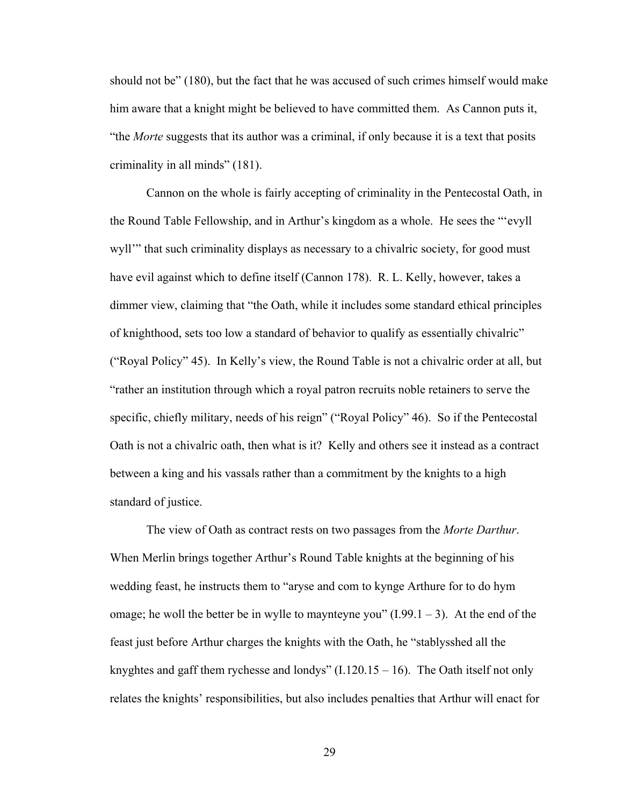should not be" (180), but the fact that he was accused of such crimes himself would make him aware that a knight might be believed to have committed them. As Cannon puts it, "the *Morte* suggests that its author was a criminal, if only because it is a text that posits criminality in all minds" (181).

Cannon on the whole is fairly accepting of criminality in the Pentecostal Oath, in the Round Table Fellowship, and in Arthur's kingdom as a whole. He sees the "'evyll wyll'" that such criminality displays as necessary to a chivalric society, for good must have evil against which to define itself (Cannon 178). R. L. Kelly, however, takes a dimmer view, claiming that "the Oath, while it includes some standard ethical principles of knighthood, sets too low a standard of behavior to qualify as essentially chivalric" ("Royal Policy" 45). In Kelly's view, the Round Table is not a chivalric order at all, but "rather an institution through which a royal patron recruits noble retainers to serve the specific, chiefly military, needs of his reign" ("Royal Policy" 46). So if the Pentecostal Oath is not a chivalric oath, then what is it? Kelly and others see it instead as a contract between a king and his vassals rather than a commitment by the knights to a high standard of justice.

The view of Oath as contract rests on two passages from the *Morte Darthur*. When Merlin brings together Arthur's Round Table knights at the beginning of his wedding feast, he instructs them to "aryse and com to kynge Arthure for to do hym omage; he woll the better be in wylle to maynteyne you"  $(1.99.1 - 3)$ . At the end of the feast just before Arthur charges the knights with the Oath, he "stablysshed all the knyghtes and gaff them rychesse and londys"  $(1.120.15 - 16)$ . The Oath itself not only relates the knights' responsibilities, but also includes penalties that Arthur will enact for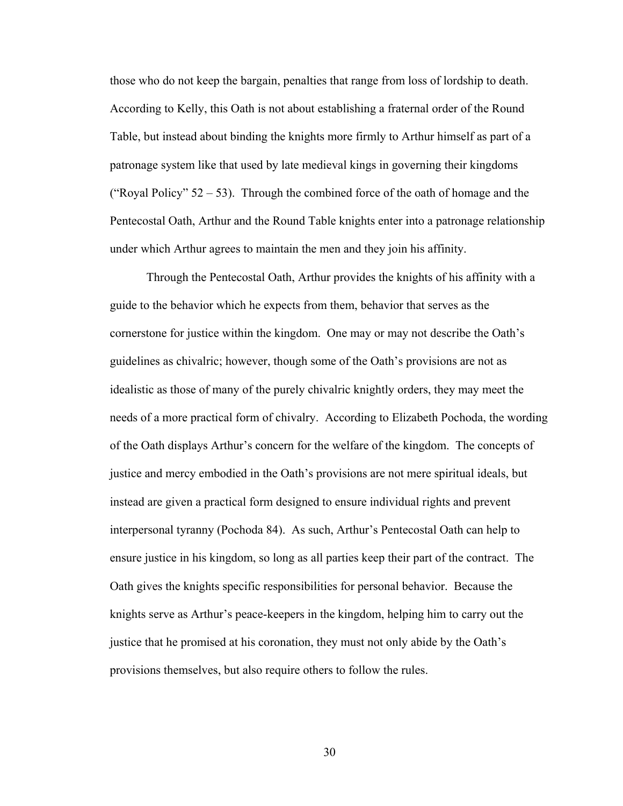those who do not keep the bargain, penalties that range from loss of lordship to death. According to Kelly, this Oath is not about establishing a fraternal order of the Round Table, but instead about binding the knights more firmly to Arthur himself as part of a patronage system like that used by late medieval kings in governing their kingdoms ("Royal Policy"  $52 - 53$ ). Through the combined force of the oath of homage and the Pentecostal Oath, Arthur and the Round Table knights enter into a patronage relationship under which Arthur agrees to maintain the men and they join his affinity.

Through the Pentecostal Oath, Arthur provides the knights of his affinity with a guide to the behavior which he expects from them, behavior that serves as the cornerstone for justice within the kingdom. One may or may not describe the Oath's guidelines as chivalric; however, though some of the Oath's provisions are not as idealistic as those of many of the purely chivalric knightly orders, they may meet the needs of a more practical form of chivalry. According to Elizabeth Pochoda, the wording of the Oath displays Arthur's concern for the welfare of the kingdom. The concepts of justice and mercy embodied in the Oath's provisions are not mere spiritual ideals, but instead are given a practical form designed to ensure individual rights and prevent interpersonal tyranny (Pochoda 84). As such, Arthur's Pentecostal Oath can help to ensure justice in his kingdom, so long as all parties keep their part of the contract. The Oath gives the knights specific responsibilities for personal behavior. Because the knights serve as Arthur's peace-keepers in the kingdom, helping him to carry out the justice that he promised at his coronation, they must not only abide by the Oath's provisions themselves, but also require others to follow the rules.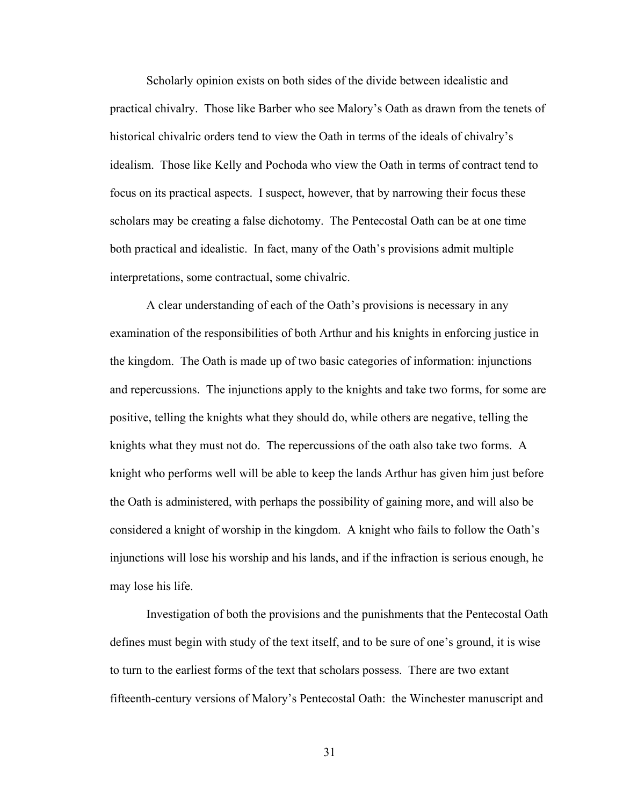Scholarly opinion exists on both sides of the divide between idealistic and practical chivalry. Those like Barber who see Malory's Oath as drawn from the tenets of historical chivalric orders tend to view the Oath in terms of the ideals of chivalry's idealism. Those like Kelly and Pochoda who view the Oath in terms of contract tend to focus on its practical aspects. I suspect, however, that by narrowing their focus these scholars may be creating a false dichotomy. The Pentecostal Oath can be at one time both practical and idealistic. In fact, many of the Oath's provisions admit multiple interpretations, some contractual, some chivalric.

A clear understanding of each of the Oath's provisions is necessary in any examination of the responsibilities of both Arthur and his knights in enforcing justice in the kingdom. The Oath is made up of two basic categories of information: injunctions and repercussions. The injunctions apply to the knights and take two forms, for some are positive, telling the knights what they should do, while others are negative, telling the knights what they must not do. The repercussions of the oath also take two forms. A knight who performs well will be able to keep the lands Arthur has given him just before the Oath is administered, with perhaps the possibility of gaining more, and will also be considered a knight of worship in the kingdom. A knight who fails to follow the Oath's injunctions will lose his worship and his lands, and if the infraction is serious enough, he may lose his life.

Investigation of both the provisions and the punishments that the Pentecostal Oath defines must begin with study of the text itself, and to be sure of one's ground, it is wise to turn to the earliest forms of the text that scholars possess. There are two extant fifteenth-century versions of Malory's Pentecostal Oath: the Winchester manuscript and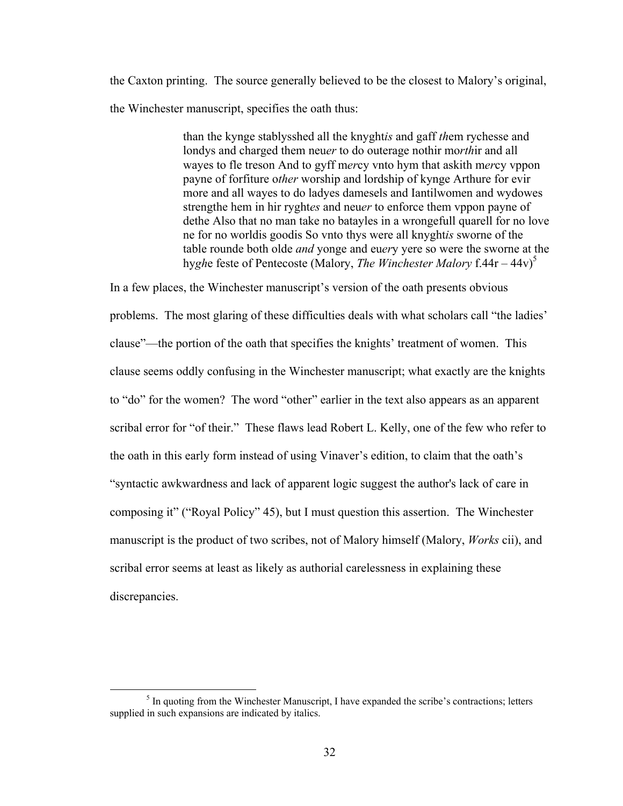the Caxton printing. The source generally believed to be the closest to Malory's original, the Winchester manuscript, specifies the oath thus:

> than the kynge stablysshed all the knyght*is* and gaff *th*em rychesse and londys and charged them neu*er* to do outerage nothir mo*rth*ir and all wayes to fle treson And to gyff m*er*cy vnto hym that askith m*er*cy vppon payne of forfiture o*ther* worship and lordship of kynge Arthure for evir more and all wayes to do ladyes damesels and Iantilwomen and wydowes strengthe hem in hir ryght*es* and neu*er* to enforce them vppon payne of dethe Also that no man take no batayles in a wrongefull quarell for no love ne for no worldis goodis So vnto thys were all knyght*is* sworne of the table rounde both olde *and* yonge and eu*er*y yere so were the sworne at the hyghe feste of Pentecoste (Malory, *The Winchester Malory* f.44r – 44v)<sup>5</sup>

In a few places, the Winchester manuscript's version of the oath presents obvious problems. The most glaring of these difficulties deals with what scholars call "the ladies' clause"—the portion of the oath that specifies the knights' treatment of women. This clause seems oddly confusing in the Winchester manuscript; what exactly are the knights to "do" for the women? The word "other" earlier in the text also appears as an apparent scribal error for "of their." These flaws lead Robert L. Kelly, one of the few who refer to the oath in this early form instead of using Vinaver's edition, to claim that the oath's "syntactic awkwardness and lack of apparent logic suggest the author's lack of care in composing it" ("Royal Policy" 45), but I must question this assertion. The Winchester manuscript is the product of two scribes, not of Malory himself (Malory, *Works* cii), and scribal error seems at least as likely as authorial carelessness in explaining these discrepancies.

 $rac{1}{5}$  $<sup>5</sup>$  In quoting from the Winchester Manuscript, I have expanded the scribe's contractions; letters</sup> supplied in such expansions are indicated by italics.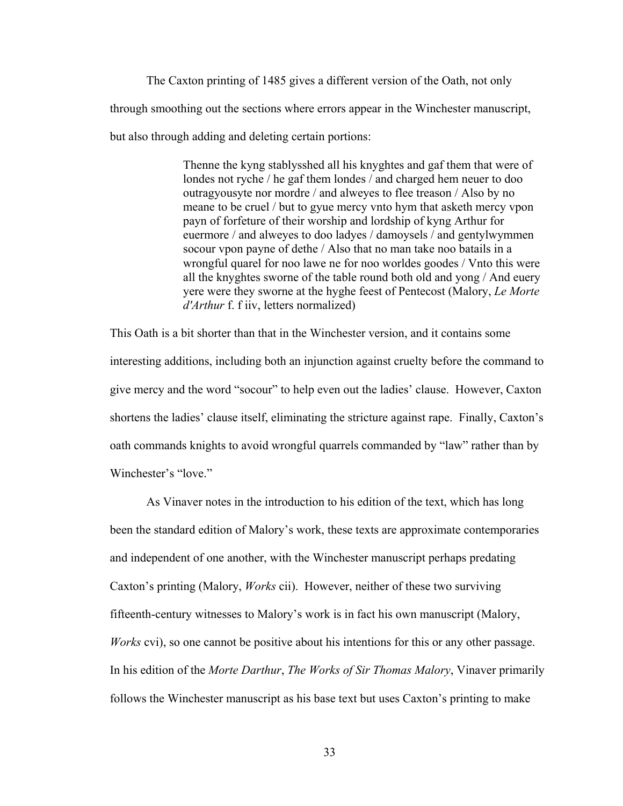The Caxton printing of 1485 gives a different version of the Oath, not only through smoothing out the sections where errors appear in the Winchester manuscript, but also through adding and deleting certain portions:

> Thenne the kyng stablysshed all his knyghtes and gaf them that were of londes not ryche / he gaf them londes / and charged hem neuer to doo outragyousyte nor mordre / and alweyes to flee treason / Also by no meane to be cruel / but to gyue mercy vnto hym that asketh mercy vpon payn of forfeture of their worship and lordship of kyng Arthur for euermore / and alweyes to doo ladyes / damoysels / and gentylwymmen socour vpon payne of dethe / Also that no man take noo batails in a wrongful quarel for noo lawe ne for noo worldes goodes / Vnto this were all the knyghtes sworne of the table round both old and yong / And euery yere were they sworne at the hyghe feest of Pentecost (Malory, *Le Morte d'Arthur* f. f iiv, letters normalized)

This Oath is a bit shorter than that in the Winchester version, and it contains some interesting additions, including both an injunction against cruelty before the command to give mercy and the word "socour" to help even out the ladies' clause. However, Caxton shortens the ladies' clause itself, eliminating the stricture against rape. Finally, Caxton's oath commands knights to avoid wrongful quarrels commanded by "law" rather than by Winchester's "love."

As Vinaver notes in the introduction to his edition of the text, which has long been the standard edition of Malory's work, these texts are approximate contemporaries and independent of one another, with the Winchester manuscript perhaps predating Caxton's printing (Malory, *Works* cii). However, neither of these two surviving fifteenth-century witnesses to Malory's work is in fact his own manuscript (Malory, *Works* cvi), so one cannot be positive about his intentions for this or any other passage. In his edition of the *Morte Darthur*, *The Works of Sir Thomas Malory*, Vinaver primarily follows the Winchester manuscript as his base text but uses Caxton's printing to make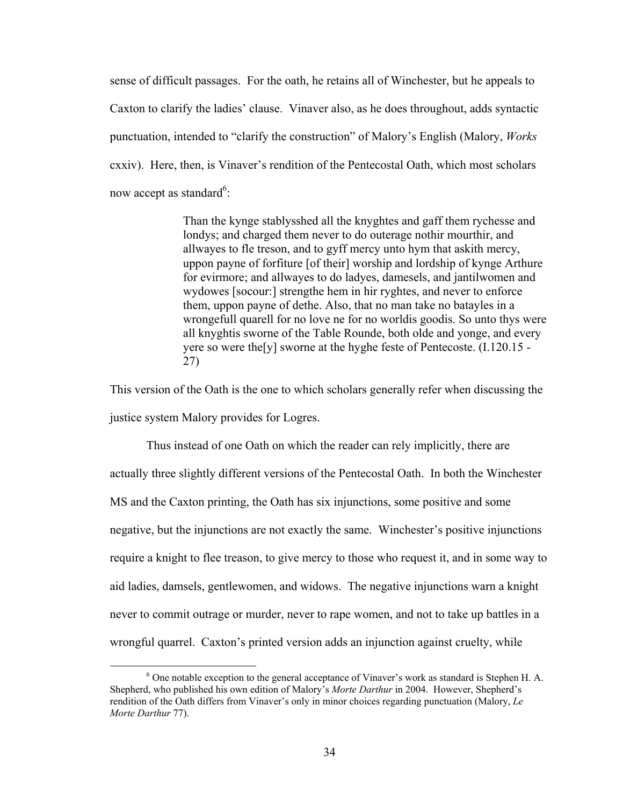sense of difficult passages. For the oath, he retains all of Winchester, but he appeals to Caxton to clarify the ladies' clause. Vinaver also, as he does throughout, adds syntactic punctuation, intended to "clarify the construction" of Malory's English (Malory, *Works*  cxxiv). Here, then, is Vinaver's rendition of the Pentecostal Oath, which most scholars now accept as standard<sup>6</sup>:

> Than the kynge stablysshed all the knyghtes and gaff them rychesse and londys; and charged them never to do outerage nothir mourthir, and allwayes to fle treson, and to gyff mercy unto hym that askith mercy, uppon payne of forfiture [of their] worship and lordship of kynge Arthure for evirmore; and allwayes to do ladyes, damesels, and jantilwomen and wydowes [socour:] strengthe hem in hir ryghtes, and never to enforce them, uppon payne of dethe. Also, that no man take no batayles in a wrongefull quarell for no love ne for no worldis goodis. So unto thys were all knyghtis sworne of the Table Rounde, both olde and yonge, and every yere so were the[y] sworne at the hyghe feste of Pentecoste. (I.120.15 - 27)

This version of the Oath is the one to which scholars generally refer when discussing the justice system Malory provides for Logres.

Thus instead of one Oath on which the reader can rely implicitly, there are actually three slightly different versions of the Pentecostal Oath. In both the Winchester MS and the Caxton printing, the Oath has six injunctions, some positive and some negative, but the injunctions are not exactly the same. Winchester's positive injunctions require a knight to flee treason, to give mercy to those who request it, and in some way to aid ladies, damsels, gentlewomen, and widows. The negative injunctions warn a knight never to commit outrage or murder, never to rape women, and not to take up battles in a wrongful quarrel. Caxton's printed version adds an injunction against cruelty, while

 <sup>6</sup>  $6$  One notable exception to the general acceptance of Vinaver's work as standard is Stephen H. A. Shepherd, who published his own edition of Malory's *Morte Darthur* in 2004. However, Shepherd's rendition of the Oath differs from Vinaver's only in minor choices regarding punctuation (Malory, *Le Morte Darthur* 77).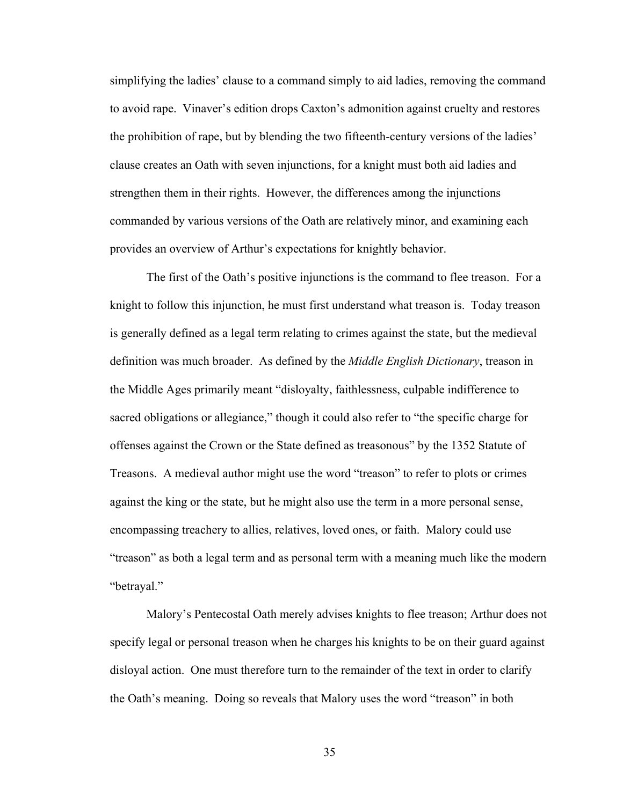simplifying the ladies' clause to a command simply to aid ladies, removing the command to avoid rape. Vinaver's edition drops Caxton's admonition against cruelty and restores the prohibition of rape, but by blending the two fifteenth-century versions of the ladies' clause creates an Oath with seven injunctions, for a knight must both aid ladies and strengthen them in their rights. However, the differences among the injunctions commanded by various versions of the Oath are relatively minor, and examining each provides an overview of Arthur's expectations for knightly behavior.

The first of the Oath's positive injunctions is the command to flee treason. For a knight to follow this injunction, he must first understand what treason is. Today treason is generally defined as a legal term relating to crimes against the state, but the medieval definition was much broader. As defined by the *Middle English Dictionary*, treason in the Middle Ages primarily meant "disloyalty, faithlessness, culpable indifference to sacred obligations or allegiance," though it could also refer to "the specific charge for offenses against the Crown or the State defined as treasonous" by the 1352 Statute of Treasons. A medieval author might use the word "treason" to refer to plots or crimes against the king or the state, but he might also use the term in a more personal sense, encompassing treachery to allies, relatives, loved ones, or faith. Malory could use "treason" as both a legal term and as personal term with a meaning much like the modern "betrayal."

Malory's Pentecostal Oath merely advises knights to flee treason; Arthur does not specify legal or personal treason when he charges his knights to be on their guard against disloyal action. One must therefore turn to the remainder of the text in order to clarify the Oath's meaning. Doing so reveals that Malory uses the word "treason" in both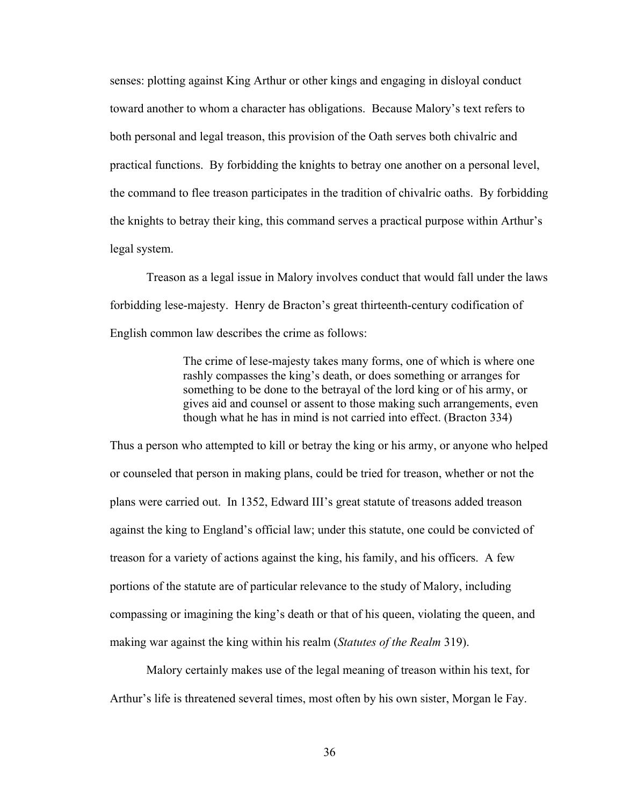senses: plotting against King Arthur or other kings and engaging in disloyal conduct toward another to whom a character has obligations. Because Malory's text refers to both personal and legal treason, this provision of the Oath serves both chivalric and practical functions. By forbidding the knights to betray one another on a personal level, the command to flee treason participates in the tradition of chivalric oaths. By forbidding the knights to betray their king, this command serves a practical purpose within Arthur's legal system.

Treason as a legal issue in Malory involves conduct that would fall under the laws forbidding lese-majesty. Henry de Bracton's great thirteenth-century codification of English common law describes the crime as follows:

> The crime of lese-majesty takes many forms, one of which is where one rashly compasses the king's death, or does something or arranges for something to be done to the betrayal of the lord king or of his army, or gives aid and counsel or assent to those making such arrangements, even though what he has in mind is not carried into effect. (Bracton 334)

Thus a person who attempted to kill or betray the king or his army, or anyone who helped or counseled that person in making plans, could be tried for treason, whether or not the plans were carried out. In 1352, Edward III's great statute of treasons added treason against the king to England's official law; under this statute, one could be convicted of treason for a variety of actions against the king, his family, and his officers. A few portions of the statute are of particular relevance to the study of Malory, including compassing or imagining the king's death or that of his queen, violating the queen, and making war against the king within his realm (*Statutes of the Realm* 319).

Malory certainly makes use of the legal meaning of treason within his text, for Arthur's life is threatened several times, most often by his own sister, Morgan le Fay.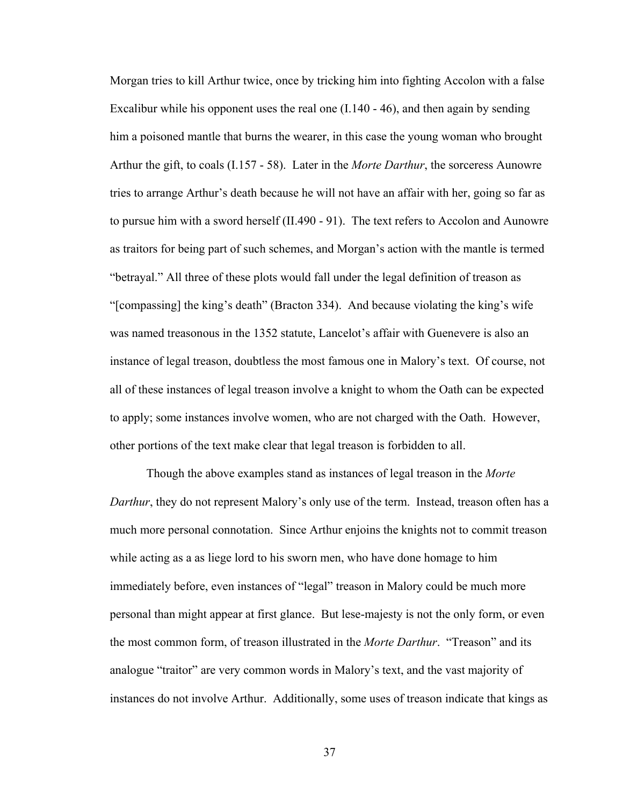Morgan tries to kill Arthur twice, once by tricking him into fighting Accolon with a false Excalibur while his opponent uses the real one  $(1.140 - 46)$ , and then again by sending him a poisoned mantle that burns the wearer, in this case the young woman who brought Arthur the gift, to coals (I.157 - 58). Later in the *Morte Darthur*, the sorceress Aunowre tries to arrange Arthur's death because he will not have an affair with her, going so far as to pursue him with a sword herself (II.490 - 91). The text refers to Accolon and Aunowre as traitors for being part of such schemes, and Morgan's action with the mantle is termed "betrayal." All three of these plots would fall under the legal definition of treason as "[compassing] the king's death" (Bracton 334). And because violating the king's wife was named treasonous in the 1352 statute, Lancelot's affair with Guenevere is also an instance of legal treason, doubtless the most famous one in Malory's text. Of course, not all of these instances of legal treason involve a knight to whom the Oath can be expected to apply; some instances involve women, who are not charged with the Oath. However, other portions of the text make clear that legal treason is forbidden to all.

Though the above examples stand as instances of legal treason in the *Morte Darthur*, they do not represent Malory's only use of the term. Instead, treason often has a much more personal connotation. Since Arthur enjoins the knights not to commit treason while acting as a as liege lord to his sworn men, who have done homage to him immediately before, even instances of "legal" treason in Malory could be much more personal than might appear at first glance. But lese-majesty is not the only form, or even the most common form, of treason illustrated in the *Morte Darthur*. "Treason" and its analogue "traitor" are very common words in Malory's text, and the vast majority of instances do not involve Arthur. Additionally, some uses of treason indicate that kings as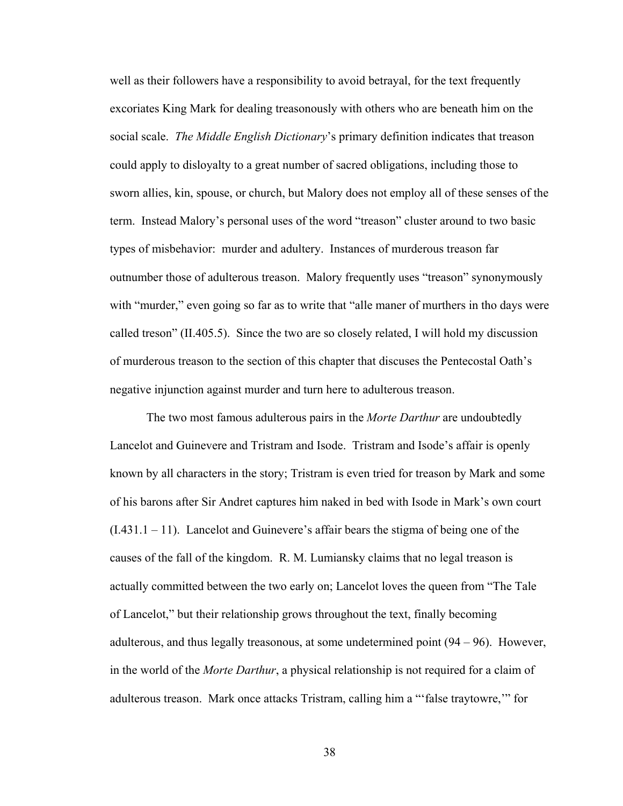well as their followers have a responsibility to avoid betrayal, for the text frequently excoriates King Mark for dealing treasonously with others who are beneath him on the social scale. *The Middle English Dictionary*'s primary definition indicates that treason could apply to disloyalty to a great number of sacred obligations, including those to sworn allies, kin, spouse, or church, but Malory does not employ all of these senses of the term. Instead Malory's personal uses of the word "treason" cluster around to two basic types of misbehavior: murder and adultery. Instances of murderous treason far outnumber those of adulterous treason. Malory frequently uses "treason" synonymously with "murder," even going so far as to write that "alle maner of murthers in tho days were called treson" (II.405.5). Since the two are so closely related, I will hold my discussion of murderous treason to the section of this chapter that discuses the Pentecostal Oath's negative injunction against murder and turn here to adulterous treason.

The two most famous adulterous pairs in the *Morte Darthur* are undoubtedly Lancelot and Guinevere and Tristram and Isode. Tristram and Isode's affair is openly known by all characters in the story; Tristram is even tried for treason by Mark and some of his barons after Sir Andret captures him naked in bed with Isode in Mark's own court  $(1.431.1 - 11)$ . Lancelot and Guinevere's affair bears the stigma of being one of the causes of the fall of the kingdom. R. M. Lumiansky claims that no legal treason is actually committed between the two early on; Lancelot loves the queen from "The Tale of Lancelot," but their relationship grows throughout the text, finally becoming adulterous, and thus legally treasonous, at some undetermined point  $(94 – 96)$ . However, in the world of the *Morte Darthur*, a physical relationship is not required for a claim of adulterous treason. Mark once attacks Tristram, calling him a "'false traytowre,'" for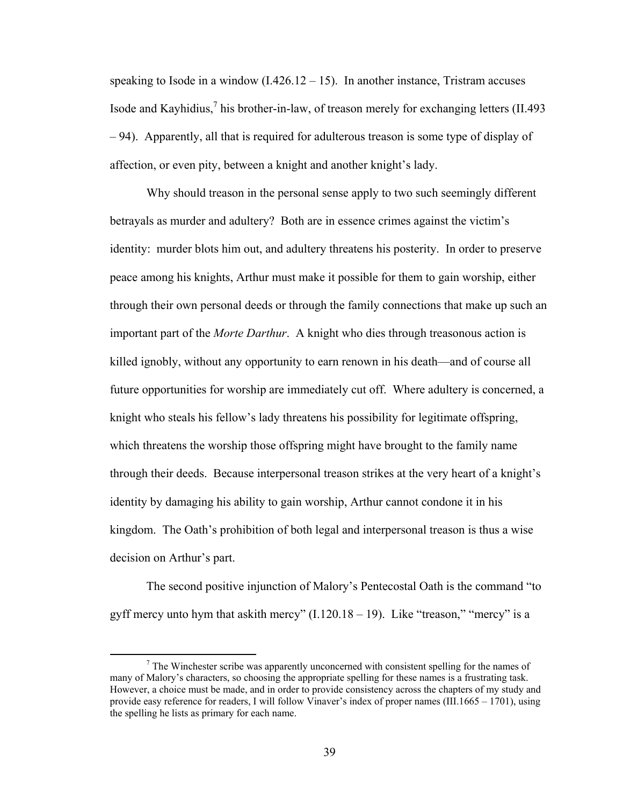speaking to Isode in a window  $(1.426.12 - 15)$ . In another instance, Tristram accuses Isode and Kayhidius,<sup>7</sup> his brother-in-law, of treason merely for exchanging letters (II.493) – 94). Apparently, all that is required for adulterous treason is some type of display of affection, or even pity, between a knight and another knight's lady.

Why should treason in the personal sense apply to two such seemingly different betrayals as murder and adultery? Both are in essence crimes against the victim's identity: murder blots him out, and adultery threatens his posterity. In order to preserve peace among his knights, Arthur must make it possible for them to gain worship, either through their own personal deeds or through the family connections that make up such an important part of the *Morte Darthur*. A knight who dies through treasonous action is killed ignobly, without any opportunity to earn renown in his death—and of course all future opportunities for worship are immediately cut off. Where adultery is concerned, a knight who steals his fellow's lady threatens his possibility for legitimate offspring, which threatens the worship those offspring might have brought to the family name through their deeds. Because interpersonal treason strikes at the very heart of a knight's identity by damaging his ability to gain worship, Arthur cannot condone it in his kingdom. The Oath's prohibition of both legal and interpersonal treason is thus a wise decision on Arthur's part.

The second positive injunction of Malory's Pentecostal Oath is the command "to gyff mercy unto hym that askith mercy"  $(1.120.18 - 19)$ . Like "treason," "mercy" is a

 $\overline{\phantom{a}}$  $\frac{7}{1}$  The Winchester scribe was apparently unconcerned with consistent spelling for the names of many of Malory's characters, so choosing the appropriate spelling for these names is a frustrating task. However, a choice must be made, and in order to provide consistency across the chapters of my study and provide easy reference for readers, I will follow Vinaver's index of proper names (III.1665 – 1701), using the spelling he lists as primary for each name.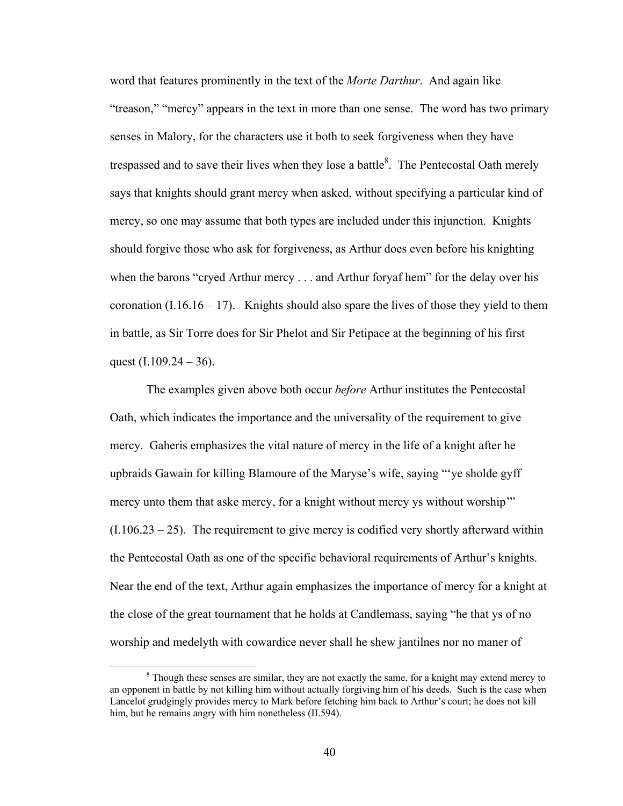word that features prominently in the text of the *Morte Darthur*. And again like "treason," "mercy" appears in the text in more than one sense. The word has two primary senses in Malory, for the characters use it both to seek forgiveness when they have trespassed and to save their lives when they lose a battle $8$ . The Pentecostal Oath merely says that knights should grant mercy when asked, without specifying a particular kind of mercy, so one may assume that both types are included under this injunction. Knights should forgive those who ask for forgiveness, as Arthur does even before his knighting when the barons "cryed Arthur mercy . . . and Arthur foryaf hem" for the delay over his coronation  $(1.16.16 - 17)$ . Knights should also spare the lives of those they yield to them in battle, as Sir Torre does for Sir Phelot and Sir Petipace at the beginning of his first quest  $(I.109.24 - 36)$ .

The examples given above both occur *before* Arthur institutes the Pentecostal Oath, which indicates the importance and the universality of the requirement to give mercy. Gaheris emphasizes the vital nature of mercy in the life of a knight after he upbraids Gawain for killing Blamoure of the Maryse's wife, saying "'ye sholde gyff mercy unto them that aske mercy, for a knight without mercy ys without worship'"  $(1.106.23 - 25)$ . The requirement to give mercy is codified very shortly afterward within the Pentecostal Oath as one of the specific behavioral requirements of Arthur's knights. Near the end of the text, Arthur again emphasizes the importance of mercy for a knight at the close of the great tournament that he holds at Candlemass, saying "he that ys of no worship and medelyth with cowardice never shall he shew jantilnes nor no maner of

 $\frac{1}{8}$  $8$  Though these senses are similar, they are not exactly the same, for a knight may extend mercy to an opponent in battle by not killing him without actually forgiving him of his deeds. Such is the case when Lancelot grudgingly provides mercy to Mark before fetching him back to Arthur's court; he does not kill him, but he remains angry with him nonetheless (II.594).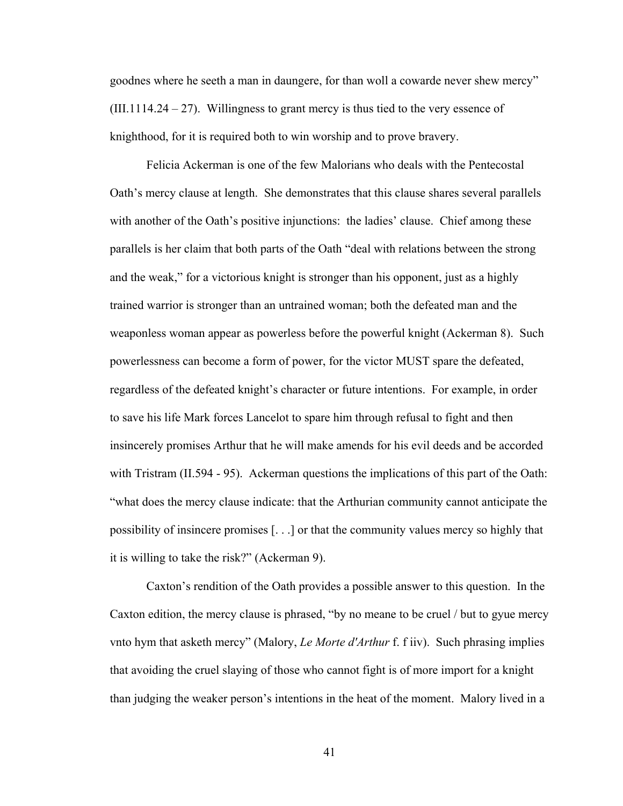goodnes where he seeth a man in daungere, for than woll a cowarde never shew mercy"  $(III.1114.24 - 27)$ . Willingness to grant mercy is thus tied to the very essence of knighthood, for it is required both to win worship and to prove bravery.

Felicia Ackerman is one of the few Malorians who deals with the Pentecostal Oath's mercy clause at length. She demonstrates that this clause shares several parallels with another of the Oath's positive injunctions: the ladies' clause. Chief among these parallels is her claim that both parts of the Oath "deal with relations between the strong and the weak," for a victorious knight is stronger than his opponent, just as a highly trained warrior is stronger than an untrained woman; both the defeated man and the weaponless woman appear as powerless before the powerful knight (Ackerman 8). Such powerlessness can become a form of power, for the victor MUST spare the defeated, regardless of the defeated knight's character or future intentions. For example, in order to save his life Mark forces Lancelot to spare him through refusal to fight and then insincerely promises Arthur that he will make amends for his evil deeds and be accorded with Tristram (II.594 - 95). Ackerman questions the implications of this part of the Oath: "what does the mercy clause indicate: that the Arthurian community cannot anticipate the possibility of insincere promises [. . .] or that the community values mercy so highly that it is willing to take the risk?" (Ackerman 9).

Caxton's rendition of the Oath provides a possible answer to this question. In the Caxton edition, the mercy clause is phrased, "by no meane to be cruel / but to gyue mercy vnto hym that asketh mercy" (Malory, *Le Morte d'Arthur* f. f iiv). Such phrasing implies that avoiding the cruel slaying of those who cannot fight is of more import for a knight than judging the weaker person's intentions in the heat of the moment. Malory lived in a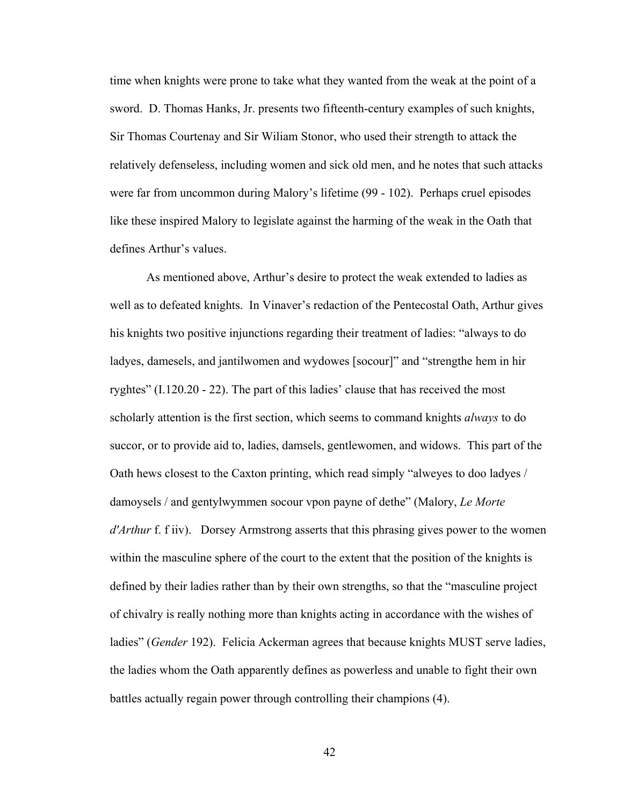time when knights were prone to take what they wanted from the weak at the point of a sword. D. Thomas Hanks, Jr. presents two fifteenth-century examples of such knights, Sir Thomas Courtenay and Sir Wiliam Stonor, who used their strength to attack the relatively defenseless, including women and sick old men, and he notes that such attacks were far from uncommon during Malory's lifetime (99 - 102). Perhaps cruel episodes like these inspired Malory to legislate against the harming of the weak in the Oath that defines Arthur's values.

As mentioned above, Arthur's desire to protect the weak extended to ladies as well as to defeated knights. In Vinaver's redaction of the Pentecostal Oath, Arthur gives his knights two positive injunctions regarding their treatment of ladies: "always to do ladyes, damesels, and jantilwomen and wydowes [socour]" and "strengthe hem in hir ryghtes" (I.120.20 - 22). The part of this ladies' clause that has received the most scholarly attention is the first section, which seems to command knights *always* to do succor, or to provide aid to, ladies, damsels, gentlewomen, and widows. This part of the Oath hews closest to the Caxton printing, which read simply "alweyes to doo ladyes / damoysels / and gentylwymmen socour vpon payne of dethe" (Malory, *Le Morte d'Arthur* f. f iiv). Dorsey Armstrong asserts that this phrasing gives power to the women within the masculine sphere of the court to the extent that the position of the knights is defined by their ladies rather than by their own strengths, so that the "masculine project of chivalry is really nothing more than knights acting in accordance with the wishes of ladies" (*Gender* 192). Felicia Ackerman agrees that because knights MUST serve ladies, the ladies whom the Oath apparently defines as powerless and unable to fight their own battles actually regain power through controlling their champions (4).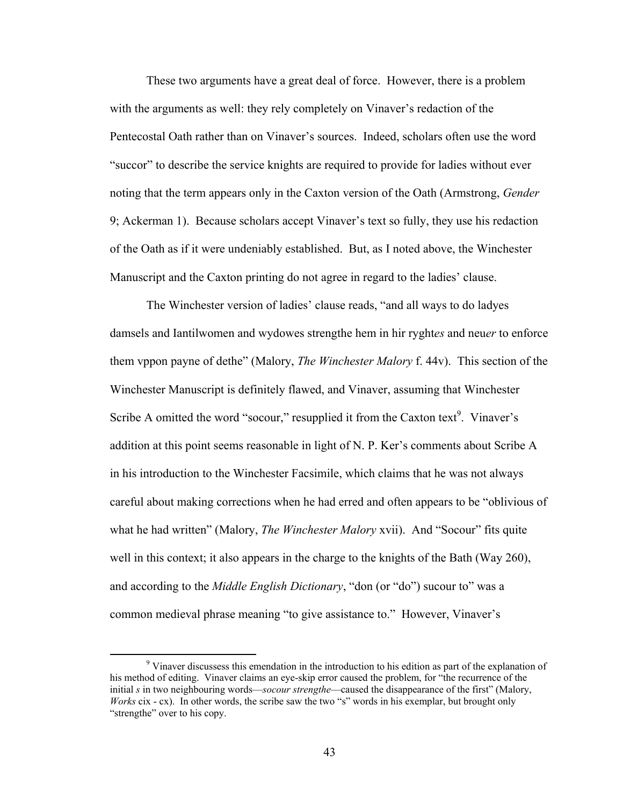These two arguments have a great deal of force. However, there is a problem with the arguments as well: they rely completely on Vinaver's redaction of the Pentecostal Oath rather than on Vinaver's sources. Indeed, scholars often use the word "succor" to describe the service knights are required to provide for ladies without ever noting that the term appears only in the Caxton version of the Oath (Armstrong, *Gender*  9; Ackerman 1). Because scholars accept Vinaver's text so fully, they use his redaction of the Oath as if it were undeniably established. But, as I noted above, the Winchester Manuscript and the Caxton printing do not agree in regard to the ladies' clause.

The Winchester version of ladies' clause reads, "and all ways to do ladyes damsels and Iantilwomen and wydowes strengthe hem in hir ryght*es* and neu*er* to enforce them vppon payne of dethe" (Malory, *The Winchester Malory* f. 44v). This section of the Winchester Manuscript is definitely flawed, and Vinaver, assuming that Winchester Scribe A omitted the word "socour," resupplied it from the Caxton text $\alpha$ . Vinaver's addition at this point seems reasonable in light of N. P. Ker's comments about Scribe A in his introduction to the Winchester Facsimile, which claims that he was not always careful about making corrections when he had erred and often appears to be "oblivious of what he had written" (Malory, *The Winchester Malory* xvii). And "Socour" fits quite well in this context; it also appears in the charge to the knights of the Bath (Way 260), and according to the *Middle English Dictionary*, "don (or "do") sucour to" was a common medieval phrase meaning "to give assistance to." However, Vinaver's

 $\frac{1}{9}$ <sup>9</sup> Vinaver discussess this emendation in the introduction to his edition as part of the explanation of his method of editing. Vinaver claims an eye-skip error caused the problem, for "the recurrence of the initial *s* in two neighbouring words—*socour strengthe*—caused the disappearance of the first" (Malory, *Works* cix - cx). In other words, the scribe saw the two "s" words in his exemplar, but brought only "strengthe" over to his copy.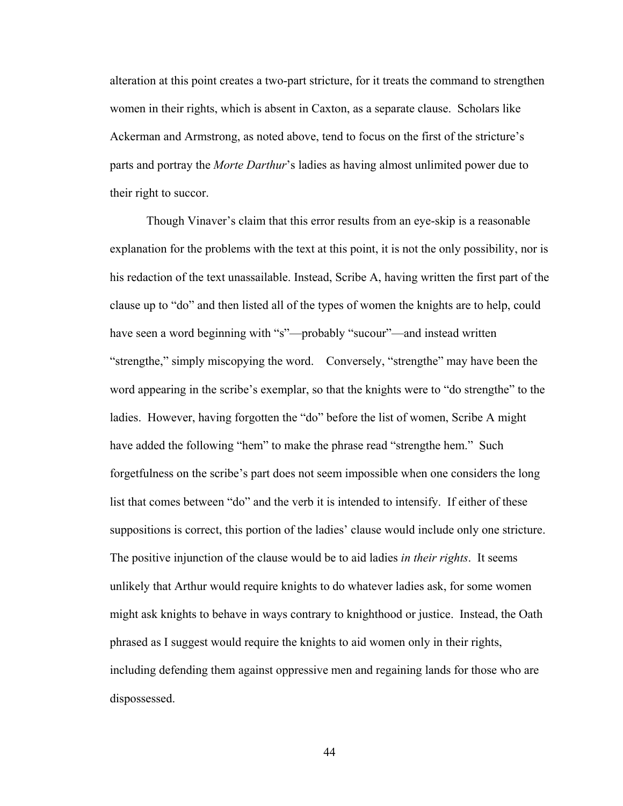alteration at this point creates a two-part stricture, for it treats the command to strengthen women in their rights, which is absent in Caxton, as a separate clause. Scholars like Ackerman and Armstrong, as noted above, tend to focus on the first of the stricture's parts and portray the *Morte Darthur*'s ladies as having almost unlimited power due to their right to succor.

Though Vinaver's claim that this error results from an eye-skip is a reasonable explanation for the problems with the text at this point, it is not the only possibility, nor is his redaction of the text unassailable. Instead, Scribe A, having written the first part of the clause up to "do" and then listed all of the types of women the knights are to help, could have seen a word beginning with "s"—probably "sucour"—and instead written "strengthe," simply miscopying the word. Conversely, "strengthe" may have been the word appearing in the scribe's exemplar, so that the knights were to "do strengthe" to the ladies. However, having forgotten the "do" before the list of women, Scribe A might have added the following "hem" to make the phrase read "strengthe hem." Such forgetfulness on the scribe's part does not seem impossible when one considers the long list that comes between "do" and the verb it is intended to intensify. If either of these suppositions is correct, this portion of the ladies' clause would include only one stricture. The positive injunction of the clause would be to aid ladies *in their rights*. It seems unlikely that Arthur would require knights to do whatever ladies ask, for some women might ask knights to behave in ways contrary to knighthood or justice. Instead, the Oath phrased as I suggest would require the knights to aid women only in their rights, including defending them against oppressive men and regaining lands for those who are dispossessed.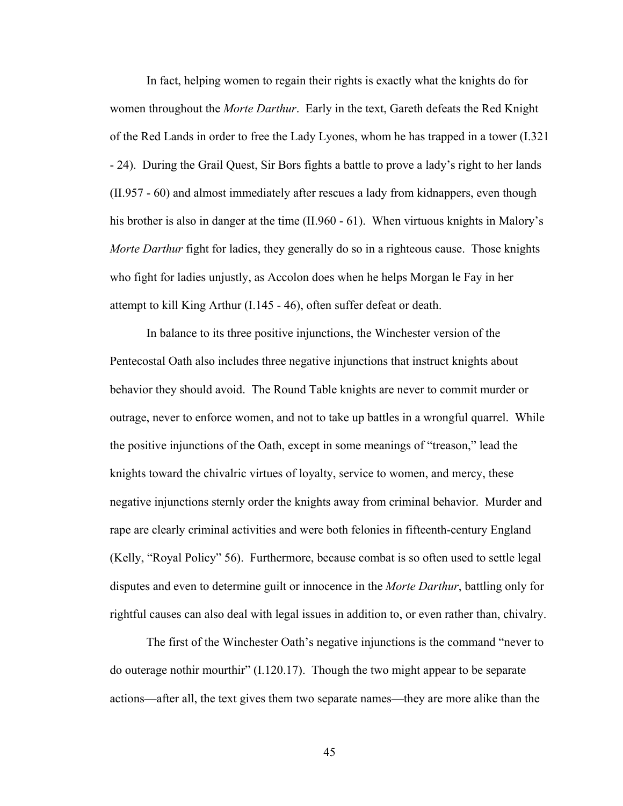In fact, helping women to regain their rights is exactly what the knights do for women throughout the *Morte Darthur*. Early in the text, Gareth defeats the Red Knight of the Red Lands in order to free the Lady Lyones, whom he has trapped in a tower (I.321 - 24). During the Grail Quest, Sir Bors fights a battle to prove a lady's right to her lands (II.957 - 60) and almost immediately after rescues a lady from kidnappers, even though his brother is also in danger at the time (II.960 - 61). When virtuous knights in Malory's *Morte Darthur* fight for ladies, they generally do so in a righteous cause. Those knights who fight for ladies unjustly, as Accolon does when he helps Morgan le Fay in her attempt to kill King Arthur (I.145 - 46), often suffer defeat or death.

In balance to its three positive injunctions, the Winchester version of the Pentecostal Oath also includes three negative injunctions that instruct knights about behavior they should avoid. The Round Table knights are never to commit murder or outrage, never to enforce women, and not to take up battles in a wrongful quarrel. While the positive injunctions of the Oath, except in some meanings of "treason," lead the knights toward the chivalric virtues of loyalty, service to women, and mercy, these negative injunctions sternly order the knights away from criminal behavior. Murder and rape are clearly criminal activities and were both felonies in fifteenth-century England (Kelly, "Royal Policy" 56). Furthermore, because combat is so often used to settle legal disputes and even to determine guilt or innocence in the *Morte Darthur*, battling only for rightful causes can also deal with legal issues in addition to, or even rather than, chivalry.

The first of the Winchester Oath's negative injunctions is the command "never to do outerage nothir mourthir" (I.120.17). Though the two might appear to be separate actions—after all, the text gives them two separate names—they are more alike than the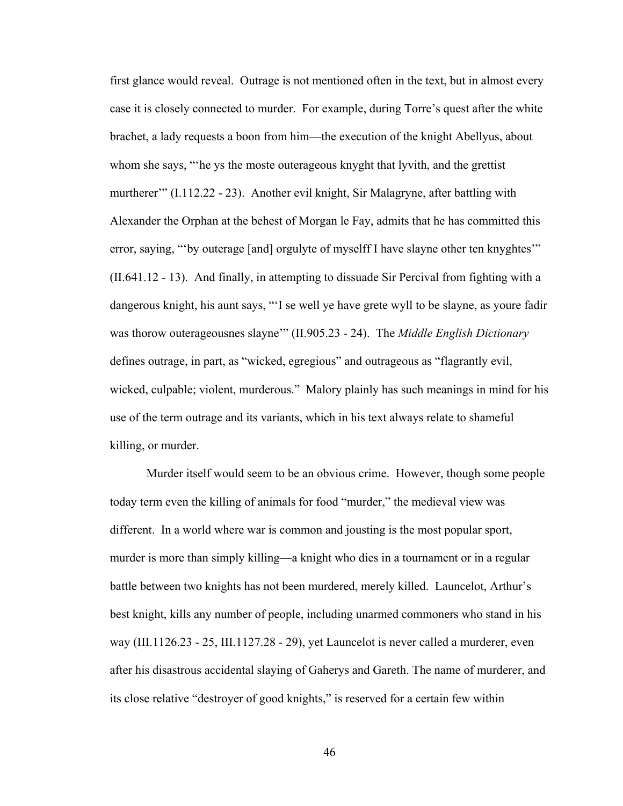first glance would reveal. Outrage is not mentioned often in the text, but in almost every case it is closely connected to murder. For example, during Torre's quest after the white brachet, a lady requests a boon from him—the execution of the knight Abellyus, about whom she says, "'he ys the moste outerageous knyght that lyvith, and the grettist murtherer'" (I.112.22 - 23). Another evil knight, Sir Malagryne, after battling with Alexander the Orphan at the behest of Morgan le Fay, admits that he has committed this error, saying, "by outerage [and] orgulyte of myselff I have slayne other ten knyghtes" (II.641.12 - 13). And finally, in attempting to dissuade Sir Percival from fighting with a dangerous knight, his aunt says, "'I se well ye have grete wyll to be slayne, as youre fadir was thorow outerageousnes slayne'" (II.905.23 - 24). The *Middle English Dictionary* defines outrage, in part, as "wicked, egregious" and outrageous as "flagrantly evil, wicked, culpable; violent, murderous." Malory plainly has such meanings in mind for his use of the term outrage and its variants, which in his text always relate to shameful killing, or murder.

Murder itself would seem to be an obvious crime. However, though some people today term even the killing of animals for food "murder," the medieval view was different. In a world where war is common and jousting is the most popular sport, murder is more than simply killing—a knight who dies in a tournament or in a regular battle between two knights has not been murdered, merely killed. Launcelot, Arthur's best knight, kills any number of people, including unarmed commoners who stand in his way (III.1126.23 - 25, III.1127.28 - 29), yet Launcelot is never called a murderer, even after his disastrous accidental slaying of Gaherys and Gareth. The name of murderer, and its close relative "destroyer of good knights," is reserved for a certain few within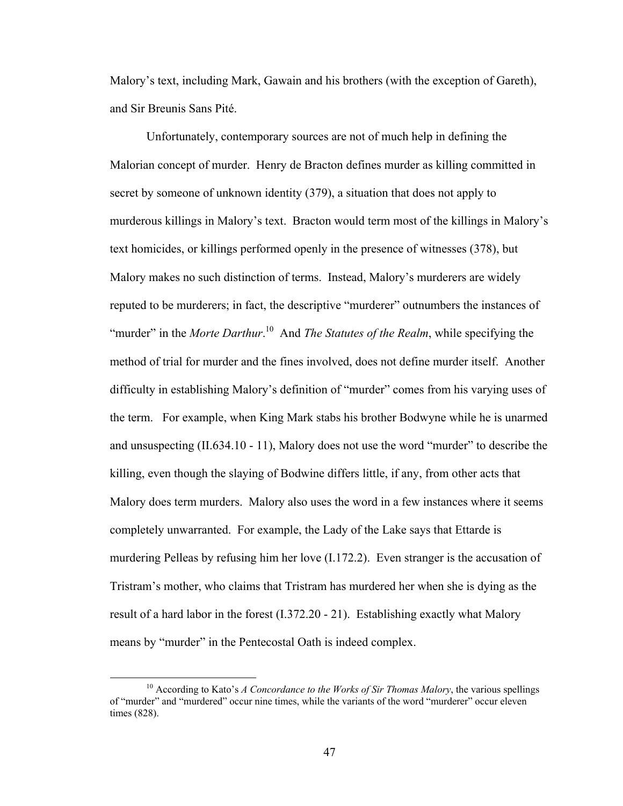Malory's text, including Mark, Gawain and his brothers (with the exception of Gareth), and Sir Breunis Sans Pité.

Unfortunately, contemporary sources are not of much help in defining the Malorian concept of murder. Henry de Bracton defines murder as killing committed in secret by someone of unknown identity (379), a situation that does not apply to murderous killings in Malory's text. Bracton would term most of the killings in Malory's text homicides, or killings performed openly in the presence of witnesses (378), but Malory makes no such distinction of terms. Instead, Malory's murderers are widely reputed to be murderers; in fact, the descriptive "murderer" outnumbers the instances of "murder" in the *Morte Darthur*.<sup>10</sup> And *The Statutes of the Realm*, while specifying the method of trial for murder and the fines involved, does not define murder itself. Another difficulty in establishing Malory's definition of "murder" comes from his varying uses of the term. For example, when King Mark stabs his brother Bodwyne while he is unarmed and unsuspecting (II.634.10 - 11), Malory does not use the word "murder" to describe the killing, even though the slaying of Bodwine differs little, if any, from other acts that Malory does term murders. Malory also uses the word in a few instances where it seems completely unwarranted. For example, the Lady of the Lake says that Ettarde is murdering Pelleas by refusing him her love (I.172.2). Even stranger is the accusation of Tristram's mother, who claims that Tristram has murdered her when she is dying as the result of a hard labor in the forest (I.372.20 - 21). Establishing exactly what Malory means by "murder" in the Pentecostal Oath is indeed complex.

<sup>&</sup>lt;sup>10</sup> According to Kato's *A Concordance to the Works of Sir Thomas Malory*, the various spellings of "murder" and "murdered" occur nine times, while the variants of the word "murderer" occur eleven times (828).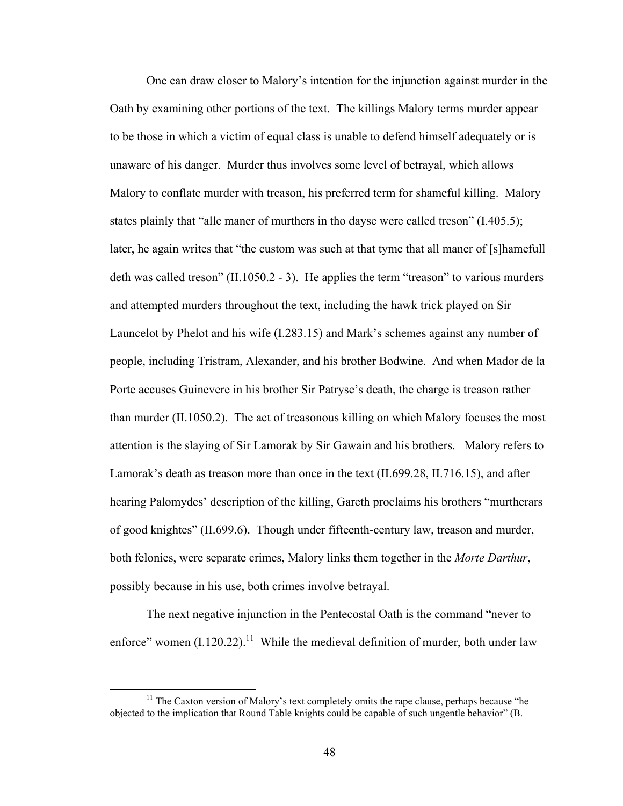One can draw closer to Malory's intention for the injunction against murder in the Oath by examining other portions of the text. The killings Malory terms murder appear to be those in which a victim of equal class is unable to defend himself adequately or is unaware of his danger. Murder thus involves some level of betrayal, which allows Malory to conflate murder with treason, his preferred term for shameful killing. Malory states plainly that "alle maner of murthers in tho dayse were called treson" (I.405.5); later, he again writes that "the custom was such at that tyme that all maner of [s]hamefull deth was called treson" (II.1050.2 - 3). He applies the term "treason" to various murders and attempted murders throughout the text, including the hawk trick played on Sir Launcelot by Phelot and his wife (I.283.15) and Mark's schemes against any number of people, including Tristram, Alexander, and his brother Bodwine. And when Mador de la Porte accuses Guinevere in his brother Sir Patryse's death, the charge is treason rather than murder (II.1050.2). The act of treasonous killing on which Malory focuses the most attention is the slaying of Sir Lamorak by Sir Gawain and his brothers. Malory refers to Lamorak's death as treason more than once in the text (II.699.28, II.716.15), and after hearing Palomydes' description of the killing, Gareth proclaims his brothers "murtherars of good knightes" (II.699.6). Though under fifteenth-century law, treason and murder, both felonies, were separate crimes, Malory links them together in the *Morte Darthur*, possibly because in his use, both crimes involve betrayal.

The next negative injunction in the Pentecostal Oath is the command "never to enforce" women  $(I.120.22)$ .<sup>11</sup> While the medieval definition of murder, both under law

 $11$  The Caxton version of Malory's text completely omits the rape clause, perhaps because "he objected to the implication that Round Table knights could be capable of such ungentle behavior" (B.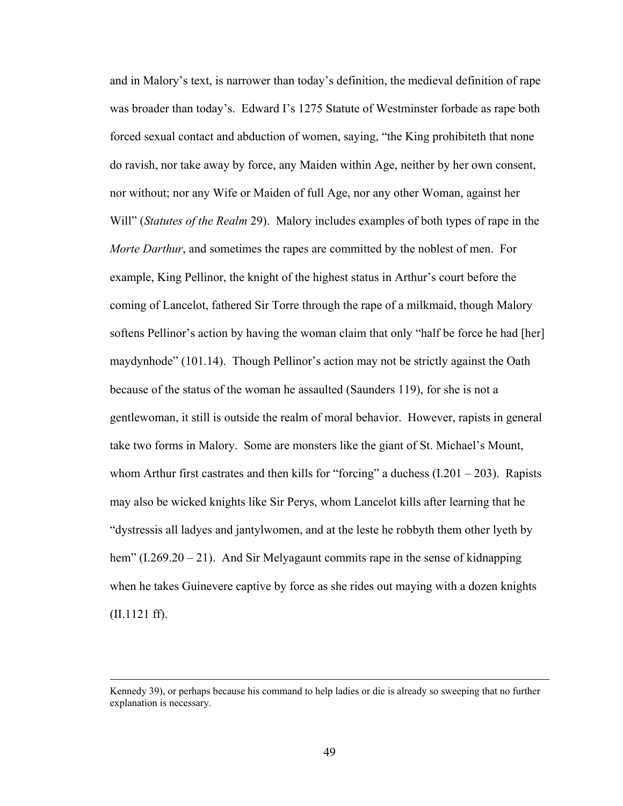and in Malory's text, is narrower than today's definition, the medieval definition of rape was broader than today's. Edward I's 1275 Statute of Westminster forbade as rape both forced sexual contact and abduction of women, saying, "the King prohibiteth that none do ravish, nor take away by force, any Maiden within Age, neither by her own consent, nor without; nor any Wife or Maiden of full Age, nor any other Woman, against her Will" (*Statutes of the Realm* 29). Malory includes examples of both types of rape in the *Morte Darthur*, and sometimes the rapes are committed by the noblest of men. For example, King Pellinor, the knight of the highest status in Arthur's court before the coming of Lancelot, fathered Sir Torre through the rape of a milkmaid, though Malory softens Pellinor's action by having the woman claim that only "half be force he had [her] maydynhode" (101.14). Though Pellinor's action may not be strictly against the Oath because of the status of the woman he assaulted (Saunders 119), for she is not a gentlewoman, it still is outside the realm of moral behavior. However, rapists in general take two forms in Malory. Some are monsters like the giant of St. Michael's Mount, whom Arthur first castrates and then kills for "forcing" a duchess  $(1.201 - 203)$ . Rapists may also be wicked knights like Sir Perys, whom Lancelot kills after learning that he "dystressis all ladyes and jantylwomen, and at the leste he robbyth them other lyeth by hem" (I.269.20 – 21). And Sir Melyagaunt commits rape in the sense of kidnapping when he takes Guinevere captive by force as she rides out maying with a dozen knights (II.1121 ff).

Kennedy 39), or perhaps because his command to help ladies or die is already so sweeping that no further explanation is necessary.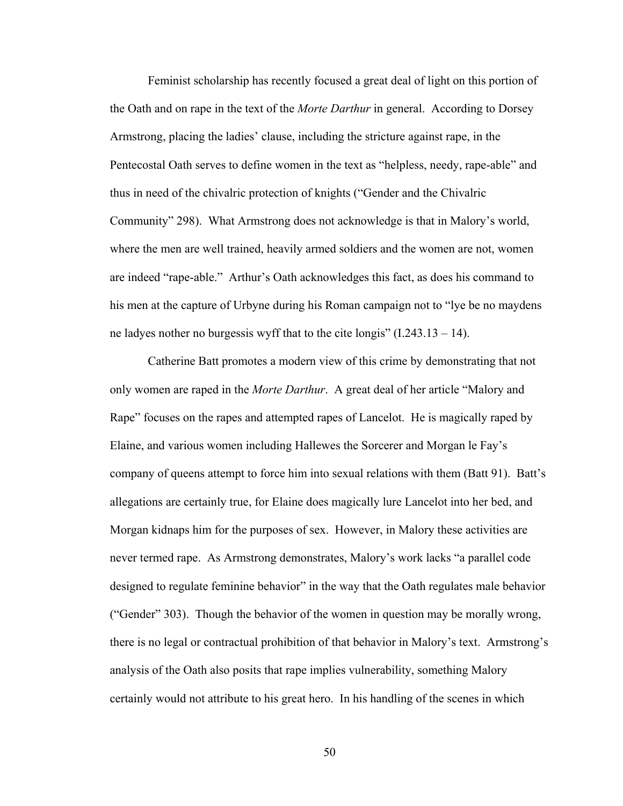Feminist scholarship has recently focused a great deal of light on this portion of the Oath and on rape in the text of the *Morte Darthur* in general. According to Dorsey Armstrong, placing the ladies' clause, including the stricture against rape, in the Pentecostal Oath serves to define women in the text as "helpless, needy, rape-able" and thus in need of the chivalric protection of knights ("Gender and the Chivalric Community" 298). What Armstrong does not acknowledge is that in Malory's world, where the men are well trained, heavily armed soldiers and the women are not, women are indeed "rape-able." Arthur's Oath acknowledges this fact, as does his command to his men at the capture of Urbyne during his Roman campaign not to "lye be no maydens ne ladyes nother no burgessis wyff that to the cite longis" (I.243.13 – 14).

Catherine Batt promotes a modern view of this crime by demonstrating that not only women are raped in the *Morte Darthur*. A great deal of her article "Malory and Rape" focuses on the rapes and attempted rapes of Lancelot. He is magically raped by Elaine, and various women including Hallewes the Sorcerer and Morgan le Fay's company of queens attempt to force him into sexual relations with them (Batt 91). Batt's allegations are certainly true, for Elaine does magically lure Lancelot into her bed, and Morgan kidnaps him for the purposes of sex. However, in Malory these activities are never termed rape. As Armstrong demonstrates, Malory's work lacks "a parallel code designed to regulate feminine behavior" in the way that the Oath regulates male behavior ("Gender" 303). Though the behavior of the women in question may be morally wrong, there is no legal or contractual prohibition of that behavior in Malory's text. Armstrong's analysis of the Oath also posits that rape implies vulnerability, something Malory certainly would not attribute to his great hero. In his handling of the scenes in which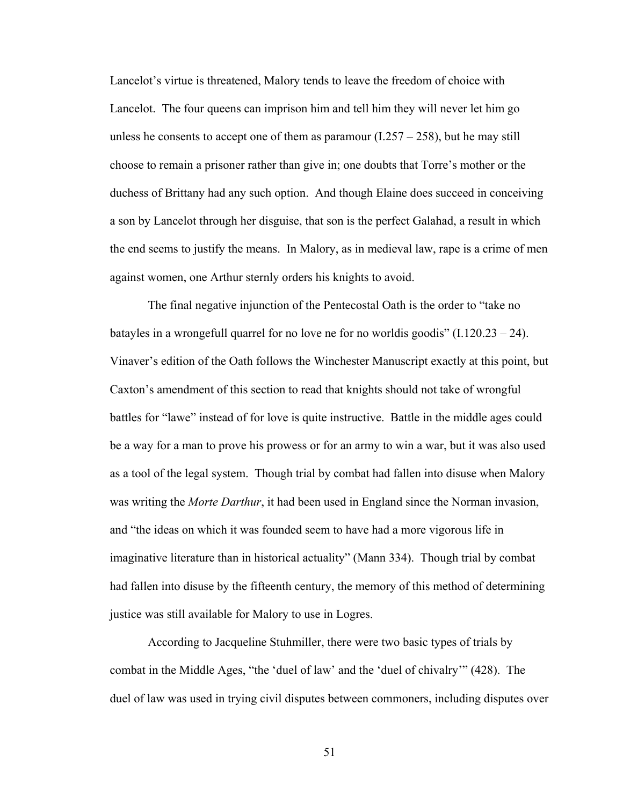Lancelot's virtue is threatened, Malory tends to leave the freedom of choice with Lancelot. The four queens can imprison him and tell him they will never let him go unless he consents to accept one of them as paramour  $(1.257 - 258)$ , but he may still choose to remain a prisoner rather than give in; one doubts that Torre's mother or the duchess of Brittany had any such option. And though Elaine does succeed in conceiving a son by Lancelot through her disguise, that son is the perfect Galahad, a result in which the end seems to justify the means. In Malory, as in medieval law, rape is a crime of men against women, one Arthur sternly orders his knights to avoid.

The final negative injunction of the Pentecostal Oath is the order to "take no batayles in a wrongefull quarrel for no love ne for no worldis goodis"  $(1.120.23 - 24)$ . Vinaver's edition of the Oath follows the Winchester Manuscript exactly at this point, but Caxton's amendment of this section to read that knights should not take of wrongful battles for "lawe" instead of for love is quite instructive. Battle in the middle ages could be a way for a man to prove his prowess or for an army to win a war, but it was also used as a tool of the legal system. Though trial by combat had fallen into disuse when Malory was writing the *Morte Darthur*, it had been used in England since the Norman invasion, and "the ideas on which it was founded seem to have had a more vigorous life in imaginative literature than in historical actuality" (Mann 334). Though trial by combat had fallen into disuse by the fifteenth century, the memory of this method of determining justice was still available for Malory to use in Logres.

According to Jacqueline Stuhmiller, there were two basic types of trials by combat in the Middle Ages, "the 'duel of law' and the 'duel of chivalry'" (428). The duel of law was used in trying civil disputes between commoners, including disputes over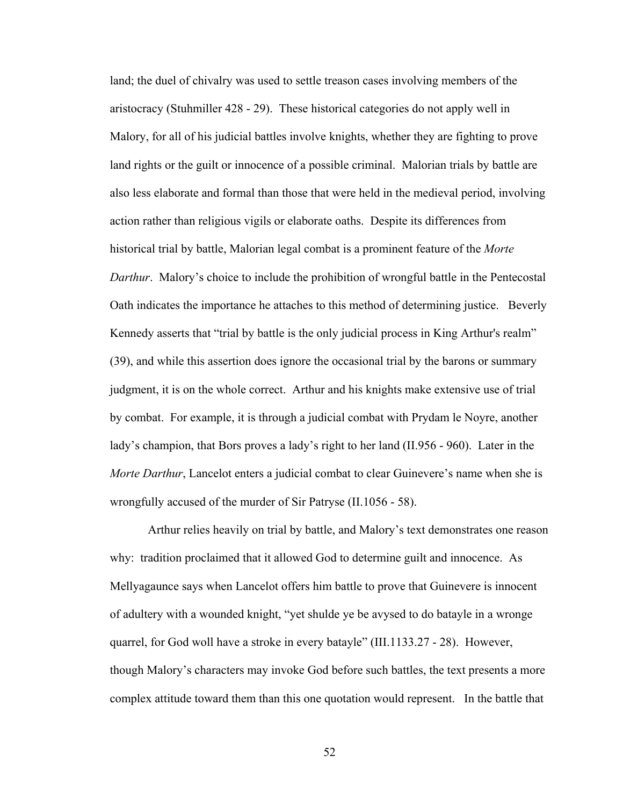land; the duel of chivalry was used to settle treason cases involving members of the aristocracy (Stuhmiller 428 - 29). These historical categories do not apply well in Malory, for all of his judicial battles involve knights, whether they are fighting to prove land rights or the guilt or innocence of a possible criminal. Malorian trials by battle are also less elaborate and formal than those that were held in the medieval period, involving action rather than religious vigils or elaborate oaths. Despite its differences from historical trial by battle, Malorian legal combat is a prominent feature of the *Morte Darthur*. Malory's choice to include the prohibition of wrongful battle in the Pentecostal Oath indicates the importance he attaches to this method of determining justice. Beverly Kennedy asserts that "trial by battle is the only judicial process in King Arthur's realm" (39), and while this assertion does ignore the occasional trial by the barons or summary judgment, it is on the whole correct. Arthur and his knights make extensive use of trial by combat. For example, it is through a judicial combat with Prydam le Noyre, another lady's champion, that Bors proves a lady's right to her land (II.956 - 960). Later in the *Morte Darthur*, Lancelot enters a judicial combat to clear Guinevere's name when she is wrongfully accused of the murder of Sir Patryse (II.1056 - 58).

Arthur relies heavily on trial by battle, and Malory's text demonstrates one reason why: tradition proclaimed that it allowed God to determine guilt and innocence. As Mellyagaunce says when Lancelot offers him battle to prove that Guinevere is innocent of adultery with a wounded knight, "yet shulde ye be avysed to do batayle in a wronge quarrel, for God woll have a stroke in every batayle" (III.1133.27 - 28). However, though Malory's characters may invoke God before such battles, the text presents a more complex attitude toward them than this one quotation would represent. In the battle that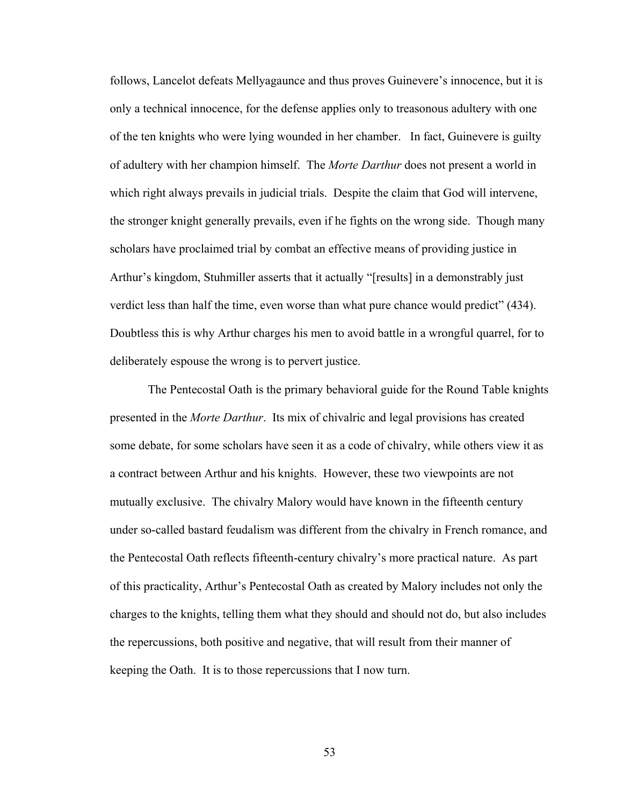follows, Lancelot defeats Mellyagaunce and thus proves Guinevere's innocence, but it is only a technical innocence, for the defense applies only to treasonous adultery with one of the ten knights who were lying wounded in her chamber. In fact, Guinevere is guilty of adultery with her champion himself. The *Morte Darthur* does not present a world in which right always prevails in judicial trials. Despite the claim that God will intervene, the stronger knight generally prevails, even if he fights on the wrong side. Though many scholars have proclaimed trial by combat an effective means of providing justice in Arthur's kingdom, Stuhmiller asserts that it actually "[results] in a demonstrably just verdict less than half the time, even worse than what pure chance would predict" (434). Doubtless this is why Arthur charges his men to avoid battle in a wrongful quarrel, for to deliberately espouse the wrong is to pervert justice.

The Pentecostal Oath is the primary behavioral guide for the Round Table knights presented in the *Morte Darthur*. Its mix of chivalric and legal provisions has created some debate, for some scholars have seen it as a code of chivalry, while others view it as a contract between Arthur and his knights. However, these two viewpoints are not mutually exclusive. The chivalry Malory would have known in the fifteenth century under so-called bastard feudalism was different from the chivalry in French romance, and the Pentecostal Oath reflects fifteenth-century chivalry's more practical nature. As part of this practicality, Arthur's Pentecostal Oath as created by Malory includes not only the charges to the knights, telling them what they should and should not do, but also includes the repercussions, both positive and negative, that will result from their manner of keeping the Oath. It is to those repercussions that I now turn.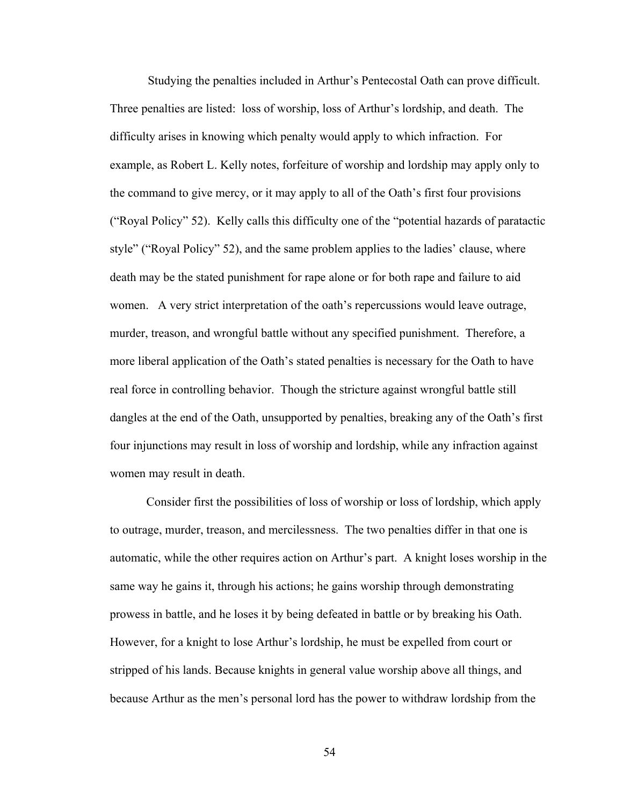Studying the penalties included in Arthur's Pentecostal Oath can prove difficult. Three penalties are listed: loss of worship, loss of Arthur's lordship, and death. The difficulty arises in knowing which penalty would apply to which infraction. For example, as Robert L. Kelly notes, forfeiture of worship and lordship may apply only to the command to give mercy, or it may apply to all of the Oath's first four provisions ("Royal Policy" 52). Kelly calls this difficulty one of the "potential hazards of paratactic style" ("Royal Policy" 52), and the same problem applies to the ladies' clause, where death may be the stated punishment for rape alone or for both rape and failure to aid women. A very strict interpretation of the oath's repercussions would leave outrage, murder, treason, and wrongful battle without any specified punishment. Therefore, a more liberal application of the Oath's stated penalties is necessary for the Oath to have real force in controlling behavior. Though the stricture against wrongful battle still dangles at the end of the Oath, unsupported by penalties, breaking any of the Oath's first four injunctions may result in loss of worship and lordship, while any infraction against women may result in death.

Consider first the possibilities of loss of worship or loss of lordship, which apply to outrage, murder, treason, and mercilessness. The two penalties differ in that one is automatic, while the other requires action on Arthur's part. A knight loses worship in the same way he gains it, through his actions; he gains worship through demonstrating prowess in battle, and he loses it by being defeated in battle or by breaking his Oath. However, for a knight to lose Arthur's lordship, he must be expelled from court or stripped of his lands. Because knights in general value worship above all things, and because Arthur as the men's personal lord has the power to withdraw lordship from the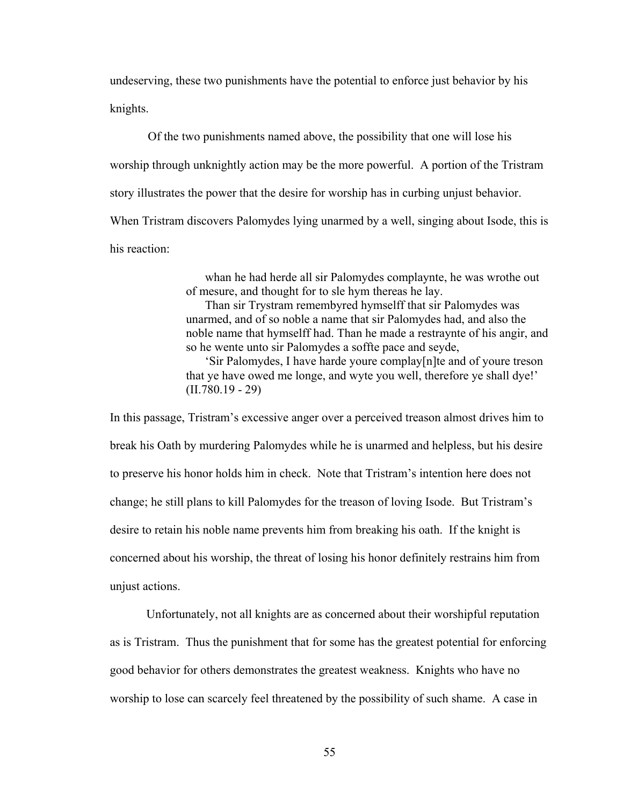undeserving, these two punishments have the potential to enforce just behavior by his knights.

Of the two punishments named above, the possibility that one will lose his worship through unknightly action may be the more powerful. A portion of the Tristram story illustrates the power that the desire for worship has in curbing unjust behavior. When Tristram discovers Palomydes lying unarmed by a well, singing about Isode, this is his reaction:

> whan he had herde all sir Palomydes complaynte, he was wrothe out of mesure, and thought for to sle hym thereas he lay.

Than sir Trystram remembyred hymselff that sir Palomydes was unarmed, and of so noble a name that sir Palomydes had, and also the noble name that hymselff had. Than he made a restraynte of his angir, and so he wente unto sir Palomydes a soffte pace and seyde,

'Sir Palomydes, I have harde youre complay[n]te and of youre treson that ye have owed me longe, and wyte you well, therefore ye shall dye!' (II.780.19 - 29)

In this passage, Tristram's excessive anger over a perceived treason almost drives him to break his Oath by murdering Palomydes while he is unarmed and helpless, but his desire to preserve his honor holds him in check. Note that Tristram's intention here does not change; he still plans to kill Palomydes for the treason of loving Isode. But Tristram's desire to retain his noble name prevents him from breaking his oath. If the knight is concerned about his worship, the threat of losing his honor definitely restrains him from unjust actions.

Unfortunately, not all knights are as concerned about their worshipful reputation as is Tristram. Thus the punishment that for some has the greatest potential for enforcing good behavior for others demonstrates the greatest weakness. Knights who have no worship to lose can scarcely feel threatened by the possibility of such shame. A case in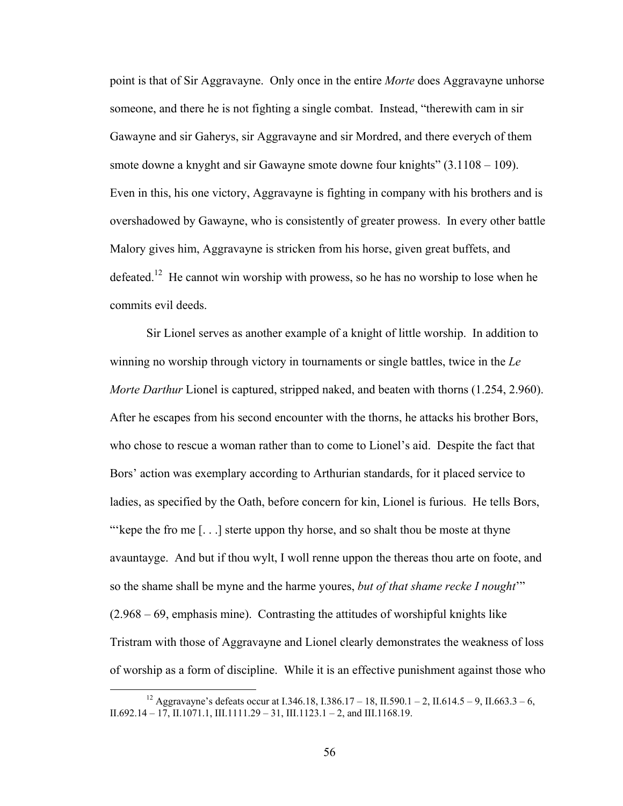point is that of Sir Aggravayne. Only once in the entire *Morte* does Aggravayne unhorse someone, and there he is not fighting a single combat. Instead, "therewith cam in sir Gawayne and sir Gaherys, sir Aggravayne and sir Mordred, and there everych of them smote downe a knyght and sir Gawayne smote downe four knights" (3.1108 – 109). Even in this, his one victory, Aggravayne is fighting in company with his brothers and is overshadowed by Gawayne, who is consistently of greater prowess. In every other battle Malory gives him, Aggravayne is stricken from his horse, given great buffets, and defeated.<sup>12</sup> He cannot win worship with prowess, so he has no worship to lose when he commits evil deeds.

Sir Lionel serves as another example of a knight of little worship. In addition to winning no worship through victory in tournaments or single battles, twice in the *Le Morte Darthur* Lionel is captured, stripped naked, and beaten with thorns (1.254, 2.960). After he escapes from his second encounter with the thorns, he attacks his brother Bors, who chose to rescue a woman rather than to come to Lionel's aid. Despite the fact that Bors' action was exemplary according to Arthurian standards, for it placed service to ladies, as specified by the Oath, before concern for kin, Lionel is furious. He tells Bors, "'kepe the fro me [...] sterte uppon thy horse, and so shalt thou be moste at thyne avauntayge. And but if thou wylt, I woll renne uppon the thereas thou arte on foote, and so the shame shall be myne and the harme youres, *but of that shame recke I nought*'" (2.968 – 69, emphasis mine). Contrasting the attitudes of worshipful knights like Tristram with those of Aggravayne and Lionel clearly demonstrates the weakness of loss of worship as a form of discipline. While it is an effective punishment against those who

<sup>&</sup>lt;sup>12</sup> Aggravayne's defeats occur at I.346.18, I.386.17 – 18, II.590.1 – 2, II.614.5 – 9, II.663.3 – 6, II.692.14 – 17, II.1071.1, III.1111.29 – 31, III.1123.1 – 2, and III.1168.19.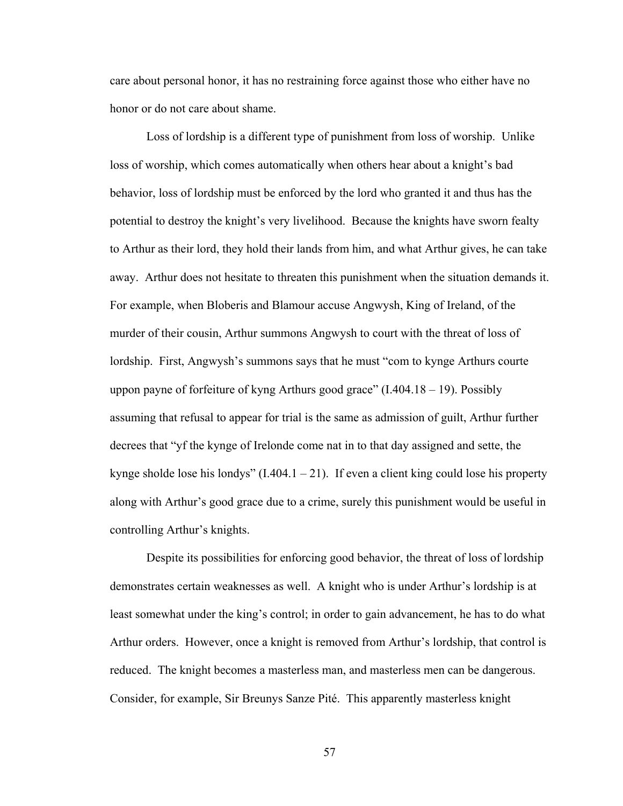care about personal honor, it has no restraining force against those who either have no honor or do not care about shame.

Loss of lordship is a different type of punishment from loss of worship. Unlike loss of worship, which comes automatically when others hear about a knight's bad behavior, loss of lordship must be enforced by the lord who granted it and thus has the potential to destroy the knight's very livelihood. Because the knights have sworn fealty to Arthur as their lord, they hold their lands from him, and what Arthur gives, he can take away. Arthur does not hesitate to threaten this punishment when the situation demands it. For example, when Bloberis and Blamour accuse Angwysh, King of Ireland, of the murder of their cousin, Arthur summons Angwysh to court with the threat of loss of lordship. First, Angwysh's summons says that he must "com to kynge Arthurs courte uppon payne of forfeiture of kyng Arthurs good grace"  $(1.404.18 - 19)$ . Possibly assuming that refusal to appear for trial is the same as admission of guilt, Arthur further decrees that "yf the kynge of Irelonde come nat in to that day assigned and sette, the kynge sholde lose his londys"  $(1.404.1 - 21)$ . If even a client king could lose his property along with Arthur's good grace due to a crime, surely this punishment would be useful in controlling Arthur's knights.

Despite its possibilities for enforcing good behavior, the threat of loss of lordship demonstrates certain weaknesses as well. A knight who is under Arthur's lordship is at least somewhat under the king's control; in order to gain advancement, he has to do what Arthur orders. However, once a knight is removed from Arthur's lordship, that control is reduced. The knight becomes a masterless man, and masterless men can be dangerous. Consider, for example, Sir Breunys Sanze Pité. This apparently masterless knight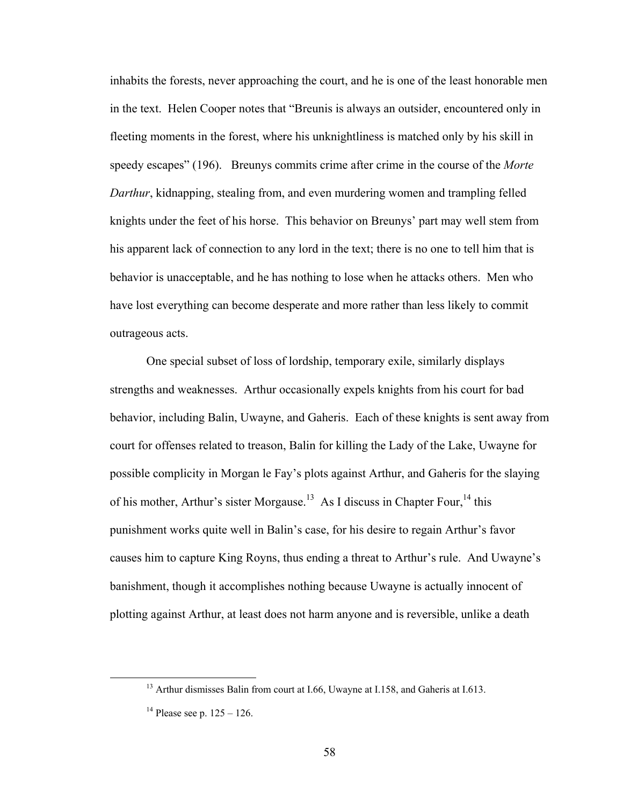inhabits the forests, never approaching the court, and he is one of the least honorable men in the text. Helen Cooper notes that "Breunis is always an outsider, encountered only in fleeting moments in the forest, where his unknightliness is matched only by his skill in speedy escapes" (196). Breunys commits crime after crime in the course of the *Morte Darthur*, kidnapping, stealing from, and even murdering women and trampling felled knights under the feet of his horse. This behavior on Breunys' part may well stem from his apparent lack of connection to any lord in the text; there is no one to tell him that is behavior is unacceptable, and he has nothing to lose when he attacks others. Men who have lost everything can become desperate and more rather than less likely to commit outrageous acts.

One special subset of loss of lordship, temporary exile, similarly displays strengths and weaknesses. Arthur occasionally expels knights from his court for bad behavior, including Balin, Uwayne, and Gaheris. Each of these knights is sent away from court for offenses related to treason, Balin for killing the Lady of the Lake, Uwayne for possible complicity in Morgan le Fay's plots against Arthur, and Gaheris for the slaying of his mother, Arthur's sister Morgause.<sup>13</sup> As I discuss in Chapter Four,<sup>14</sup> this punishment works quite well in Balin's case, for his desire to regain Arthur's favor causes him to capture King Royns, thus ending a threat to Arthur's rule. And Uwayne's banishment, though it accomplishes nothing because Uwayne is actually innocent of plotting against Arthur, at least does not harm anyone and is reversible, unlike a death

<sup>&</sup>lt;sup>13</sup> Arthur dismisses Balin from court at I.66, Uwayne at I.158, and Gaheris at I.613.

<sup>&</sup>lt;sup>14</sup> Please see p.  $125 - 126$ .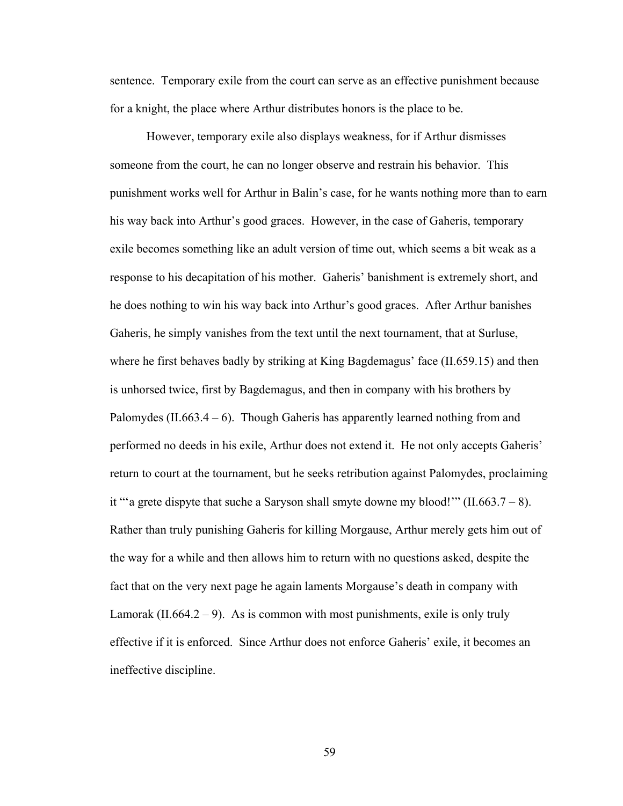sentence. Temporary exile from the court can serve as an effective punishment because for a knight, the place where Arthur distributes honors is the place to be.

However, temporary exile also displays weakness, for if Arthur dismisses someone from the court, he can no longer observe and restrain his behavior. This punishment works well for Arthur in Balin's case, for he wants nothing more than to earn his way back into Arthur's good graces. However, in the case of Gaheris, temporary exile becomes something like an adult version of time out, which seems a bit weak as a response to his decapitation of his mother. Gaheris' banishment is extremely short, and he does nothing to win his way back into Arthur's good graces. After Arthur banishes Gaheris, he simply vanishes from the text until the next tournament, that at Surluse, where he first behaves badly by striking at King Bagdemagus' face (II.659.15) and then is unhorsed twice, first by Bagdemagus, and then in company with his brothers by Palomydes  $(II.663.4 - 6)$ . Though Gaheris has apparently learned nothing from and performed no deeds in his exile, Arthur does not extend it. He not only accepts Gaheris' return to court at the tournament, but he seeks retribution against Palomydes, proclaiming it ""a grete dispyte that suche a Saryson shall smyte downe my blood!""  $(II.663.7 - 8)$ . Rather than truly punishing Gaheris for killing Morgause, Arthur merely gets him out of the way for a while and then allows him to return with no questions asked, despite the fact that on the very next page he again laments Morgause's death in company with Lamorak  $(II.664.2 - 9)$ . As is common with most punishments, exile is only truly effective if it is enforced. Since Arthur does not enforce Gaheris' exile, it becomes an ineffective discipline.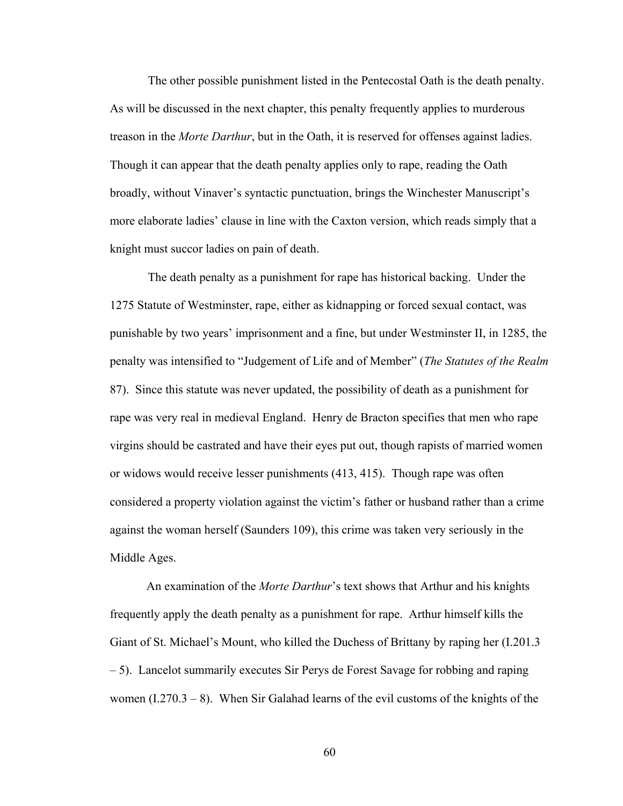The other possible punishment listed in the Pentecostal Oath is the death penalty. As will be discussed in the next chapter, this penalty frequently applies to murderous treason in the *Morte Darthur*, but in the Oath, it is reserved for offenses against ladies. Though it can appear that the death penalty applies only to rape, reading the Oath broadly, without Vinaver's syntactic punctuation, brings the Winchester Manuscript's more elaborate ladies' clause in line with the Caxton version, which reads simply that a knight must succor ladies on pain of death.

The death penalty as a punishment for rape has historical backing. Under the 1275 Statute of Westminster, rape, either as kidnapping or forced sexual contact, was punishable by two years' imprisonment and a fine, but under Westminster II, in 1285, the penalty was intensified to "Judgement of Life and of Member" (*The Statutes of the Realm*  87). Since this statute was never updated, the possibility of death as a punishment for rape was very real in medieval England. Henry de Bracton specifies that men who rape virgins should be castrated and have their eyes put out, though rapists of married women or widows would receive lesser punishments (413, 415). Though rape was often considered a property violation against the victim's father or husband rather than a crime against the woman herself (Saunders 109), this crime was taken very seriously in the Middle Ages.

An examination of the *Morte Darthur*'s text shows that Arthur and his knights frequently apply the death penalty as a punishment for rape. Arthur himself kills the Giant of St. Michael's Mount, who killed the Duchess of Brittany by raping her (I.201.3 – 5). Lancelot summarily executes Sir Perys de Forest Savage for robbing and raping women  $(1.270.3 - 8)$ . When Sir Galahad learns of the evil customs of the knights of the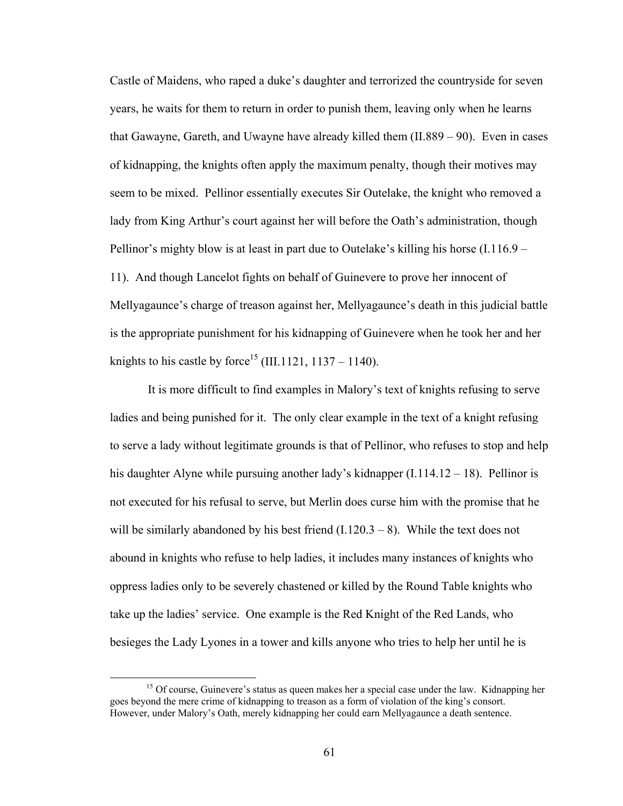Castle of Maidens, who raped a duke's daughter and terrorized the countryside for seven years, he waits for them to return in order to punish them, leaving only when he learns that Gawayne, Gareth, and Uwayne have already killed them (II.889 – 90). Even in cases of kidnapping, the knights often apply the maximum penalty, though their motives may seem to be mixed. Pellinor essentially executes Sir Outelake, the knight who removed a lady from King Arthur's court against her will before the Oath's administration, though Pellinor's mighty blow is at least in part due to Outelake's killing his horse  $(1.116.9 -$ 11). And though Lancelot fights on behalf of Guinevere to prove her innocent of Mellyagaunce's charge of treason against her, Mellyagaunce's death in this judicial battle is the appropriate punishment for his kidnapping of Guinevere when he took her and her knights to his castle by force<sup>15</sup> (III.1121, 1137 – 1140).

It is more difficult to find examples in Malory's text of knights refusing to serve ladies and being punished for it. The only clear example in the text of a knight refusing to serve a lady without legitimate grounds is that of Pellinor, who refuses to stop and help his daughter Alyne while pursuing another lady's kidnapper (I.114.12 – 18). Pellinor is not executed for his refusal to serve, but Merlin does curse him with the promise that he will be similarly abandoned by his best friend  $(1.120.3 - 8)$ . While the text does not abound in knights who refuse to help ladies, it includes many instances of knights who oppress ladies only to be severely chastened or killed by the Round Table knights who take up the ladies' service. One example is the Red Knight of the Red Lands, who besieges the Lady Lyones in a tower and kills anyone who tries to help her until he is

<sup>&</sup>lt;sup>15</sup> Of course, Guinevere's status as queen makes her a special case under the law. Kidnapping her goes beyond the mere crime of kidnapping to treason as a form of violation of the king's consort. However, under Malory's Oath, merely kidnapping her could earn Mellyagaunce a death sentence.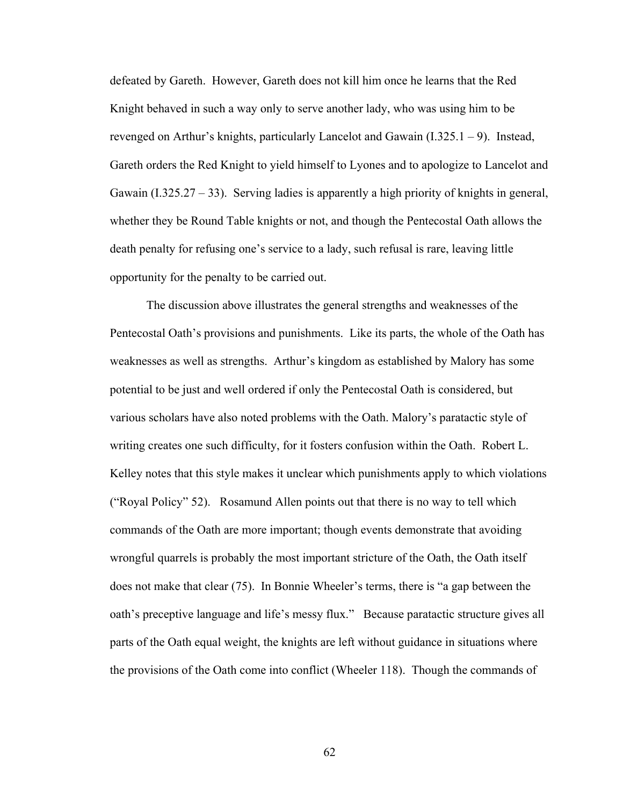defeated by Gareth. However, Gareth does not kill him once he learns that the Red Knight behaved in such a way only to serve another lady, who was using him to be revenged on Arthur's knights, particularly Lancelot and Gawain (I.325.1 – 9). Instead, Gareth orders the Red Knight to yield himself to Lyones and to apologize to Lancelot and Gawain (I.325.27 – 33). Serving ladies is apparently a high priority of knights in general, whether they be Round Table knights or not, and though the Pentecostal Oath allows the death penalty for refusing one's service to a lady, such refusal is rare, leaving little opportunity for the penalty to be carried out.

The discussion above illustrates the general strengths and weaknesses of the Pentecostal Oath's provisions and punishments. Like its parts, the whole of the Oath has weaknesses as well as strengths. Arthur's kingdom as established by Malory has some potential to be just and well ordered if only the Pentecostal Oath is considered, but various scholars have also noted problems with the Oath. Malory's paratactic style of writing creates one such difficulty, for it fosters confusion within the Oath. Robert L. Kelley notes that this style makes it unclear which punishments apply to which violations ("Royal Policy" 52). Rosamund Allen points out that there is no way to tell which commands of the Oath are more important; though events demonstrate that avoiding wrongful quarrels is probably the most important stricture of the Oath, the Oath itself does not make that clear (75). In Bonnie Wheeler's terms, there is "a gap between the oath's preceptive language and life's messy flux." Because paratactic structure gives all parts of the Oath equal weight, the knights are left without guidance in situations where the provisions of the Oath come into conflict (Wheeler 118). Though the commands of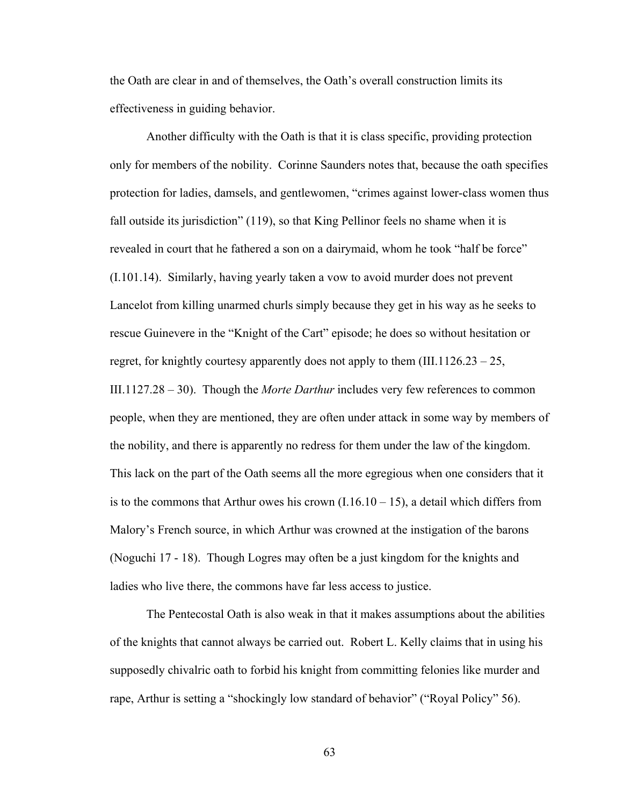the Oath are clear in and of themselves, the Oath's overall construction limits its effectiveness in guiding behavior.

Another difficulty with the Oath is that it is class specific, providing protection only for members of the nobility. Corinne Saunders notes that, because the oath specifies protection for ladies, damsels, and gentlewomen, "crimes against lower-class women thus fall outside its jurisdiction" (119), so that King Pellinor feels no shame when it is revealed in court that he fathered a son on a dairymaid, whom he took "half be force" (I.101.14). Similarly, having yearly taken a vow to avoid murder does not prevent Lancelot from killing unarmed churls simply because they get in his way as he seeks to rescue Guinevere in the "Knight of the Cart" episode; he does so without hesitation or regret, for knightly courtesy apparently does not apply to them  $(III.1126.23 - 25,$ III.1127.28 – 30). Though the *Morte Darthur* includes very few references to common people, when they are mentioned, they are often under attack in some way by members of the nobility, and there is apparently no redress for them under the law of the kingdom. This lack on the part of the Oath seems all the more egregious when one considers that it is to the commons that Arthur owes his crown  $(1.16.10 - 15)$ , a detail which differs from Malory's French source, in which Arthur was crowned at the instigation of the barons (Noguchi 17 - 18). Though Logres may often be a just kingdom for the knights and ladies who live there, the commons have far less access to justice.

The Pentecostal Oath is also weak in that it makes assumptions about the abilities of the knights that cannot always be carried out. Robert L. Kelly claims that in using his supposedly chivalric oath to forbid his knight from committing felonies like murder and rape, Arthur is setting a "shockingly low standard of behavior" ("Royal Policy" 56).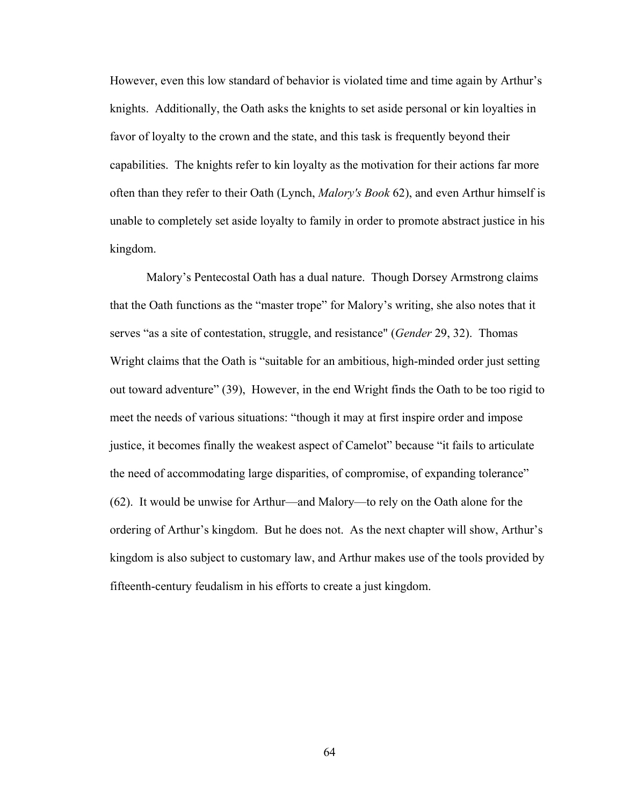However, even this low standard of behavior is violated time and time again by Arthur's knights. Additionally, the Oath asks the knights to set aside personal or kin loyalties in favor of loyalty to the crown and the state, and this task is frequently beyond their capabilities. The knights refer to kin loyalty as the motivation for their actions far more often than they refer to their Oath (Lynch, *Malory's Book* 62), and even Arthur himself is unable to completely set aside loyalty to family in order to promote abstract justice in his kingdom.

Malory's Pentecostal Oath has a dual nature. Though Dorsey Armstrong claims that the Oath functions as the "master trope" for Malory's writing, she also notes that it serves "as a site of contestation, struggle, and resistance" (*Gender* 29, 32). Thomas Wright claims that the Oath is "suitable for an ambitious, high-minded order just setting out toward adventure" (39), However, in the end Wright finds the Oath to be too rigid to meet the needs of various situations: "though it may at first inspire order and impose justice, it becomes finally the weakest aspect of Camelot" because "it fails to articulate the need of accommodating large disparities, of compromise, of expanding tolerance" (62). It would be unwise for Arthur—and Malory—to rely on the Oath alone for the ordering of Arthur's kingdom. But he does not. As the next chapter will show, Arthur's kingdom is also subject to customary law, and Arthur makes use of the tools provided by fifteenth-century feudalism in his efforts to create a just kingdom.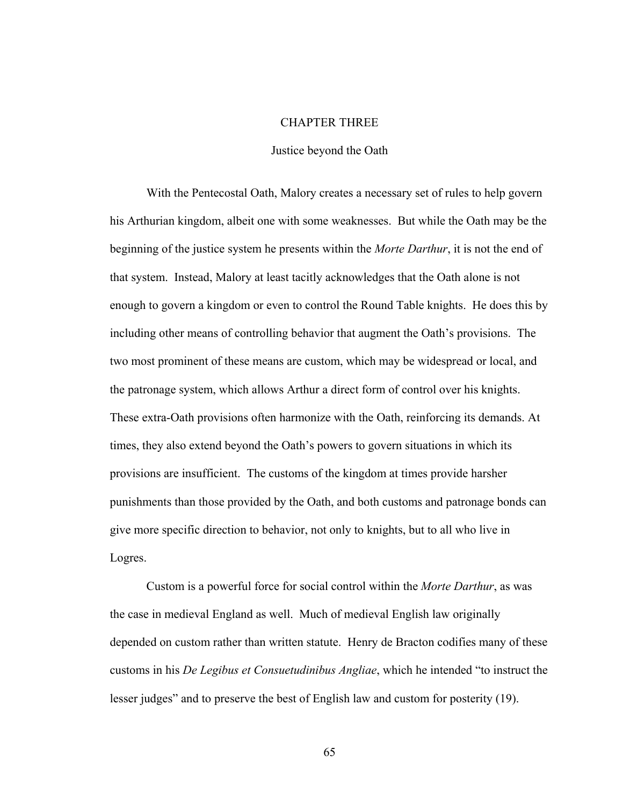## CHAPTER THREE

## Justice beyond the Oath

With the Pentecostal Oath, Malory creates a necessary set of rules to help govern his Arthurian kingdom, albeit one with some weaknesses. But while the Oath may be the beginning of the justice system he presents within the *Morte Darthur*, it is not the end of that system. Instead, Malory at least tacitly acknowledges that the Oath alone is not enough to govern a kingdom or even to control the Round Table knights. He does this by including other means of controlling behavior that augment the Oath's provisions. The two most prominent of these means are custom, which may be widespread or local, and the patronage system, which allows Arthur a direct form of control over his knights. These extra-Oath provisions often harmonize with the Oath, reinforcing its demands. At times, they also extend beyond the Oath's powers to govern situations in which its provisions are insufficient. The customs of the kingdom at times provide harsher punishments than those provided by the Oath, and both customs and patronage bonds can give more specific direction to behavior, not only to knights, but to all who live in Logres.

Custom is a powerful force for social control within the *Morte Darthur*, as was the case in medieval England as well. Much of medieval English law originally depended on custom rather than written statute. Henry de Bracton codifies many of these customs in his *De Legibus et Consuetudinibus Angliae*, which he intended "to instruct the lesser judges" and to preserve the best of English law and custom for posterity (19).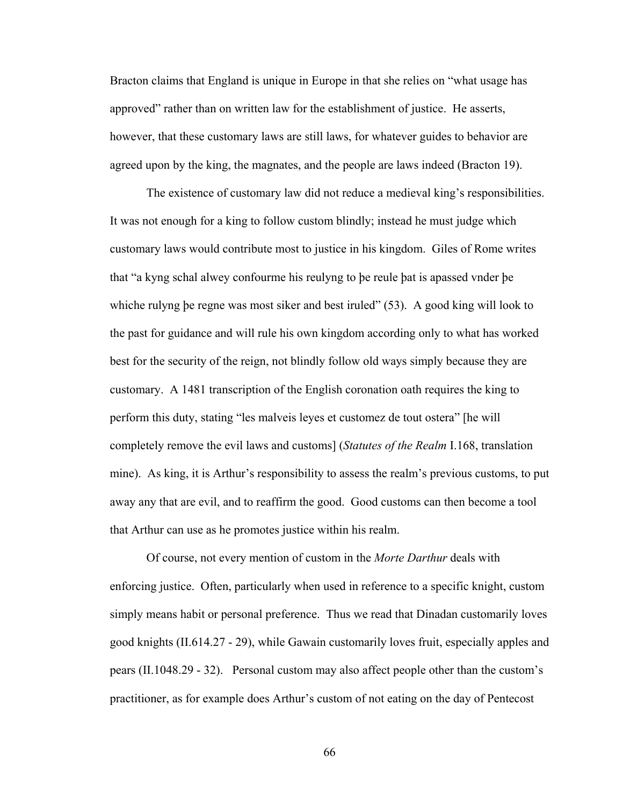Bracton claims that England is unique in Europe in that she relies on "what usage has approved" rather than on written law for the establishment of justice. He asserts, however, that these customary laws are still laws, for whatever guides to behavior are agreed upon by the king, the magnates, and the people are laws indeed (Bracton 19).

The existence of customary law did not reduce a medieval king's responsibilities. It was not enough for a king to follow custom blindly; instead he must judge which customary laws would contribute most to justice in his kingdom. Giles of Rome writes that "a kyng schal alwey confourme his reulyng to þe reule þat is apassed vnder þe whiche rulyng be regne was most siker and best iruled" (53). A good king will look to the past for guidance and will rule his own kingdom according only to what has worked best for the security of the reign, not blindly follow old ways simply because they are customary. A 1481 transcription of the English coronation oath requires the king to perform this duty, stating "les malveis leyes et customez de tout ostera" [he will completely remove the evil laws and customs] (*Statutes of the Realm* I.168, translation mine). As king, it is Arthur's responsibility to assess the realm's previous customs, to put away any that are evil, and to reaffirm the good. Good customs can then become a tool that Arthur can use as he promotes justice within his realm.

Of course, not every mention of custom in the *Morte Darthur* deals with enforcing justice. Often, particularly when used in reference to a specific knight, custom simply means habit or personal preference. Thus we read that Dinadan customarily loves good knights (II.614.27 - 29), while Gawain customarily loves fruit, especially apples and pears (II.1048.29 - 32). Personal custom may also affect people other than the custom's practitioner, as for example does Arthur's custom of not eating on the day of Pentecost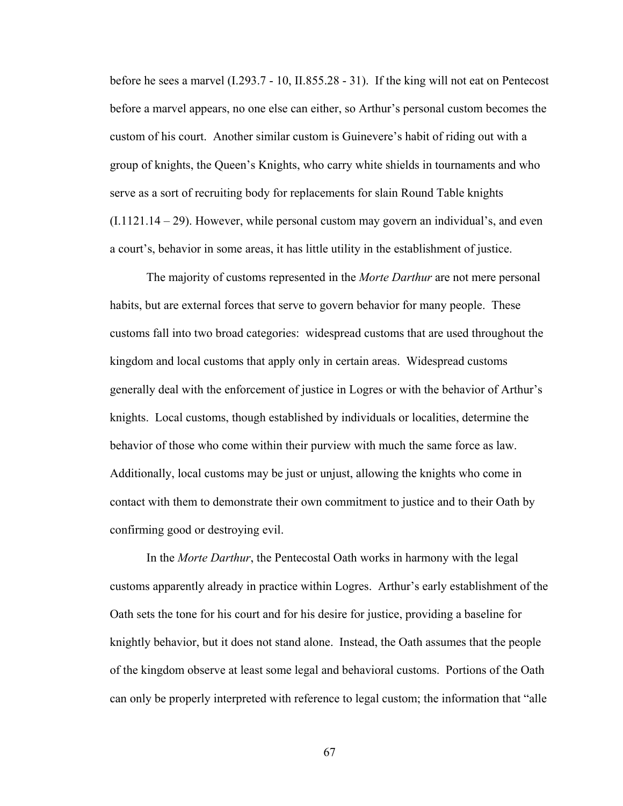before he sees a marvel (I.293.7 - 10, II.855.28 - 31). If the king will not eat on Pentecost before a marvel appears, no one else can either, so Arthur's personal custom becomes the custom of his court. Another similar custom is Guinevere's habit of riding out with a group of knights, the Queen's Knights, who carry white shields in tournaments and who serve as a sort of recruiting body for replacements for slain Round Table knights  $(I.1121.14 - 29)$ . However, while personal custom may govern an individual's, and even a court's, behavior in some areas, it has little utility in the establishment of justice.

The majority of customs represented in the *Morte Darthur* are not mere personal habits, but are external forces that serve to govern behavior for many people. These customs fall into two broad categories: widespread customs that are used throughout the kingdom and local customs that apply only in certain areas. Widespread customs generally deal with the enforcement of justice in Logres or with the behavior of Arthur's knights. Local customs, though established by individuals or localities, determine the behavior of those who come within their purview with much the same force as law. Additionally, local customs may be just or unjust, allowing the knights who come in contact with them to demonstrate their own commitment to justice and to their Oath by confirming good or destroying evil.

In the *Morte Darthur*, the Pentecostal Oath works in harmony with the legal customs apparently already in practice within Logres. Arthur's early establishment of the Oath sets the tone for his court and for his desire for justice, providing a baseline for knightly behavior, but it does not stand alone. Instead, the Oath assumes that the people of the kingdom observe at least some legal and behavioral customs. Portions of the Oath can only be properly interpreted with reference to legal custom; the information that "alle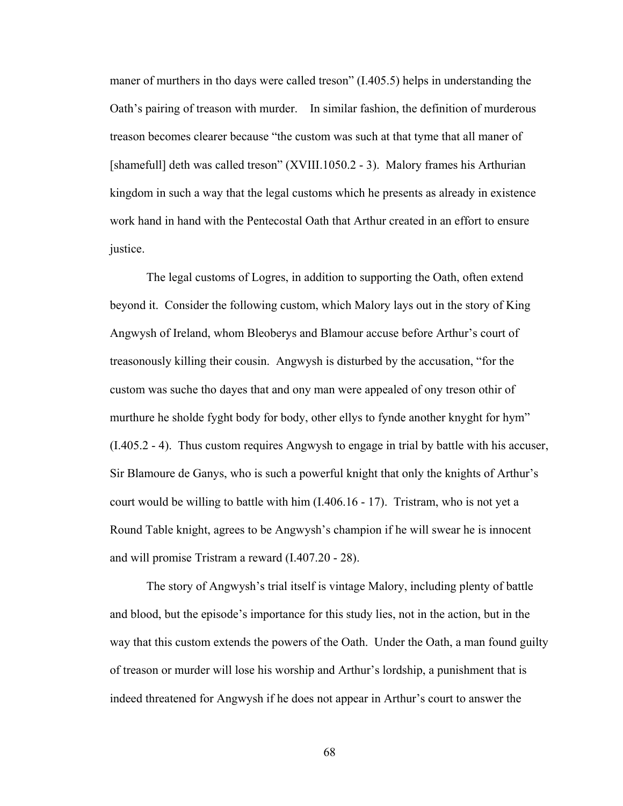maner of murthers in tho days were called treson" (I.405.5) helps in understanding the Oath's pairing of treason with murder. In similar fashion, the definition of murderous treason becomes clearer because "the custom was such at that tyme that all maner of [shamefull] deth was called treson" (XVIII.1050.2 - 3). Malory frames his Arthurian kingdom in such a way that the legal customs which he presents as already in existence work hand in hand with the Pentecostal Oath that Arthur created in an effort to ensure justice.

The legal customs of Logres, in addition to supporting the Oath, often extend beyond it. Consider the following custom, which Malory lays out in the story of King Angwysh of Ireland, whom Bleoberys and Blamour accuse before Arthur's court of treasonously killing their cousin. Angwysh is disturbed by the accusation, "for the custom was suche tho dayes that and ony man were appealed of ony treson othir of murthure he sholde fyght body for body, other ellys to fynde another knyght for hym" (I.405.2 - 4). Thus custom requires Angwysh to engage in trial by battle with his accuser, Sir Blamoure de Ganys, who is such a powerful knight that only the knights of Arthur's court would be willing to battle with him (I.406.16 - 17). Tristram, who is not yet a Round Table knight, agrees to be Angwysh's champion if he will swear he is innocent and will promise Tristram a reward (I.407.20 - 28).

The story of Angwysh's trial itself is vintage Malory, including plenty of battle and blood, but the episode's importance for this study lies, not in the action, but in the way that this custom extends the powers of the Oath. Under the Oath, a man found guilty of treason or murder will lose his worship and Arthur's lordship, a punishment that is indeed threatened for Angwysh if he does not appear in Arthur's court to answer the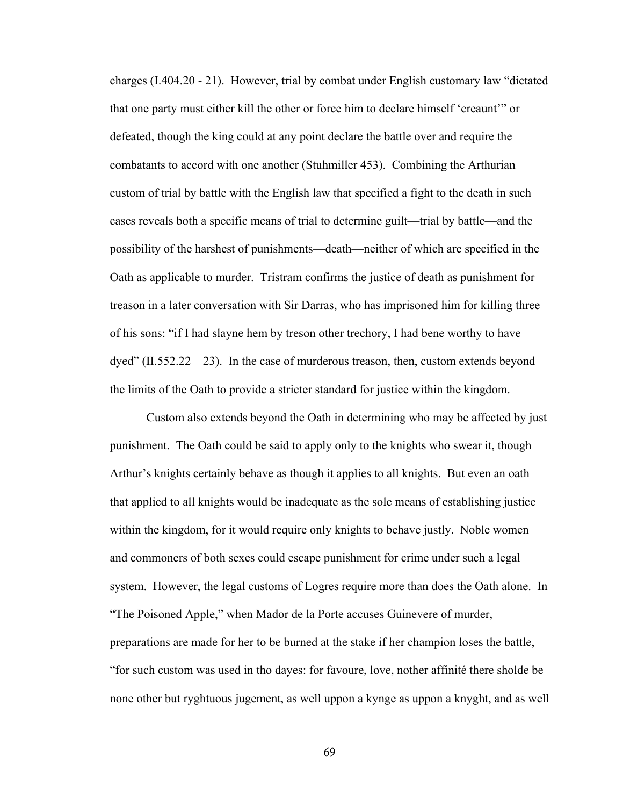charges (I.404.20 - 21). However, trial by combat under English customary law "dictated that one party must either kill the other or force him to declare himself 'creaunt'" or defeated, though the king could at any point declare the battle over and require the combatants to accord with one another (Stuhmiller 453). Combining the Arthurian custom of trial by battle with the English law that specified a fight to the death in such cases reveals both a specific means of trial to determine guilt—trial by battle—and the possibility of the harshest of punishments—death—neither of which are specified in the Oath as applicable to murder. Tristram confirms the justice of death as punishment for treason in a later conversation with Sir Darras, who has imprisoned him for killing three of his sons: "if I had slayne hem by treson other trechory, I had bene worthy to have  $d$ yed" (II.552.22 – 23). In the case of murderous treason, then, custom extends beyond the limits of the Oath to provide a stricter standard for justice within the kingdom.

Custom also extends beyond the Oath in determining who may be affected by just punishment. The Oath could be said to apply only to the knights who swear it, though Arthur's knights certainly behave as though it applies to all knights. But even an oath that applied to all knights would be inadequate as the sole means of establishing justice within the kingdom, for it would require only knights to behave justly. Noble women and commoners of both sexes could escape punishment for crime under such a legal system. However, the legal customs of Logres require more than does the Oath alone. In "The Poisoned Apple," when Mador de la Porte accuses Guinevere of murder, preparations are made for her to be burned at the stake if her champion loses the battle, "for such custom was used in tho dayes: for favoure, love, nother affinité there sholde be none other but ryghtuous jugement, as well uppon a kynge as uppon a knyght, and as well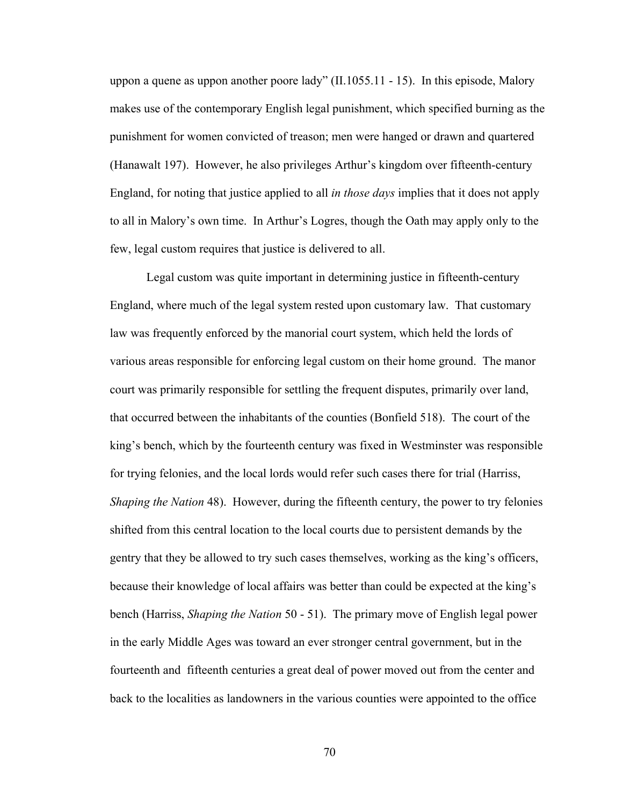uppon a quene as uppon another poore lady" (II.1055.11 - 15). In this episode, Malory makes use of the contemporary English legal punishment, which specified burning as the punishment for women convicted of treason; men were hanged or drawn and quartered (Hanawalt 197). However, he also privileges Arthur's kingdom over fifteenth-century England, for noting that justice applied to all *in those days* implies that it does not apply to all in Malory's own time. In Arthur's Logres, though the Oath may apply only to the few, legal custom requires that justice is delivered to all.

Legal custom was quite important in determining justice in fifteenth-century England, where much of the legal system rested upon customary law. That customary law was frequently enforced by the manorial court system, which held the lords of various areas responsible for enforcing legal custom on their home ground. The manor court was primarily responsible for settling the frequent disputes, primarily over land, that occurred between the inhabitants of the counties (Bonfield 518). The court of the king's bench, which by the fourteenth century was fixed in Westminster was responsible for trying felonies, and the local lords would refer such cases there for trial (Harriss, *Shaping the Nation* 48). However, during the fifteenth century, the power to try felonies shifted from this central location to the local courts due to persistent demands by the gentry that they be allowed to try such cases themselves, working as the king's officers, because their knowledge of local affairs was better than could be expected at the king's bench (Harriss, *Shaping the Nation* 50 - 51). The primary move of English legal power in the early Middle Ages was toward an ever stronger central government, but in the fourteenth and fifteenth centuries a great deal of power moved out from the center and back to the localities as landowners in the various counties were appointed to the office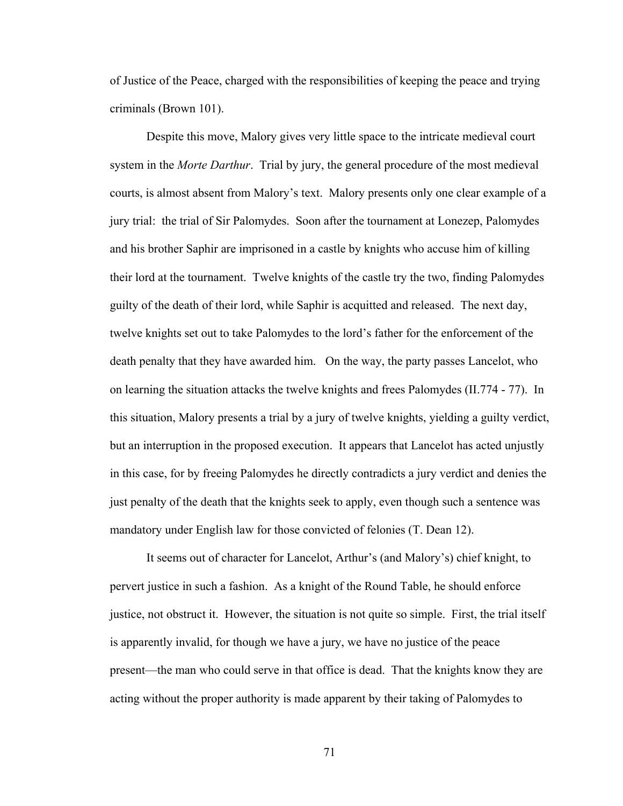of Justice of the Peace, charged with the responsibilities of keeping the peace and trying criminals (Brown 101).

Despite this move, Malory gives very little space to the intricate medieval court system in the *Morte Darthur*. Trial by jury, the general procedure of the most medieval courts, is almost absent from Malory's text. Malory presents only one clear example of a jury trial: the trial of Sir Palomydes. Soon after the tournament at Lonezep, Palomydes and his brother Saphir are imprisoned in a castle by knights who accuse him of killing their lord at the tournament. Twelve knights of the castle try the two, finding Palomydes guilty of the death of their lord, while Saphir is acquitted and released. The next day, twelve knights set out to take Palomydes to the lord's father for the enforcement of the death penalty that they have awarded him. On the way, the party passes Lancelot, who on learning the situation attacks the twelve knights and frees Palomydes (II.774 - 77). In this situation, Malory presents a trial by a jury of twelve knights, yielding a guilty verdict, but an interruption in the proposed execution. It appears that Lancelot has acted unjustly in this case, for by freeing Palomydes he directly contradicts a jury verdict and denies the just penalty of the death that the knights seek to apply, even though such a sentence was mandatory under English law for those convicted of felonies (T. Dean 12).

It seems out of character for Lancelot, Arthur's (and Malory's) chief knight, to pervert justice in such a fashion. As a knight of the Round Table, he should enforce justice, not obstruct it. However, the situation is not quite so simple. First, the trial itself is apparently invalid, for though we have a jury, we have no justice of the peace present—the man who could serve in that office is dead. That the knights know they are acting without the proper authority is made apparent by their taking of Palomydes to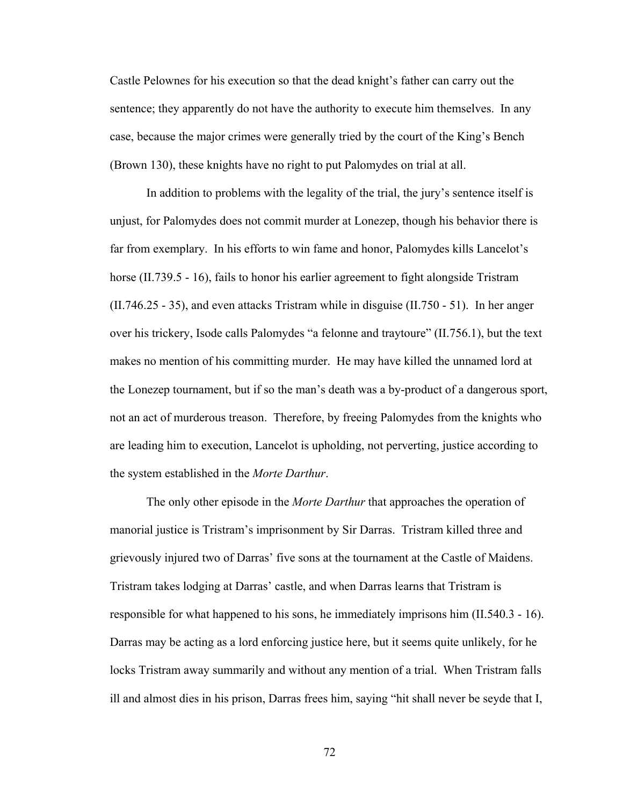Castle Pelownes for his execution so that the dead knight's father can carry out the sentence; they apparently do not have the authority to execute him themselves. In any case, because the major crimes were generally tried by the court of the King's Bench (Brown 130), these knights have no right to put Palomydes on trial at all.

In addition to problems with the legality of the trial, the jury's sentence itself is unjust, for Palomydes does not commit murder at Lonezep, though his behavior there is far from exemplary. In his efforts to win fame and honor, Palomydes kills Lancelot's horse (II.739.5 - 16), fails to honor his earlier agreement to fight alongside Tristram (II.746.25 - 35), and even attacks Tristram while in disguise (II.750 - 51). In her anger over his trickery, Isode calls Palomydes "a felonne and traytoure" (II.756.1), but the text makes no mention of his committing murder. He may have killed the unnamed lord at the Lonezep tournament, but if so the man's death was a by-product of a dangerous sport, not an act of murderous treason. Therefore, by freeing Palomydes from the knights who are leading him to execution, Lancelot is upholding, not perverting, justice according to the system established in the *Morte Darthur*.

The only other episode in the *Morte Darthur* that approaches the operation of manorial justice is Tristram's imprisonment by Sir Darras. Tristram killed three and grievously injured two of Darras' five sons at the tournament at the Castle of Maidens. Tristram takes lodging at Darras' castle, and when Darras learns that Tristram is responsible for what happened to his sons, he immediately imprisons him (II.540.3 - 16). Darras may be acting as a lord enforcing justice here, but it seems quite unlikely, for he locks Tristram away summarily and without any mention of a trial. When Tristram falls ill and almost dies in his prison, Darras frees him, saying "hit shall never be seyde that I,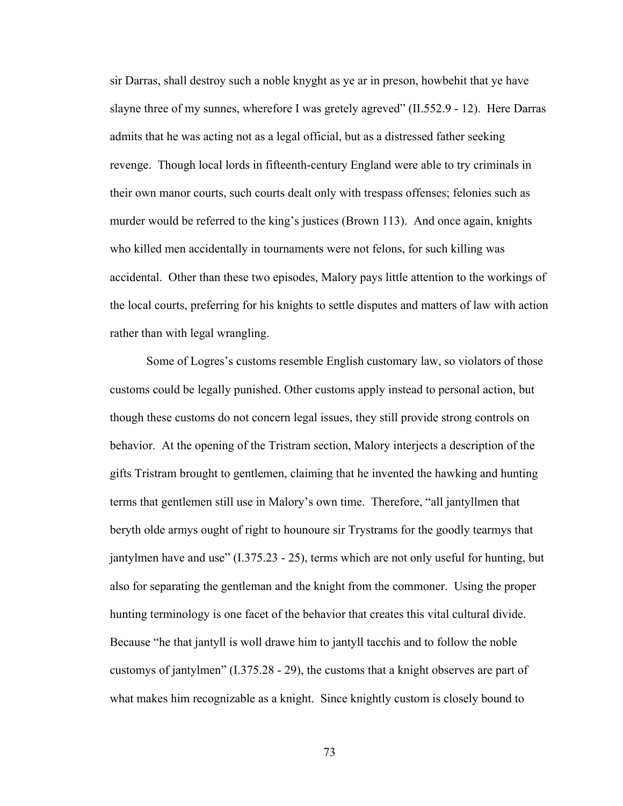sir Darras, shall destroy such a noble knyght as ye ar in preson, howbehit that ye have slayne three of my sunnes, wherefore I was gretely agreved" (II.552.9 - 12). Here Darras admits that he was acting not as a legal official, but as a distressed father seeking revenge. Though local lords in fifteenth-century England were able to try criminals in their own manor courts, such courts dealt only with trespass offenses; felonies such as murder would be referred to the king's justices (Brown 113). And once again, knights who killed men accidentally in tournaments were not felons, for such killing was accidental. Other than these two episodes, Malory pays little attention to the workings of the local courts, preferring for his knights to settle disputes and matters of law with action rather than with legal wrangling.

Some of Logres's customs resemble English customary law, so violators of those customs could be legally punished. Other customs apply instead to personal action, but though these customs do not concern legal issues, they still provide strong controls on behavior. At the opening of the Tristram section, Malory interjects a description of the gifts Tristram brought to gentlemen, claiming that he invented the hawking and hunting terms that gentlemen still use in Malory's own time. Therefore, "all jantyllmen that beryth olde armys ought of right to hounoure sir Trystrams for the goodly tearmys that jantylmen have and use" (I.375.23 - 25), terms which are not only useful for hunting, but also for separating the gentleman and the knight from the commoner. Using the proper hunting terminology is one facet of the behavior that creates this vital cultural divide. Because "he that jantyll is woll drawe him to jantyll tacchis and to follow the noble customys of jantylmen" (I.375.28 - 29), the customs that a knight observes are part of what makes him recognizable as a knight. Since knightly custom is closely bound to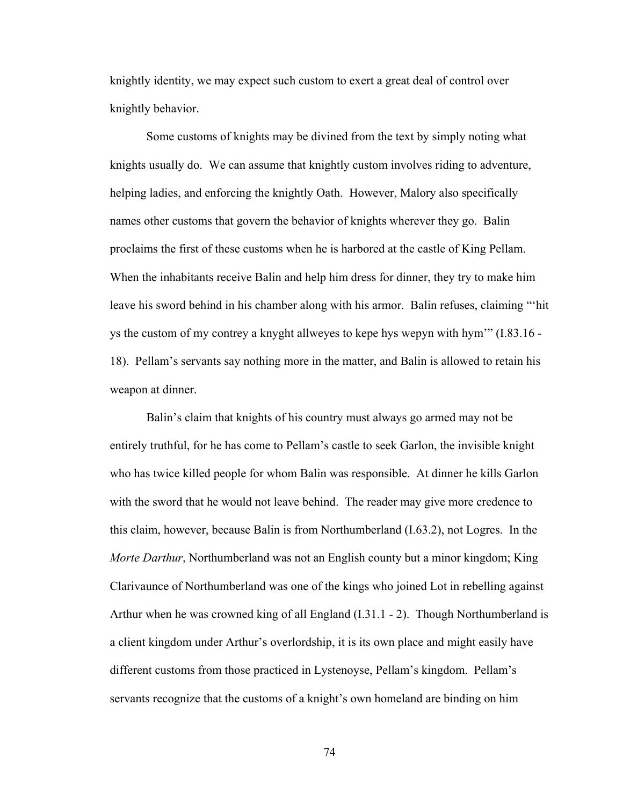knightly identity, we may expect such custom to exert a great deal of control over knightly behavior.

Some customs of knights may be divined from the text by simply noting what knights usually do. We can assume that knightly custom involves riding to adventure, helping ladies, and enforcing the knightly Oath. However, Malory also specifically names other customs that govern the behavior of knights wherever they go. Balin proclaims the first of these customs when he is harbored at the castle of King Pellam. When the inhabitants receive Balin and help him dress for dinner, they try to make him leave his sword behind in his chamber along with his armor. Balin refuses, claiming "'hit ys the custom of my contrey a knyght allweyes to kepe hys wepyn with hym'" (I.83.16 - 18). Pellam's servants say nothing more in the matter, and Balin is allowed to retain his weapon at dinner.

Balin's claim that knights of his country must always go armed may not be entirely truthful, for he has come to Pellam's castle to seek Garlon, the invisible knight who has twice killed people for whom Balin was responsible. At dinner he kills Garlon with the sword that he would not leave behind. The reader may give more credence to this claim, however, because Balin is from Northumberland (I.63.2), not Logres. In the *Morte Darthur*, Northumberland was not an English county but a minor kingdom; King Clarivaunce of Northumberland was one of the kings who joined Lot in rebelling against Arthur when he was crowned king of all England (I.31.1 - 2). Though Northumberland is a client kingdom under Arthur's overlordship, it is its own place and might easily have different customs from those practiced in Lystenoyse, Pellam's kingdom. Pellam's servants recognize that the customs of a knight's own homeland are binding on him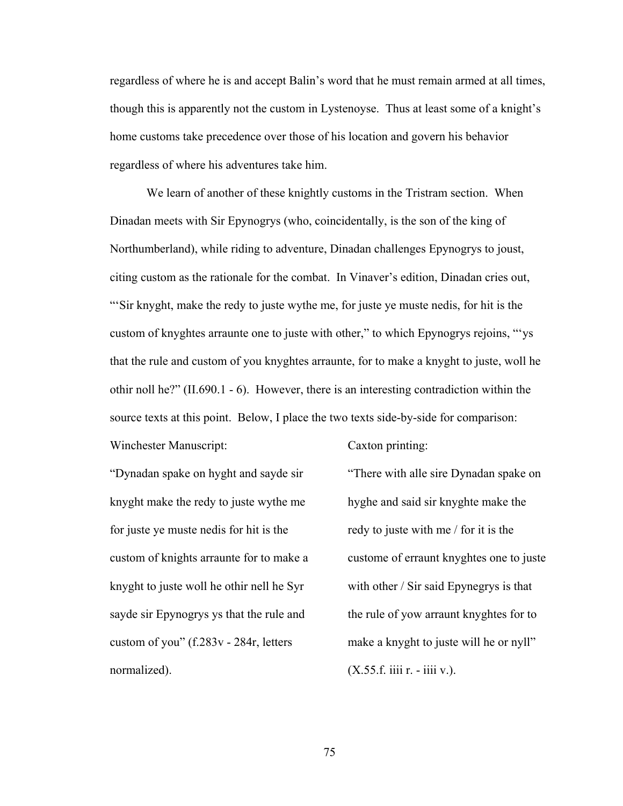regardless of where he is and accept Balin's word that he must remain armed at all times, though this is apparently not the custom in Lystenoyse. Thus at least some of a knight's home customs take precedence over those of his location and govern his behavior regardless of where his adventures take him.

We learn of another of these knightly customs in the Tristram section. When Dinadan meets with Sir Epynogrys (who, coincidentally, is the son of the king of Northumberland), while riding to adventure, Dinadan challenges Epynogrys to joust, citing custom as the rationale for the combat. In Vinaver's edition, Dinadan cries out, "'Sir knyght, make the redy to juste wythe me, for juste ye muste nedis, for hit is the custom of knyghtes arraunte one to juste with other," to which Epynogrys rejoins, "'ys that the rule and custom of you knyghtes arraunte, for to make a knyght to juste, woll he othir noll he?" (II.690.1 - 6). However, there is an interesting contradiction within the source texts at this point. Below, I place the two texts side-by-side for comparison:

"Dynadan spake on hyght and sayde sir knyght make the redy to juste wythe me for juste ye muste nedis for hit is the custom of knights arraunte for to make a knyght to juste woll he othir nell he Syr sayde sir Epynogrys ys that the rule and custom of you" (f.283v - 284r, letters normalized).

Winchester Manuscript:

Caxton printing:

"There with alle sire Dynadan spake on hyghe and said sir knyghte make the redy to juste with me / for it is the custome of erraunt knyghtes one to juste with other / Sir said Epynegrys is that the rule of yow arraunt knyghtes for to make a knyght to juste will he or nyll"  $(X.55.f.$  iiii  $r. -$  iiii v.).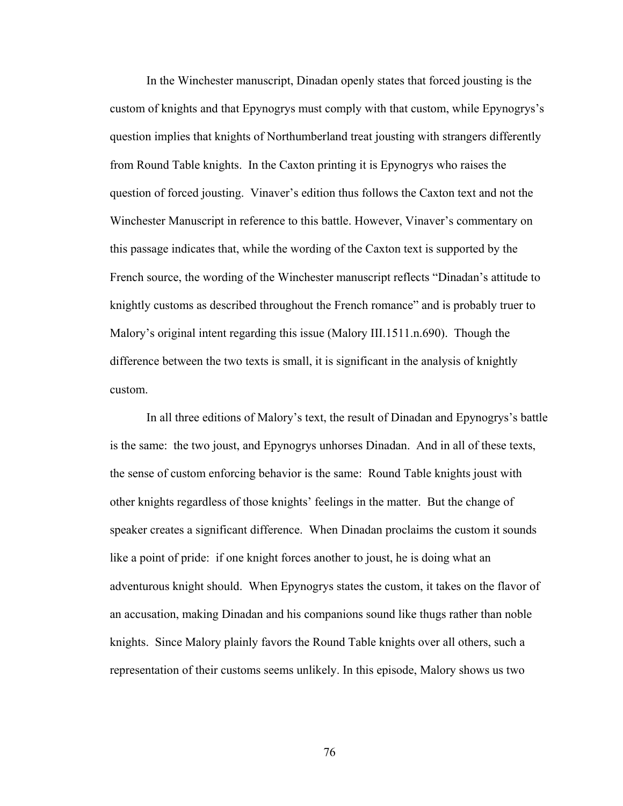In the Winchester manuscript, Dinadan openly states that forced jousting is the custom of knights and that Epynogrys must comply with that custom, while Epynogrys's question implies that knights of Northumberland treat jousting with strangers differently from Round Table knights. In the Caxton printing it is Epynogrys who raises the question of forced jousting. Vinaver's edition thus follows the Caxton text and not the Winchester Manuscript in reference to this battle. However, Vinaver's commentary on this passage indicates that, while the wording of the Caxton text is supported by the French source, the wording of the Winchester manuscript reflects "Dinadan's attitude to knightly customs as described throughout the French romance" and is probably truer to Malory's original intent regarding this issue (Malory III.1511.n.690). Though the difference between the two texts is small, it is significant in the analysis of knightly custom.

In all three editions of Malory's text, the result of Dinadan and Epynogrys's battle is the same: the two joust, and Epynogrys unhorses Dinadan. And in all of these texts, the sense of custom enforcing behavior is the same: Round Table knights joust with other knights regardless of those knights' feelings in the matter. But the change of speaker creates a significant difference. When Dinadan proclaims the custom it sounds like a point of pride: if one knight forces another to joust, he is doing what an adventurous knight should. When Epynogrys states the custom, it takes on the flavor of an accusation, making Dinadan and his companions sound like thugs rather than noble knights. Since Malory plainly favors the Round Table knights over all others, such a representation of their customs seems unlikely. In this episode, Malory shows us two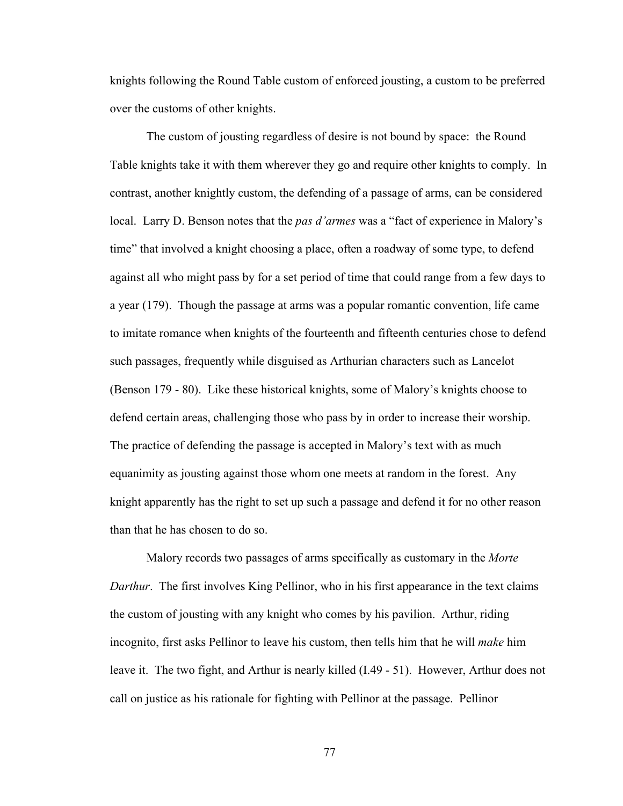knights following the Round Table custom of enforced jousting, a custom to be preferred over the customs of other knights.

The custom of jousting regardless of desire is not bound by space: the Round Table knights take it with them wherever they go and require other knights to comply. In contrast, another knightly custom, the defending of a passage of arms, can be considered local. Larry D. Benson notes that the *pas d'armes* was a "fact of experience in Malory's time" that involved a knight choosing a place, often a roadway of some type, to defend against all who might pass by for a set period of time that could range from a few days to a year (179). Though the passage at arms was a popular romantic convention, life came to imitate romance when knights of the fourteenth and fifteenth centuries chose to defend such passages, frequently while disguised as Arthurian characters such as Lancelot (Benson 179 - 80). Like these historical knights, some of Malory's knights choose to defend certain areas, challenging those who pass by in order to increase their worship. The practice of defending the passage is accepted in Malory's text with as much equanimity as jousting against those whom one meets at random in the forest. Any knight apparently has the right to set up such a passage and defend it for no other reason than that he has chosen to do so.

Malory records two passages of arms specifically as customary in the *Morte Darthur*. The first involves King Pellinor, who in his first appearance in the text claims the custom of jousting with any knight who comes by his pavilion. Arthur, riding incognito, first asks Pellinor to leave his custom, then tells him that he will *make* him leave it. The two fight, and Arthur is nearly killed (I.49 - 51). However, Arthur does not call on justice as his rationale for fighting with Pellinor at the passage. Pellinor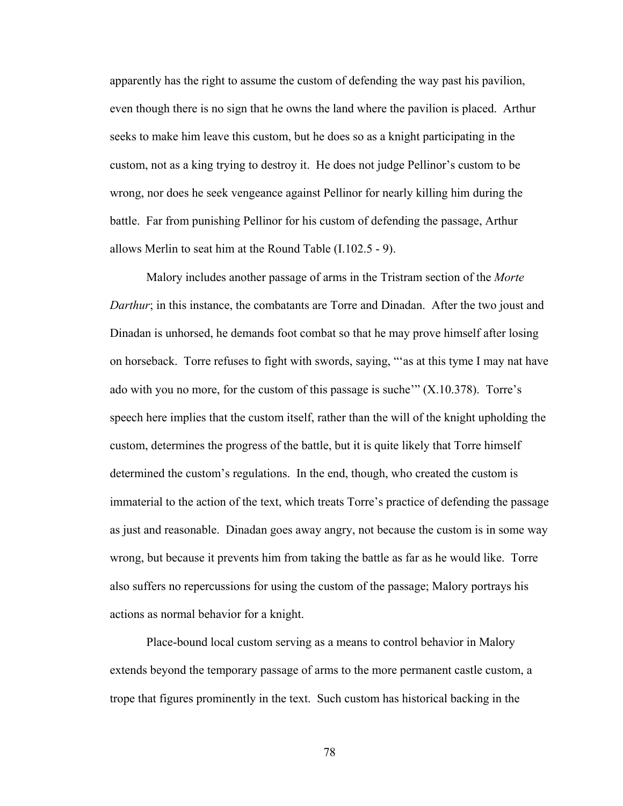apparently has the right to assume the custom of defending the way past his pavilion, even though there is no sign that he owns the land where the pavilion is placed. Arthur seeks to make him leave this custom, but he does so as a knight participating in the custom, not as a king trying to destroy it. He does not judge Pellinor's custom to be wrong, nor does he seek vengeance against Pellinor for nearly killing him during the battle. Far from punishing Pellinor for his custom of defending the passage, Arthur allows Merlin to seat him at the Round Table (I.102.5 - 9).

Malory includes another passage of arms in the Tristram section of the *Morte Darthur*; in this instance, the combatants are Torre and Dinadan. After the two joust and Dinadan is unhorsed, he demands foot combat so that he may prove himself after losing on horseback. Torre refuses to fight with swords, saying, "'as at this tyme I may nat have ado with you no more, for the custom of this passage is suche'"  $(X.10.378)$ . Torre's speech here implies that the custom itself, rather than the will of the knight upholding the custom, determines the progress of the battle, but it is quite likely that Torre himself determined the custom's regulations. In the end, though, who created the custom is immaterial to the action of the text, which treats Torre's practice of defending the passage as just and reasonable. Dinadan goes away angry, not because the custom is in some way wrong, but because it prevents him from taking the battle as far as he would like. Torre also suffers no repercussions for using the custom of the passage; Malory portrays his actions as normal behavior for a knight.

Place-bound local custom serving as a means to control behavior in Malory extends beyond the temporary passage of arms to the more permanent castle custom, a trope that figures prominently in the text. Such custom has historical backing in the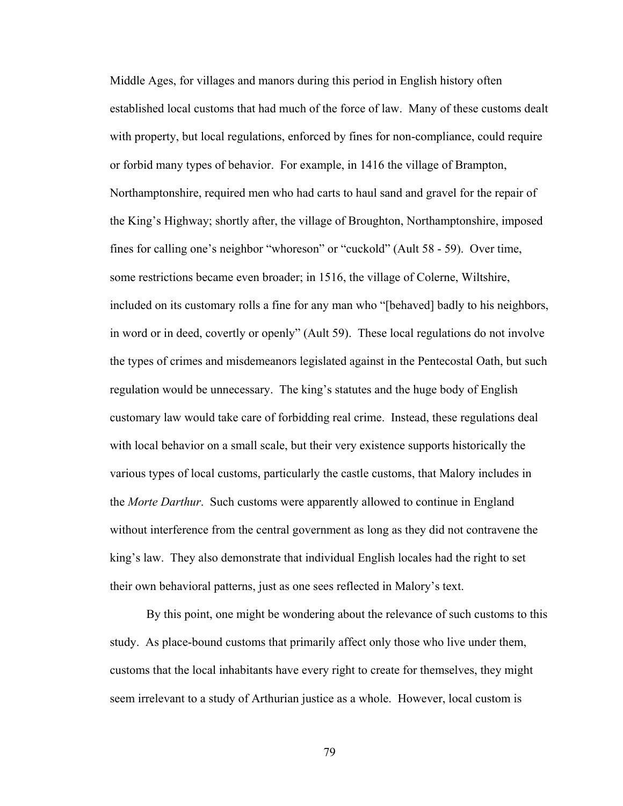Middle Ages, for villages and manors during this period in English history often established local customs that had much of the force of law. Many of these customs dealt with property, but local regulations, enforced by fines for non-compliance, could require or forbid many types of behavior. For example, in 1416 the village of Brampton, Northamptonshire, required men who had carts to haul sand and gravel for the repair of the King's Highway; shortly after, the village of Broughton, Northamptonshire, imposed fines for calling one's neighbor "whoreson" or "cuckold" (Ault 58 - 59). Over time, some restrictions became even broader; in 1516, the village of Colerne, Wiltshire, included on its customary rolls a fine for any man who "[behaved] badly to his neighbors, in word or in deed, covertly or openly" (Ault 59). These local regulations do not involve the types of crimes and misdemeanors legislated against in the Pentecostal Oath, but such regulation would be unnecessary. The king's statutes and the huge body of English customary law would take care of forbidding real crime. Instead, these regulations deal with local behavior on a small scale, but their very existence supports historically the various types of local customs, particularly the castle customs, that Malory includes in the *Morte Darthur*. Such customs were apparently allowed to continue in England without interference from the central government as long as they did not contravene the king's law. They also demonstrate that individual English locales had the right to set their own behavioral patterns, just as one sees reflected in Malory's text.

By this point, one might be wondering about the relevance of such customs to this study. As place-bound customs that primarily affect only those who live under them, customs that the local inhabitants have every right to create for themselves, they might seem irrelevant to a study of Arthurian justice as a whole. However, local custom is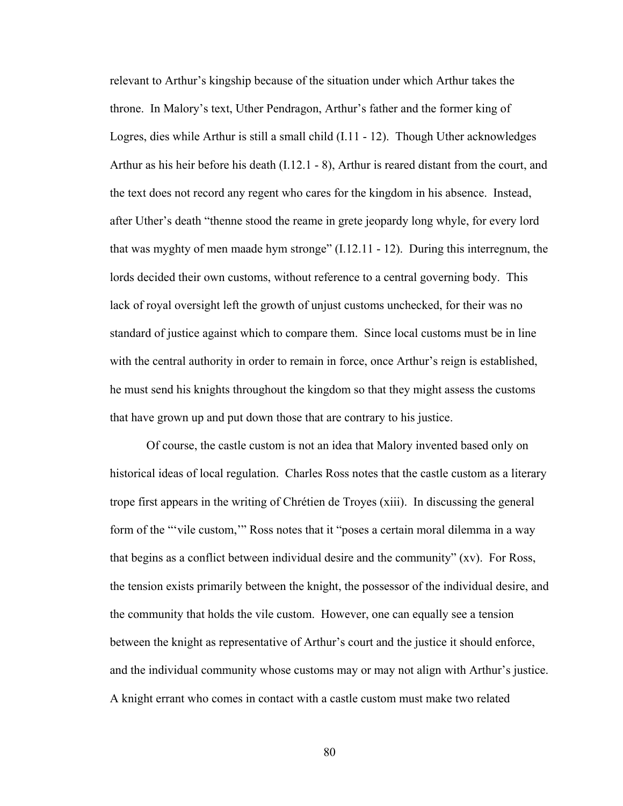relevant to Arthur's kingship because of the situation under which Arthur takes the throne. In Malory's text, Uther Pendragon, Arthur's father and the former king of Logres, dies while Arthur is still a small child (I.11 - 12). Though Uther acknowledges Arthur as his heir before his death (I.12.1 - 8), Arthur is reared distant from the court, and the text does not record any regent who cares for the kingdom in his absence. Instead, after Uther's death "thenne stood the reame in grete jeopardy long whyle, for every lord that was myghty of men maade hym stronge" (I.12.11 - 12). During this interregnum, the lords decided their own customs, without reference to a central governing body. This lack of royal oversight left the growth of unjust customs unchecked, for their was no standard of justice against which to compare them. Since local customs must be in line with the central authority in order to remain in force, once Arthur's reign is established, he must send his knights throughout the kingdom so that they might assess the customs that have grown up and put down those that are contrary to his justice.

Of course, the castle custom is not an idea that Malory invented based only on historical ideas of local regulation. Charles Ross notes that the castle custom as a literary trope first appears in the writing of Chrétien de Troyes (xiii). In discussing the general form of the "vile custom," Ross notes that it "poses a certain moral dilemma in a way that begins as a conflict between individual desire and the community" (xv). For Ross, the tension exists primarily between the knight, the possessor of the individual desire, and the community that holds the vile custom. However, one can equally see a tension between the knight as representative of Arthur's court and the justice it should enforce, and the individual community whose customs may or may not align with Arthur's justice. A knight errant who comes in contact with a castle custom must make two related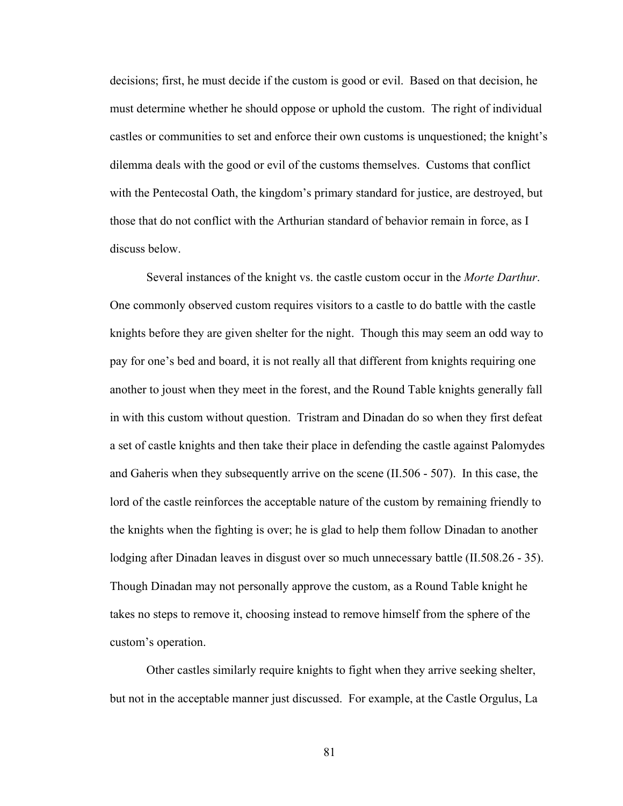decisions; first, he must decide if the custom is good or evil. Based on that decision, he must determine whether he should oppose or uphold the custom. The right of individual castles or communities to set and enforce their own customs is unquestioned; the knight's dilemma deals with the good or evil of the customs themselves. Customs that conflict with the Pentecostal Oath, the kingdom's primary standard for justice, are destroyed, but those that do not conflict with the Arthurian standard of behavior remain in force, as I discuss below.

Several instances of the knight vs. the castle custom occur in the *Morte Darthur*. One commonly observed custom requires visitors to a castle to do battle with the castle knights before they are given shelter for the night. Though this may seem an odd way to pay for one's bed and board, it is not really all that different from knights requiring one another to joust when they meet in the forest, and the Round Table knights generally fall in with this custom without question. Tristram and Dinadan do so when they first defeat a set of castle knights and then take their place in defending the castle against Palomydes and Gaheris when they subsequently arrive on the scene (II.506 - 507). In this case, the lord of the castle reinforces the acceptable nature of the custom by remaining friendly to the knights when the fighting is over; he is glad to help them follow Dinadan to another lodging after Dinadan leaves in disgust over so much unnecessary battle (II.508.26 - 35). Though Dinadan may not personally approve the custom, as a Round Table knight he takes no steps to remove it, choosing instead to remove himself from the sphere of the custom's operation.

Other castles similarly require knights to fight when they arrive seeking shelter, but not in the acceptable manner just discussed. For example, at the Castle Orgulus, La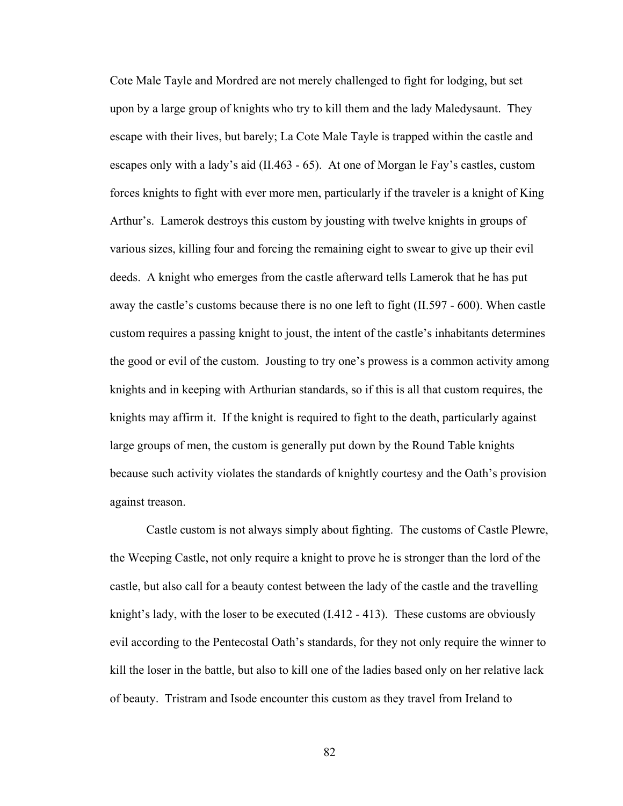Cote Male Tayle and Mordred are not merely challenged to fight for lodging, but set upon by a large group of knights who try to kill them and the lady Maledysaunt. They escape with their lives, but barely; La Cote Male Tayle is trapped within the castle and escapes only with a lady's aid (II.463 - 65). At one of Morgan le Fay's castles, custom forces knights to fight with ever more men, particularly if the traveler is a knight of King Arthur's. Lamerok destroys this custom by jousting with twelve knights in groups of various sizes, killing four and forcing the remaining eight to swear to give up their evil deeds. A knight who emerges from the castle afterward tells Lamerok that he has put away the castle's customs because there is no one left to fight (II.597 - 600). When castle custom requires a passing knight to joust, the intent of the castle's inhabitants determines the good or evil of the custom. Jousting to try one's prowess is a common activity among knights and in keeping with Arthurian standards, so if this is all that custom requires, the knights may affirm it. If the knight is required to fight to the death, particularly against large groups of men, the custom is generally put down by the Round Table knights because such activity violates the standards of knightly courtesy and the Oath's provision against treason.

Castle custom is not always simply about fighting. The customs of Castle Plewre, the Weeping Castle, not only require a knight to prove he is stronger than the lord of the castle, but also call for a beauty contest between the lady of the castle and the travelling knight's lady, with the loser to be executed (I.412 - 413). These customs are obviously evil according to the Pentecostal Oath's standards, for they not only require the winner to kill the loser in the battle, but also to kill one of the ladies based only on her relative lack of beauty. Tristram and Isode encounter this custom as they travel from Ireland to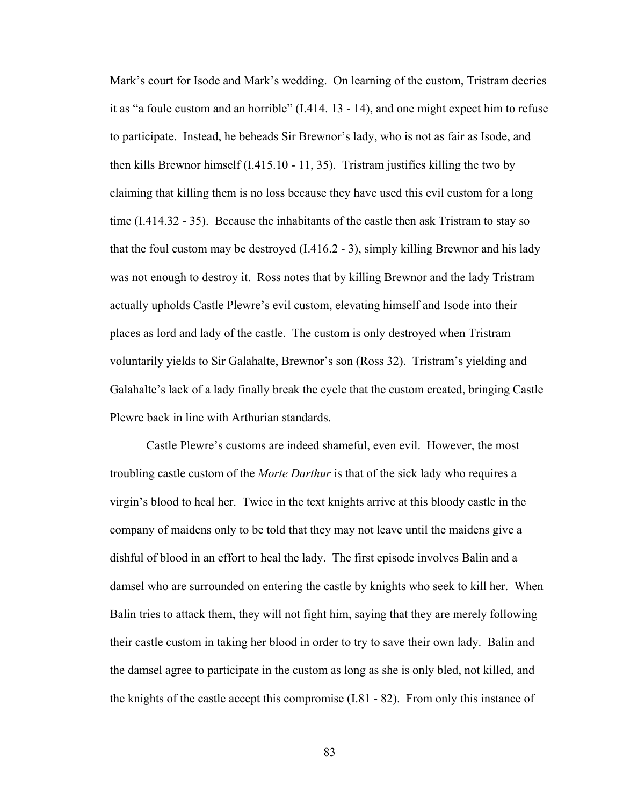Mark's court for Isode and Mark's wedding. On learning of the custom, Tristram decries it as "a foule custom and an horrible" (I.414. 13 - 14), and one might expect him to refuse to participate. Instead, he beheads Sir Brewnor's lady, who is not as fair as Isode, and then kills Brewnor himself (I.415.10 - 11, 35). Tristram justifies killing the two by claiming that killing them is no loss because they have used this evil custom for a long time (I.414.32 - 35). Because the inhabitants of the castle then ask Tristram to stay so that the foul custom may be destroyed  $(1.416.2 - 3)$ , simply killing Brewnor and his lady was not enough to destroy it. Ross notes that by killing Brewnor and the lady Tristram actually upholds Castle Plewre's evil custom, elevating himself and Isode into their places as lord and lady of the castle. The custom is only destroyed when Tristram voluntarily yields to Sir Galahalte, Brewnor's son (Ross 32). Tristram's yielding and Galahalte's lack of a lady finally break the cycle that the custom created, bringing Castle Plewre back in line with Arthurian standards.

Castle Plewre's customs are indeed shameful, even evil. However, the most troubling castle custom of the *Morte Darthur* is that of the sick lady who requires a virgin's blood to heal her. Twice in the text knights arrive at this bloody castle in the company of maidens only to be told that they may not leave until the maidens give a dishful of blood in an effort to heal the lady. The first episode involves Balin and a damsel who are surrounded on entering the castle by knights who seek to kill her. When Balin tries to attack them, they will not fight him, saying that they are merely following their castle custom in taking her blood in order to try to save their own lady. Balin and the damsel agree to participate in the custom as long as she is only bled, not killed, and the knights of the castle accept this compromise (I.81 - 82). From only this instance of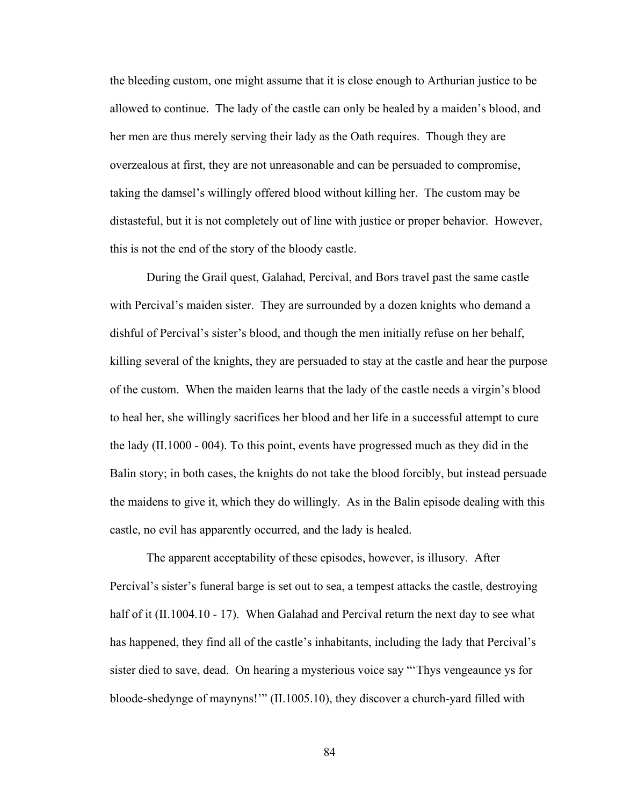the bleeding custom, one might assume that it is close enough to Arthurian justice to be allowed to continue. The lady of the castle can only be healed by a maiden's blood, and her men are thus merely serving their lady as the Oath requires. Though they are overzealous at first, they are not unreasonable and can be persuaded to compromise, taking the damsel's willingly offered blood without killing her. The custom may be distasteful, but it is not completely out of line with justice or proper behavior. However, this is not the end of the story of the bloody castle.

During the Grail quest, Galahad, Percival, and Bors travel past the same castle with Percival's maiden sister. They are surrounded by a dozen knights who demand a dishful of Percival's sister's blood, and though the men initially refuse on her behalf, killing several of the knights, they are persuaded to stay at the castle and hear the purpose of the custom. When the maiden learns that the lady of the castle needs a virgin's blood to heal her, she willingly sacrifices her blood and her life in a successful attempt to cure the lady (II.1000 - 004). To this point, events have progressed much as they did in the Balin story; in both cases, the knights do not take the blood forcibly, but instead persuade the maidens to give it, which they do willingly. As in the Balin episode dealing with this castle, no evil has apparently occurred, and the lady is healed.

The apparent acceptability of these episodes, however, is illusory. After Percival's sister's funeral barge is set out to sea, a tempest attacks the castle, destroying half of it (II.1004.10 - 17). When Galahad and Percival return the next day to see what has happened, they find all of the castle's inhabitants, including the lady that Percival's sister died to save, dead. On hearing a mysterious voice say "'Thys vengeaunce ys for bloode-shedynge of maynyns!'" (II.1005.10), they discover a church-yard filled with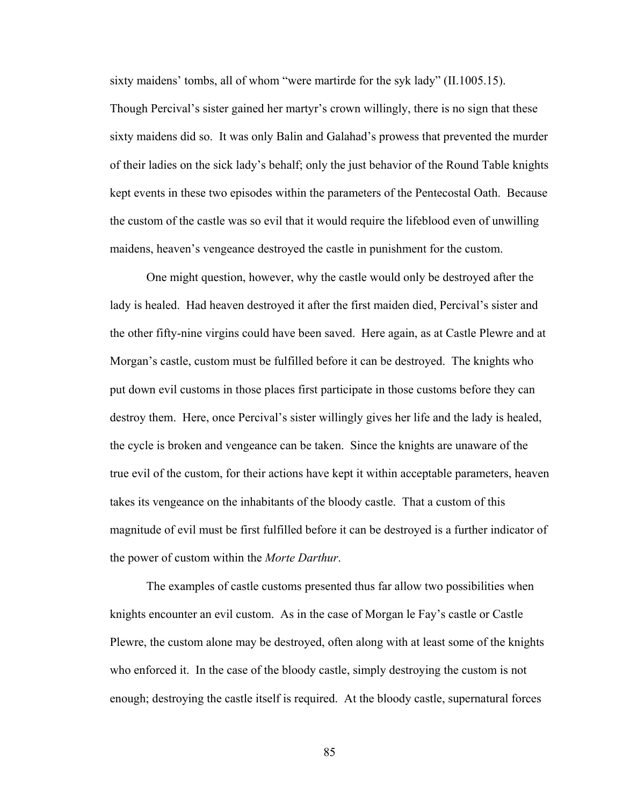sixty maidens' tombs, all of whom "were martirde for the syk lady" (II.1005.15). Though Percival's sister gained her martyr's crown willingly, there is no sign that these sixty maidens did so. It was only Balin and Galahad's prowess that prevented the murder of their ladies on the sick lady's behalf; only the just behavior of the Round Table knights kept events in these two episodes within the parameters of the Pentecostal Oath. Because the custom of the castle was so evil that it would require the lifeblood even of unwilling maidens, heaven's vengeance destroyed the castle in punishment for the custom.

One might question, however, why the castle would only be destroyed after the lady is healed. Had heaven destroyed it after the first maiden died, Percival's sister and the other fifty-nine virgins could have been saved. Here again, as at Castle Plewre and at Morgan's castle, custom must be fulfilled before it can be destroyed. The knights who put down evil customs in those places first participate in those customs before they can destroy them. Here, once Percival's sister willingly gives her life and the lady is healed, the cycle is broken and vengeance can be taken. Since the knights are unaware of the true evil of the custom, for their actions have kept it within acceptable parameters, heaven takes its vengeance on the inhabitants of the bloody castle. That a custom of this magnitude of evil must be first fulfilled before it can be destroyed is a further indicator of the power of custom within the *Morte Darthur*.

The examples of castle customs presented thus far allow two possibilities when knights encounter an evil custom. As in the case of Morgan le Fay's castle or Castle Plewre, the custom alone may be destroyed, often along with at least some of the knights who enforced it. In the case of the bloody castle, simply destroying the custom is not enough; destroying the castle itself is required. At the bloody castle, supernatural forces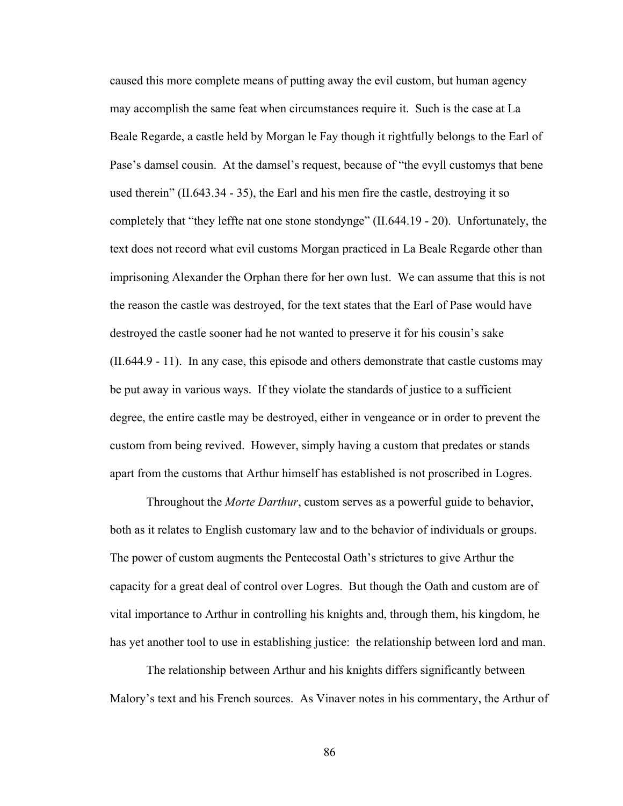caused this more complete means of putting away the evil custom, but human agency may accomplish the same feat when circumstances require it. Such is the case at La Beale Regarde, a castle held by Morgan le Fay though it rightfully belongs to the Earl of Pase's damsel cousin. At the damsel's request, because of "the evyll customys that bene used therein" (II.643.34 - 35), the Earl and his men fire the castle, destroying it so completely that "they leffte nat one stone stondynge" (II.644.19 - 20). Unfortunately, the text does not record what evil customs Morgan practiced in La Beale Regarde other than imprisoning Alexander the Orphan there for her own lust. We can assume that this is not the reason the castle was destroyed, for the text states that the Earl of Pase would have destroyed the castle sooner had he not wanted to preserve it for his cousin's sake (II.644.9 - 11). In any case, this episode and others demonstrate that castle customs may be put away in various ways. If they violate the standards of justice to a sufficient degree, the entire castle may be destroyed, either in vengeance or in order to prevent the custom from being revived. However, simply having a custom that predates or stands apart from the customs that Arthur himself has established is not proscribed in Logres.

Throughout the *Morte Darthur*, custom serves as a powerful guide to behavior, both as it relates to English customary law and to the behavior of individuals or groups. The power of custom augments the Pentecostal Oath's strictures to give Arthur the capacity for a great deal of control over Logres. But though the Oath and custom are of vital importance to Arthur in controlling his knights and, through them, his kingdom, he has yet another tool to use in establishing justice: the relationship between lord and man.

The relationship between Arthur and his knights differs significantly between Malory's text and his French sources. As Vinaver notes in his commentary, the Arthur of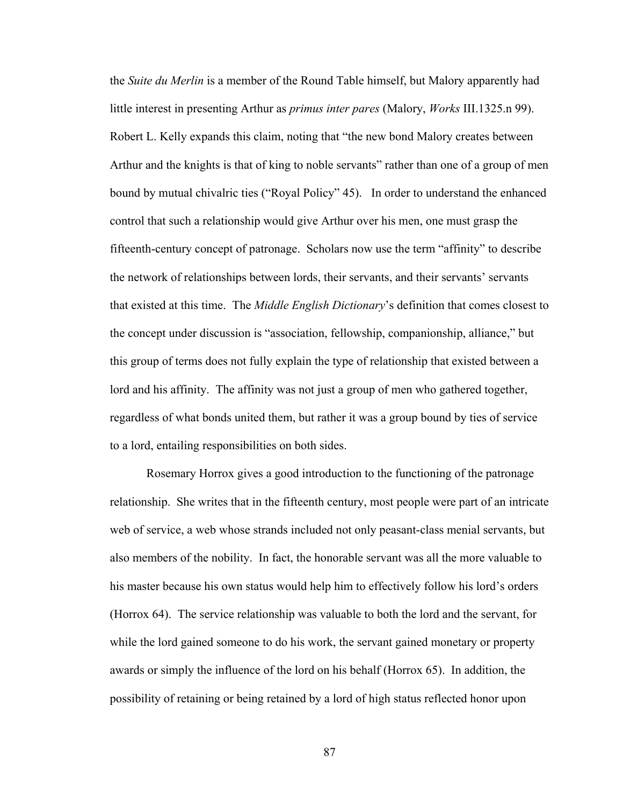the *Suite du Merlin* is a member of the Round Table himself, but Malory apparently had little interest in presenting Arthur as *primus inter pares* (Malory, *Works* III.1325.n 99). Robert L. Kelly expands this claim, noting that "the new bond Malory creates between Arthur and the knights is that of king to noble servants" rather than one of a group of men bound by mutual chivalric ties ("Royal Policy" 45). In order to understand the enhanced control that such a relationship would give Arthur over his men, one must grasp the fifteenth-century concept of patronage. Scholars now use the term "affinity" to describe the network of relationships between lords, their servants, and their servants' servants that existed at this time. The *Middle English Dictionary*'s definition that comes closest to the concept under discussion is "association, fellowship, companionship, alliance," but this group of terms does not fully explain the type of relationship that existed between a lord and his affinity. The affinity was not just a group of men who gathered together, regardless of what bonds united them, but rather it was a group bound by ties of service to a lord, entailing responsibilities on both sides.

Rosemary Horrox gives a good introduction to the functioning of the patronage relationship. She writes that in the fifteenth century, most people were part of an intricate web of service, a web whose strands included not only peasant-class menial servants, but also members of the nobility. In fact, the honorable servant was all the more valuable to his master because his own status would help him to effectively follow his lord's orders (Horrox 64). The service relationship was valuable to both the lord and the servant, for while the lord gained someone to do his work, the servant gained monetary or property awards or simply the influence of the lord on his behalf (Horrox 65). In addition, the possibility of retaining or being retained by a lord of high status reflected honor upon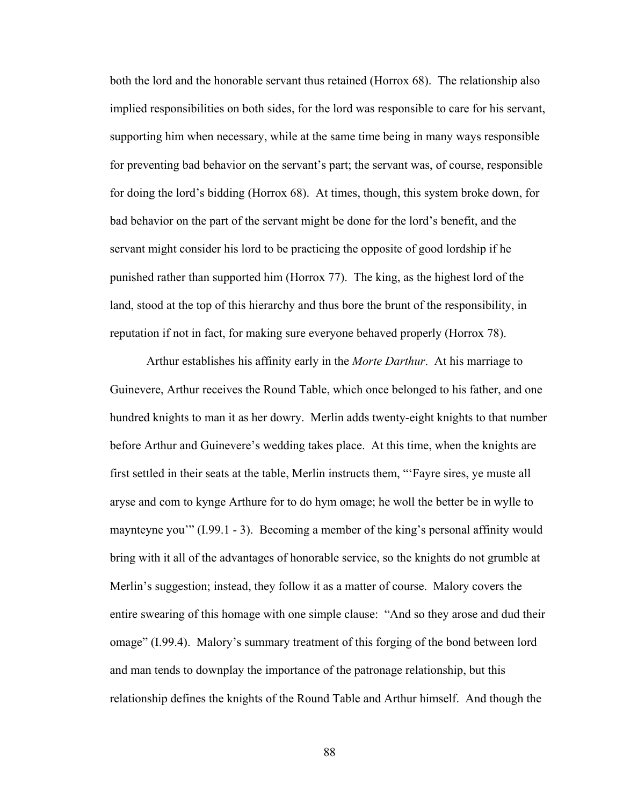both the lord and the honorable servant thus retained (Horrox 68). The relationship also implied responsibilities on both sides, for the lord was responsible to care for his servant, supporting him when necessary, while at the same time being in many ways responsible for preventing bad behavior on the servant's part; the servant was, of course, responsible for doing the lord's bidding (Horrox 68). At times, though, this system broke down, for bad behavior on the part of the servant might be done for the lord's benefit, and the servant might consider his lord to be practicing the opposite of good lordship if he punished rather than supported him (Horrox 77). The king, as the highest lord of the land, stood at the top of this hierarchy and thus bore the brunt of the responsibility, in reputation if not in fact, for making sure everyone behaved properly (Horrox 78).

Arthur establishes his affinity early in the *Morte Darthur*. At his marriage to Guinevere, Arthur receives the Round Table, which once belonged to his father, and one hundred knights to man it as her dowry. Merlin adds twenty-eight knights to that number before Arthur and Guinevere's wedding takes place. At this time, when the knights are first settled in their seats at the table, Merlin instructs them, "'Fayre sires, ye muste all aryse and com to kynge Arthure for to do hym omage; he woll the better be in wylle to maynteyne you'" (I.99.1 - 3). Becoming a member of the king's personal affinity would bring with it all of the advantages of honorable service, so the knights do not grumble at Merlin's suggestion; instead, they follow it as a matter of course. Malory covers the entire swearing of this homage with one simple clause: "And so they arose and dud their omage" (I.99.4). Malory's summary treatment of this forging of the bond between lord and man tends to downplay the importance of the patronage relationship, but this relationship defines the knights of the Round Table and Arthur himself. And though the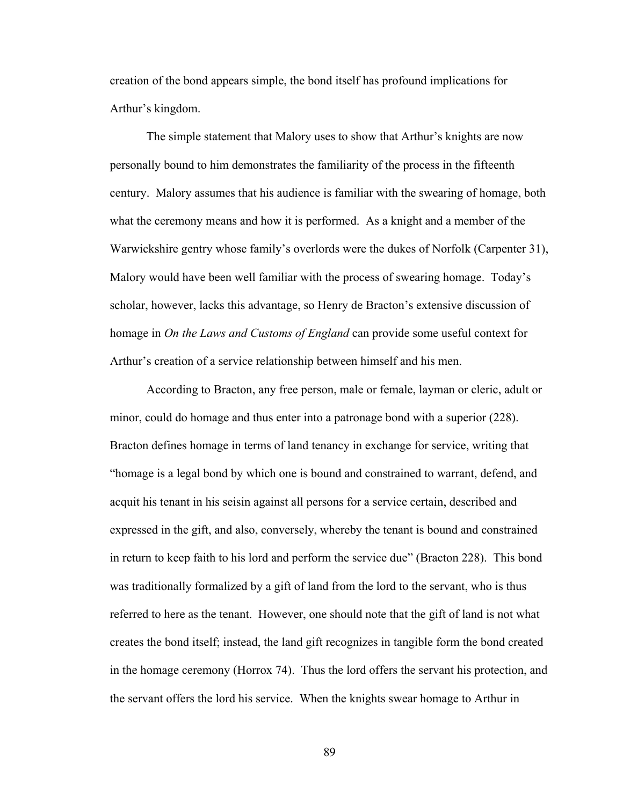creation of the bond appears simple, the bond itself has profound implications for Arthur's kingdom.

The simple statement that Malory uses to show that Arthur's knights are now personally bound to him demonstrates the familiarity of the process in the fifteenth century. Malory assumes that his audience is familiar with the swearing of homage, both what the ceremony means and how it is performed. As a knight and a member of the Warwickshire gentry whose family's overlords were the dukes of Norfolk (Carpenter 31), Malory would have been well familiar with the process of swearing homage. Today's scholar, however, lacks this advantage, so Henry de Bracton's extensive discussion of homage in *On the Laws and Customs of England* can provide some useful context for Arthur's creation of a service relationship between himself and his men.

According to Bracton, any free person, male or female, layman or cleric, adult or minor, could do homage and thus enter into a patronage bond with a superior (228). Bracton defines homage in terms of land tenancy in exchange for service, writing that "homage is a legal bond by which one is bound and constrained to warrant, defend, and acquit his tenant in his seisin against all persons for a service certain, described and expressed in the gift, and also, conversely, whereby the tenant is bound and constrained in return to keep faith to his lord and perform the service due" (Bracton 228). This bond was traditionally formalized by a gift of land from the lord to the servant, who is thus referred to here as the tenant. However, one should note that the gift of land is not what creates the bond itself; instead, the land gift recognizes in tangible form the bond created in the homage ceremony (Horrox 74). Thus the lord offers the servant his protection, and the servant offers the lord his service. When the knights swear homage to Arthur in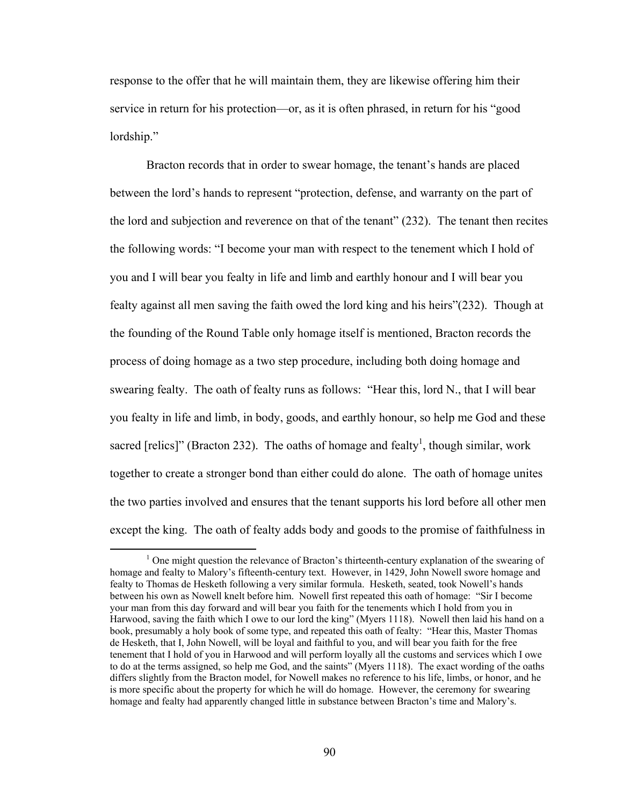response to the offer that he will maintain them, they are likewise offering him their service in return for his protection—or, as it is often phrased, in return for his "good lordship."

Bracton records that in order to swear homage, the tenant's hands are placed between the lord's hands to represent "protection, defense, and warranty on the part of the lord and subjection and reverence on that of the tenant" (232). The tenant then recites the following words: "I become your man with respect to the tenement which I hold of you and I will bear you fealty in life and limb and earthly honour and I will bear you fealty against all men saving the faith owed the lord king and his heirs"(232). Though at the founding of the Round Table only homage itself is mentioned, Bracton records the process of doing homage as a two step procedure, including both doing homage and swearing fealty. The oath of fealty runs as follows: "Hear this, lord N., that I will bear you fealty in life and limb, in body, goods, and earthly honour, so help me God and these sacred [relics]" (Bracton 232). The oaths of homage and fealty<sup>1</sup>, though similar, work together to create a stronger bond than either could do alone. The oath of homage unites the two parties involved and ensures that the tenant supports his lord before all other men except the king. The oath of fealty adds body and goods to the promise of faithfulness in

 $\frac{1}{1}$ <sup>1</sup> One might question the relevance of Bracton's thirteenth-century explanation of the swearing of homage and fealty to Malory's fifteenth-century text. However, in 1429, John Nowell swore homage and fealty to Thomas de Hesketh following a very similar formula. Hesketh, seated, took Nowell's hands between his own as Nowell knelt before him. Nowell first repeated this oath of homage: "Sir I become your man from this day forward and will bear you faith for the tenements which I hold from you in Harwood, saving the faith which I owe to our lord the king" (Myers 1118). Nowell then laid his hand on a book, presumably a holy book of some type, and repeated this oath of fealty: "Hear this, Master Thomas de Hesketh, that I, John Nowell, will be loyal and faithful to you, and will bear you faith for the free tenement that I hold of you in Harwood and will perform loyally all the customs and services which I owe to do at the terms assigned, so help me God, and the saints" (Myers 1118). The exact wording of the oaths differs slightly from the Bracton model, for Nowell makes no reference to his life, limbs, or honor, and he is more specific about the property for which he will do homage. However, the ceremony for swearing homage and fealty had apparently changed little in substance between Bracton's time and Malory's.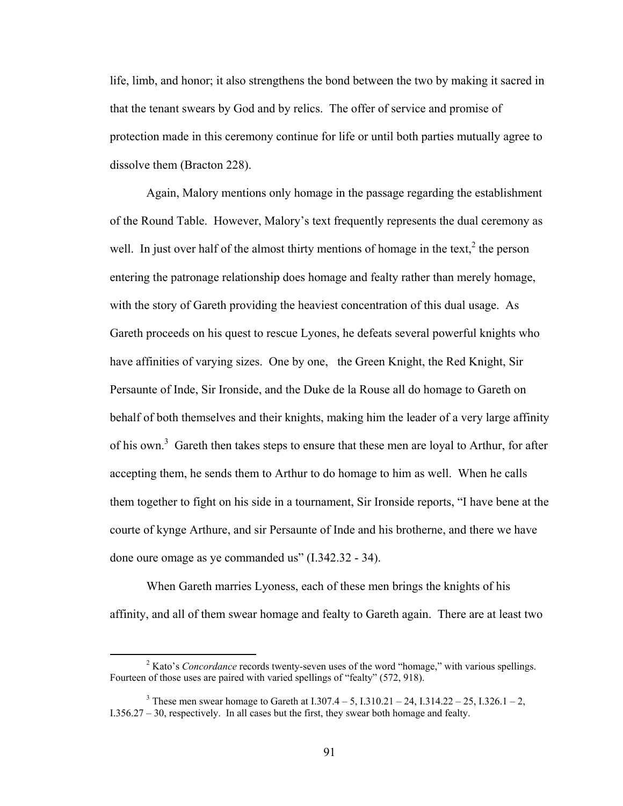life, limb, and honor; it also strengthens the bond between the two by making it sacred in that the tenant swears by God and by relics. The offer of service and promise of protection made in this ceremony continue for life or until both parties mutually agree to dissolve them (Bracton 228).

Again, Malory mentions only homage in the passage regarding the establishment of the Round Table. However, Malory's text frequently represents the dual ceremony as well. In just over half of the almost thirty mentions of homage in the text,<sup>2</sup> the person entering the patronage relationship does homage and fealty rather than merely homage, with the story of Gareth providing the heaviest concentration of this dual usage. As Gareth proceeds on his quest to rescue Lyones, he defeats several powerful knights who have affinities of varying sizes. One by one, the Green Knight, the Red Knight, Sir Persaunte of Inde, Sir Ironside, and the Duke de la Rouse all do homage to Gareth on behalf of both themselves and their knights, making him the leader of a very large affinity of his own.<sup>3</sup> Gareth then takes steps to ensure that these men are loyal to Arthur, for after accepting them, he sends them to Arthur to do homage to him as well. When he calls them together to fight on his side in a tournament, Sir Ironside reports, "I have bene at the courte of kynge Arthure, and sir Persaunte of Inde and his brotherne, and there we have done oure omage as ye commanded us" (I.342.32 - 34).

When Gareth marries Lyoness, each of these men brings the knights of his affinity, and all of them swear homage and fealty to Gareth again. There are at least two

 $\frac{1}{2}$ <sup>2</sup> Kato's *Concordance* records twenty-seven uses of the word "homage," with various spellings. Fourteen of those uses are paired with varied spellings of "fealty" (572, 918).

<sup>&</sup>lt;sup>3</sup> These men swear homage to Gareth at I.307.4 – 5, I.310.21 – 24, I.314.22 – 25, I.326.1 – 2, I.356.27 – 30, respectively. In all cases but the first, they swear both homage and fealty.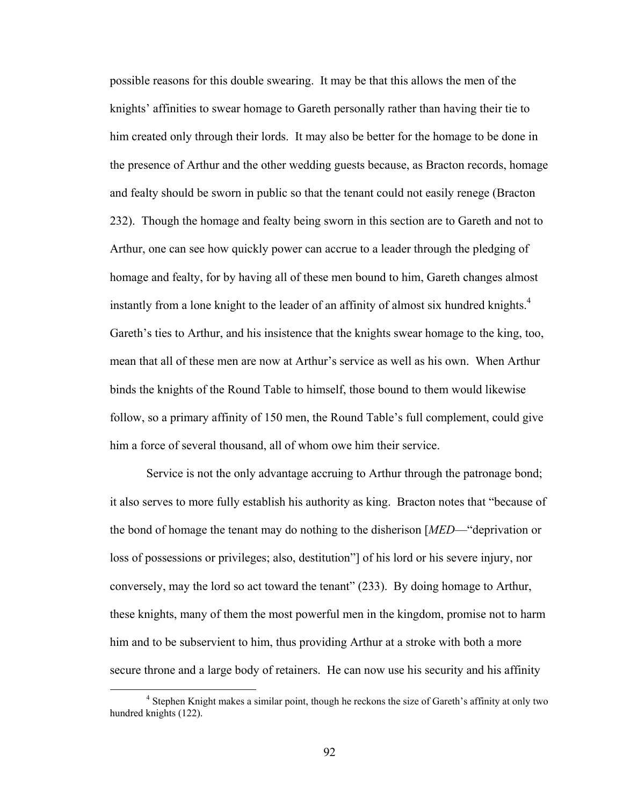possible reasons for this double swearing. It may be that this allows the men of the knights' affinities to swear homage to Gareth personally rather than having their tie to him created only through their lords. It may also be better for the homage to be done in the presence of Arthur and the other wedding guests because, as Bracton records, homage and fealty should be sworn in public so that the tenant could not easily renege (Bracton 232). Though the homage and fealty being sworn in this section are to Gareth and not to Arthur, one can see how quickly power can accrue to a leader through the pledging of homage and fealty, for by having all of these men bound to him, Gareth changes almost instantly from a lone knight to the leader of an affinity of almost six hundred knights.<sup>4</sup> Gareth's ties to Arthur, and his insistence that the knights swear homage to the king, too, mean that all of these men are now at Arthur's service as well as his own. When Arthur binds the knights of the Round Table to himself, those bound to them would likewise follow, so a primary affinity of 150 men, the Round Table's full complement, could give him a force of several thousand, all of whom owe him their service.

Service is not the only advantage accruing to Arthur through the patronage bond; it also serves to more fully establish his authority as king. Bracton notes that "because of the bond of homage the tenant may do nothing to the disherison [*MED*—"deprivation or loss of possessions or privileges; also, destitution"] of his lord or his severe injury, nor conversely, may the lord so act toward the tenant" (233). By doing homage to Arthur, these knights, many of them the most powerful men in the kingdom, promise not to harm him and to be subservient to him, thus providing Arthur at a stroke with both a more secure throne and a large body of retainers. He can now use his security and his affinity

 $\frac{1}{4}$ <sup>4</sup> Stephen Knight makes a similar point, though he reckons the size of Gareth's affinity at only two hundred knights (122).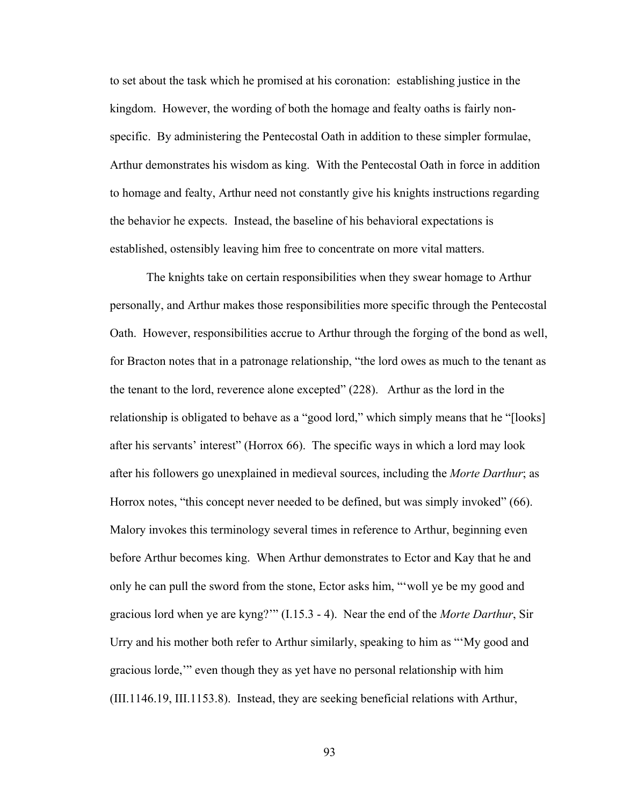to set about the task which he promised at his coronation: establishing justice in the kingdom. However, the wording of both the homage and fealty oaths is fairly nonspecific. By administering the Pentecostal Oath in addition to these simpler formulae, Arthur demonstrates his wisdom as king. With the Pentecostal Oath in force in addition to homage and fealty, Arthur need not constantly give his knights instructions regarding the behavior he expects. Instead, the baseline of his behavioral expectations is established, ostensibly leaving him free to concentrate on more vital matters.

The knights take on certain responsibilities when they swear homage to Arthur personally, and Arthur makes those responsibilities more specific through the Pentecostal Oath. However, responsibilities accrue to Arthur through the forging of the bond as well, for Bracton notes that in a patronage relationship, "the lord owes as much to the tenant as the tenant to the lord, reverence alone excepted" (228). Arthur as the lord in the relationship is obligated to behave as a "good lord," which simply means that he "[looks] after his servants' interest" (Horrox 66). The specific ways in which a lord may look after his followers go unexplained in medieval sources, including the *Morte Darthur*; as Horrox notes, "this concept never needed to be defined, but was simply invoked" (66). Malory invokes this terminology several times in reference to Arthur, beginning even before Arthur becomes king. When Arthur demonstrates to Ector and Kay that he and only he can pull the sword from the stone, Ector asks him, "'woll ye be my good and gracious lord when ye are kyng?'" (I.15.3 - 4). Near the end of the *Morte Darthur*, Sir Urry and his mother both refer to Arthur similarly, speaking to him as "'My good and gracious lorde,'" even though they as yet have no personal relationship with him (III.1146.19, III.1153.8). Instead, they are seeking beneficial relations with Arthur,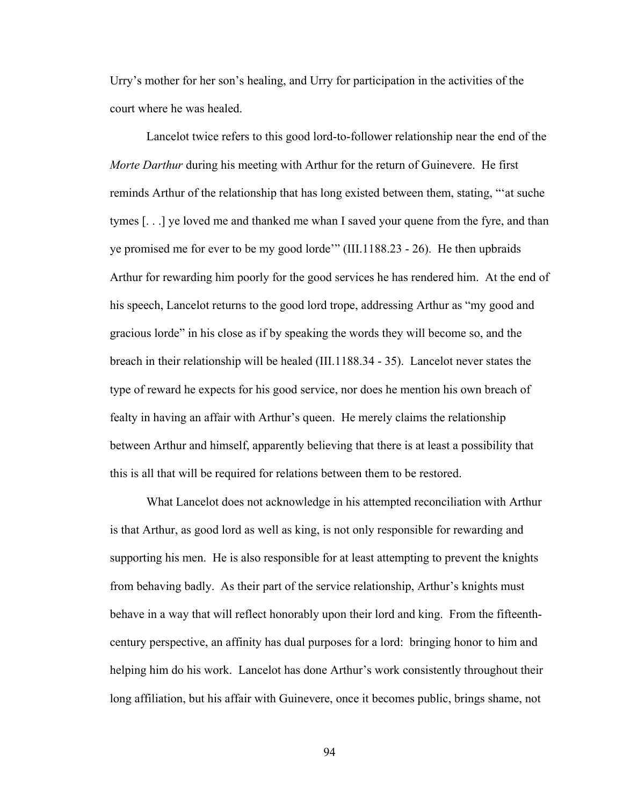Urry's mother for her son's healing, and Urry for participation in the activities of the court where he was healed.

Lancelot twice refers to this good lord-to-follower relationship near the end of the *Morte Darthur* during his meeting with Arthur for the return of Guinevere. He first reminds Arthur of the relationship that has long existed between them, stating, "'at suche tymes [. . .] ye loved me and thanked me whan I saved your quene from the fyre, and than ye promised me for ever to be my good lorde'" (III.1188.23 - 26). He then upbraids Arthur for rewarding him poorly for the good services he has rendered him. At the end of his speech, Lancelot returns to the good lord trope, addressing Arthur as "my good and gracious lorde" in his close as if by speaking the words they will become so, and the breach in their relationship will be healed (III.1188.34 - 35). Lancelot never states the type of reward he expects for his good service, nor does he mention his own breach of fealty in having an affair with Arthur's queen. He merely claims the relationship between Arthur and himself, apparently believing that there is at least a possibility that this is all that will be required for relations between them to be restored.

What Lancelot does not acknowledge in his attempted reconciliation with Arthur is that Arthur, as good lord as well as king, is not only responsible for rewarding and supporting his men. He is also responsible for at least attempting to prevent the knights from behaving badly. As their part of the service relationship, Arthur's knights must behave in a way that will reflect honorably upon their lord and king. From the fifteenthcentury perspective, an affinity has dual purposes for a lord: bringing honor to him and helping him do his work. Lancelot has done Arthur's work consistently throughout their long affiliation, but his affair with Guinevere, once it becomes public, brings shame, not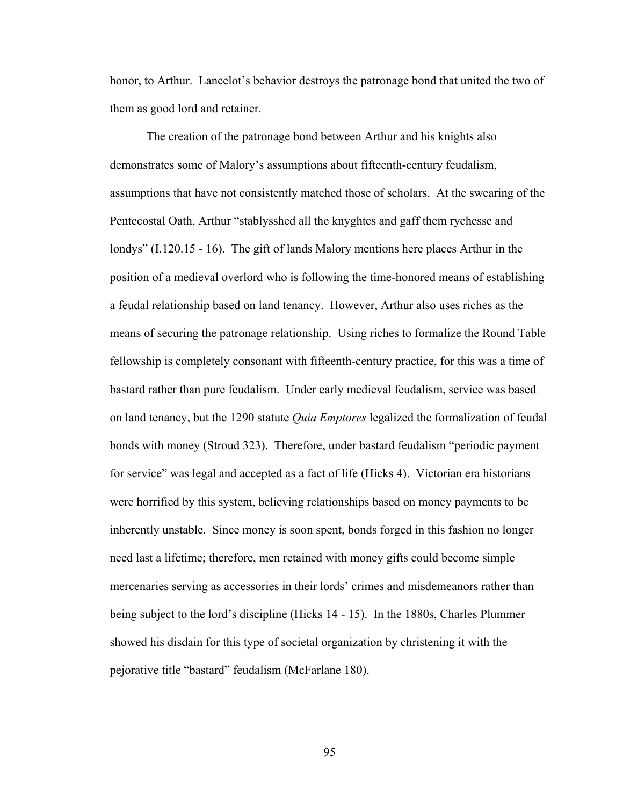honor, to Arthur. Lancelot's behavior destroys the patronage bond that united the two of them as good lord and retainer.

The creation of the patronage bond between Arthur and his knights also demonstrates some of Malory's assumptions about fifteenth-century feudalism, assumptions that have not consistently matched those of scholars. At the swearing of the Pentecostal Oath, Arthur "stablysshed all the knyghtes and gaff them rychesse and londys" (I.120.15 - 16). The gift of lands Malory mentions here places Arthur in the position of a medieval overlord who is following the time-honored means of establishing a feudal relationship based on land tenancy. However, Arthur also uses riches as the means of securing the patronage relationship. Using riches to formalize the Round Table fellowship is completely consonant with fifteenth-century practice, for this was a time of bastard rather than pure feudalism. Under early medieval feudalism, service was based on land tenancy, but the 1290 statute *Quia Emptores* legalized the formalization of feudal bonds with money (Stroud 323). Therefore, under bastard feudalism "periodic payment for service" was legal and accepted as a fact of life (Hicks 4). Victorian era historians were horrified by this system, believing relationships based on money payments to be inherently unstable. Since money is soon spent, bonds forged in this fashion no longer need last a lifetime; therefore, men retained with money gifts could become simple mercenaries serving as accessories in their lords' crimes and misdemeanors rather than being subject to the lord's discipline (Hicks 14 - 15). In the 1880s, Charles Plummer showed his disdain for this type of societal organization by christening it with the pejorative title "bastard" feudalism (McFarlane 180).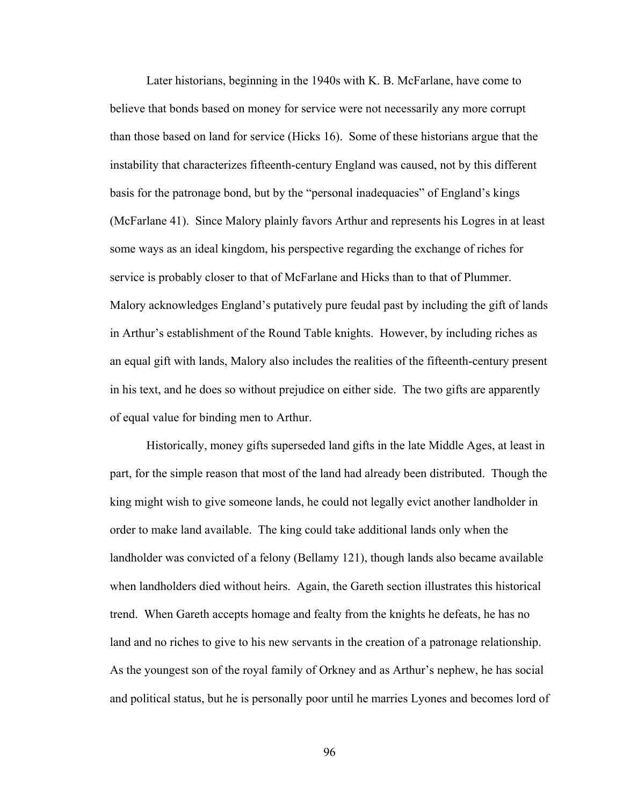Later historians, beginning in the 1940s with K. B. McFarlane, have come to believe that bonds based on money for service were not necessarily any more corrupt than those based on land for service (Hicks 16). Some of these historians argue that the instability that characterizes fifteenth-century England was caused, not by this different basis for the patronage bond, but by the "personal inadequacies" of England's kings (McFarlane 41). Since Malory plainly favors Arthur and represents his Logres in at least some ways as an ideal kingdom, his perspective regarding the exchange of riches for service is probably closer to that of McFarlane and Hicks than to that of Plummer. Malory acknowledges England's putatively pure feudal past by including the gift of lands in Arthur's establishment of the Round Table knights. However, by including riches as an equal gift with lands, Malory also includes the realities of the fifteenth-century present in his text, and he does so without prejudice on either side. The two gifts are apparently of equal value for binding men to Arthur.

Historically, money gifts superseded land gifts in the late Middle Ages, at least in part, for the simple reason that most of the land had already been distributed. Though the king might wish to give someone lands, he could not legally evict another landholder in order to make land available. The king could take additional lands only when the landholder was convicted of a felony (Bellamy 121), though lands also became available when landholders died without heirs. Again, the Gareth section illustrates this historical trend. When Gareth accepts homage and fealty from the knights he defeats, he has no land and no riches to give to his new servants in the creation of a patronage relationship. As the youngest son of the royal family of Orkney and as Arthur's nephew, he has social and political status, but he is personally poor until he marries Lyones and becomes lord of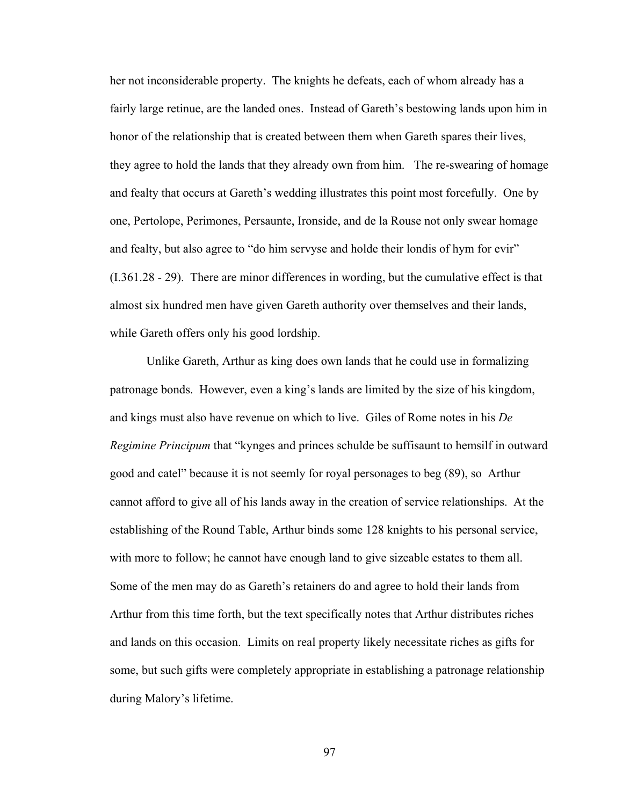her not inconsiderable property. The knights he defeats, each of whom already has a fairly large retinue, are the landed ones. Instead of Gareth's bestowing lands upon him in honor of the relationship that is created between them when Gareth spares their lives, they agree to hold the lands that they already own from him. The re-swearing of homage and fealty that occurs at Gareth's wedding illustrates this point most forcefully. One by one, Pertolope, Perimones, Persaunte, Ironside, and de la Rouse not only swear homage and fealty, but also agree to "do him servyse and holde their londis of hym for evir" (I.361.28 - 29). There are minor differences in wording, but the cumulative effect is that almost six hundred men have given Gareth authority over themselves and their lands, while Gareth offers only his good lordship.

Unlike Gareth, Arthur as king does own lands that he could use in formalizing patronage bonds. However, even a king's lands are limited by the size of his kingdom, and kings must also have revenue on which to live. Giles of Rome notes in his *De Regimine Principum* that "kynges and princes schulde be suffisaunt to hemsilf in outward good and catel" because it is not seemly for royal personages to beg (89), so Arthur cannot afford to give all of his lands away in the creation of service relationships. At the establishing of the Round Table, Arthur binds some 128 knights to his personal service, with more to follow; he cannot have enough land to give sizeable estates to them all. Some of the men may do as Gareth's retainers do and agree to hold their lands from Arthur from this time forth, but the text specifically notes that Arthur distributes riches and lands on this occasion. Limits on real property likely necessitate riches as gifts for some, but such gifts were completely appropriate in establishing a patronage relationship during Malory's lifetime.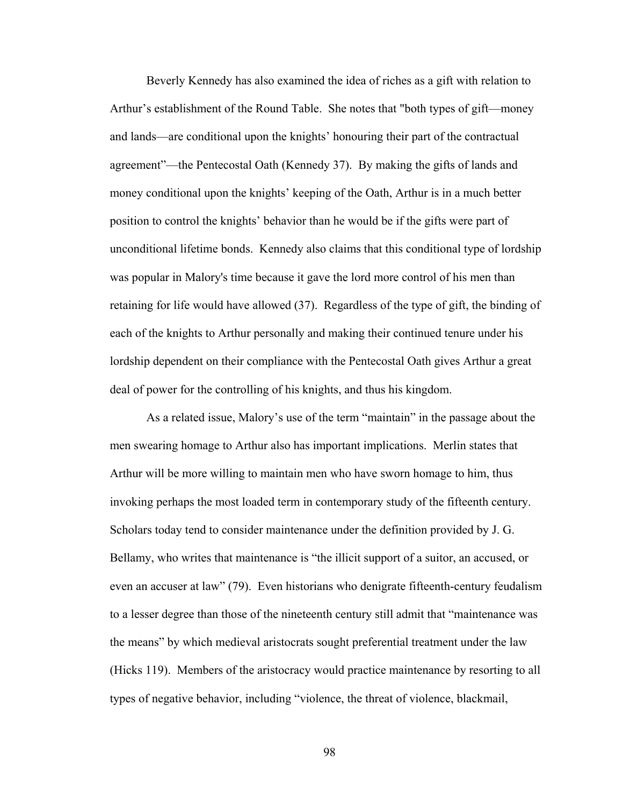Beverly Kennedy has also examined the idea of riches as a gift with relation to Arthur's establishment of the Round Table. She notes that "both types of gift—money and lands—are conditional upon the knights' honouring their part of the contractual agreement"—the Pentecostal Oath (Kennedy 37). By making the gifts of lands and money conditional upon the knights' keeping of the Oath, Arthur is in a much better position to control the knights' behavior than he would be if the gifts were part of unconditional lifetime bonds. Kennedy also claims that this conditional type of lordship was popular in Malory's time because it gave the lord more control of his men than retaining for life would have allowed (37). Regardless of the type of gift, the binding of each of the knights to Arthur personally and making their continued tenure under his lordship dependent on their compliance with the Pentecostal Oath gives Arthur a great deal of power for the controlling of his knights, and thus his kingdom.

As a related issue, Malory's use of the term "maintain" in the passage about the men swearing homage to Arthur also has important implications. Merlin states that Arthur will be more willing to maintain men who have sworn homage to him, thus invoking perhaps the most loaded term in contemporary study of the fifteenth century. Scholars today tend to consider maintenance under the definition provided by J. G. Bellamy, who writes that maintenance is "the illicit support of a suitor, an accused, or even an accuser at law" (79). Even historians who denigrate fifteenth-century feudalism to a lesser degree than those of the nineteenth century still admit that "maintenance was the means" by which medieval aristocrats sought preferential treatment under the law (Hicks 119). Members of the aristocracy would practice maintenance by resorting to all types of negative behavior, including "violence, the threat of violence, blackmail,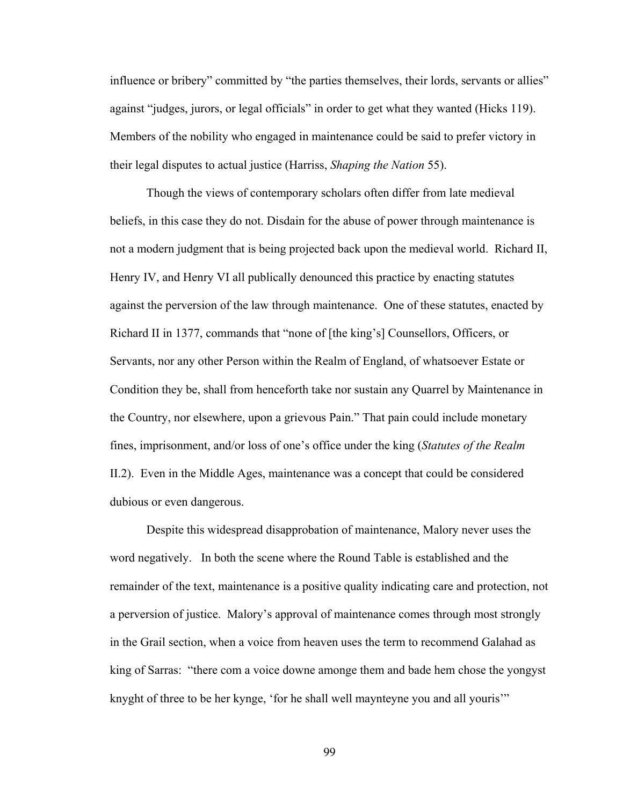influence or bribery" committed by "the parties themselves, their lords, servants or allies" against "judges, jurors, or legal officials" in order to get what they wanted (Hicks 119). Members of the nobility who engaged in maintenance could be said to prefer victory in their legal disputes to actual justice (Harriss, *Shaping the Nation* 55).

Though the views of contemporary scholars often differ from late medieval beliefs, in this case they do not. Disdain for the abuse of power through maintenance is not a modern judgment that is being projected back upon the medieval world. Richard II, Henry IV, and Henry VI all publically denounced this practice by enacting statutes against the perversion of the law through maintenance. One of these statutes, enacted by Richard II in 1377, commands that "none of [the king's] Counsellors, Officers, or Servants, nor any other Person within the Realm of England, of whatsoever Estate or Condition they be, shall from henceforth take nor sustain any Quarrel by Maintenance in the Country, nor elsewhere, upon a grievous Pain." That pain could include monetary fines, imprisonment, and/or loss of one's office under the king (*Statutes of the Realm* II.2). Even in the Middle Ages, maintenance was a concept that could be considered dubious or even dangerous.

Despite this widespread disapprobation of maintenance, Malory never uses the word negatively. In both the scene where the Round Table is established and the remainder of the text, maintenance is a positive quality indicating care and protection, not a perversion of justice. Malory's approval of maintenance comes through most strongly in the Grail section, when a voice from heaven uses the term to recommend Galahad as king of Sarras: "there com a voice downe amonge them and bade hem chose the yongyst knyght of three to be her kynge, 'for he shall well maynteyne you and all youris'"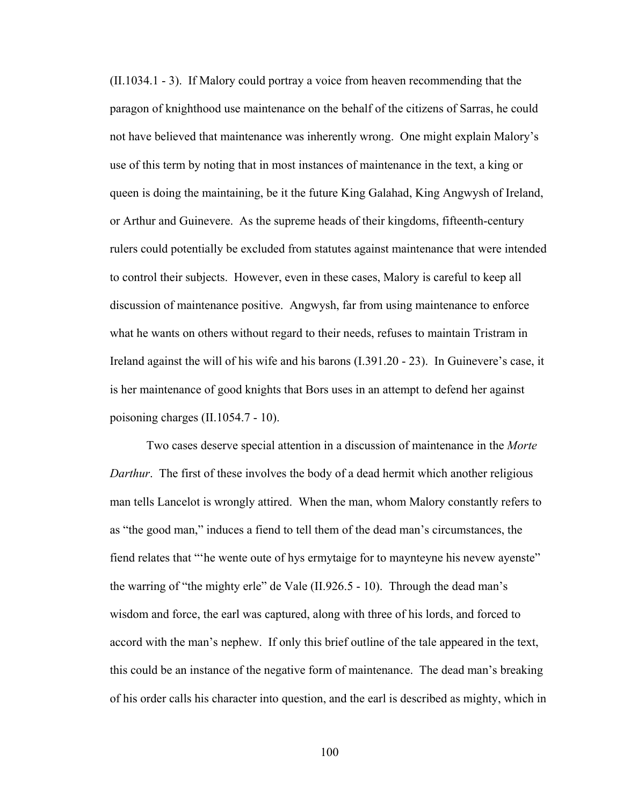(II.1034.1 - 3). If Malory could portray a voice from heaven recommending that the paragon of knighthood use maintenance on the behalf of the citizens of Sarras, he could not have believed that maintenance was inherently wrong. One might explain Malory's use of this term by noting that in most instances of maintenance in the text, a king or queen is doing the maintaining, be it the future King Galahad, King Angwysh of Ireland, or Arthur and Guinevere. As the supreme heads of their kingdoms, fifteenth-century rulers could potentially be excluded from statutes against maintenance that were intended to control their subjects. However, even in these cases, Malory is careful to keep all discussion of maintenance positive. Angwysh, far from using maintenance to enforce what he wants on others without regard to their needs, refuses to maintain Tristram in Ireland against the will of his wife and his barons (I.391.20 - 23). In Guinevere's case, it is her maintenance of good knights that Bors uses in an attempt to defend her against poisoning charges (II.1054.7 - 10).

Two cases deserve special attention in a discussion of maintenance in the *Morte Darthur*. The first of these involves the body of a dead hermit which another religious man tells Lancelot is wrongly attired. When the man, whom Malory constantly refers to as "the good man," induces a fiend to tell them of the dead man's circumstances, the fiend relates that "'he wente oute of hys ermytaige for to maynteyne his nevew ayenste" the warring of "the mighty erle" de Vale (II.926.5 - 10). Through the dead man's wisdom and force, the earl was captured, along with three of his lords, and forced to accord with the man's nephew. If only this brief outline of the tale appeared in the text, this could be an instance of the negative form of maintenance. The dead man's breaking of his order calls his character into question, and the earl is described as mighty, which in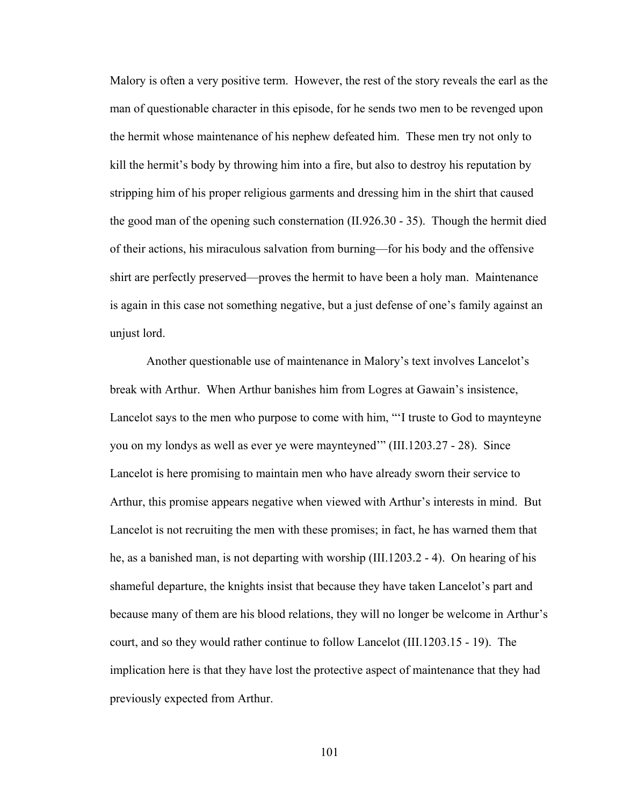Malory is often a very positive term. However, the rest of the story reveals the earl as the man of questionable character in this episode, for he sends two men to be revenged upon the hermit whose maintenance of his nephew defeated him. These men try not only to kill the hermit's body by throwing him into a fire, but also to destroy his reputation by stripping him of his proper religious garments and dressing him in the shirt that caused the good man of the opening such consternation (II.926.30 - 35). Though the hermit died of their actions, his miraculous salvation from burning—for his body and the offensive shirt are perfectly preserved—proves the hermit to have been a holy man. Maintenance is again in this case not something negative, but a just defense of one's family against an unjust lord.

Another questionable use of maintenance in Malory's text involves Lancelot's break with Arthur. When Arthur banishes him from Logres at Gawain's insistence, Lancelot says to the men who purpose to come with him, "'I truste to God to maynteyne you on my londys as well as ever ye were maynteyned'" (III.1203.27 - 28). Since Lancelot is here promising to maintain men who have already sworn their service to Arthur, this promise appears negative when viewed with Arthur's interests in mind. But Lancelot is not recruiting the men with these promises; in fact, he has warned them that he, as a banished man, is not departing with worship (III.1203.2 - 4). On hearing of his shameful departure, the knights insist that because they have taken Lancelot's part and because many of them are his blood relations, they will no longer be welcome in Arthur's court, and so they would rather continue to follow Lancelot (III.1203.15 - 19). The implication here is that they have lost the protective aspect of maintenance that they had previously expected from Arthur.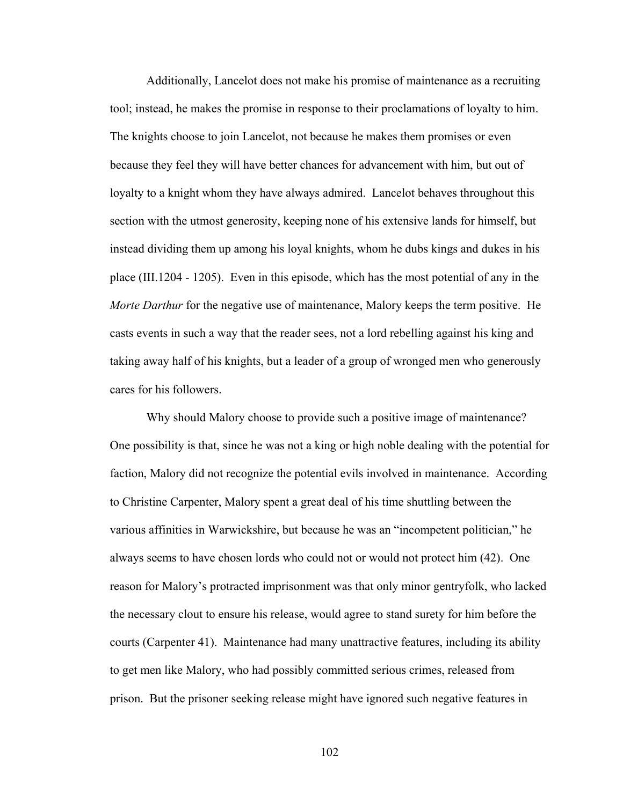Additionally, Lancelot does not make his promise of maintenance as a recruiting tool; instead, he makes the promise in response to their proclamations of loyalty to him. The knights choose to join Lancelot, not because he makes them promises or even because they feel they will have better chances for advancement with him, but out of loyalty to a knight whom they have always admired. Lancelot behaves throughout this section with the utmost generosity, keeping none of his extensive lands for himself, but instead dividing them up among his loyal knights, whom he dubs kings and dukes in his place (III.1204 - 1205). Even in this episode, which has the most potential of any in the *Morte Darthur* for the negative use of maintenance, Malory keeps the term positive. He casts events in such a way that the reader sees, not a lord rebelling against his king and taking away half of his knights, but a leader of a group of wronged men who generously cares for his followers.

Why should Malory choose to provide such a positive image of maintenance? One possibility is that, since he was not a king or high noble dealing with the potential for faction, Malory did not recognize the potential evils involved in maintenance. According to Christine Carpenter, Malory spent a great deal of his time shuttling between the various affinities in Warwickshire, but because he was an "incompetent politician," he always seems to have chosen lords who could not or would not protect him (42). One reason for Malory's protracted imprisonment was that only minor gentryfolk, who lacked the necessary clout to ensure his release, would agree to stand surety for him before the courts (Carpenter 41). Maintenance had many unattractive features, including its ability to get men like Malory, who had possibly committed serious crimes, released from prison. But the prisoner seeking release might have ignored such negative features in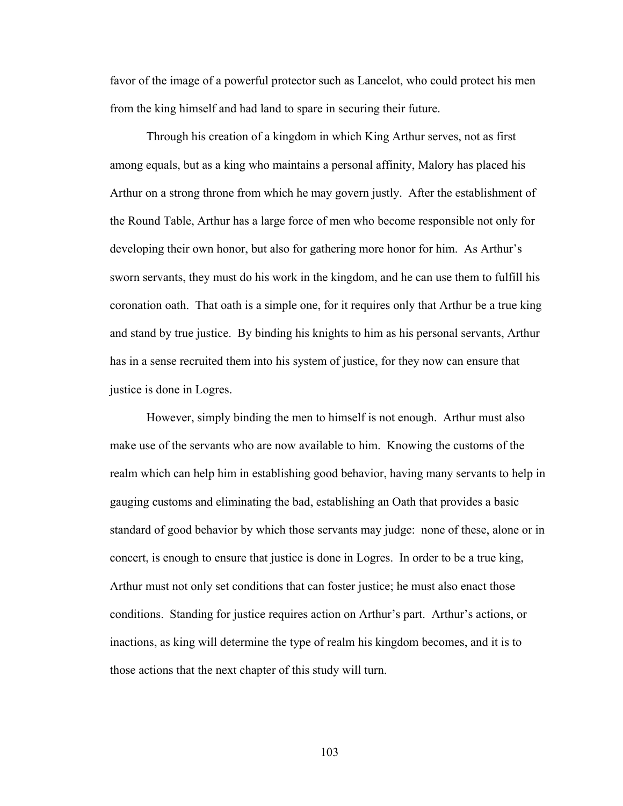favor of the image of a powerful protector such as Lancelot, who could protect his men from the king himself and had land to spare in securing their future.

Through his creation of a kingdom in which King Arthur serves, not as first among equals, but as a king who maintains a personal affinity, Malory has placed his Arthur on a strong throne from which he may govern justly. After the establishment of the Round Table, Arthur has a large force of men who become responsible not only for developing their own honor, but also for gathering more honor for him. As Arthur's sworn servants, they must do his work in the kingdom, and he can use them to fulfill his coronation oath. That oath is a simple one, for it requires only that Arthur be a true king and stand by true justice. By binding his knights to him as his personal servants, Arthur has in a sense recruited them into his system of justice, for they now can ensure that justice is done in Logres.

However, simply binding the men to himself is not enough. Arthur must also make use of the servants who are now available to him. Knowing the customs of the realm which can help him in establishing good behavior, having many servants to help in gauging customs and eliminating the bad, establishing an Oath that provides a basic standard of good behavior by which those servants may judge: none of these, alone or in concert, is enough to ensure that justice is done in Logres. In order to be a true king, Arthur must not only set conditions that can foster justice; he must also enact those conditions. Standing for justice requires action on Arthur's part. Arthur's actions, or inactions, as king will determine the type of realm his kingdom becomes, and it is to those actions that the next chapter of this study will turn.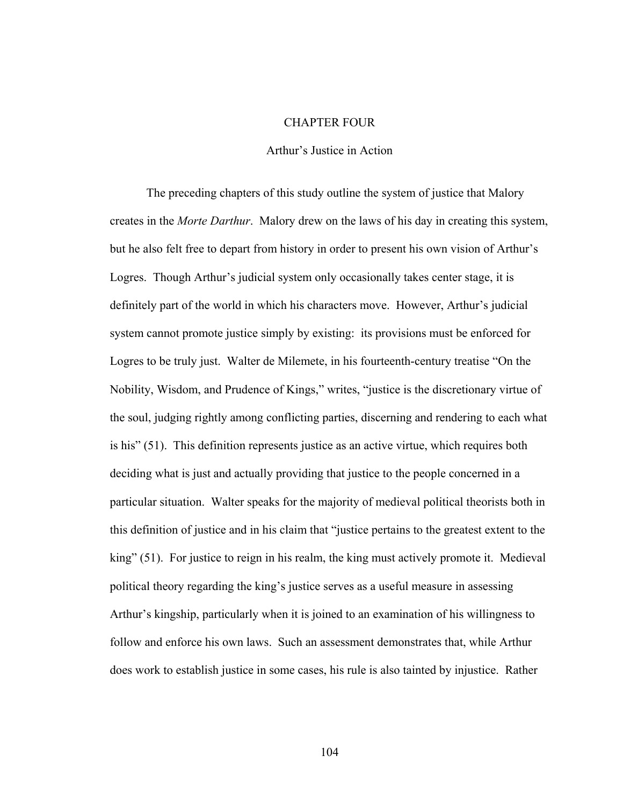## CHAPTER FOUR

## Arthur's Justice in Action

The preceding chapters of this study outline the system of justice that Malory creates in the *Morte Darthur*. Malory drew on the laws of his day in creating this system, but he also felt free to depart from history in order to present his own vision of Arthur's Logres. Though Arthur's judicial system only occasionally takes center stage, it is definitely part of the world in which his characters move. However, Arthur's judicial system cannot promote justice simply by existing: its provisions must be enforced for Logres to be truly just. Walter de Milemete, in his fourteenth-century treatise "On the Nobility, Wisdom, and Prudence of Kings," writes, "justice is the discretionary virtue of the soul, judging rightly among conflicting parties, discerning and rendering to each what is his" (51). This definition represents justice as an active virtue, which requires both deciding what is just and actually providing that justice to the people concerned in a particular situation. Walter speaks for the majority of medieval political theorists both in this definition of justice and in his claim that "justice pertains to the greatest extent to the king" (51). For justice to reign in his realm, the king must actively promote it. Medieval political theory regarding the king's justice serves as a useful measure in assessing Arthur's kingship, particularly when it is joined to an examination of his willingness to follow and enforce his own laws. Such an assessment demonstrates that, while Arthur does work to establish justice in some cases, his rule is also tainted by injustice. Rather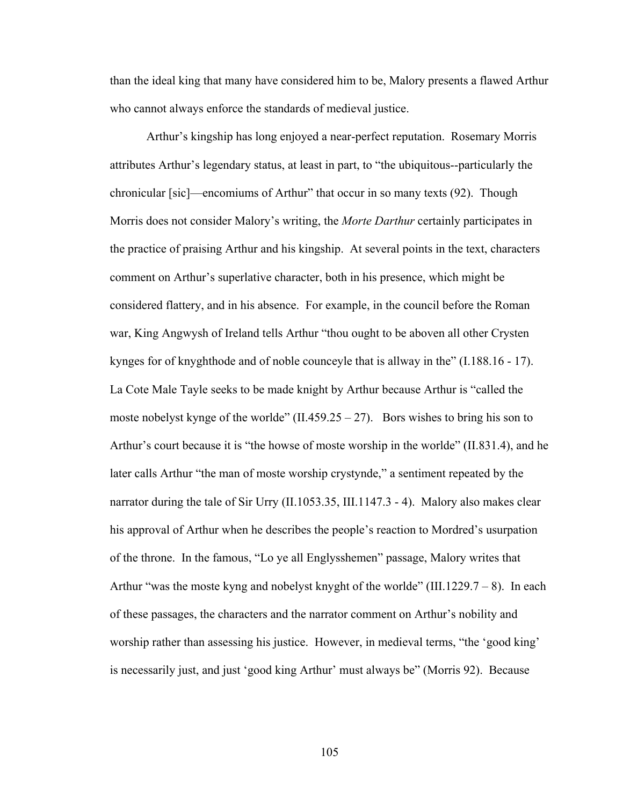than the ideal king that many have considered him to be, Malory presents a flawed Arthur who cannot always enforce the standards of medieval justice.

Arthur's kingship has long enjoyed a near-perfect reputation. Rosemary Morris attributes Arthur's legendary status, at least in part, to "the ubiquitous--particularly the chronicular [sic]—encomiums of Arthur" that occur in so many texts (92). Though Morris does not consider Malory's writing, the *Morte Darthur* certainly participates in the practice of praising Arthur and his kingship. At several points in the text, characters comment on Arthur's superlative character, both in his presence, which might be considered flattery, and in his absence. For example, in the council before the Roman war, King Angwysh of Ireland tells Arthur "thou ought to be aboven all other Crysten kynges for of knyghthode and of noble counceyle that is allway in the" (I.188.16 - 17). La Cote Male Tayle seeks to be made knight by Arthur because Arthur is "called the moste nobelyst kynge of the worlde" (II.459.25 – 27). Bors wishes to bring his son to Arthur's court because it is "the howse of moste worship in the worlde" (II.831.4), and he later calls Arthur "the man of moste worship crystynde," a sentiment repeated by the narrator during the tale of Sir Urry (II.1053.35, III.1147.3 - 4). Malory also makes clear his approval of Arthur when he describes the people's reaction to Mordred's usurpation of the throne. In the famous, "Lo ye all Englysshemen" passage, Malory writes that Arthur "was the moste kyng and nobelyst knyght of the worlde" (III.1229.7 – 8). In each of these passages, the characters and the narrator comment on Arthur's nobility and worship rather than assessing his justice. However, in medieval terms, "the 'good king' is necessarily just, and just 'good king Arthur' must always be" (Morris 92). Because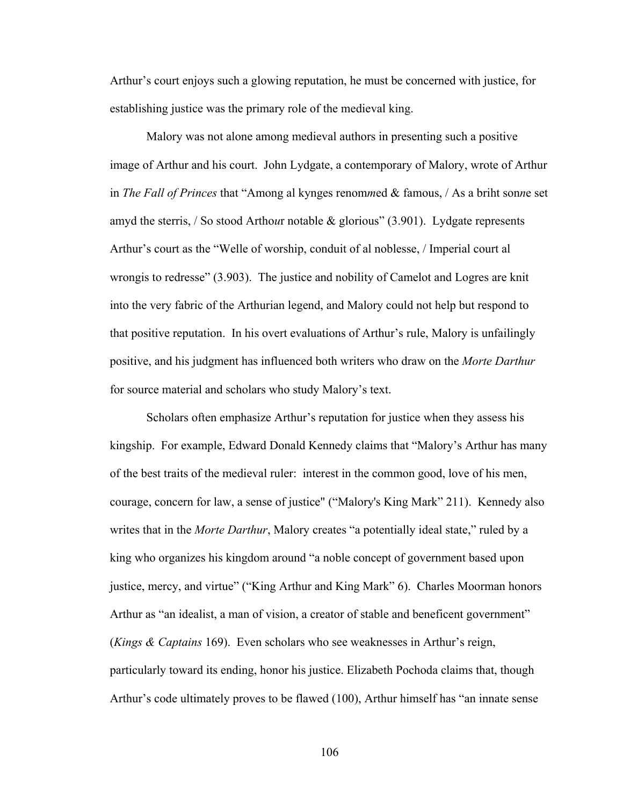Arthur's court enjoys such a glowing reputation, he must be concerned with justice, for establishing justice was the primary role of the medieval king.

Malory was not alone among medieval authors in presenting such a positive image of Arthur and his court. John Lydgate, a contemporary of Malory, wrote of Arthur in *The Fall of Princes* that "Among al kynges renom*m*ed & famous, / As a briht son*n*e set amyd the sterris, / So stood Artho*u*r notable & glorious" (3.901). Lydgate represents Arthur's court as the "Welle of worship, conduit of al noblesse, / Imperial court al wrongis to redresse" (3.903). The justice and nobility of Camelot and Logres are knit into the very fabric of the Arthurian legend, and Malory could not help but respond to that positive reputation. In his overt evaluations of Arthur's rule, Malory is unfailingly positive, and his judgment has influenced both writers who draw on the *Morte Darthur* for source material and scholars who study Malory's text.

Scholars often emphasize Arthur's reputation for justice when they assess his kingship. For example, Edward Donald Kennedy claims that "Malory's Arthur has many of the best traits of the medieval ruler: interest in the common good, love of his men, courage, concern for law, a sense of justice" ("Malory's King Mark" 211). Kennedy also writes that in the *Morte Darthur*, Malory creates "a potentially ideal state," ruled by a king who organizes his kingdom around "a noble concept of government based upon justice, mercy, and virtue" ("King Arthur and King Mark" 6). Charles Moorman honors Arthur as "an idealist, a man of vision, a creator of stable and beneficent government" (*Kings & Captains* 169). Even scholars who see weaknesses in Arthur's reign, particularly toward its ending, honor his justice. Elizabeth Pochoda claims that, though Arthur's code ultimately proves to be flawed (100), Arthur himself has "an innate sense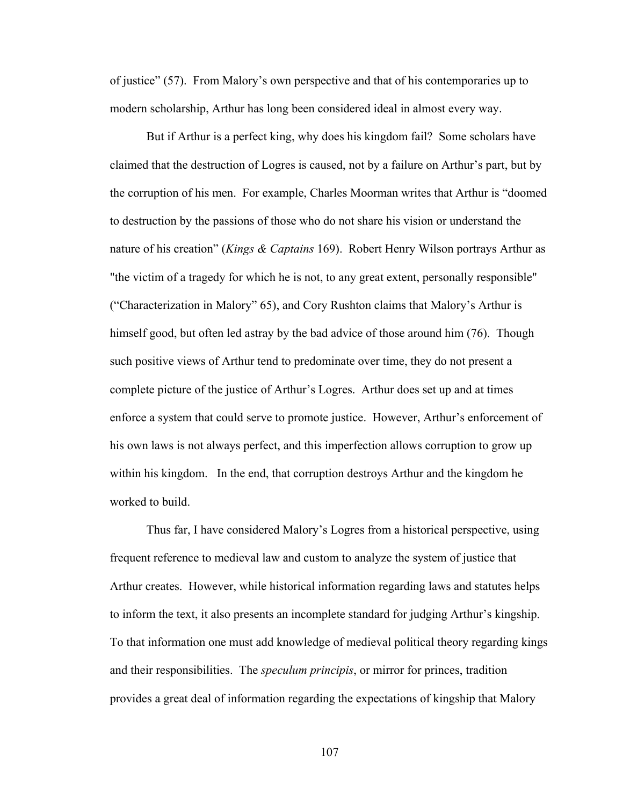of justice" (57). From Malory's own perspective and that of his contemporaries up to modern scholarship, Arthur has long been considered ideal in almost every way.

But if Arthur is a perfect king, why does his kingdom fail? Some scholars have claimed that the destruction of Logres is caused, not by a failure on Arthur's part, but by the corruption of his men. For example, Charles Moorman writes that Arthur is "doomed to destruction by the passions of those who do not share his vision or understand the nature of his creation" (*Kings & Captains* 169). Robert Henry Wilson portrays Arthur as "the victim of a tragedy for which he is not, to any great extent, personally responsible" ("Characterization in Malory" 65), and Cory Rushton claims that Malory's Arthur is himself good, but often led astray by the bad advice of those around him (76). Though such positive views of Arthur tend to predominate over time, they do not present a complete picture of the justice of Arthur's Logres. Arthur does set up and at times enforce a system that could serve to promote justice. However, Arthur's enforcement of his own laws is not always perfect, and this imperfection allows corruption to grow up within his kingdom. In the end, that corruption destroys Arthur and the kingdom he worked to build.

Thus far, I have considered Malory's Logres from a historical perspective, using frequent reference to medieval law and custom to analyze the system of justice that Arthur creates. However, while historical information regarding laws and statutes helps to inform the text, it also presents an incomplete standard for judging Arthur's kingship. To that information one must add knowledge of medieval political theory regarding kings and their responsibilities. The *speculum principis*, or mirror for princes, tradition provides a great deal of information regarding the expectations of kingship that Malory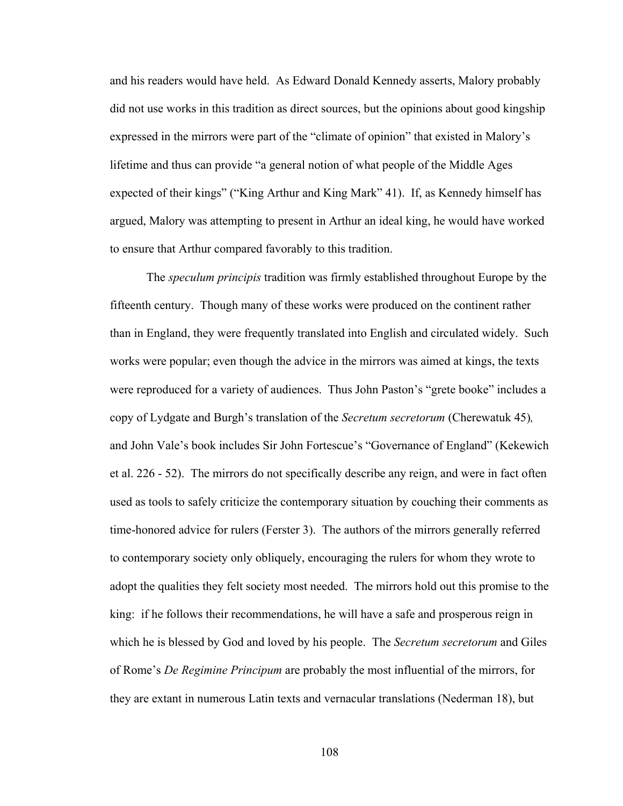and his readers would have held. As Edward Donald Kennedy asserts, Malory probably did not use works in this tradition as direct sources, but the opinions about good kingship expressed in the mirrors were part of the "climate of opinion" that existed in Malory's lifetime and thus can provide "a general notion of what people of the Middle Ages expected of their kings" ("King Arthur and King Mark" 41). If, as Kennedy himself has argued, Malory was attempting to present in Arthur an ideal king, he would have worked to ensure that Arthur compared favorably to this tradition.

The *speculum principis* tradition was firmly established throughout Europe by the fifteenth century. Though many of these works were produced on the continent rather than in England, they were frequently translated into English and circulated widely. Such works were popular; even though the advice in the mirrors was aimed at kings, the texts were reproduced for a variety of audiences. Thus John Paston's "grete booke" includes a copy of Lydgate and Burgh's translation of the *Secretum secretorum* (Cherewatuk 45)*,*  and John Vale's book includes Sir John Fortescue's "Governance of England" (Kekewich et al. 226 - 52). The mirrors do not specifically describe any reign, and were in fact often used as tools to safely criticize the contemporary situation by couching their comments as time-honored advice for rulers (Ferster 3). The authors of the mirrors generally referred to contemporary society only obliquely, encouraging the rulers for whom they wrote to adopt the qualities they felt society most needed. The mirrors hold out this promise to the king: if he follows their recommendations, he will have a safe and prosperous reign in which he is blessed by God and loved by his people. The *Secretum secretorum* and Giles of Rome's *De Regimine Principum* are probably the most influential of the mirrors, for they are extant in numerous Latin texts and vernacular translations (Nederman 18), but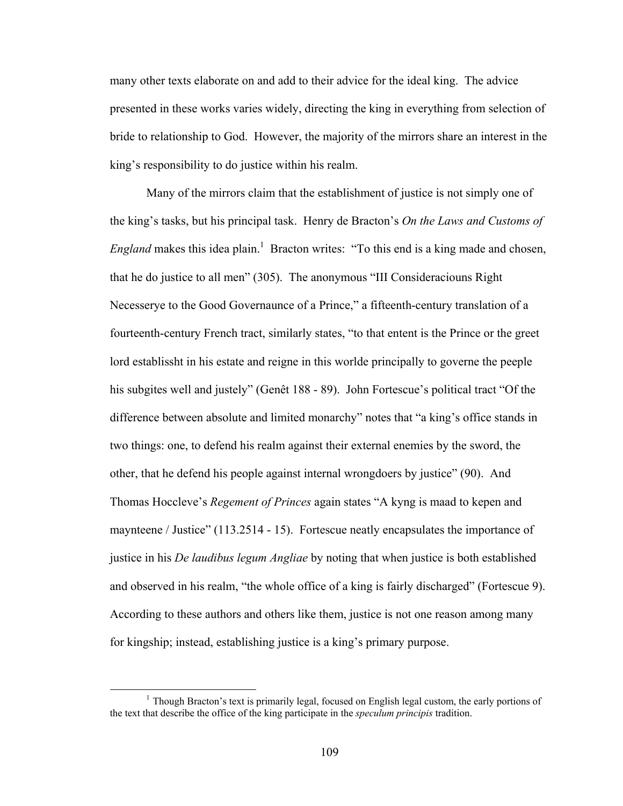many other texts elaborate on and add to their advice for the ideal king. The advice presented in these works varies widely, directing the king in everything from selection of bride to relationship to God. However, the majority of the mirrors share an interest in the king's responsibility to do justice within his realm.

Many of the mirrors claim that the establishment of justice is not simply one of the king's tasks, but his principal task. Henry de Bracton's *On the Laws and Customs of England* makes this idea plain.<sup>1</sup> Bracton writes: "To this end is a king made and chosen, that he do justice to all men" (305). The anonymous "III Consideraciouns Right Necesserye to the Good Governaunce of a Prince," a fifteenth-century translation of a fourteenth-century French tract, similarly states, "to that entent is the Prince or the greet lord establissht in his estate and reigne in this worlde principally to governe the peeple his subgites well and justely" (Genêt 188 - 89). John Fortescue's political tract "Of the difference between absolute and limited monarchy" notes that "a king's office stands in two things: one, to defend his realm against their external enemies by the sword, the other, that he defend his people against internal wrongdoers by justice" (90). And Thomas Hoccleve's *Regement of Princes* again states "A kyng is maad to kepen and maynteene / Justice" (113.2514 - 15). Fortescue neatly encapsulates the importance of justice in his *De laudibus legum Angliae* by noting that when justice is both established and observed in his realm, "the whole office of a king is fairly discharged" (Fortescue 9). According to these authors and others like them, justice is not one reason among many for kingship; instead, establishing justice is a king's primary purpose.

 $<sup>1</sup>$  Though Bracton's text is primarily legal, focused on English legal custom, the early portions of</sup> the text that describe the office of the king participate in the *speculum principis* tradition.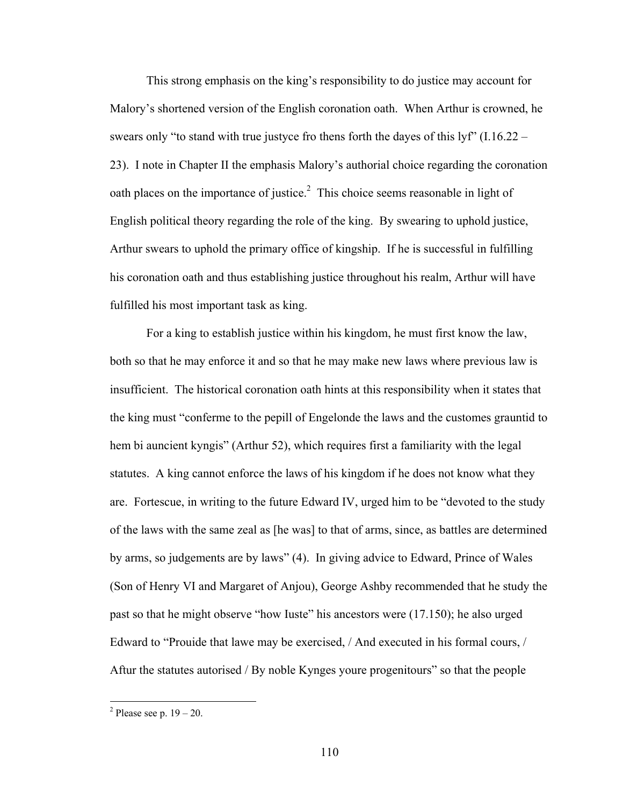This strong emphasis on the king's responsibility to do justice may account for Malory's shortened version of the English coronation oath. When Arthur is crowned, he swears only "to stand with true justyce fro thens forth the dayes of this lyf" (I.16.22 – 23). I note in Chapter II the emphasis Malory's authorial choice regarding the coronation oath places on the importance of justice.<sup>2</sup> This choice seems reasonable in light of English political theory regarding the role of the king. By swearing to uphold justice, Arthur swears to uphold the primary office of kingship. If he is successful in fulfilling his coronation oath and thus establishing justice throughout his realm, Arthur will have fulfilled his most important task as king.

For a king to establish justice within his kingdom, he must first know the law, both so that he may enforce it and so that he may make new laws where previous law is insufficient. The historical coronation oath hints at this responsibility when it states that the king must "conferme to the pepill of Engelonde the laws and the customes grauntid to hem bi auncient kyngis" (Arthur 52), which requires first a familiarity with the legal statutes. A king cannot enforce the laws of his kingdom if he does not know what they are. Fortescue, in writing to the future Edward IV, urged him to be "devoted to the study of the laws with the same zeal as [he was] to that of arms, since, as battles are determined by arms, so judgements are by laws" (4). In giving advice to Edward, Prince of Wales (Son of Henry VI and Margaret of Anjou), George Ashby recommended that he study the past so that he might observe "how Iuste" his ancestors were (17.150); he also urged Edward to "Prouide that lawe may be exercised, / And executed in his formal cours, / Aftur the statutes autorised / By noble Kynges youre progenitours" so that the people

 $^2$  Please see p. 19 – 20.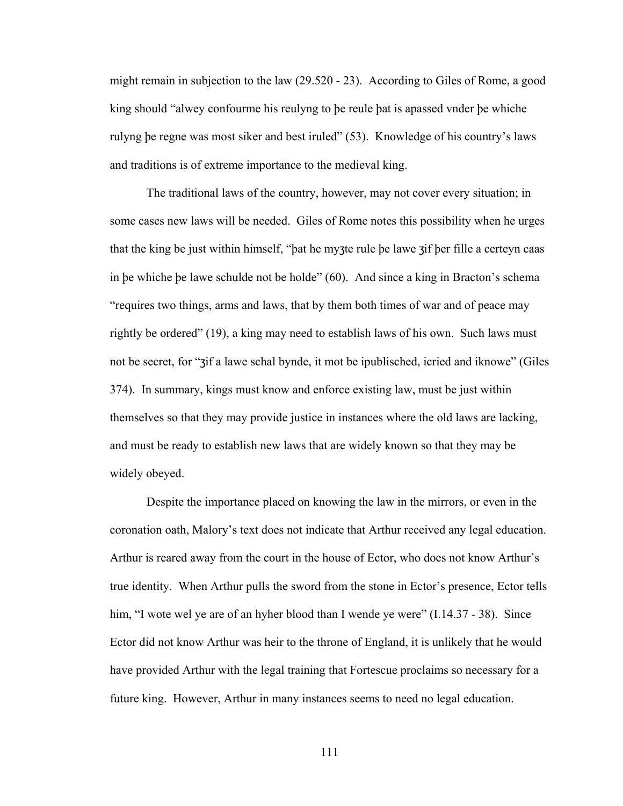might remain in subjection to the law (29.520 - 23). According to Giles of Rome, a good king should "alwey confourme his reulyng to þe reule þat is apassed vnder þe whiche rulyng þe regne was most siker and best iruled" (53). Knowledge of his country's laws and traditions is of extreme importance to the medieval king.

The traditional laws of the country, however, may not cover every situation; in some cases new laws will be needed. Giles of Rome notes this possibility when he urges that the king be just within himself, "þat he myʒte rule þe lawe ʒif þer fille a certeyn caas in þe whiche þe lawe schulde not be holde" (60). And since a king in Bracton's schema "requires two things, arms and laws, that by them both times of war and of peace may rightly be ordered" (19), a king may need to establish laws of his own. Such laws must not be secret, for "ʒif a lawe schal bynde, it mot be ipublisched, icried and iknowe" (Giles 374). In summary, kings must know and enforce existing law, must be just within themselves so that they may provide justice in instances where the old laws are lacking, and must be ready to establish new laws that are widely known so that they may be widely obeyed.

Despite the importance placed on knowing the law in the mirrors, or even in the coronation oath, Malory's text does not indicate that Arthur received any legal education. Arthur is reared away from the court in the house of Ector, who does not know Arthur's true identity. When Arthur pulls the sword from the stone in Ector's presence, Ector tells him, "I wote wel ye are of an hyher blood than I wende ye were" (I.14.37 - 38). Since Ector did not know Arthur was heir to the throne of England, it is unlikely that he would have provided Arthur with the legal training that Fortescue proclaims so necessary for a future king. However, Arthur in many instances seems to need no legal education.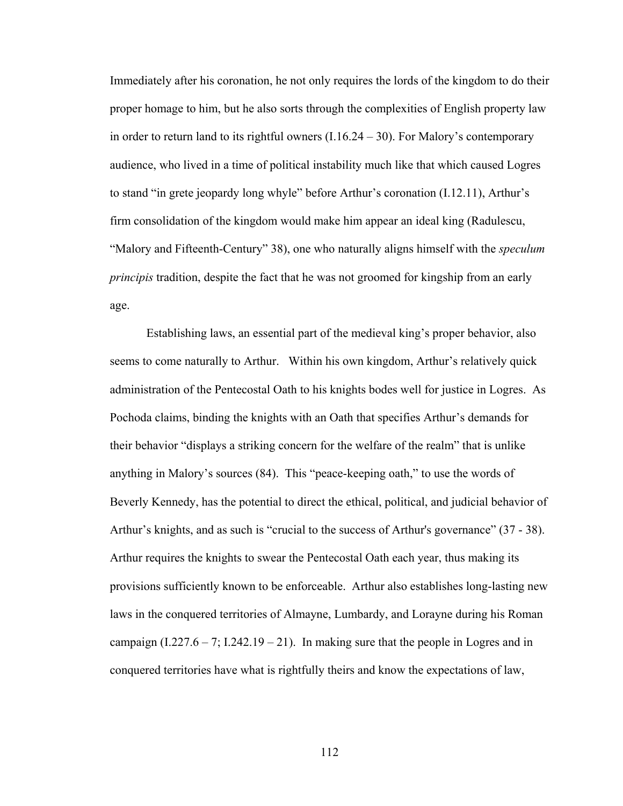Immediately after his coronation, he not only requires the lords of the kingdom to do their proper homage to him, but he also sorts through the complexities of English property law in order to return land to its rightful owners (I.16.24 – 30). For Malory's contemporary audience, who lived in a time of political instability much like that which caused Logres to stand "in grete jeopardy long whyle" before Arthur's coronation (I.12.11), Arthur's firm consolidation of the kingdom would make him appear an ideal king (Radulescu, "Malory and Fifteenth-Century" 38), one who naturally aligns himself with the *speculum principis* tradition, despite the fact that he was not groomed for kingship from an early age.

Establishing laws, an essential part of the medieval king's proper behavior, also seems to come naturally to Arthur. Within his own kingdom, Arthur's relatively quick administration of the Pentecostal Oath to his knights bodes well for justice in Logres. As Pochoda claims, binding the knights with an Oath that specifies Arthur's demands for their behavior "displays a striking concern for the welfare of the realm" that is unlike anything in Malory's sources (84). This "peace-keeping oath," to use the words of Beverly Kennedy, has the potential to direct the ethical, political, and judicial behavior of Arthur's knights, and as such is "crucial to the success of Arthur's governance" (37 - 38). Arthur requires the knights to swear the Pentecostal Oath each year, thus making its provisions sufficiently known to be enforceable. Arthur also establishes long-lasting new laws in the conquered territories of Almayne, Lumbardy, and Lorayne during his Roman campaign  $(1.227.6 - 7; 1.242.19 - 21)$ . In making sure that the people in Logres and in conquered territories have what is rightfully theirs and know the expectations of law,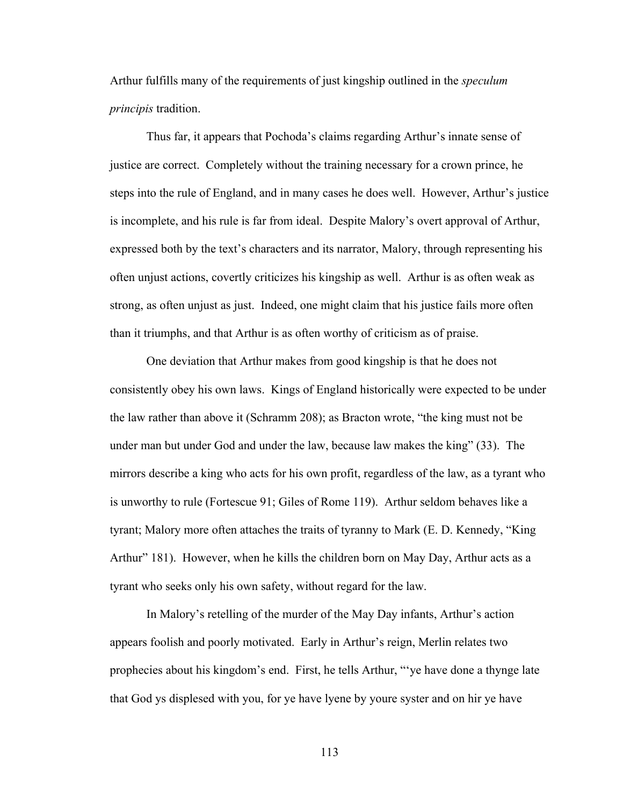Arthur fulfills many of the requirements of just kingship outlined in the *speculum principis* tradition.

Thus far, it appears that Pochoda's claims regarding Arthur's innate sense of justice are correct. Completely without the training necessary for a crown prince, he steps into the rule of England, and in many cases he does well. However, Arthur's justice is incomplete, and his rule is far from ideal. Despite Malory's overt approval of Arthur, expressed both by the text's characters and its narrator, Malory, through representing his often unjust actions, covertly criticizes his kingship as well. Arthur is as often weak as strong, as often unjust as just. Indeed, one might claim that his justice fails more often than it triumphs, and that Arthur is as often worthy of criticism as of praise.

One deviation that Arthur makes from good kingship is that he does not consistently obey his own laws. Kings of England historically were expected to be under the law rather than above it (Schramm 208); as Bracton wrote, "the king must not be under man but under God and under the law, because law makes the king" (33). The mirrors describe a king who acts for his own profit, regardless of the law, as a tyrant who is unworthy to rule (Fortescue 91; Giles of Rome 119). Arthur seldom behaves like a tyrant; Malory more often attaches the traits of tyranny to Mark (E. D. Kennedy, "King Arthur" 181). However, when he kills the children born on May Day, Arthur acts as a tyrant who seeks only his own safety, without regard for the law.

In Malory's retelling of the murder of the May Day infants, Arthur's action appears foolish and poorly motivated. Early in Arthur's reign, Merlin relates two prophecies about his kingdom's end. First, he tells Arthur, "'ye have done a thynge late that God ys displesed with you, for ye have lyene by youre syster and on hir ye have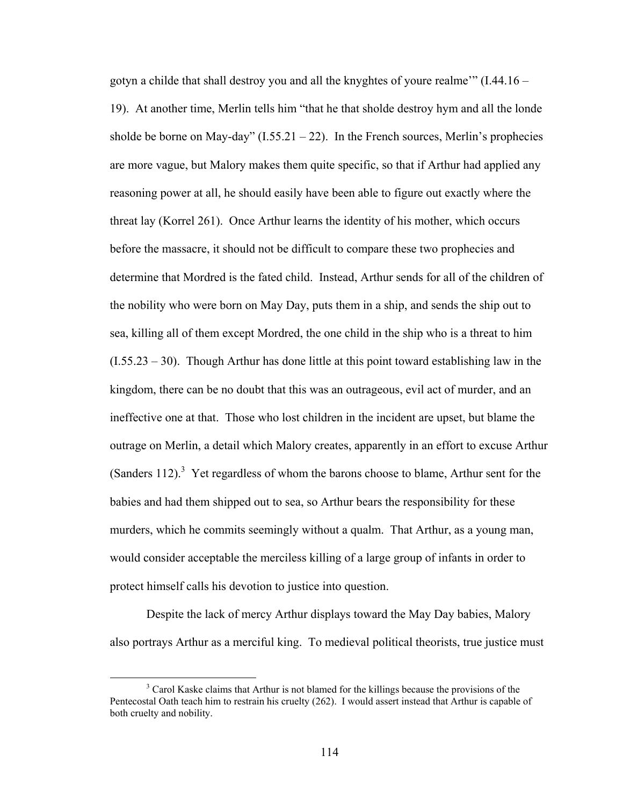gotyn a childe that shall destroy you and all the knyghtes of youre realme'"  $(1.44.16 -$ 19). At another time, Merlin tells him "that he that sholde destroy hym and all the londe sholde be borne on May-day"  $(1.55.21 - 22)$ . In the French sources, Merlin's prophecies are more vague, but Malory makes them quite specific, so that if Arthur had applied any reasoning power at all, he should easily have been able to figure out exactly where the threat lay (Korrel 261). Once Arthur learns the identity of his mother, which occurs before the massacre, it should not be difficult to compare these two prophecies and determine that Mordred is the fated child. Instead, Arthur sends for all of the children of the nobility who were born on May Day, puts them in a ship, and sends the ship out to sea, killing all of them except Mordred, the one child in the ship who is a threat to him  $(1.55.23 - 30)$ . Though Arthur has done little at this point toward establishing law in the kingdom, there can be no doubt that this was an outrageous, evil act of murder, and an ineffective one at that. Those who lost children in the incident are upset, but blame the outrage on Merlin, a detail which Malory creates, apparently in an effort to excuse Arthur (Sanders 112).<sup>3</sup> Yet regardless of whom the barons choose to blame, Arthur sent for the babies and had them shipped out to sea, so Arthur bears the responsibility for these murders, which he commits seemingly without a qualm. That Arthur, as a young man, would consider acceptable the merciless killing of a large group of infants in order to protect himself calls his devotion to justice into question.

Despite the lack of mercy Arthur displays toward the May Day babies, Malory also portrays Arthur as a merciful king. To medieval political theorists, true justice must

 <sup>3</sup> <sup>3</sup> Carol Kaske claims that Arthur is not blamed for the killings because the provisions of the Pentecostal Oath teach him to restrain his cruelty (262). I would assert instead that Arthur is capable of both cruelty and nobility.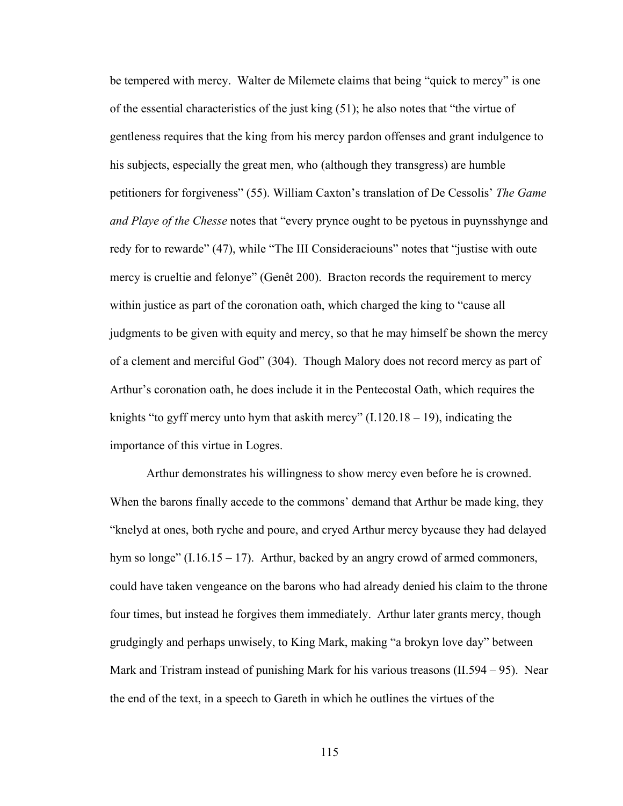be tempered with mercy. Walter de Milemete claims that being "quick to mercy" is one of the essential characteristics of the just king (51); he also notes that "the virtue of gentleness requires that the king from his mercy pardon offenses and grant indulgence to his subjects, especially the great men, who (although they transgress) are humble petitioners for forgiveness" (55). William Caxton's translation of De Cessolis' *The Game and Playe of the Chesse* notes that "every prynce ought to be pyetous in puynsshynge and redy for to rewarde" (47), while "The III Consideraciouns" notes that "justise with oute mercy is crueltie and felonye" (Genêt 200). Bracton records the requirement to mercy within justice as part of the coronation oath, which charged the king to "cause all judgments to be given with equity and mercy, so that he may himself be shown the mercy of a clement and merciful God" (304). Though Malory does not record mercy as part of Arthur's coronation oath, he does include it in the Pentecostal Oath, which requires the knights "to gyff mercy unto hym that askith mercy"  $(I.120.18 - 19)$ , indicating the importance of this virtue in Logres.

Arthur demonstrates his willingness to show mercy even before he is crowned. When the barons finally accede to the commons' demand that Arthur be made king, they "knelyd at ones, both ryche and poure, and cryed Arthur mercy bycause they had delayed hym so longe"  $(1.16.15 - 17)$ . Arthur, backed by an angry crowd of armed commoners, could have taken vengeance on the barons who had already denied his claim to the throne four times, but instead he forgives them immediately. Arthur later grants mercy, though grudgingly and perhaps unwisely, to King Mark, making "a brokyn love day" between Mark and Tristram instead of punishing Mark for his various treasons (II.594 – 95). Near the end of the text, in a speech to Gareth in which he outlines the virtues of the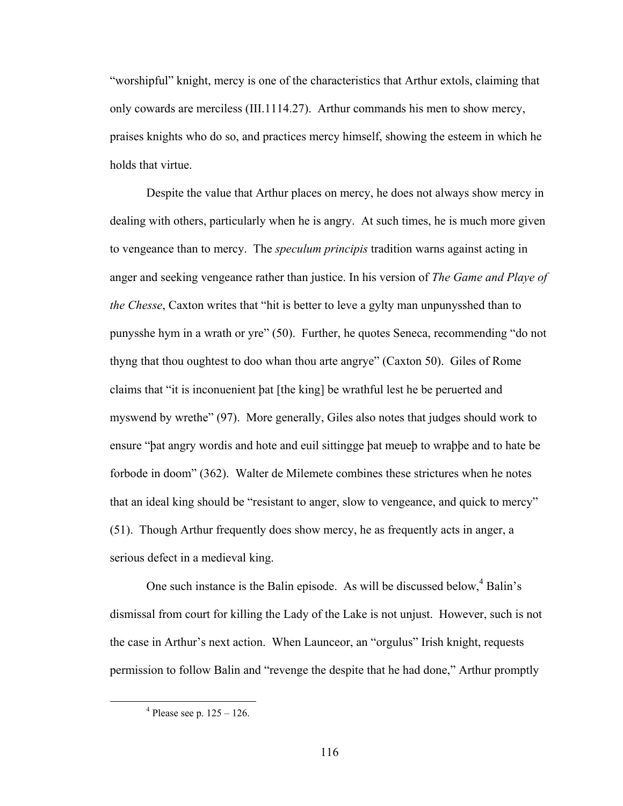"worshipful" knight, mercy is one of the characteristics that Arthur extols, claiming that only cowards are merciless (III.1114.27). Arthur commands his men to show mercy, praises knights who do so, and practices mercy himself, showing the esteem in which he holds that virtue.

Despite the value that Arthur places on mercy, he does not always show mercy in dealing with others, particularly when he is angry. At such times, he is much more given to vengeance than to mercy. The *speculum principis* tradition warns against acting in anger and seeking vengeance rather than justice. In his version of *The Game and Playe of the Chesse*, Caxton writes that "hit is better to leve a gylty man unpunysshed than to punysshe hym in a wrath or yre" (50). Further, he quotes Seneca, recommending "do not thyng that thou oughtest to doo whan thou arte angrye" (Caxton 50). Giles of Rome claims that "it is inconuenient þat [the king] be wrathful lest he be peruerted and myswend by wrethe" (97). More generally, Giles also notes that judges should work to ensure "þat angry wordis and hote and euil sittingge þat meueþ to wraþþe and to hate be forbode in doom" (362). Walter de Milemete combines these strictures when he notes that an ideal king should be "resistant to anger, slow to vengeance, and quick to mercy" (51). Though Arthur frequently does show mercy, he as frequently acts in anger, a serious defect in a medieval king.

One such instance is the Balin episode. As will be discussed below,  $4$  Balin's dismissal from court for killing the Lady of the Lake is not unjust. However, such is not the case in Arthur's next action. When Launceor, an "orgulus" Irish knight, requests permission to follow Balin and "revenge the despite that he had done," Arthur promptly

 $\frac{1}{4}$  $4$  Please see p.  $125 - 126$ .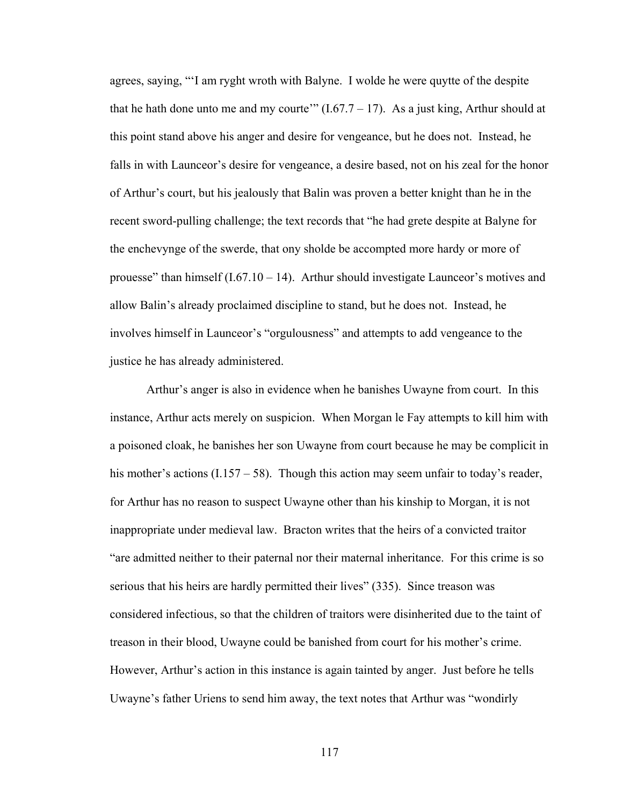agrees, saying, "'I am ryght wroth with Balyne. I wolde he were quytte of the despite that he hath done unto me and my courte'"  $(1.67.7 - 17)$ . As a just king, Arthur should at this point stand above his anger and desire for vengeance, but he does not. Instead, he falls in with Launceor's desire for vengeance, a desire based, not on his zeal for the honor of Arthur's court, but his jealously that Balin was proven a better knight than he in the recent sword-pulling challenge; the text records that "he had grete despite at Balyne for the enchevynge of the swerde, that ony sholde be accompted more hardy or more of prouesse" than himself  $(I.67.10 - 14)$ . Arthur should investigate Launceor's motives and allow Balin's already proclaimed discipline to stand, but he does not. Instead, he involves himself in Launceor's "orgulousness" and attempts to add vengeance to the justice he has already administered.

Arthur's anger is also in evidence when he banishes Uwayne from court. In this instance, Arthur acts merely on suspicion. When Morgan le Fay attempts to kill him with a poisoned cloak, he banishes her son Uwayne from court because he may be complicit in his mother's actions (I.157 – 58). Though this action may seem unfair to today's reader, for Arthur has no reason to suspect Uwayne other than his kinship to Morgan, it is not inappropriate under medieval law. Bracton writes that the heirs of a convicted traitor "are admitted neither to their paternal nor their maternal inheritance. For this crime is so serious that his heirs are hardly permitted their lives" (335). Since treason was considered infectious, so that the children of traitors were disinherited due to the taint of treason in their blood, Uwayne could be banished from court for his mother's crime. However, Arthur's action in this instance is again tainted by anger. Just before he tells Uwayne's father Uriens to send him away, the text notes that Arthur was "wondirly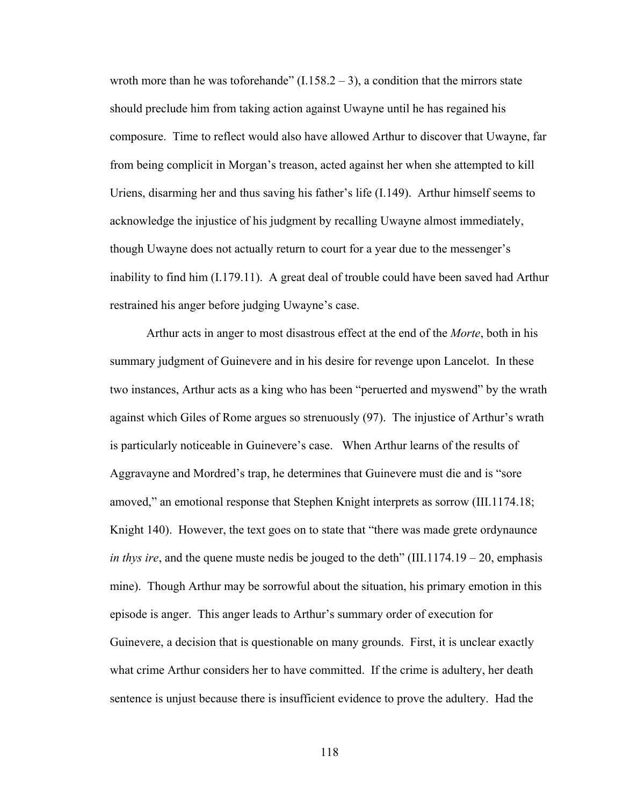wroth more than he was toforehande"  $(1.158.2 - 3)$ , a condition that the mirrors state should preclude him from taking action against Uwayne until he has regained his composure. Time to reflect would also have allowed Arthur to discover that Uwayne, far from being complicit in Morgan's treason, acted against her when she attempted to kill Uriens, disarming her and thus saving his father's life (I.149). Arthur himself seems to acknowledge the injustice of his judgment by recalling Uwayne almost immediately, though Uwayne does not actually return to court for a year due to the messenger's inability to find him (I.179.11). A great deal of trouble could have been saved had Arthur restrained his anger before judging Uwayne's case.

Arthur acts in anger to most disastrous effect at the end of the *Morte*, both in his summary judgment of Guinevere and in his desire for revenge upon Lancelot. In these two instances, Arthur acts as a king who has been "peruerted and myswend" by the wrath against which Giles of Rome argues so strenuously (97). The injustice of Arthur's wrath is particularly noticeable in Guinevere's case. When Arthur learns of the results of Aggravayne and Mordred's trap, he determines that Guinevere must die and is "sore amoved," an emotional response that Stephen Knight interprets as sorrow (III.1174.18; Knight 140). However, the text goes on to state that "there was made grete ordynaunce *in thys ire*, and the quene muste nedis be jouged to the deth" (III.1174.19 – 20, emphasis mine). Though Arthur may be sorrowful about the situation, his primary emotion in this episode is anger. This anger leads to Arthur's summary order of execution for Guinevere, a decision that is questionable on many grounds. First, it is unclear exactly what crime Arthur considers her to have committed. If the crime is adultery, her death sentence is unjust because there is insufficient evidence to prove the adultery. Had the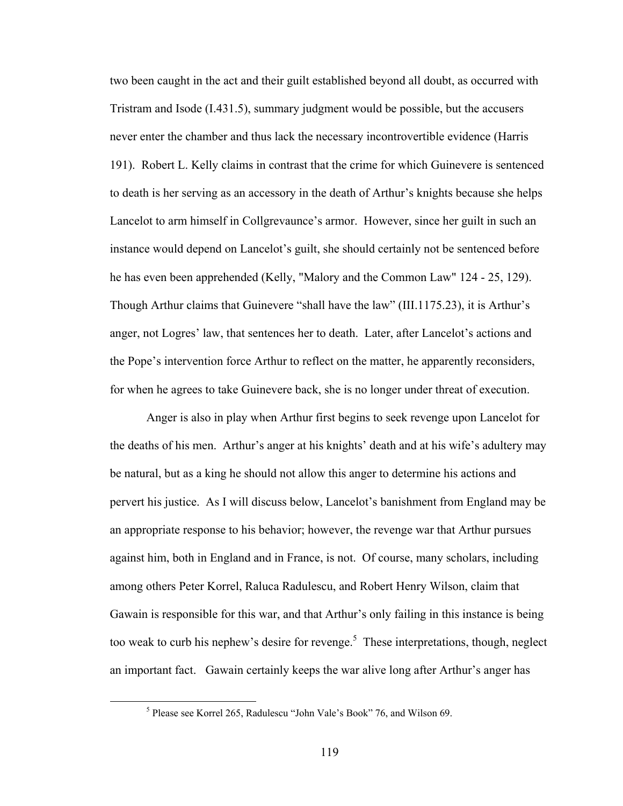two been caught in the act and their guilt established beyond all doubt, as occurred with Tristram and Isode (I.431.5), summary judgment would be possible, but the accusers never enter the chamber and thus lack the necessary incontrovertible evidence (Harris 191). Robert L. Kelly claims in contrast that the crime for which Guinevere is sentenced to death is her serving as an accessory in the death of Arthur's knights because she helps Lancelot to arm himself in Collgrevaunce's armor. However, since her guilt in such an instance would depend on Lancelot's guilt, she should certainly not be sentenced before he has even been apprehended (Kelly, "Malory and the Common Law" 124 - 25, 129). Though Arthur claims that Guinevere "shall have the law" (III.1175.23), it is Arthur's anger, not Logres' law, that sentences her to death. Later, after Lancelot's actions and the Pope's intervention force Arthur to reflect on the matter, he apparently reconsiders, for when he agrees to take Guinevere back, she is no longer under threat of execution.

Anger is also in play when Arthur first begins to seek revenge upon Lancelot for the deaths of his men. Arthur's anger at his knights' death and at his wife's adultery may be natural, but as a king he should not allow this anger to determine his actions and pervert his justice. As I will discuss below, Lancelot's banishment from England may be an appropriate response to his behavior; however, the revenge war that Arthur pursues against him, both in England and in France, is not. Of course, many scholars, including among others Peter Korrel, Raluca Radulescu, and Robert Henry Wilson, claim that Gawain is responsible for this war, and that Arthur's only failing in this instance is being too weak to curb his nephew's desire for revenge.<sup>5</sup> These interpretations, though, neglect an important fact. Gawain certainly keeps the war alive long after Arthur's anger has

 $\frac{1}{5}$ <sup>5</sup> Please see Korrel 265, Radulescu "John Vale's Book" 76, and Wilson 69.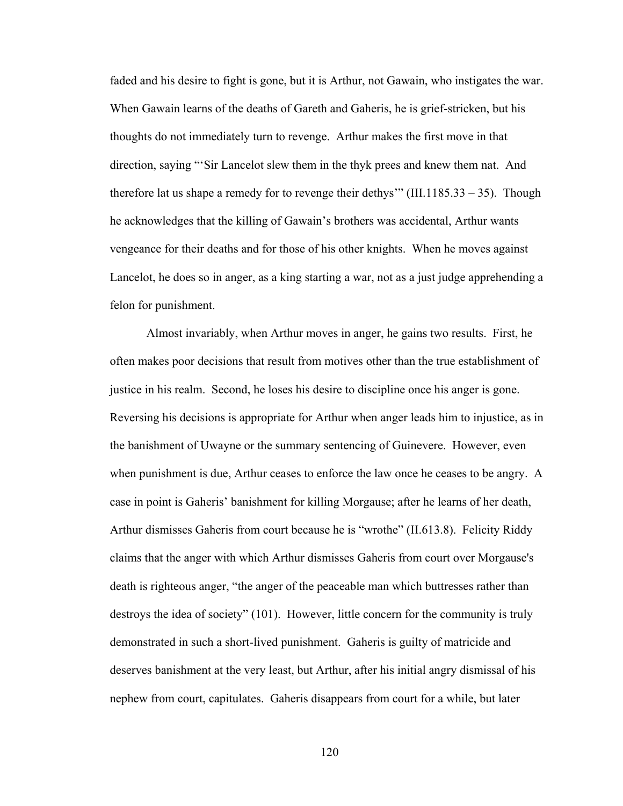faded and his desire to fight is gone, but it is Arthur, not Gawain, who instigates the war. When Gawain learns of the deaths of Gareth and Gaheris, he is grief-stricken, but his thoughts do not immediately turn to revenge. Arthur makes the first move in that direction, saying "'Sir Lancelot slew them in the thyk prees and knew them nat. And therefore lat us shape a remedy for to revenge their dethys" (III.1185.33 – 35). Though he acknowledges that the killing of Gawain's brothers was accidental, Arthur wants vengeance for their deaths and for those of his other knights. When he moves against Lancelot, he does so in anger, as a king starting a war, not as a just judge apprehending a felon for punishment.

Almost invariably, when Arthur moves in anger, he gains two results. First, he often makes poor decisions that result from motives other than the true establishment of justice in his realm. Second, he loses his desire to discipline once his anger is gone. Reversing his decisions is appropriate for Arthur when anger leads him to injustice, as in the banishment of Uwayne or the summary sentencing of Guinevere. However, even when punishment is due, Arthur ceases to enforce the law once he ceases to be angry. A case in point is Gaheris' banishment for killing Morgause; after he learns of her death, Arthur dismisses Gaheris from court because he is "wrothe" (II.613.8). Felicity Riddy claims that the anger with which Arthur dismisses Gaheris from court over Morgause's death is righteous anger, "the anger of the peaceable man which buttresses rather than destroys the idea of society" (101). However, little concern for the community is truly demonstrated in such a short-lived punishment. Gaheris is guilty of matricide and deserves banishment at the very least, but Arthur, after his initial angry dismissal of his nephew from court, capitulates. Gaheris disappears from court for a while, but later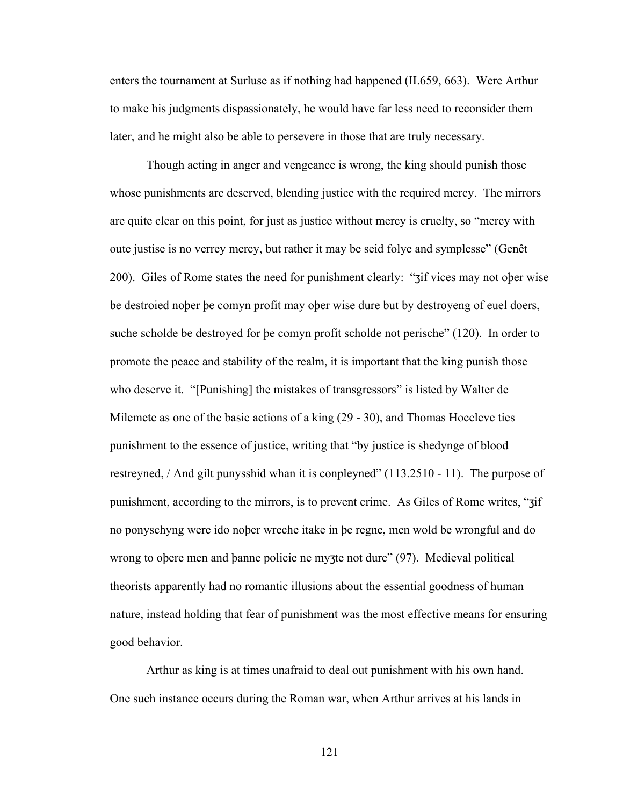enters the tournament at Surluse as if nothing had happened (II.659, 663). Were Arthur to make his judgments dispassionately, he would have far less need to reconsider them later, and he might also be able to persevere in those that are truly necessary.

Though acting in anger and vengeance is wrong, the king should punish those whose punishments are deserved, blending justice with the required mercy. The mirrors are quite clear on this point, for just as justice without mercy is cruelty, so "mercy with oute justise is no verrey mercy, but rather it may be seid folye and symplesse" (Genêt 200). Giles of Rome states the need for punishment clearly: "ʒif vices may not oþer wise be destroied noþer þe comyn profit may oþer wise dure but by destroyeng of euel doers, suche scholde be destroyed for þe comyn profit scholde not perische" (120). In order to promote the peace and stability of the realm, it is important that the king punish those who deserve it. "[Punishing] the mistakes of transgressors" is listed by Walter de Milemete as one of the basic actions of a king (29 - 30), and Thomas Hoccleve ties punishment to the essence of justice, writing that "by justice is shedynge of blood restreyned, / And gilt punysshid whan it is conpleyned" (113.2510 - 11). The purpose of punishment, according to the mirrors, is to prevent crime. As Giles of Rome writes, "ʒif no ponyschyng were ido noþer wreche itake in þe regne, men wold be wrongful and do wrong to oþere men and þanne policie ne myʒte not dure" (97). Medieval political theorists apparently had no romantic illusions about the essential goodness of human nature, instead holding that fear of punishment was the most effective means for ensuring good behavior.

Arthur as king is at times unafraid to deal out punishment with his own hand. One such instance occurs during the Roman war, when Arthur arrives at his lands in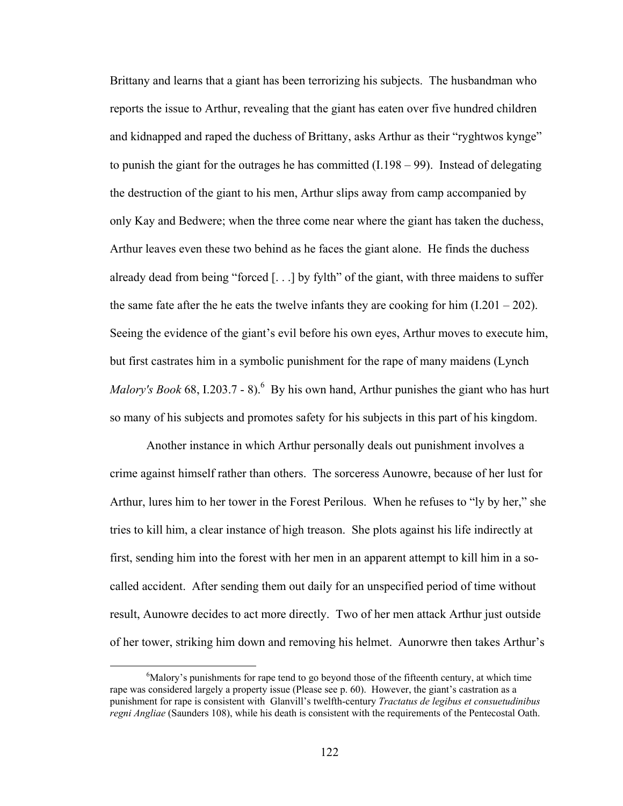Brittany and learns that a giant has been terrorizing his subjects. The husbandman who reports the issue to Arthur, revealing that the giant has eaten over five hundred children and kidnapped and raped the duchess of Brittany, asks Arthur as their "ryghtwos kynge" to punish the giant for the outrages he has committed (I.198 – 99). Instead of delegating the destruction of the giant to his men, Arthur slips away from camp accompanied by only Kay and Bedwere; when the three come near where the giant has taken the duchess, Arthur leaves even these two behind as he faces the giant alone. He finds the duchess already dead from being "forced [. . .] by fylth" of the giant, with three maidens to suffer the same fate after the he eats the twelve infants they are cooking for him  $(1.201 - 202)$ . Seeing the evidence of the giant's evil before his own eyes, Arthur moves to execute him, but first castrates him in a symbolic punishment for the rape of many maidens (Lynch *Malory's Book* 68, I.203.7 - 8).<sup>6</sup> By his own hand, Arthur punishes the giant who has hurt so many of his subjects and promotes safety for his subjects in this part of his kingdom.

Another instance in which Arthur personally deals out punishment involves a crime against himself rather than others. The sorceress Aunowre, because of her lust for Arthur, lures him to her tower in the Forest Perilous. When he refuses to "ly by her," she tries to kill him, a clear instance of high treason. She plots against his life indirectly at first, sending him into the forest with her men in an apparent attempt to kill him in a socalled accident. After sending them out daily for an unspecified period of time without result, Aunowre decides to act more directly. Two of her men attack Arthur just outside of her tower, striking him down and removing his helmet. Aunorwre then takes Arthur's

 <sup>6</sup>  $<sup>6</sup>$ Malory's punishments for rape tend to go beyond those of the fifteenth century, at which time</sup> rape was considered largely a property issue (Please see p. 60). However, the giant's castration as a punishment for rape is consistent with Glanvill's twelfth-century *Tractatus de legibus et consuetudinibus regni Angliae* (Saunders 108), while his death is consistent with the requirements of the Pentecostal Oath.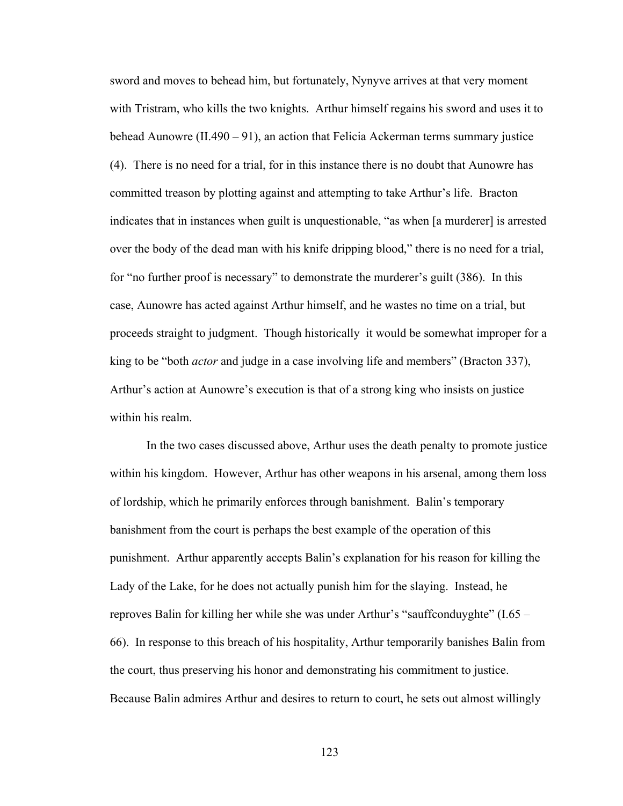sword and moves to behead him, but fortunately, Nynyve arrives at that very moment with Tristram, who kills the two knights. Arthur himself regains his sword and uses it to behead Aunowre (II.490 – 91), an action that Felicia Ackerman terms summary justice (4). There is no need for a trial, for in this instance there is no doubt that Aunowre has committed treason by plotting against and attempting to take Arthur's life. Bracton indicates that in instances when guilt is unquestionable, "as when [a murderer] is arrested over the body of the dead man with his knife dripping blood," there is no need for a trial, for "no further proof is necessary" to demonstrate the murderer's guilt (386). In this case, Aunowre has acted against Arthur himself, and he wastes no time on a trial, but proceeds straight to judgment. Though historically it would be somewhat improper for a king to be "both *actor* and judge in a case involving life and members" (Bracton 337), Arthur's action at Aunowre's execution is that of a strong king who insists on justice within his realm.

In the two cases discussed above, Arthur uses the death penalty to promote justice within his kingdom. However, Arthur has other weapons in his arsenal, among them loss of lordship, which he primarily enforces through banishment. Balin's temporary banishment from the court is perhaps the best example of the operation of this punishment. Arthur apparently accepts Balin's explanation for his reason for killing the Lady of the Lake, for he does not actually punish him for the slaying. Instead, he reproves Balin for killing her while she was under Arthur's "sauffconduyghte" (I.65 – 66). In response to this breach of his hospitality, Arthur temporarily banishes Balin from the court, thus preserving his honor and demonstrating his commitment to justice. Because Balin admires Arthur and desires to return to court, he sets out almost willingly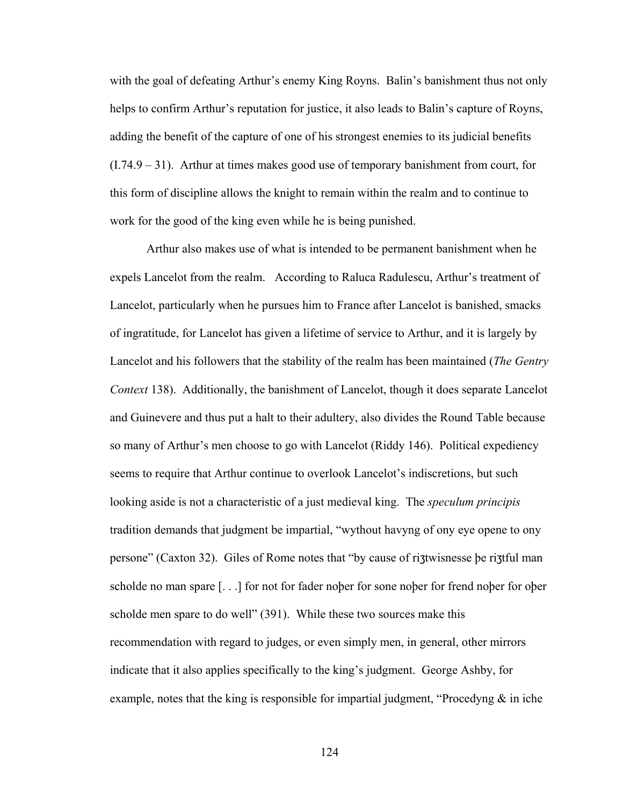with the goal of defeating Arthur's enemy King Royns. Balin's banishment thus not only helps to confirm Arthur's reputation for justice, it also leads to Balin's capture of Royns, adding the benefit of the capture of one of his strongest enemies to its judicial benefits (I.74.9 – 31). Arthur at times makes good use of temporary banishment from court, for this form of discipline allows the knight to remain within the realm and to continue to work for the good of the king even while he is being punished.

Arthur also makes use of what is intended to be permanent banishment when he expels Lancelot from the realm. According to Raluca Radulescu, Arthur's treatment of Lancelot, particularly when he pursues him to France after Lancelot is banished, smacks of ingratitude, for Lancelot has given a lifetime of service to Arthur, and it is largely by Lancelot and his followers that the stability of the realm has been maintained (*The Gentry Context* 138). Additionally, the banishment of Lancelot, though it does separate Lancelot and Guinevere and thus put a halt to their adultery, also divides the Round Table because so many of Arthur's men choose to go with Lancelot (Riddy 146). Political expediency seems to require that Arthur continue to overlook Lancelot's indiscretions, but such looking aside is not a characteristic of a just medieval king. The *speculum principis* tradition demands that judgment be impartial, "wythout havyng of ony eye opene to ony persone" (Caxton 32). Giles of Rome notes that "by cause of riʒtwisnesse þe riʒtful man scholde no man spare [. . .] for not for fader noþer for sone noþer for frend noþer for oþer scholde men spare to do well" (391). While these two sources make this recommendation with regard to judges, or even simply men, in general, other mirrors indicate that it also applies specifically to the king's judgment. George Ashby, for example, notes that the king is responsible for impartial judgment, "Procedyng  $\&$  in iche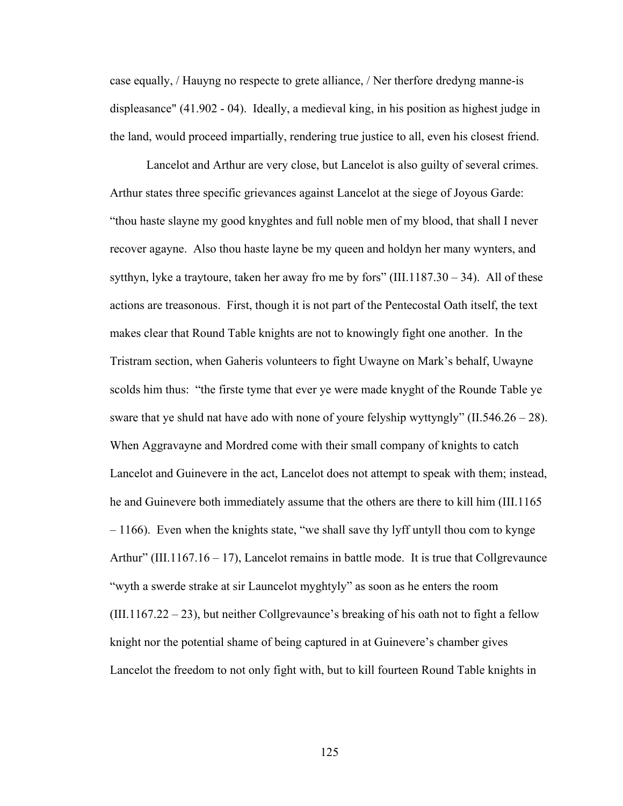case equally, / Hauyng no respecte to grete alliance, / Ner therfore dredyng manne-is displeasance" (41.902 - 04). Ideally, a medieval king, in his position as highest judge in the land, would proceed impartially, rendering true justice to all, even his closest friend.

Lancelot and Arthur are very close, but Lancelot is also guilty of several crimes. Arthur states three specific grievances against Lancelot at the siege of Joyous Garde: "thou haste slayne my good knyghtes and full noble men of my blood, that shall I never recover agayne. Also thou haste layne be my queen and holdyn her many wynters, and sytthyn, lyke a traytoure, taken her away fro me by fors" (III.1187.30 – 34). All of these actions are treasonous. First, though it is not part of the Pentecostal Oath itself, the text makes clear that Round Table knights are not to knowingly fight one another. In the Tristram section, when Gaheris volunteers to fight Uwayne on Mark's behalf, Uwayne scolds him thus: "the firste tyme that ever ye were made knyght of the Rounde Table ye sware that ye shuld nat have ado with none of youre felyship wyttyngly"  $(II.546.26 - 28)$ . When Aggravayne and Mordred come with their small company of knights to catch Lancelot and Guinevere in the act, Lancelot does not attempt to speak with them; instead, he and Guinevere both immediately assume that the others are there to kill him (III.1165  $-1166$ ). Even when the knights state, "we shall save thy lyff untyll thou com to kynge Arthur" (III.1167.16 – 17), Lancelot remains in battle mode. It is true that Collgrevaunce "wyth a swerde strake at sir Launcelot myghtyly" as soon as he enters the room  $(III.1167.22 - 23)$ , but neither Collgrevaunce's breaking of his oath not to fight a fellow knight nor the potential shame of being captured in at Guinevere's chamber gives Lancelot the freedom to not only fight with, but to kill fourteen Round Table knights in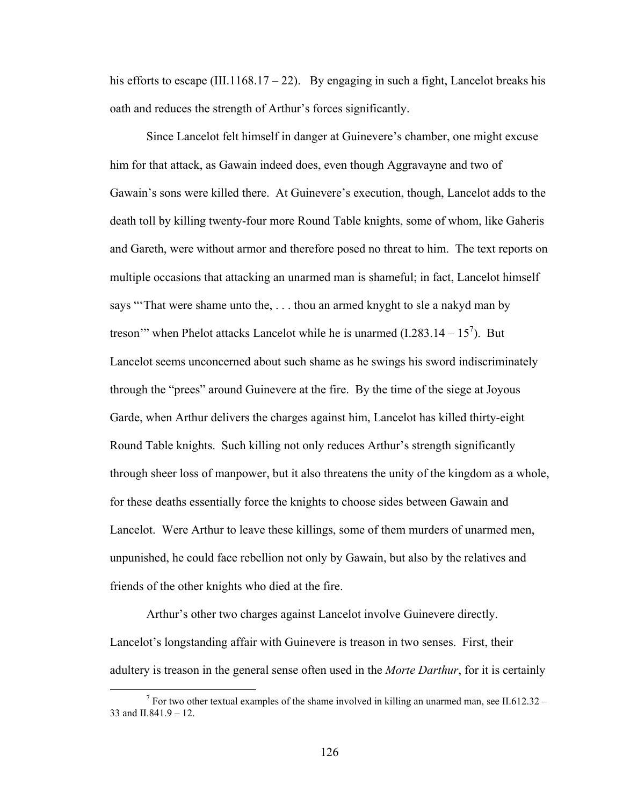his efforts to escape (III.1168.17 – 22). By engaging in such a fight, Lancelot breaks his oath and reduces the strength of Arthur's forces significantly.

Since Lancelot felt himself in danger at Guinevere's chamber, one might excuse him for that attack, as Gawain indeed does, even though Aggravayne and two of Gawain's sons were killed there. At Guinevere's execution, though, Lancelot adds to the death toll by killing twenty-four more Round Table knights, some of whom, like Gaheris and Gareth, were without armor and therefore posed no threat to him. The text reports on multiple occasions that attacking an unarmed man is shameful; in fact, Lancelot himself says "'That were shame unto the, . . . thou an armed knyght to sle a nakyd man by treson'" when Phelot attacks Lancelot while he is unarmed  $(1.283.14 - 15^7)$ . But Lancelot seems unconcerned about such shame as he swings his sword indiscriminately through the "prees" around Guinevere at the fire. By the time of the siege at Joyous Garde, when Arthur delivers the charges against him, Lancelot has killed thirty-eight Round Table knights. Such killing not only reduces Arthur's strength significantly through sheer loss of manpower, but it also threatens the unity of the kingdom as a whole, for these deaths essentially force the knights to choose sides between Gawain and Lancelot. Were Arthur to leave these killings, some of them murders of unarmed men, unpunished, he could face rebellion not only by Gawain, but also by the relatives and friends of the other knights who died at the fire.

Arthur's other two charges against Lancelot involve Guinevere directly. Lancelot's longstanding affair with Guinevere is treason in two senses. First, their adultery is treason in the general sense often used in the *Morte Darthur*, for it is certainly

 $\overline{\phantom{a}}$ <sup>7</sup> For two other textual examples of the shame involved in killing an unarmed man, see II.612.32 – 33 and II.841.9 – 12.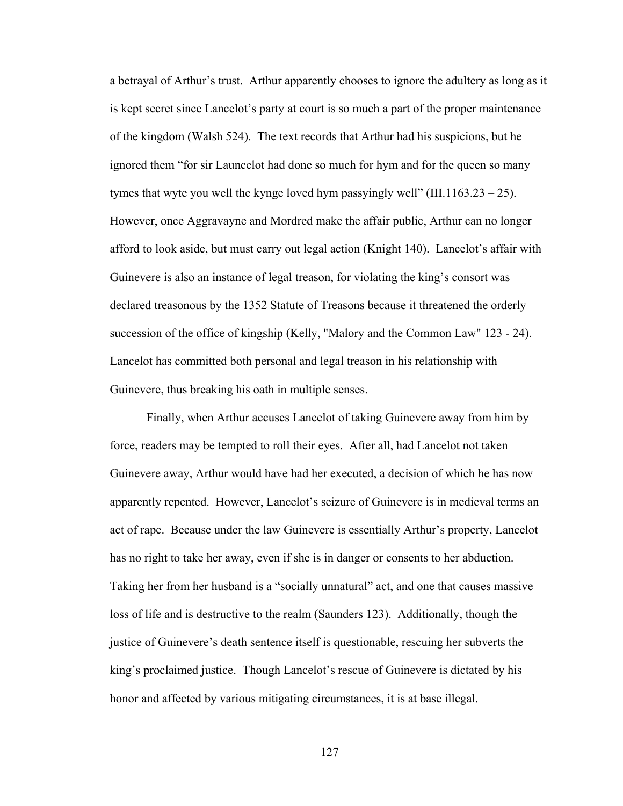a betrayal of Arthur's trust. Arthur apparently chooses to ignore the adultery as long as it is kept secret since Lancelot's party at court is so much a part of the proper maintenance of the kingdom (Walsh 524). The text records that Arthur had his suspicions, but he ignored them "for sir Launcelot had done so much for hym and for the queen so many tymes that wyte you well the kynge loved hym passyingly well" (III.1163.23 – 25). However, once Aggravayne and Mordred make the affair public, Arthur can no longer afford to look aside, but must carry out legal action (Knight 140). Lancelot's affair with Guinevere is also an instance of legal treason, for violating the king's consort was declared treasonous by the 1352 Statute of Treasons because it threatened the orderly succession of the office of kingship (Kelly, "Malory and the Common Law" 123 - 24). Lancelot has committed both personal and legal treason in his relationship with Guinevere, thus breaking his oath in multiple senses.

Finally, when Arthur accuses Lancelot of taking Guinevere away from him by force, readers may be tempted to roll their eyes. After all, had Lancelot not taken Guinevere away, Arthur would have had her executed, a decision of which he has now apparently repented. However, Lancelot's seizure of Guinevere is in medieval terms an act of rape. Because under the law Guinevere is essentially Arthur's property, Lancelot has no right to take her away, even if she is in danger or consents to her abduction. Taking her from her husband is a "socially unnatural" act, and one that causes massive loss of life and is destructive to the realm (Saunders 123). Additionally, though the justice of Guinevere's death sentence itself is questionable, rescuing her subverts the king's proclaimed justice. Though Lancelot's rescue of Guinevere is dictated by his honor and affected by various mitigating circumstances, it is at base illegal.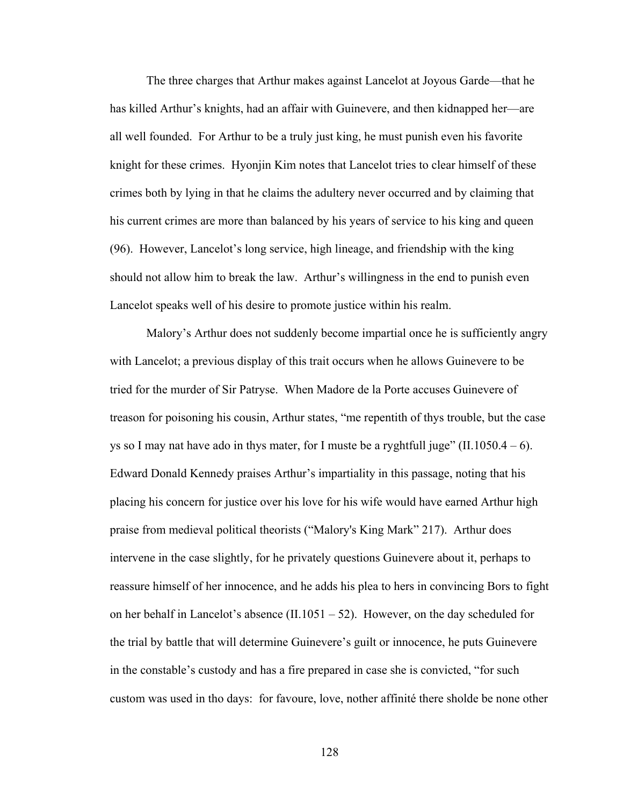The three charges that Arthur makes against Lancelot at Joyous Garde—that he has killed Arthur's knights, had an affair with Guinevere, and then kidnapped her—are all well founded. For Arthur to be a truly just king, he must punish even his favorite knight for these crimes. Hyonjin Kim notes that Lancelot tries to clear himself of these crimes both by lying in that he claims the adultery never occurred and by claiming that his current crimes are more than balanced by his years of service to his king and queen (96). However, Lancelot's long service, high lineage, and friendship with the king should not allow him to break the law. Arthur's willingness in the end to punish even Lancelot speaks well of his desire to promote justice within his realm.

Malory's Arthur does not suddenly become impartial once he is sufficiently angry with Lancelot; a previous display of this trait occurs when he allows Guinevere to be tried for the murder of Sir Patryse. When Madore de la Porte accuses Guinevere of treason for poisoning his cousin, Arthur states, "me repentith of thys trouble, but the case ys so I may nat have ado in thys mater, for I muste be a ryghtfull juge" (II.1050.4 – 6). Edward Donald Kennedy praises Arthur's impartiality in this passage, noting that his placing his concern for justice over his love for his wife would have earned Arthur high praise from medieval political theorists ("Malory's King Mark" 217). Arthur does intervene in the case slightly, for he privately questions Guinevere about it, perhaps to reassure himself of her innocence, and he adds his plea to hers in convincing Bors to fight on her behalf in Lancelot's absence (II.1051 – 52). However, on the day scheduled for the trial by battle that will determine Guinevere's guilt or innocence, he puts Guinevere in the constable's custody and has a fire prepared in case she is convicted, "for such custom was used in tho days: for favoure, love, nother affinité there sholde be none other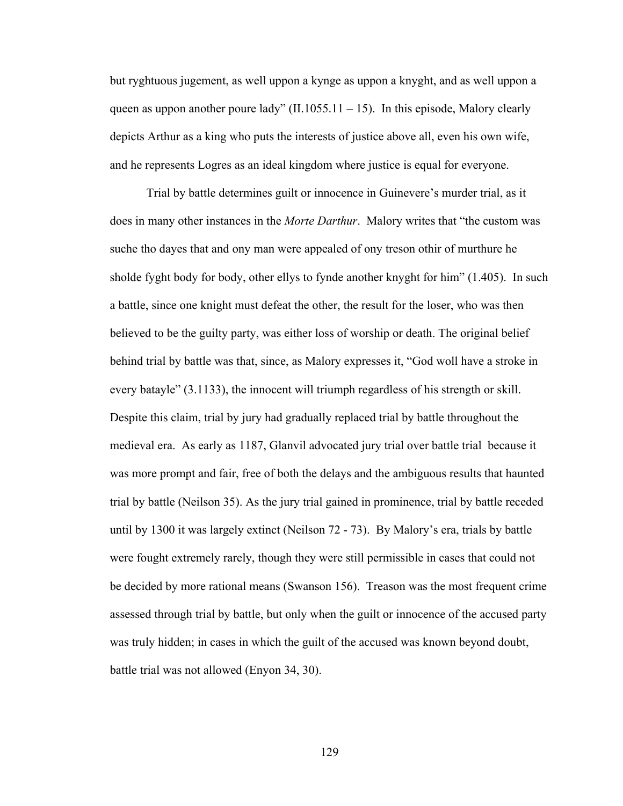but ryghtuous jugement, as well uppon a kynge as uppon a knyght, and as well uppon a queen as uppon another poure lady"  $(II.1055.11 - 15)$ . In this episode, Malory clearly depicts Arthur as a king who puts the interests of justice above all, even his own wife, and he represents Logres as an ideal kingdom where justice is equal for everyone.

Trial by battle determines guilt or innocence in Guinevere's murder trial, as it does in many other instances in the *Morte Darthur*. Malory writes that "the custom was suche tho dayes that and ony man were appealed of ony treson othir of murthure he sholde fyght body for body, other ellys to fynde another knyght for him" (1.405). In such a battle, since one knight must defeat the other, the result for the loser, who was then believed to be the guilty party, was either loss of worship or death. The original belief behind trial by battle was that, since, as Malory expresses it, "God woll have a stroke in every batayle" (3.1133), the innocent will triumph regardless of his strength or skill. Despite this claim, trial by jury had gradually replaced trial by battle throughout the medieval era. As early as 1187, Glanvil advocated jury trial over battle trial because it was more prompt and fair, free of both the delays and the ambiguous results that haunted trial by battle (Neilson 35). As the jury trial gained in prominence, trial by battle receded until by 1300 it was largely extinct (Neilson 72 - 73). By Malory's era, trials by battle were fought extremely rarely, though they were still permissible in cases that could not be decided by more rational means (Swanson 156). Treason was the most frequent crime assessed through trial by battle, but only when the guilt or innocence of the accused party was truly hidden; in cases in which the guilt of the accused was known beyond doubt, battle trial was not allowed (Enyon 34, 30).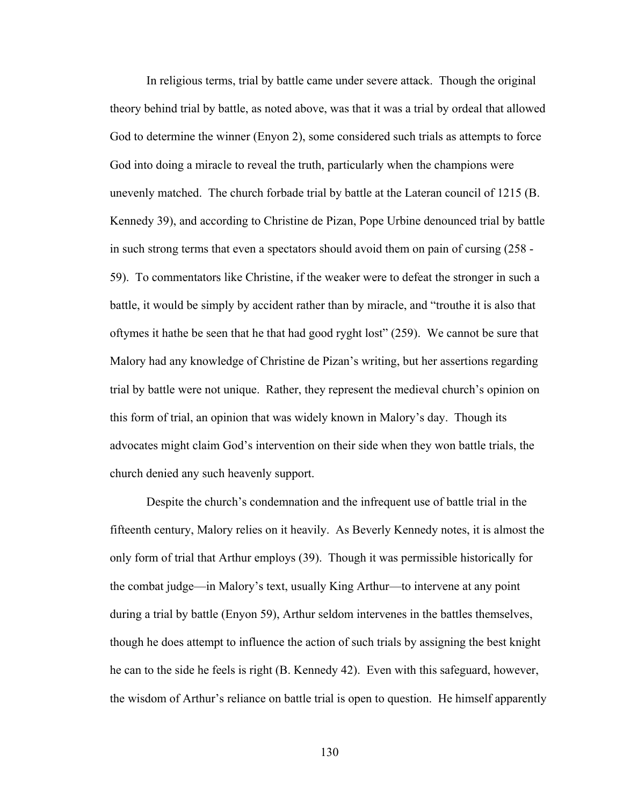In religious terms, trial by battle came under severe attack. Though the original theory behind trial by battle, as noted above, was that it was a trial by ordeal that allowed God to determine the winner (Enyon 2), some considered such trials as attempts to force God into doing a miracle to reveal the truth, particularly when the champions were unevenly matched. The church forbade trial by battle at the Lateran council of 1215 (B. Kennedy 39), and according to Christine de Pizan, Pope Urbine denounced trial by battle in such strong terms that even a spectators should avoid them on pain of cursing (258 - 59). To commentators like Christine, if the weaker were to defeat the stronger in such a battle, it would be simply by accident rather than by miracle, and "trouthe it is also that oftymes it hathe be seen that he that had good ryght lost" (259). We cannot be sure that Malory had any knowledge of Christine de Pizan's writing, but her assertions regarding trial by battle were not unique. Rather, they represent the medieval church's opinion on this form of trial, an opinion that was widely known in Malory's day. Though its advocates might claim God's intervention on their side when they won battle trials, the church denied any such heavenly support.

Despite the church's condemnation and the infrequent use of battle trial in the fifteenth century, Malory relies on it heavily. As Beverly Kennedy notes, it is almost the only form of trial that Arthur employs (39). Though it was permissible historically for the combat judge—in Malory's text, usually King Arthur—to intervene at any point during a trial by battle (Enyon 59), Arthur seldom intervenes in the battles themselves, though he does attempt to influence the action of such trials by assigning the best knight he can to the side he feels is right (B. Kennedy 42). Even with this safeguard, however, the wisdom of Arthur's reliance on battle trial is open to question. He himself apparently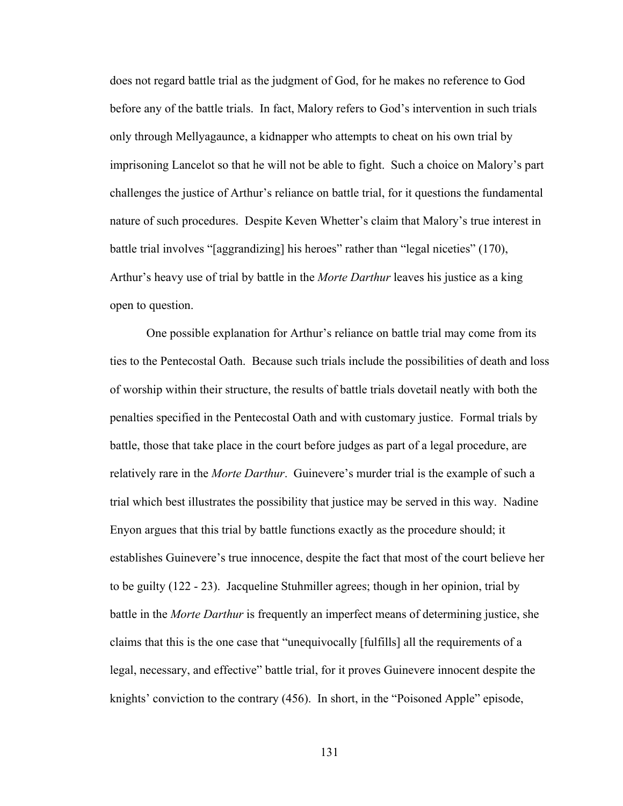does not regard battle trial as the judgment of God, for he makes no reference to God before any of the battle trials. In fact, Malory refers to God's intervention in such trials only through Mellyagaunce, a kidnapper who attempts to cheat on his own trial by imprisoning Lancelot so that he will not be able to fight. Such a choice on Malory's part challenges the justice of Arthur's reliance on battle trial, for it questions the fundamental nature of such procedures. Despite Keven Whetter's claim that Malory's true interest in battle trial involves "[aggrandizing] his heroes" rather than "legal niceties" (170), Arthur's heavy use of trial by battle in the *Morte Darthur* leaves his justice as a king open to question.

One possible explanation for Arthur's reliance on battle trial may come from its ties to the Pentecostal Oath. Because such trials include the possibilities of death and loss of worship within their structure, the results of battle trials dovetail neatly with both the penalties specified in the Pentecostal Oath and with customary justice. Formal trials by battle, those that take place in the court before judges as part of a legal procedure, are relatively rare in the *Morte Darthur*. Guinevere's murder trial is the example of such a trial which best illustrates the possibility that justice may be served in this way. Nadine Enyon argues that this trial by battle functions exactly as the procedure should; it establishes Guinevere's true innocence, despite the fact that most of the court believe her to be guilty (122 - 23). Jacqueline Stuhmiller agrees; though in her opinion, trial by battle in the *Morte Darthur* is frequently an imperfect means of determining justice, she claims that this is the one case that "unequivocally [fulfills] all the requirements of a legal, necessary, and effective" battle trial, for it proves Guinevere innocent despite the knights' conviction to the contrary (456). In short, in the "Poisoned Apple" episode,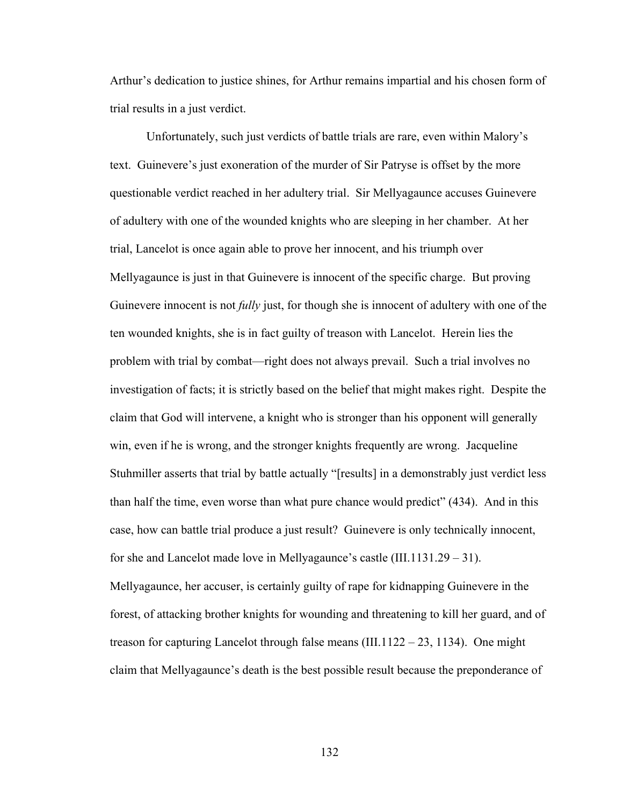Arthur's dedication to justice shines, for Arthur remains impartial and his chosen form of trial results in a just verdict.

Unfortunately, such just verdicts of battle trials are rare, even within Malory's text. Guinevere's just exoneration of the murder of Sir Patryse is offset by the more questionable verdict reached in her adultery trial. Sir Mellyagaunce accuses Guinevere of adultery with one of the wounded knights who are sleeping in her chamber. At her trial, Lancelot is once again able to prove her innocent, and his triumph over Mellyagaunce is just in that Guinevere is innocent of the specific charge. But proving Guinevere innocent is not *fully* just, for though she is innocent of adultery with one of the ten wounded knights, she is in fact guilty of treason with Lancelot. Herein lies the problem with trial by combat—right does not always prevail. Such a trial involves no investigation of facts; it is strictly based on the belief that might makes right. Despite the claim that God will intervene, a knight who is stronger than his opponent will generally win, even if he is wrong, and the stronger knights frequently are wrong. Jacqueline Stuhmiller asserts that trial by battle actually "[results] in a demonstrably just verdict less than half the time, even worse than what pure chance would predict" (434). And in this case, how can battle trial produce a just result? Guinevere is only technically innocent, for she and Lancelot made love in Mellyagaunce's castle (III.1131.29 – 31). Mellyagaunce, her accuser, is certainly guilty of rape for kidnapping Guinevere in the forest, of attacking brother knights for wounding and threatening to kill her guard, and of treason for capturing Lancelot through false means  $(III.1122 - 23, 1134)$ . One might claim that Mellyagaunce's death is the best possible result because the preponderance of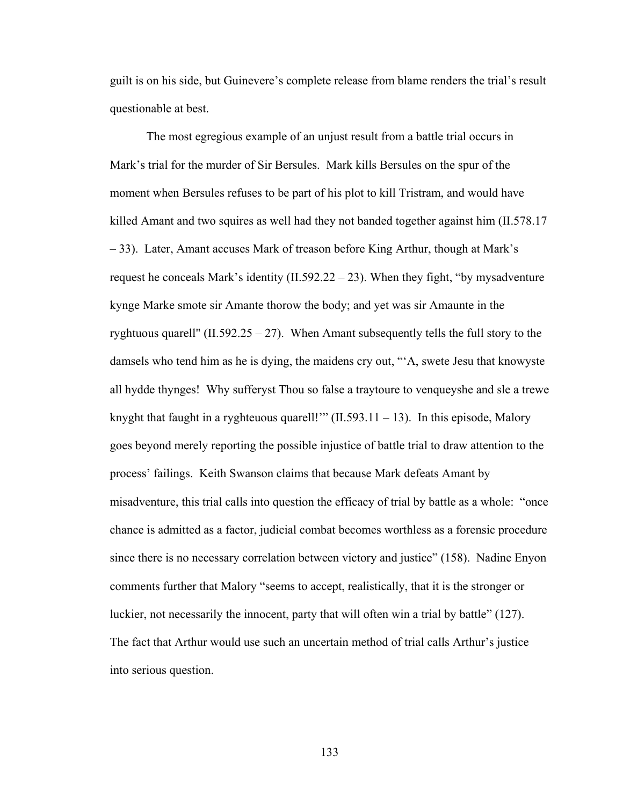guilt is on his side, but Guinevere's complete release from blame renders the trial's result questionable at best.

The most egregious example of an unjust result from a battle trial occurs in Mark's trial for the murder of Sir Bersules. Mark kills Bersules on the spur of the moment when Bersules refuses to be part of his plot to kill Tristram, and would have killed Amant and two squires as well had they not banded together against him (II.578.17 – 33). Later, Amant accuses Mark of treason before King Arthur, though at Mark's request he conceals Mark's identity  $(II.592.22 - 23)$ . When they fight, "by mysadventure" kynge Marke smote sir Amante thorow the body; and yet was sir Amaunte in the ryghtuous quarell" (II.592.25 – 27). When Amant subsequently tells the full story to the damsels who tend him as he is dying, the maidens cry out, "'A, swete Jesu that knowyste all hydde thynges! Why sufferyst Thou so false a traytoure to venqueyshe and sle a trewe knyght that faught in a ryghteuous quarell!"  $(II.593.11 - 13)$ . In this episode, Malory goes beyond merely reporting the possible injustice of battle trial to draw attention to the process' failings. Keith Swanson claims that because Mark defeats Amant by misadventure, this trial calls into question the efficacy of trial by battle as a whole: "once chance is admitted as a factor, judicial combat becomes worthless as a forensic procedure since there is no necessary correlation between victory and justice" (158). Nadine Enyon comments further that Malory "seems to accept, realistically, that it is the stronger or luckier, not necessarily the innocent, party that will often win a trial by battle" (127). The fact that Arthur would use such an uncertain method of trial calls Arthur's justice into serious question.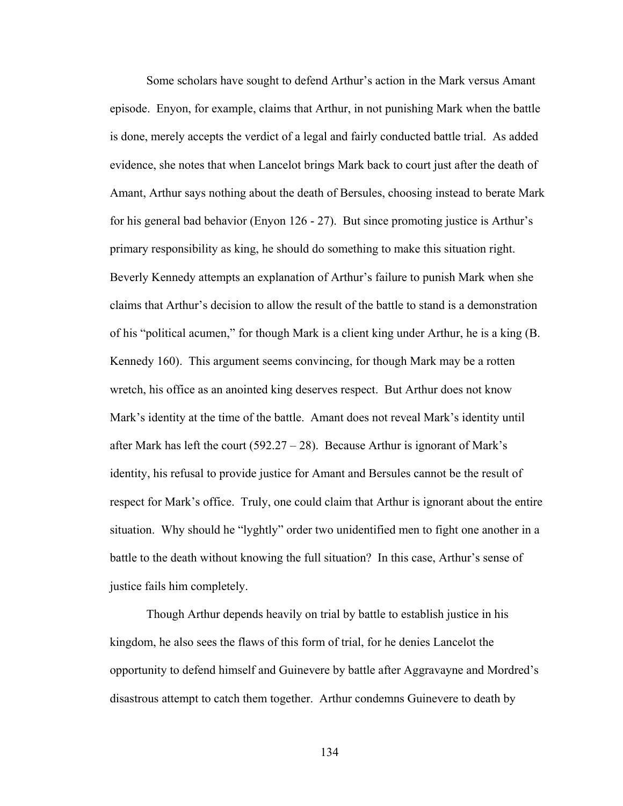Some scholars have sought to defend Arthur's action in the Mark versus Amant episode. Enyon, for example, claims that Arthur, in not punishing Mark when the battle is done, merely accepts the verdict of a legal and fairly conducted battle trial. As added evidence, she notes that when Lancelot brings Mark back to court just after the death of Amant, Arthur says nothing about the death of Bersules, choosing instead to berate Mark for his general bad behavior (Enyon 126 - 27). But since promoting justice is Arthur's primary responsibility as king, he should do something to make this situation right. Beverly Kennedy attempts an explanation of Arthur's failure to punish Mark when she claims that Arthur's decision to allow the result of the battle to stand is a demonstration of his "political acumen," for though Mark is a client king under Arthur, he is a king (B. Kennedy 160). This argument seems convincing, for though Mark may be a rotten wretch, his office as an anointed king deserves respect. But Arthur does not know Mark's identity at the time of the battle. Amant does not reveal Mark's identity until after Mark has left the court  $(592.27 - 28)$ . Because Arthur is ignorant of Mark's identity, his refusal to provide justice for Amant and Bersules cannot be the result of respect for Mark's office. Truly, one could claim that Arthur is ignorant about the entire situation. Why should he "lyghtly" order two unidentified men to fight one another in a battle to the death without knowing the full situation? In this case, Arthur's sense of justice fails him completely.

Though Arthur depends heavily on trial by battle to establish justice in his kingdom, he also sees the flaws of this form of trial, for he denies Lancelot the opportunity to defend himself and Guinevere by battle after Aggravayne and Mordred's disastrous attempt to catch them together. Arthur condemns Guinevere to death by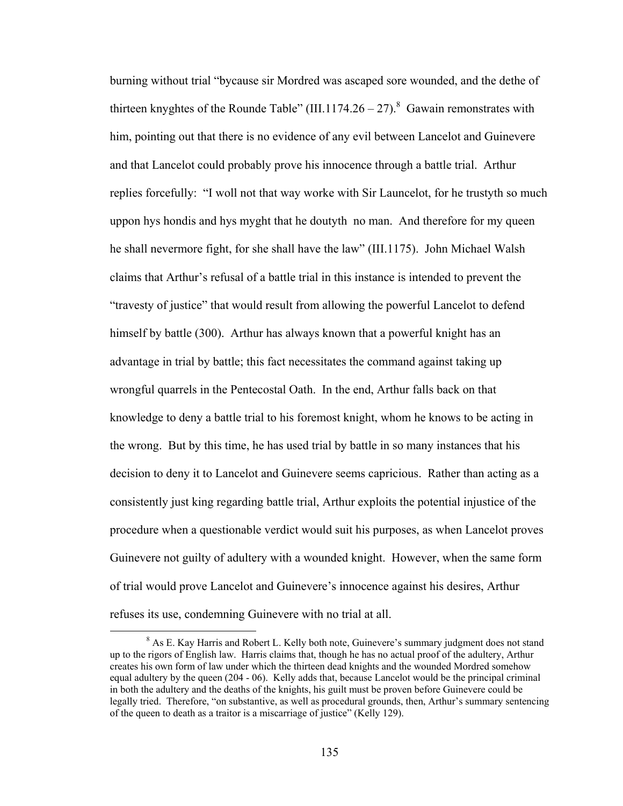burning without trial "bycause sir Mordred was ascaped sore wounded, and the dethe of thirteen knyghtes of the Rounde Table" (III.1174.26 – 27).<sup>8</sup> Gawain remonstrates with him, pointing out that there is no evidence of any evil between Lancelot and Guinevere and that Lancelot could probably prove his innocence through a battle trial. Arthur replies forcefully: "I woll not that way worke with Sir Launcelot, for he trustyth so much uppon hys hondis and hys myght that he doutyth no man. And therefore for my queen he shall nevermore fight, for she shall have the law" (III.1175). John Michael Walsh claims that Arthur's refusal of a battle trial in this instance is intended to prevent the "travesty of justice" that would result from allowing the powerful Lancelot to defend himself by battle (300). Arthur has always known that a powerful knight has an advantage in trial by battle; this fact necessitates the command against taking up wrongful quarrels in the Pentecostal Oath. In the end, Arthur falls back on that knowledge to deny a battle trial to his foremost knight, whom he knows to be acting in the wrong. But by this time, he has used trial by battle in so many instances that his decision to deny it to Lancelot and Guinevere seems capricious. Rather than acting as a consistently just king regarding battle trial, Arthur exploits the potential injustice of the procedure when a questionable verdict would suit his purposes, as when Lancelot proves Guinevere not guilty of adultery with a wounded knight. However, when the same form of trial would prove Lancelot and Guinevere's innocence against his desires, Arthur refuses its use, condemning Guinevere with no trial at all.

 $\frac{1}{8}$  $8$  As E. Kay Harris and Robert L. Kelly both note, Guinevere's summary judgment does not stand up to the rigors of English law. Harris claims that, though he has no actual proof of the adultery, Arthur creates his own form of law under which the thirteen dead knights and the wounded Mordred somehow equal adultery by the queen (204 - 06). Kelly adds that, because Lancelot would be the principal criminal in both the adultery and the deaths of the knights, his guilt must be proven before Guinevere could be legally tried. Therefore, "on substantive, as well as procedural grounds, then, Arthur's summary sentencing of the queen to death as a traitor is a miscarriage of justice" (Kelly 129).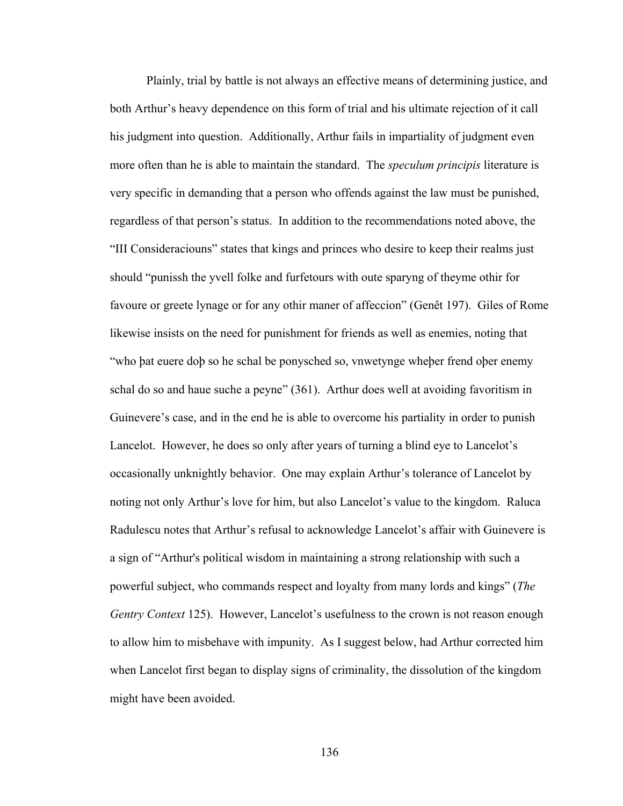Plainly, trial by battle is not always an effective means of determining justice, and both Arthur's heavy dependence on this form of trial and his ultimate rejection of it call his judgment into question. Additionally, Arthur fails in impartiality of judgment even more often than he is able to maintain the standard. The *speculum principis* literature is very specific in demanding that a person who offends against the law must be punished, regardless of that person's status. In addition to the recommendations noted above, the "III Consideraciouns" states that kings and princes who desire to keep their realms just should "punissh the yvell folke and furfetours with oute sparyng of theyme othir for favoure or greete lynage or for any othir maner of affeccion" (Genêt 197). Giles of Rome likewise insists on the need for punishment for friends as well as enemies, noting that "who þat euere doþ so he schal be ponysched so, vnwetynge wheþer frend oþer enemy schal do so and haue suche a peyne" (361). Arthur does well at avoiding favoritism in Guinevere's case, and in the end he is able to overcome his partiality in order to punish Lancelot. However, he does so only after years of turning a blind eye to Lancelot's occasionally unknightly behavior. One may explain Arthur's tolerance of Lancelot by noting not only Arthur's love for him, but also Lancelot's value to the kingdom. Raluca Radulescu notes that Arthur's refusal to acknowledge Lancelot's affair with Guinevere is a sign of "Arthur's political wisdom in maintaining a strong relationship with such a powerful subject, who commands respect and loyalty from many lords and kings" (*The Gentry Context* 125). However, Lancelot's usefulness to the crown is not reason enough to allow him to misbehave with impunity. As I suggest below, had Arthur corrected him when Lancelot first began to display signs of criminality, the dissolution of the kingdom might have been avoided.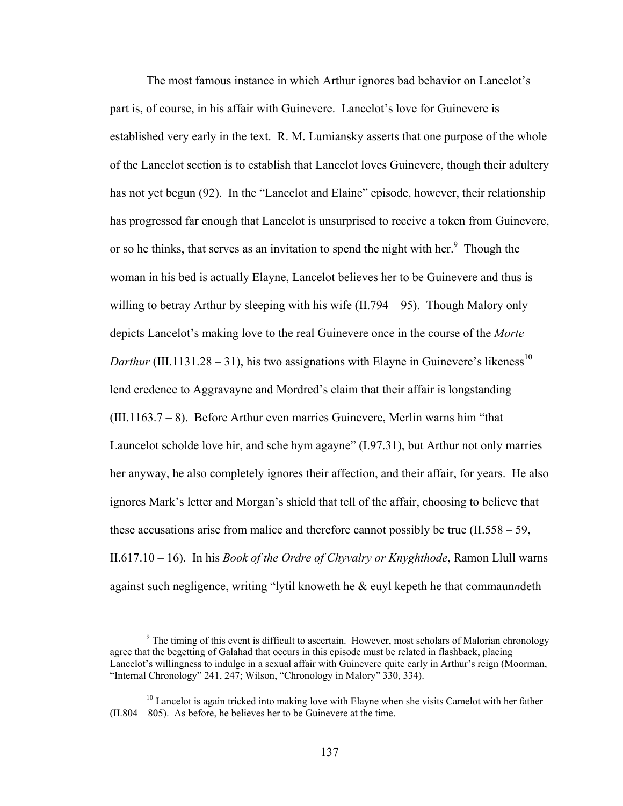The most famous instance in which Arthur ignores bad behavior on Lancelot's part is, of course, in his affair with Guinevere. Lancelot's love for Guinevere is established very early in the text. R. M. Lumiansky asserts that one purpose of the whole of the Lancelot section is to establish that Lancelot loves Guinevere, though their adultery has not yet begun (92). In the "Lancelot and Elaine" episode, however, their relationship has progressed far enough that Lancelot is unsurprised to receive a token from Guinevere, or so he thinks, that serves as an invitation to spend the night with her. $\degree$  Though the woman in his bed is actually Elayne, Lancelot believes her to be Guinevere and thus is willing to betray Arthur by sleeping with his wife (II.794 – 95). Though Malory only depicts Lancelot's making love to the real Guinevere once in the course of the *Morte Darthur* (III.1131.28 – 31), his two assignations with Elayne in Guinevere's likeness<sup>10</sup> lend credence to Aggravayne and Mordred's claim that their affair is longstanding  $(III.1163.7 - 8)$ . Before Arthur even marries Guinevere, Merlin warns him "that Launcelot scholde love hir, and sche hym agayne" (I.97.31), but Arthur not only marries her anyway, he also completely ignores their affection, and their affair, for years. He also ignores Mark's letter and Morgan's shield that tell of the affair, choosing to believe that these accusations arise from malice and therefore cannot possibly be true (II.558 – 59, II.617.10 – 16). In his *Book of the Ordre of Chyvalry or Knyghthode*, Ramon Llull warns against such negligence, writing "lytil knoweth he & euyl kepeth he that commaun*n*deth

 $\frac{1}{\sqrt{9}}$ <sup>9</sup> The timing of this event is difficult to ascertain. However, most scholars of Malorian chronology agree that the begetting of Galahad that occurs in this episode must be related in flashback, placing Lancelot's willingness to indulge in a sexual affair with Guinevere quite early in Arthur's reign (Moorman, "Internal Chronology" 241, 247; Wilson, "Chronology in Malory" 330, 334).

<sup>&</sup>lt;sup>10</sup> Lancelot is again tricked into making love with Elayne when she visits Camelot with her father (II.804 – 805). As before, he believes her to be Guinevere at the time.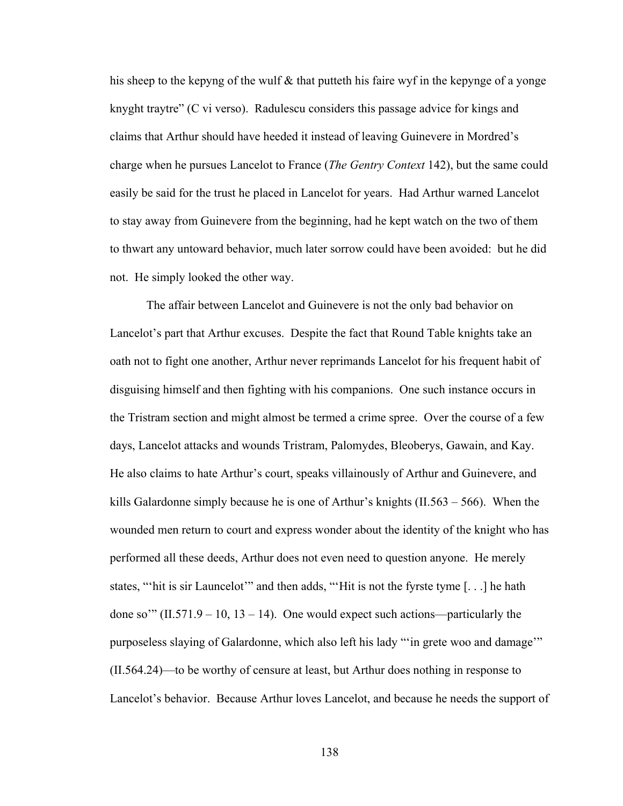his sheep to the kepyng of the wulf & that putteth his faire wyf in the kepynge of a yonge knyght traytre" (C vi verso). Radulescu considers this passage advice for kings and claims that Arthur should have heeded it instead of leaving Guinevere in Mordred's charge when he pursues Lancelot to France (*The Gentry Context* 142), but the same could easily be said for the trust he placed in Lancelot for years. Had Arthur warned Lancelot to stay away from Guinevere from the beginning, had he kept watch on the two of them to thwart any untoward behavior, much later sorrow could have been avoided: but he did not. He simply looked the other way.

The affair between Lancelot and Guinevere is not the only bad behavior on Lancelot's part that Arthur excuses. Despite the fact that Round Table knights take an oath not to fight one another, Arthur never reprimands Lancelot for his frequent habit of disguising himself and then fighting with his companions. One such instance occurs in the Tristram section and might almost be termed a crime spree. Over the course of a few days, Lancelot attacks and wounds Tristram, Palomydes, Bleoberys, Gawain, and Kay. He also claims to hate Arthur's court, speaks villainously of Arthur and Guinevere, and kills Galardonne simply because he is one of Arthur's knights (II.563 – 566). When the wounded men return to court and express wonder about the identity of the knight who has performed all these deeds, Arthur does not even need to question anyone. He merely states, "'hit is sir Launcelot'" and then adds, "'Hit is not the fyrste tyme [. . .] he hath done so'"  $(II.571.9 - 10, 13 - 14)$ . One would expect such actions—particularly the purposeless slaying of Galardonne, which also left his lady "'in grete woo and damage'" (II.564.24)—to be worthy of censure at least, but Arthur does nothing in response to Lancelot's behavior. Because Arthur loves Lancelot, and because he needs the support of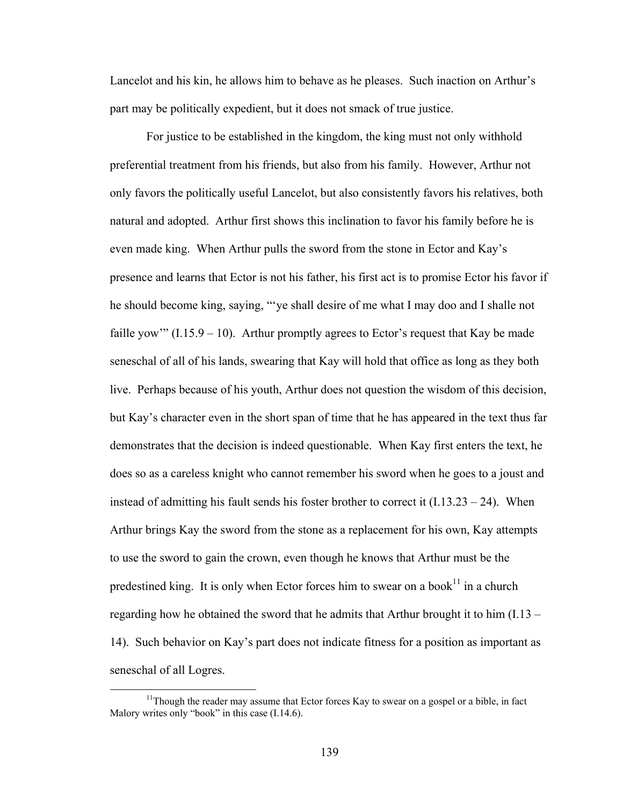Lancelot and his kin, he allows him to behave as he pleases. Such inaction on Arthur's part may be politically expedient, but it does not smack of true justice.

For justice to be established in the kingdom, the king must not only withhold preferential treatment from his friends, but also from his family. However, Arthur not only favors the politically useful Lancelot, but also consistently favors his relatives, both natural and adopted. Arthur first shows this inclination to favor his family before he is even made king. When Arthur pulls the sword from the stone in Ector and Kay's presence and learns that Ector is not his father, his first act is to promise Ector his favor if he should become king, saying, "'ye shall desire of me what I may doo and I shalle not faille yow"  $(1.15.9 - 10)$ . Arthur promptly agrees to Ector's request that Kay be made seneschal of all of his lands, swearing that Kay will hold that office as long as they both live. Perhaps because of his youth, Arthur does not question the wisdom of this decision, but Kay's character even in the short span of time that he has appeared in the text thus far demonstrates that the decision is indeed questionable. When Kay first enters the text, he does so as a careless knight who cannot remember his sword when he goes to a joust and instead of admitting his fault sends his foster brother to correct it  $(1.13.23 - 24)$ . When Arthur brings Kay the sword from the stone as a replacement for his own, Kay attempts to use the sword to gain the crown, even though he knows that Arthur must be the predestined king. It is only when Ector forces him to swear on a book $^{11}$  in a church regarding how he obtained the sword that he admits that Arthur brought it to him  $(1.13 -$ 14). Such behavior on Kay's part does not indicate fitness for a position as important as seneschal of all Logres.

<sup>&</sup>lt;sup>11</sup>Though the reader may assume that Ector forces Kay to swear on a gospel or a bible, in fact Malory writes only "book" in this case (I.14.6).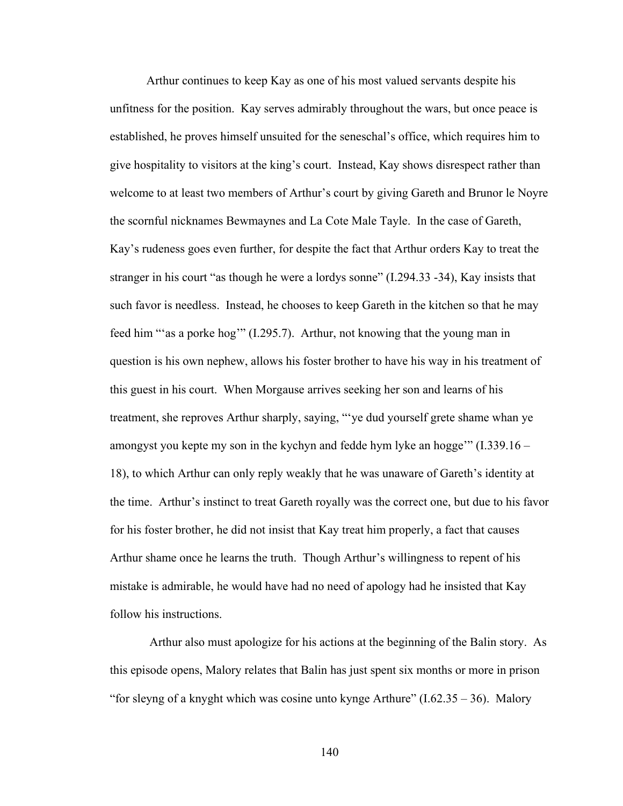Arthur continues to keep Kay as one of his most valued servants despite his unfitness for the position. Kay serves admirably throughout the wars, but once peace is established, he proves himself unsuited for the seneschal's office, which requires him to give hospitality to visitors at the king's court. Instead, Kay shows disrespect rather than welcome to at least two members of Arthur's court by giving Gareth and Brunor le Noyre the scornful nicknames Bewmaynes and La Cote Male Tayle. In the case of Gareth, Kay's rudeness goes even further, for despite the fact that Arthur orders Kay to treat the stranger in his court "as though he were a lordys sonne" (I.294.33 -34), Kay insists that such favor is needless. Instead, he chooses to keep Gareth in the kitchen so that he may feed him "'as a porke hog'" (I.295.7). Arthur, not knowing that the young man in question is his own nephew, allows his foster brother to have his way in his treatment of this guest in his court. When Morgause arrives seeking her son and learns of his treatment, she reproves Arthur sharply, saying, "'ye dud yourself grete shame whan ye amongyst you kepte my son in the kychyn and fedde hym lyke an hogge'"  $(1.339.16 -$ 18), to which Arthur can only reply weakly that he was unaware of Gareth's identity at the time. Arthur's instinct to treat Gareth royally was the correct one, but due to his favor for his foster brother, he did not insist that Kay treat him properly, a fact that causes Arthur shame once he learns the truth. Though Arthur's willingness to repent of his mistake is admirable, he would have had no need of apology had he insisted that Kay follow his instructions.

 Arthur also must apologize for his actions at the beginning of the Balin story. As this episode opens, Malory relates that Balin has just spent six months or more in prison "for sleyng of a knyght which was cosine unto kynge Arthure"  $(1.62.35 - 36)$ . Malory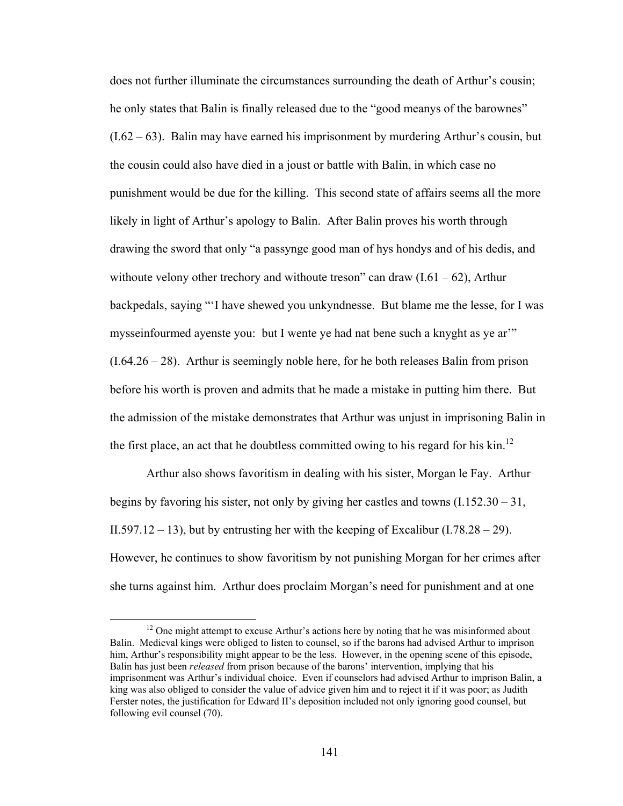does not further illuminate the circumstances surrounding the death of Arthur's cousin; he only states that Balin is finally released due to the "good meanys of the barownes"  $(1.62 - 63)$ . Balin may have earned his imprisonment by murdering Arthur's cousin, but the cousin could also have died in a joust or battle with Balin, in which case no punishment would be due for the killing. This second state of affairs seems all the more likely in light of Arthur's apology to Balin. After Balin proves his worth through drawing the sword that only "a passynge good man of hys hondys and of his dedis, and withoute velony other trechory and withoute treson" can draw  $(I.61 - 62)$ , Arthur backpedals, saying "'I have shewed you unkyndnesse. But blame me the lesse, for I was mysseinfourmed ayenste you: but I wente ye had nat bene such a knyght as ye ar'"  $(1.64.26 - 28)$ . Arthur is seemingly noble here, for he both releases Balin from prison before his worth is proven and admits that he made a mistake in putting him there. But the admission of the mistake demonstrates that Arthur was unjust in imprisoning Balin in the first place, an act that he doubtless committed owing to his regard for his  $\text{kin}^{12}$ 

Arthur also shows favoritism in dealing with his sister, Morgan le Fay. Arthur begins by favoring his sister, not only by giving her castles and towns  $(1.152.30 - 31,$ II.597.12 – 13), but by entrusting her with the keeping of Excalibur (I.78.28 – 29). However, he continues to show favoritism by not punishing Morgan for her crimes after she turns against him. Arthur does proclaim Morgan's need for punishment and at one

 $12$  One might attempt to excuse Arthur's actions here by noting that he was misinformed about Balin. Medieval kings were obliged to listen to counsel, so if the barons had advised Arthur to imprison him, Arthur's responsibility might appear to be the less. However, in the opening scene of this episode, Balin has just been *released* from prison because of the barons' intervention, implying that his imprisonment was Arthur's individual choice. Even if counselors had advised Arthur to imprison Balin, a king was also obliged to consider the value of advice given him and to reject it if it was poor; as Judith Ferster notes, the justification for Edward II's deposition included not only ignoring good counsel, but following evil counsel (70).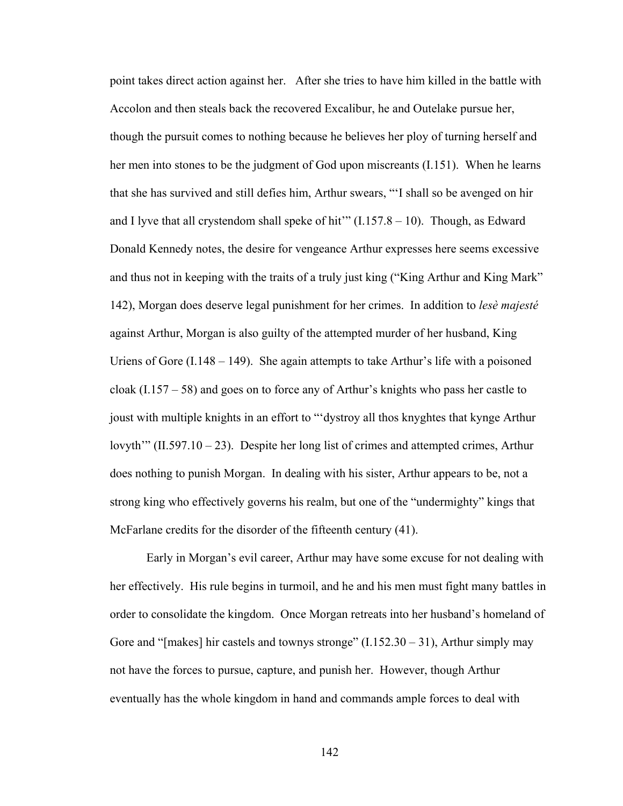point takes direct action against her. After she tries to have him killed in the battle with Accolon and then steals back the recovered Excalibur, he and Outelake pursue her, though the pursuit comes to nothing because he believes her ploy of turning herself and her men into stones to be the judgment of God upon miscreants (I.151). When he learns that she has survived and still defies him, Arthur swears, "'I shall so be avenged on hir and I lyve that all crystendom shall speke of hit"  $(1.157.8 - 10)$ . Though, as Edward Donald Kennedy notes, the desire for vengeance Arthur expresses here seems excessive and thus not in keeping with the traits of a truly just king ("King Arthur and King Mark" 142), Morgan does deserve legal punishment for her crimes. In addition to *lesè majesté*  against Arthur, Morgan is also guilty of the attempted murder of her husband, King Uriens of Gore  $(1.148 - 149)$ . She again attempts to take Arthur's life with a poisoned cloak  $(1.157 - 58)$  and goes on to force any of Arthur's knights who pass her castle to joust with multiple knights in an effort to "'dystroy all thos knyghtes that kynge Arthur lovyth'"  $(II.597.10 - 23)$ . Despite her long list of crimes and attempted crimes, Arthur does nothing to punish Morgan. In dealing with his sister, Arthur appears to be, not a strong king who effectively governs his realm, but one of the "undermighty" kings that McFarlane credits for the disorder of the fifteenth century (41).

Early in Morgan's evil career, Arthur may have some excuse for not dealing with her effectively. His rule begins in turmoil, and he and his men must fight many battles in order to consolidate the kingdom. Once Morgan retreats into her husband's homeland of Gore and "[makes] hir castels and townys stronge"  $(1.152.30 - 31)$ , Arthur simply may not have the forces to pursue, capture, and punish her. However, though Arthur eventually has the whole kingdom in hand and commands ample forces to deal with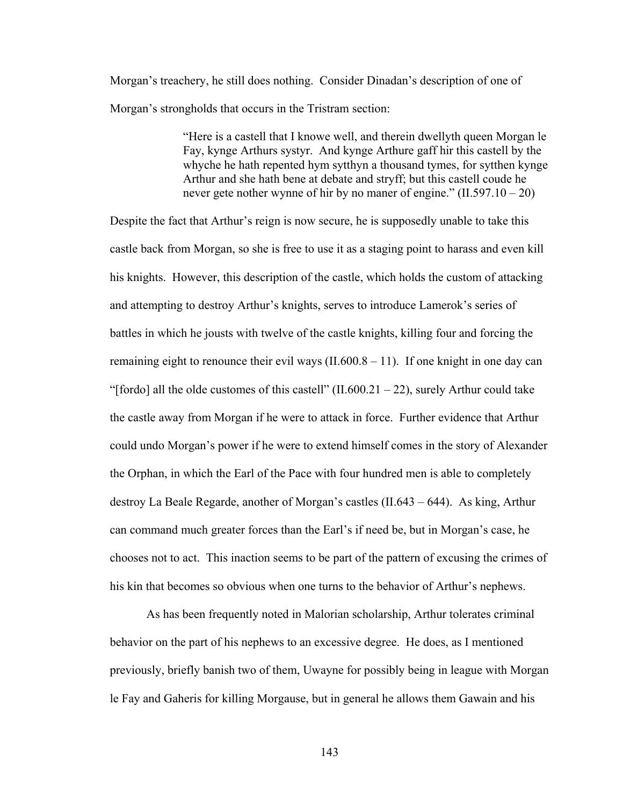Morgan's treachery, he still does nothing. Consider Dinadan's description of one of Morgan's strongholds that occurs in the Tristram section:

> "Here is a castell that I knowe well, and therein dwellyth queen Morgan le Fay, kynge Arthurs systyr. And kynge Arthure gaff hir this castell by the whyche he hath repented hym sytthyn a thousand tymes, for sytthen kynge Arthur and she hath bene at debate and stryff; but this castell coude he never gete nother wynne of hir by no maner of engine." (II.597.10 – 20)

Despite the fact that Arthur's reign is now secure, he is supposedly unable to take this castle back from Morgan, so she is free to use it as a staging point to harass and even kill his knights. However, this description of the castle, which holds the custom of attacking and attempting to destroy Arthur's knights, serves to introduce Lamerok's series of battles in which he jousts with twelve of the castle knights, killing four and forcing the remaining eight to renounce their evil ways  $(II.600.8 - 11)$ . If one knight in one day can "[fordo] all the olde customes of this castell"  $(II.600.21 - 22)$ , surely Arthur could take the castle away from Morgan if he were to attack in force. Further evidence that Arthur could undo Morgan's power if he were to extend himself comes in the story of Alexander the Orphan, in which the Earl of the Pace with four hundred men is able to completely destroy La Beale Regarde, another of Morgan's castles (II.643 – 644). As king, Arthur can command much greater forces than the Earl's if need be, but in Morgan's case, he chooses not to act. This inaction seems to be part of the pattern of excusing the crimes of his kin that becomes so obvious when one turns to the behavior of Arthur's nephews.

As has been frequently noted in Malorian scholarship, Arthur tolerates criminal behavior on the part of his nephews to an excessive degree. He does, as I mentioned previously, briefly banish two of them, Uwayne for possibly being in league with Morgan le Fay and Gaheris for killing Morgause, but in general he allows them Gawain and his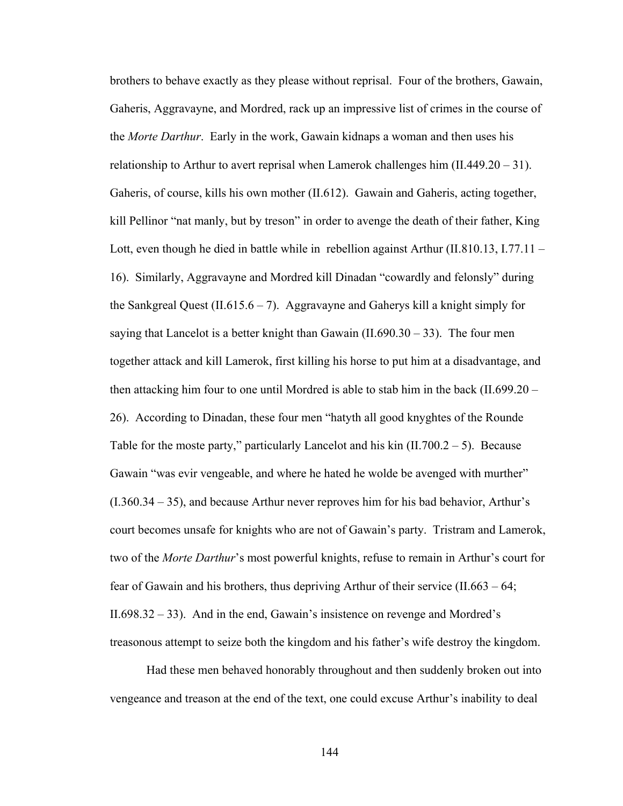brothers to behave exactly as they please without reprisal. Four of the brothers, Gawain, Gaheris, Aggravayne, and Mordred, rack up an impressive list of crimes in the course of the *Morte Darthur*. Early in the work, Gawain kidnaps a woman and then uses his relationship to Arthur to avert reprisal when Lamerok challenges him (II.449.20 – 31). Gaheris, of course, kills his own mother (II.612). Gawain and Gaheris, acting together, kill Pellinor "nat manly, but by treson" in order to avenge the death of their father, King Lott, even though he died in battle while in rebellion against Arthur (II.810.13, I.77.11 – 16). Similarly, Aggravayne and Mordred kill Dinadan "cowardly and felonsly" during the Sankgreal Quest (II.615.6 – 7). Aggravayne and Gaherys kill a knight simply for saying that Lancelot is a better knight than Gawain  $(II.690.30 - 33)$ . The four men together attack and kill Lamerok, first killing his horse to put him at a disadvantage, and then attacking him four to one until Mordred is able to stab him in the back (II.699.20 – 26). According to Dinadan, these four men "hatyth all good knyghtes of the Rounde Table for the moste party," particularly Lancelot and his kin  $(II.700.2 - 5)$ . Because Gawain "was evir vengeable, and where he hated he wolde be avenged with murther" (I.360.34 – 35), and because Arthur never reproves him for his bad behavior, Arthur's court becomes unsafe for knights who are not of Gawain's party. Tristram and Lamerok, two of the *Morte Darthur*'s most powerful knights, refuse to remain in Arthur's court for fear of Gawain and his brothers, thus depriving Arthur of their service (II.663 – 64; II.698.32 – 33). And in the end, Gawain's insistence on revenge and Mordred's treasonous attempt to seize both the kingdom and his father's wife destroy the kingdom.

Had these men behaved honorably throughout and then suddenly broken out into vengeance and treason at the end of the text, one could excuse Arthur's inability to deal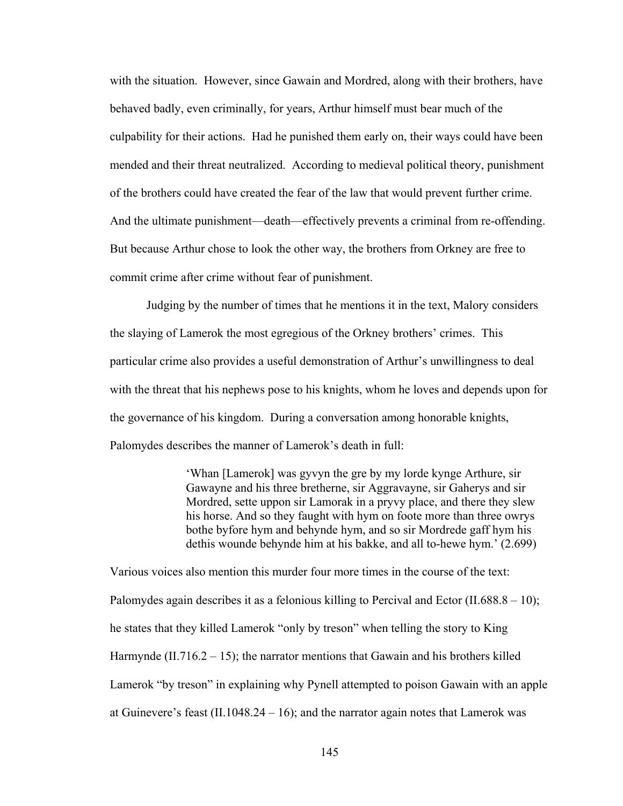with the situation. However, since Gawain and Mordred, along with their brothers, have behaved badly, even criminally, for years, Arthur himself must bear much of the culpability for their actions. Had he punished them early on, their ways could have been mended and their threat neutralized. According to medieval political theory, punishment of the brothers could have created the fear of the law that would prevent further crime. And the ultimate punishment—death—effectively prevents a criminal from re-offending. But because Arthur chose to look the other way, the brothers from Orkney are free to commit crime after crime without fear of punishment.

Judging by the number of times that he mentions it in the text, Malory considers the slaying of Lamerok the most egregious of the Orkney brothers' crimes. This particular crime also provides a useful demonstration of Arthur's unwillingness to deal with the threat that his nephews pose to his knights, whom he loves and depends upon for the governance of his kingdom. During a conversation among honorable knights, Palomydes describes the manner of Lamerok's death in full:

> 'Whan [Lamerok] was gyvyn the gre by my lorde kynge Arthure, sir Gawayne and his three bretherne, sir Aggravayne, sir Gaherys and sir Mordred, sette uppon sir Lamorak in a pryvy place, and there they slew his horse. And so they faught with hym on foote more than three owrys bothe byfore hym and behynde hym, and so sir Mordrede gaff hym his dethis wounde behynde him at his bakke, and all to-hewe hym.' (2.699)

Various voices also mention this murder four more times in the course of the text: Palomydes again describes it as a felonious killing to Percival and Ector  $(II.688.8 - 10)$ ; he states that they killed Lamerok "only by treson" when telling the story to King Harmynde  $(II.716.2 – 15)$ ; the narrator mentions that Gawain and his brothers killed Lamerok "by treson" in explaining why Pynell attempted to poison Gawain with an apple at Guinevere's feast  $(II.1048.24 - 16)$ ; and the narrator again notes that Lamerok was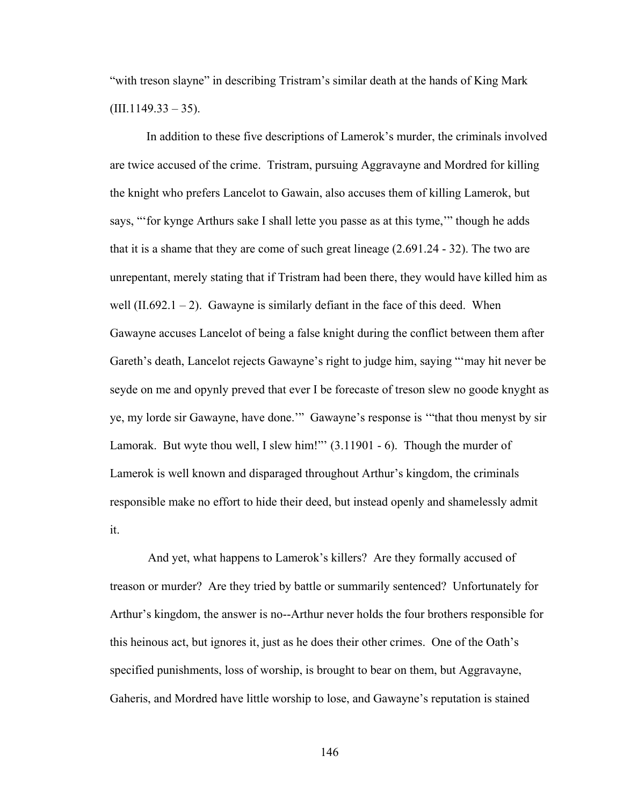"with treson slayne" in describing Tristram's similar death at the hands of King Mark  $(III.1149.33 - 35).$ 

In addition to these five descriptions of Lamerok's murder, the criminals involved are twice accused of the crime. Tristram, pursuing Aggravayne and Mordred for killing the knight who prefers Lancelot to Gawain, also accuses them of killing Lamerok, but says, "'for kynge Arthurs sake I shall lette you passe as at this tyme,'" though he adds that it is a shame that they are come of such great lineage (2.691.24 - 32). The two are unrepentant, merely stating that if Tristram had been there, they would have killed him as well  $(II.692.1 - 2)$ . Gawayne is similarly defiant in the face of this deed. When Gawayne accuses Lancelot of being a false knight during the conflict between them after Gareth's death, Lancelot rejects Gawayne's right to judge him, saying "'may hit never be seyde on me and opynly preved that ever I be forecaste of treson slew no goode knyght as ye, my lorde sir Gawayne, have done.'" Gawayne's response is '"that thou menyst by sir Lamorak. But wyte thou well, I slew him!"" (3.11901 - 6). Though the murder of Lamerok is well known and disparaged throughout Arthur's kingdom, the criminals responsible make no effort to hide their deed, but instead openly and shamelessly admit it.

And yet, what happens to Lamerok's killers? Are they formally accused of treason or murder? Are they tried by battle or summarily sentenced? Unfortunately for Arthur's kingdom, the answer is no--Arthur never holds the four brothers responsible for this heinous act, but ignores it, just as he does their other crimes. One of the Oath's specified punishments, loss of worship, is brought to bear on them, but Aggravayne, Gaheris, and Mordred have little worship to lose, and Gawayne's reputation is stained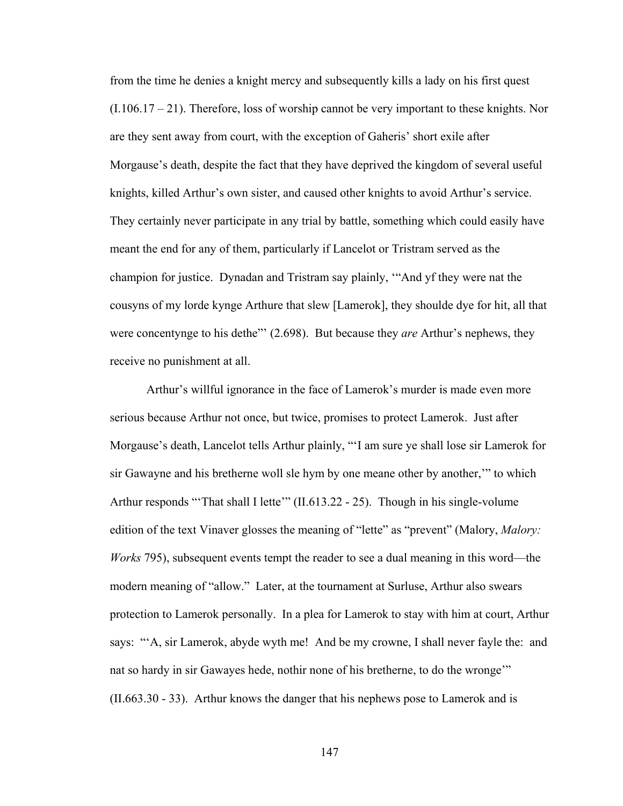from the time he denies a knight mercy and subsequently kills a lady on his first quest (I.106.17 – 21). Therefore, loss of worship cannot be very important to these knights. Nor are they sent away from court, with the exception of Gaheris' short exile after Morgause's death, despite the fact that they have deprived the kingdom of several useful knights, killed Arthur's own sister, and caused other knights to avoid Arthur's service. They certainly never participate in any trial by battle, something which could easily have meant the end for any of them, particularly if Lancelot or Tristram served as the champion for justice. Dynadan and Tristram say plainly, '"And yf they were nat the cousyns of my lorde kynge Arthure that slew [Lamerok], they shoulde dye for hit, all that were concentynge to his dethe"' (2.698). But because they *are* Arthur's nephews, they receive no punishment at all.

 Arthur's willful ignorance in the face of Lamerok's murder is made even more serious because Arthur not once, but twice, promises to protect Lamerok. Just after Morgause's death, Lancelot tells Arthur plainly, "'I am sure ye shall lose sir Lamerok for sir Gawayne and his bretherne woll sle hym by one meane other by another,'" to which Arthur responds "That shall I lette" (II.613.22 - 25). Though in his single-volume edition of the text Vinaver glosses the meaning of "lette" as "prevent" (Malory, *Malory: Works* 795), subsequent events tempt the reader to see a dual meaning in this word—the modern meaning of "allow." Later, at the tournament at Surluse, Arthur also swears protection to Lamerok personally. In a plea for Lamerok to stay with him at court, Arthur says: "'A, sir Lamerok, abyde wyth me! And be my crowne, I shall never fayle the: and nat so hardy in sir Gawayes hede, nothir none of his bretherne, to do the wronge'" (II.663.30 - 33). Arthur knows the danger that his nephews pose to Lamerok and is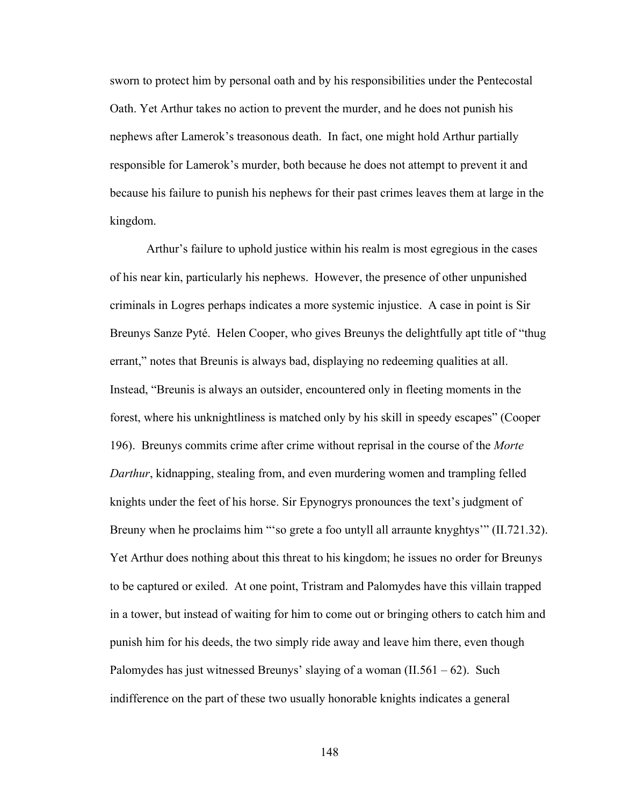sworn to protect him by personal oath and by his responsibilities under the Pentecostal Oath. Yet Arthur takes no action to prevent the murder, and he does not punish his nephews after Lamerok's treasonous death. In fact, one might hold Arthur partially responsible for Lamerok's murder, both because he does not attempt to prevent it and because his failure to punish his nephews for their past crimes leaves them at large in the kingdom.

Arthur's failure to uphold justice within his realm is most egregious in the cases of his near kin, particularly his nephews. However, the presence of other unpunished criminals in Logres perhaps indicates a more systemic injustice. A case in point is Sir Breunys Sanze Pyté. Helen Cooper, who gives Breunys the delightfully apt title of "thug errant," notes that Breunis is always bad, displaying no redeeming qualities at all. Instead, "Breunis is always an outsider, encountered only in fleeting moments in the forest, where his unknightliness is matched only by his skill in speedy escapes" (Cooper 196). Breunys commits crime after crime without reprisal in the course of the *Morte Darthur*, kidnapping, stealing from, and even murdering women and trampling felled knights under the feet of his horse. Sir Epynogrys pronounces the text's judgment of Breuny when he proclaims him "so grete a foo untyll all arraunte knyghtys" (II.721.32). Yet Arthur does nothing about this threat to his kingdom; he issues no order for Breunys to be captured or exiled. At one point, Tristram and Palomydes have this villain trapped in a tower, but instead of waiting for him to come out or bringing others to catch him and punish him for his deeds, the two simply ride away and leave him there, even though Palomydes has just witnessed Breunys' slaying of a woman  $(II.561 - 62)$ . Such indifference on the part of these two usually honorable knights indicates a general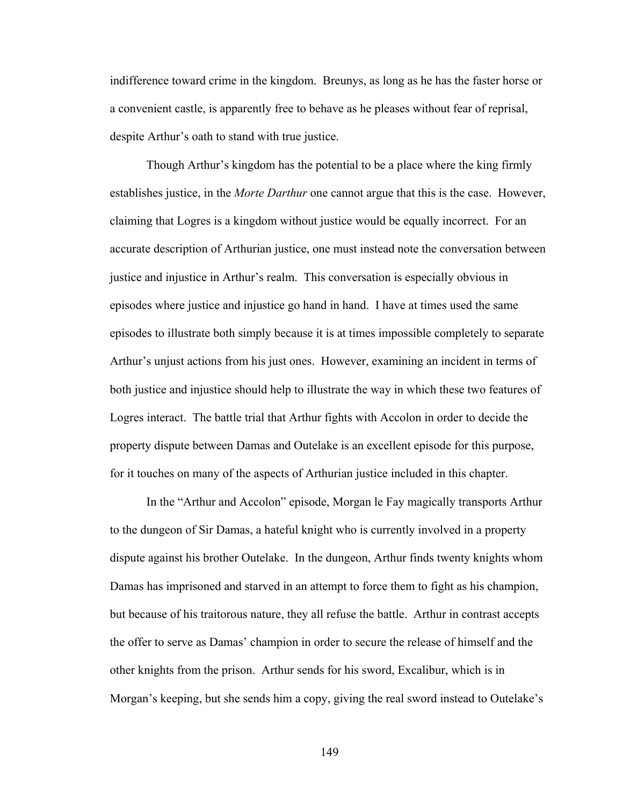indifference toward crime in the kingdom. Breunys, as long as he has the faster horse or a convenient castle, is apparently free to behave as he pleases without fear of reprisal, despite Arthur's oath to stand with true justice.

Though Arthur's kingdom has the potential to be a place where the king firmly establishes justice, in the *Morte Darthur* one cannot argue that this is the case. However, claiming that Logres is a kingdom without justice would be equally incorrect. For an accurate description of Arthurian justice, one must instead note the conversation between justice and injustice in Arthur's realm. This conversation is especially obvious in episodes where justice and injustice go hand in hand. I have at times used the same episodes to illustrate both simply because it is at times impossible completely to separate Arthur's unjust actions from his just ones. However, examining an incident in terms of both justice and injustice should help to illustrate the way in which these two features of Logres interact. The battle trial that Arthur fights with Accolon in order to decide the property dispute between Damas and Outelake is an excellent episode for this purpose, for it touches on many of the aspects of Arthurian justice included in this chapter.

In the "Arthur and Accolon" episode, Morgan le Fay magically transports Arthur to the dungeon of Sir Damas, a hateful knight who is currently involved in a property dispute against his brother Outelake. In the dungeon, Arthur finds twenty knights whom Damas has imprisoned and starved in an attempt to force them to fight as his champion, but because of his traitorous nature, they all refuse the battle. Arthur in contrast accepts the offer to serve as Damas' champion in order to secure the release of himself and the other knights from the prison. Arthur sends for his sword, Excalibur, which is in Morgan's keeping, but she sends him a copy, giving the real sword instead to Outelake's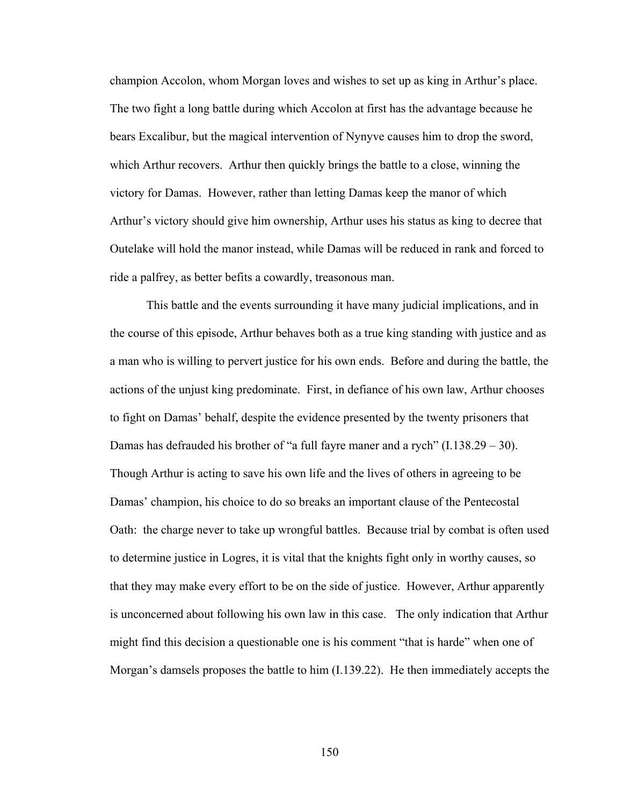champion Accolon, whom Morgan loves and wishes to set up as king in Arthur's place. The two fight a long battle during which Accolon at first has the advantage because he bears Excalibur, but the magical intervention of Nynyve causes him to drop the sword, which Arthur recovers. Arthur then quickly brings the battle to a close, winning the victory for Damas. However, rather than letting Damas keep the manor of which Arthur's victory should give him ownership, Arthur uses his status as king to decree that Outelake will hold the manor instead, while Damas will be reduced in rank and forced to ride a palfrey, as better befits a cowardly, treasonous man.

This battle and the events surrounding it have many judicial implications, and in the course of this episode, Arthur behaves both as a true king standing with justice and as a man who is willing to pervert justice for his own ends. Before and during the battle, the actions of the unjust king predominate. First, in defiance of his own law, Arthur chooses to fight on Damas' behalf, despite the evidence presented by the twenty prisoners that Damas has defrauded his brother of "a full fayre maner and a rych"  $(1.138.29 - 30)$ . Though Arthur is acting to save his own life and the lives of others in agreeing to be Damas' champion, his choice to do so breaks an important clause of the Pentecostal Oath: the charge never to take up wrongful battles. Because trial by combat is often used to determine justice in Logres, it is vital that the knights fight only in worthy causes, so that they may make every effort to be on the side of justice. However, Arthur apparently is unconcerned about following his own law in this case. The only indication that Arthur might find this decision a questionable one is his comment "that is harde" when one of Morgan's damsels proposes the battle to him (I.139.22). He then immediately accepts the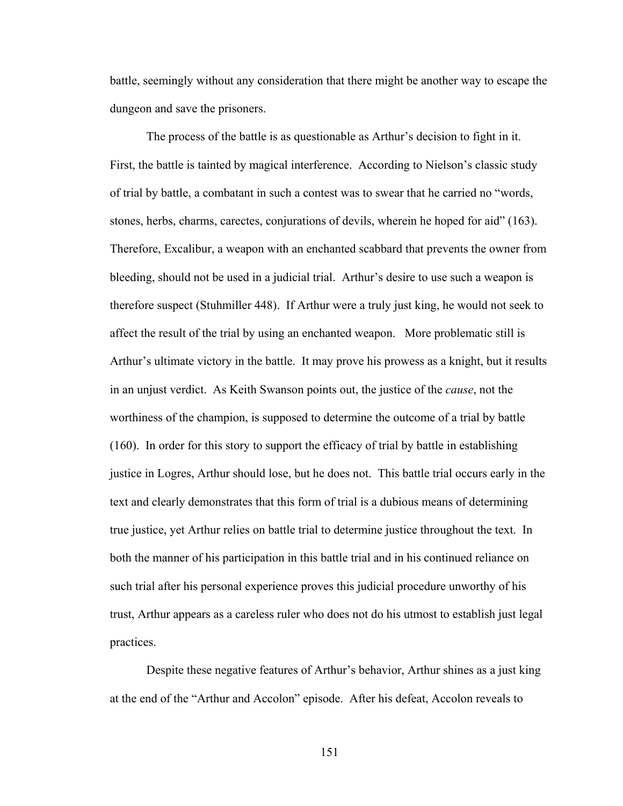battle, seemingly without any consideration that there might be another way to escape the dungeon and save the prisoners.

The process of the battle is as questionable as Arthur's decision to fight in it. First, the battle is tainted by magical interference. According to Nielson's classic study of trial by battle, a combatant in such a contest was to swear that he carried no "words, stones, herbs, charms, carectes, conjurations of devils, wherein he hoped for aid" (163). Therefore, Excalibur, a weapon with an enchanted scabbard that prevents the owner from bleeding, should not be used in a judicial trial. Arthur's desire to use such a weapon is therefore suspect (Stuhmiller 448). If Arthur were a truly just king, he would not seek to affect the result of the trial by using an enchanted weapon. More problematic still is Arthur's ultimate victory in the battle. It may prove his prowess as a knight, but it results in an unjust verdict. As Keith Swanson points out, the justice of the *cause*, not the worthiness of the champion, is supposed to determine the outcome of a trial by battle (160). In order for this story to support the efficacy of trial by battle in establishing justice in Logres, Arthur should lose, but he does not. This battle trial occurs early in the text and clearly demonstrates that this form of trial is a dubious means of determining true justice, yet Arthur relies on battle trial to determine justice throughout the text. In both the manner of his participation in this battle trial and in his continued reliance on such trial after his personal experience proves this judicial procedure unworthy of his trust, Arthur appears as a careless ruler who does not do his utmost to establish just legal practices.

Despite these negative features of Arthur's behavior, Arthur shines as a just king at the end of the "Arthur and Accolon" episode. After his defeat, Accolon reveals to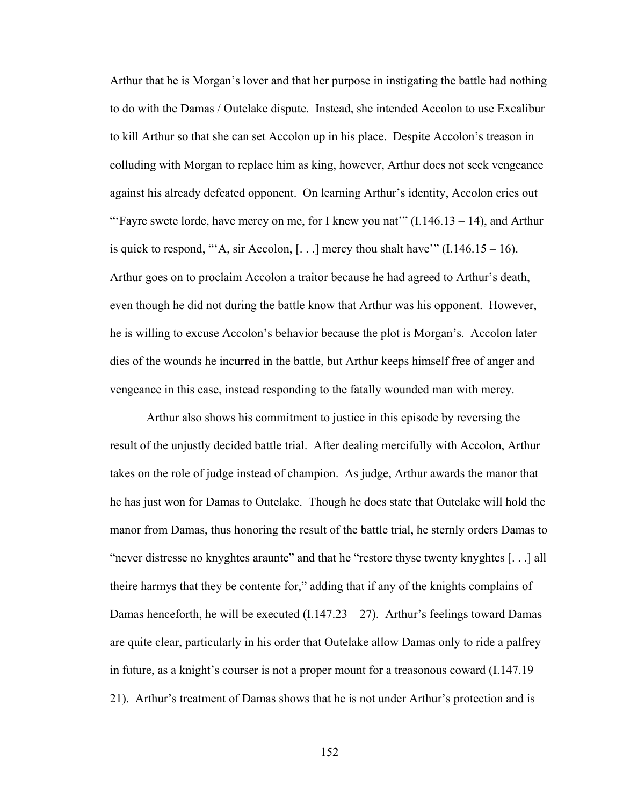Arthur that he is Morgan's lover and that her purpose in instigating the battle had nothing to do with the Damas / Outelake dispute. Instead, she intended Accolon to use Excalibur to kill Arthur so that she can set Accolon up in his place. Despite Accolon's treason in colluding with Morgan to replace him as king, however, Arthur does not seek vengeance against his already defeated opponent. On learning Arthur's identity, Accolon cries out "'Fayre swete lorde, have mercy on me, for I knew you nat""  $(I.146.13 - 14)$ , and Arthur is quick to respond, "'A, sir Accolon,  $[...]$  mercy thou shalt have'"  $(1.146.15 - 16)$ . Arthur goes on to proclaim Accolon a traitor because he had agreed to Arthur's death, even though he did not during the battle know that Arthur was his opponent. However, he is willing to excuse Accolon's behavior because the plot is Morgan's. Accolon later dies of the wounds he incurred in the battle, but Arthur keeps himself free of anger and vengeance in this case, instead responding to the fatally wounded man with mercy.

Arthur also shows his commitment to justice in this episode by reversing the result of the unjustly decided battle trial. After dealing mercifully with Accolon, Arthur takes on the role of judge instead of champion. As judge, Arthur awards the manor that he has just won for Damas to Outelake. Though he does state that Outelake will hold the manor from Damas, thus honoring the result of the battle trial, he sternly orders Damas to "never distresse no knyghtes araunte" and that he "restore thyse twenty knyghtes [. . .] all theire harmys that they be contente for," adding that if any of the knights complains of Damas henceforth, he will be executed  $(I.147.23 - 27)$ . Arthur's feelings toward Damas are quite clear, particularly in his order that Outelake allow Damas only to ride a palfrey in future, as a knight's courser is not a proper mount for a treasonous coward (I.147.19 – 21). Arthur's treatment of Damas shows that he is not under Arthur's protection and is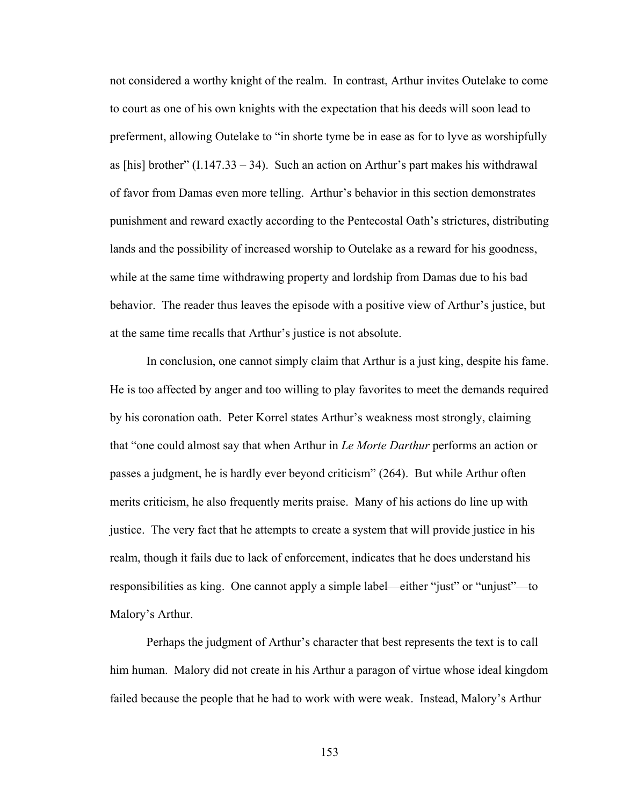not considered a worthy knight of the realm. In contrast, Arthur invites Outelake to come to court as one of his own knights with the expectation that his deeds will soon lead to preferment, allowing Outelake to "in shorte tyme be in ease as for to lyve as worshipfully as [his] brother"  $(1.147.33 - 34)$ . Such an action on Arthur's part makes his withdrawal of favor from Damas even more telling. Arthur's behavior in this section demonstrates punishment and reward exactly according to the Pentecostal Oath's strictures, distributing lands and the possibility of increased worship to Outelake as a reward for his goodness, while at the same time withdrawing property and lordship from Damas due to his bad behavior. The reader thus leaves the episode with a positive view of Arthur's justice, but at the same time recalls that Arthur's justice is not absolute.

In conclusion, one cannot simply claim that Arthur is a just king, despite his fame. He is too affected by anger and too willing to play favorites to meet the demands required by his coronation oath. Peter Korrel states Arthur's weakness most strongly, claiming that "one could almost say that when Arthur in *Le Morte Darthur* performs an action or passes a judgment, he is hardly ever beyond criticism" (264). But while Arthur often merits criticism, he also frequently merits praise. Many of his actions do line up with justice. The very fact that he attempts to create a system that will provide justice in his realm, though it fails due to lack of enforcement, indicates that he does understand his responsibilities as king. One cannot apply a simple label—either "just" or "unjust"—to Malory's Arthur.

Perhaps the judgment of Arthur's character that best represents the text is to call him human. Malory did not create in his Arthur a paragon of virtue whose ideal kingdom failed because the people that he had to work with were weak. Instead, Malory's Arthur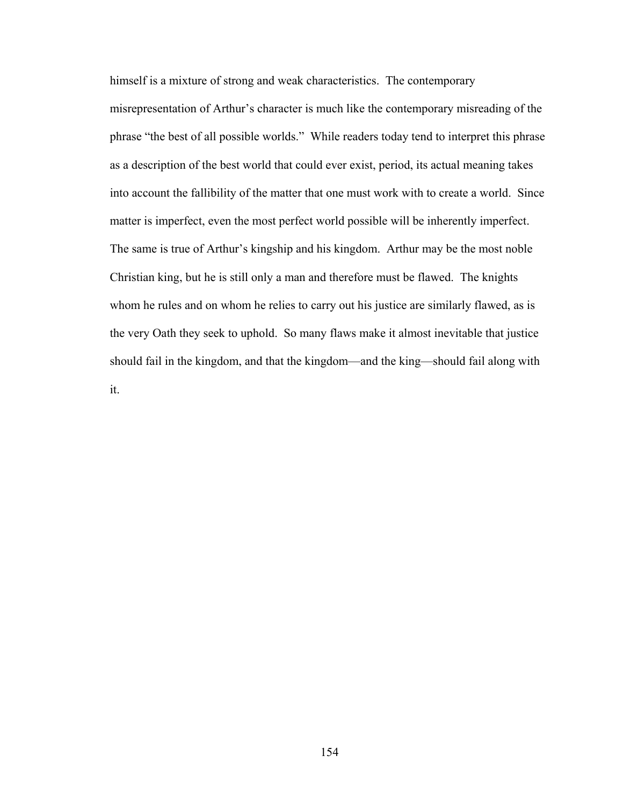himself is a mixture of strong and weak characteristics. The contemporary misrepresentation of Arthur's character is much like the contemporary misreading of the phrase "the best of all possible worlds." While readers today tend to interpret this phrase as a description of the best world that could ever exist, period, its actual meaning takes into account the fallibility of the matter that one must work with to create a world. Since matter is imperfect, even the most perfect world possible will be inherently imperfect. The same is true of Arthur's kingship and his kingdom. Arthur may be the most noble Christian king, but he is still only a man and therefore must be flawed. The knights whom he rules and on whom he relies to carry out his justice are similarly flawed, as is the very Oath they seek to uphold. So many flaws make it almost inevitable that justice should fail in the kingdom, and that the kingdom—and the king—should fail along with it.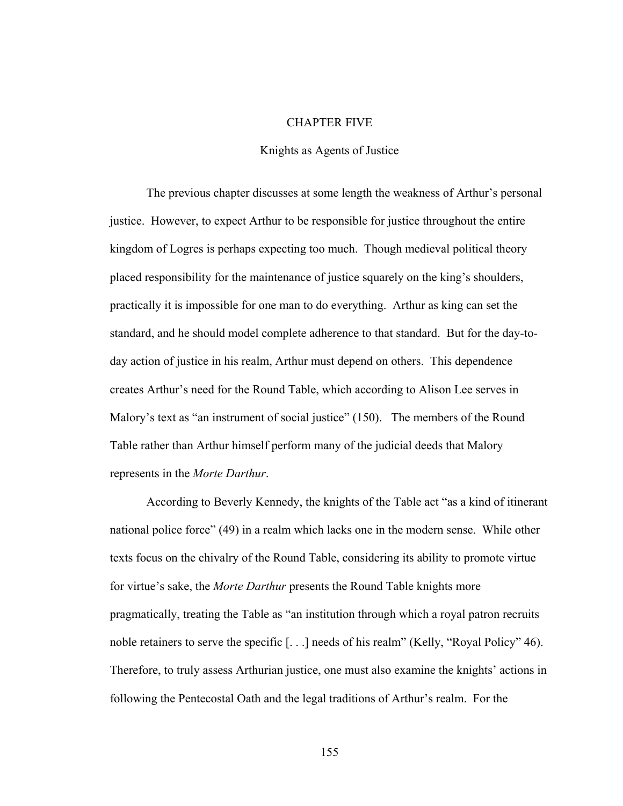## CHAPTER FIVE

## Knights as Agents of Justice

The previous chapter discusses at some length the weakness of Arthur's personal justice. However, to expect Arthur to be responsible for justice throughout the entire kingdom of Logres is perhaps expecting too much. Though medieval political theory placed responsibility for the maintenance of justice squarely on the king's shoulders, practically it is impossible for one man to do everything. Arthur as king can set the standard, and he should model complete adherence to that standard. But for the day-today action of justice in his realm, Arthur must depend on others. This dependence creates Arthur's need for the Round Table, which according to Alison Lee serves in Malory's text as "an instrument of social justice" (150). The members of the Round Table rather than Arthur himself perform many of the judicial deeds that Malory represents in the *Morte Darthur*.

According to Beverly Kennedy, the knights of the Table act "as a kind of itinerant national police force" (49) in a realm which lacks one in the modern sense. While other texts focus on the chivalry of the Round Table, considering its ability to promote virtue for virtue's sake, the *Morte Darthur* presents the Round Table knights more pragmatically, treating the Table as "an institution through which a royal patron recruits noble retainers to serve the specific [. . .] needs of his realm" (Kelly, "Royal Policy" 46). Therefore, to truly assess Arthurian justice, one must also examine the knights' actions in following the Pentecostal Oath and the legal traditions of Arthur's realm. For the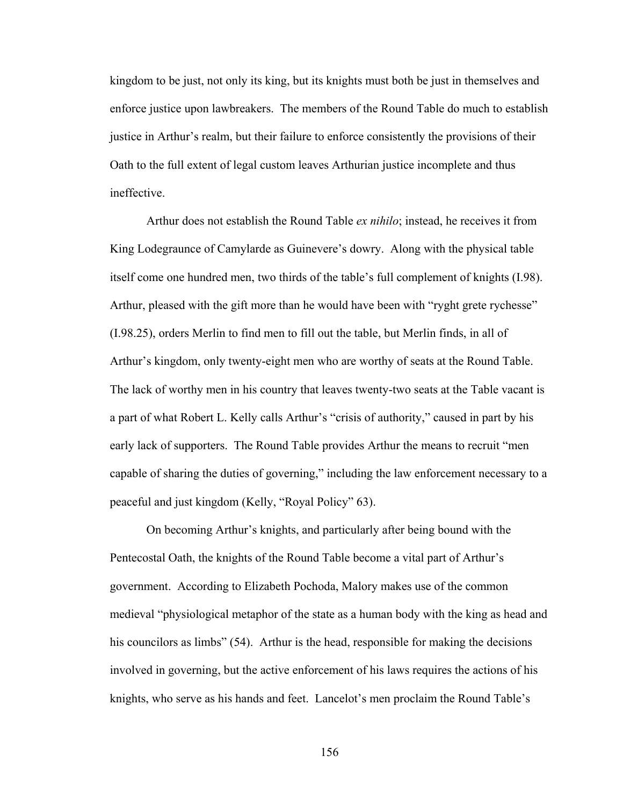kingdom to be just, not only its king, but its knights must both be just in themselves and enforce justice upon lawbreakers. The members of the Round Table do much to establish justice in Arthur's realm, but their failure to enforce consistently the provisions of their Oath to the full extent of legal custom leaves Arthurian justice incomplete and thus ineffective.

Arthur does not establish the Round Table *ex nihilo*; instead, he receives it from King Lodegraunce of Camylarde as Guinevere's dowry. Along with the physical table itself come one hundred men, two thirds of the table's full complement of knights (I.98). Arthur, pleased with the gift more than he would have been with "ryght grete rychesse" (I.98.25), orders Merlin to find men to fill out the table, but Merlin finds, in all of Arthur's kingdom, only twenty-eight men who are worthy of seats at the Round Table. The lack of worthy men in his country that leaves twenty-two seats at the Table vacant is a part of what Robert L. Kelly calls Arthur's "crisis of authority," caused in part by his early lack of supporters. The Round Table provides Arthur the means to recruit "men capable of sharing the duties of governing," including the law enforcement necessary to a peaceful and just kingdom (Kelly, "Royal Policy" 63).

On becoming Arthur's knights, and particularly after being bound with the Pentecostal Oath, the knights of the Round Table become a vital part of Arthur's government. According to Elizabeth Pochoda, Malory makes use of the common medieval "physiological metaphor of the state as a human body with the king as head and his councilors as limbs" (54). Arthur is the head, responsible for making the decisions involved in governing, but the active enforcement of his laws requires the actions of his knights, who serve as his hands and feet. Lancelot's men proclaim the Round Table's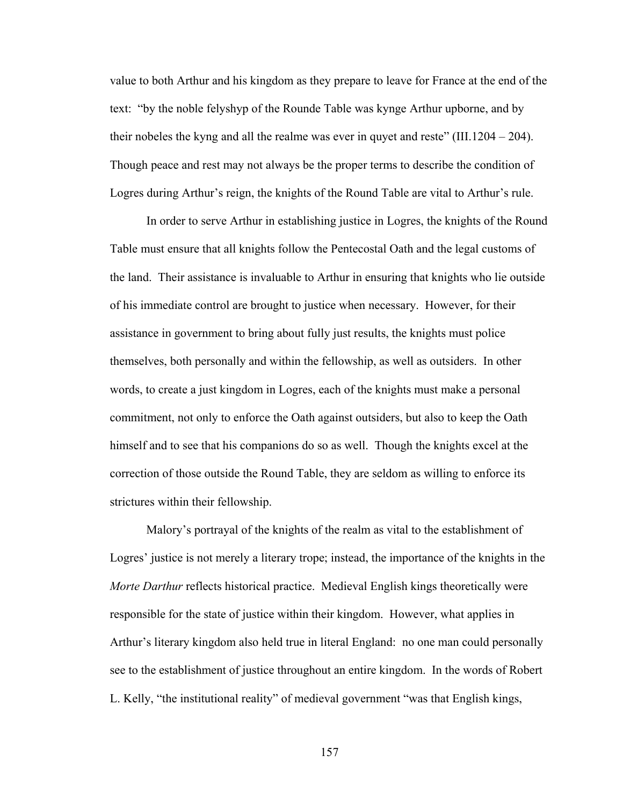value to both Arthur and his kingdom as they prepare to leave for France at the end of the text: "by the noble felyshyp of the Rounde Table was kynge Arthur upborne, and by their nobeles the kyng and all the realme was ever in quyet and reste" (III.1204 – 204). Though peace and rest may not always be the proper terms to describe the condition of Logres during Arthur's reign, the knights of the Round Table are vital to Arthur's rule.

In order to serve Arthur in establishing justice in Logres, the knights of the Round Table must ensure that all knights follow the Pentecostal Oath and the legal customs of the land. Their assistance is invaluable to Arthur in ensuring that knights who lie outside of his immediate control are brought to justice when necessary. However, for their assistance in government to bring about fully just results, the knights must police themselves, both personally and within the fellowship, as well as outsiders. In other words, to create a just kingdom in Logres, each of the knights must make a personal commitment, not only to enforce the Oath against outsiders, but also to keep the Oath himself and to see that his companions do so as well. Though the knights excel at the correction of those outside the Round Table, they are seldom as willing to enforce its strictures within their fellowship.

Malory's portrayal of the knights of the realm as vital to the establishment of Logres' justice is not merely a literary trope; instead, the importance of the knights in the *Morte Darthur* reflects historical practice. Medieval English kings theoretically were responsible for the state of justice within their kingdom. However, what applies in Arthur's literary kingdom also held true in literal England: no one man could personally see to the establishment of justice throughout an entire kingdom. In the words of Robert L. Kelly, "the institutional reality" of medieval government "was that English kings,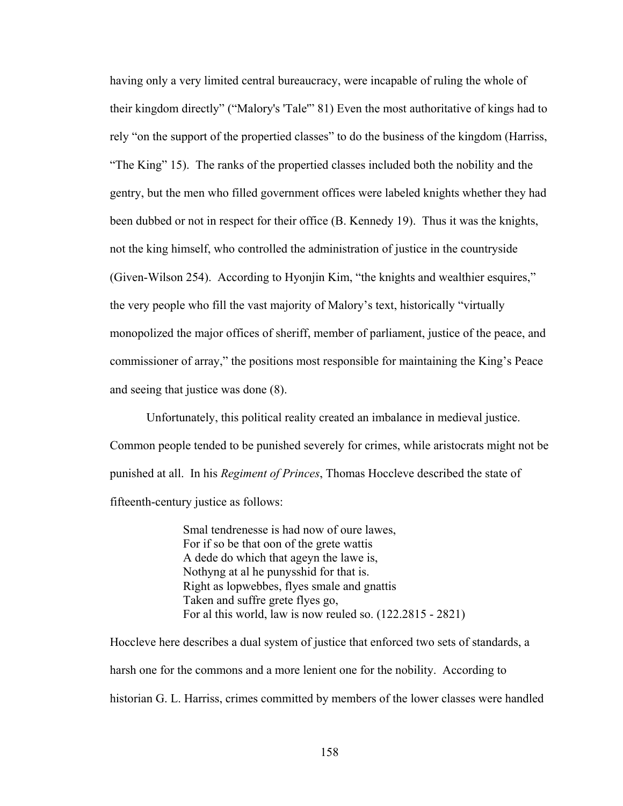having only a very limited central bureaucracy, were incapable of ruling the whole of their kingdom directly" ("Malory's 'Tale'" 81) Even the most authoritative of kings had to rely "on the support of the propertied classes" to do the business of the kingdom (Harriss, "The King" 15). The ranks of the propertied classes included both the nobility and the gentry, but the men who filled government offices were labeled knights whether they had been dubbed or not in respect for their office (B. Kennedy 19). Thus it was the knights, not the king himself, who controlled the administration of justice in the countryside (Given-Wilson 254). According to Hyonjin Kim, "the knights and wealthier esquires," the very people who fill the vast majority of Malory's text, historically "virtually monopolized the major offices of sheriff, member of parliament, justice of the peace, and commissioner of array," the positions most responsible for maintaining the King's Peace and seeing that justice was done (8).

Unfortunately, this political reality created an imbalance in medieval justice. Common people tended to be punished severely for crimes, while aristocrats might not be punished at all. In his *Regiment of Princes*, Thomas Hoccleve described the state of fifteenth-century justice as follows:

> Smal tendrenesse is had now of oure lawes, For if so be that oon of the grete wattis A dede do which that ageyn the lawe is, Nothyng at al he punysshid for that is. Right as lopwebbes, flyes smale and gnattis Taken and suffre grete flyes go, For al this world, law is now reuled so. (122.2815 - 2821)

Hoccleve here describes a dual system of justice that enforced two sets of standards, a harsh one for the commons and a more lenient one for the nobility. According to historian G. L. Harriss, crimes committed by members of the lower classes were handled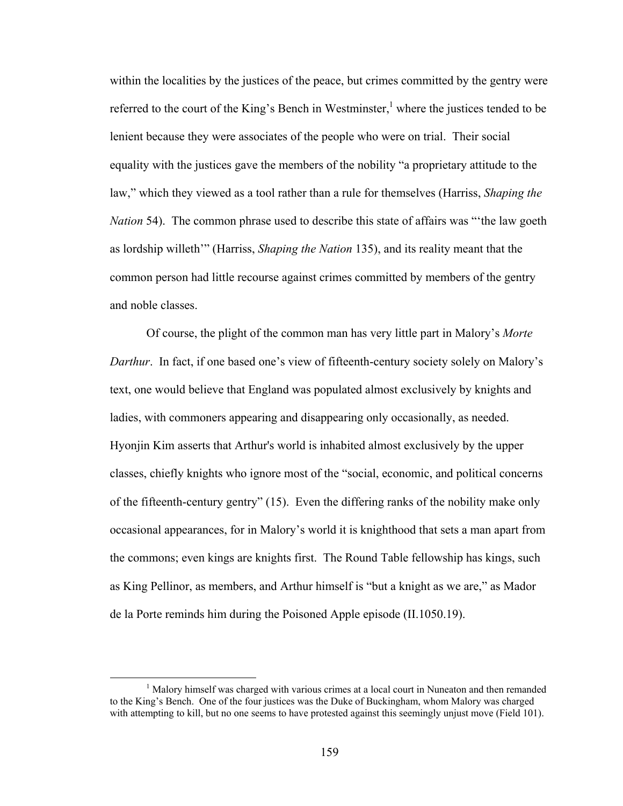within the localities by the justices of the peace, but crimes committed by the gentry were referred to the court of the King's Bench in Westminster, $<sup>1</sup>$  where the justices tended to be</sup> lenient because they were associates of the people who were on trial. Their social equality with the justices gave the members of the nobility "a proprietary attitude to the law," which they viewed as a tool rather than a rule for themselves (Harriss, *Shaping the Nation* 54). The common phrase used to describe this state of affairs was "'the law goeth as lordship willeth'" (Harriss, *Shaping the Nation* 135), and its reality meant that the common person had little recourse against crimes committed by members of the gentry and noble classes.

Of course, the plight of the common man has very little part in Malory's *Morte Darthur*. In fact, if one based one's view of fifteenth-century society solely on Malory's text, one would believe that England was populated almost exclusively by knights and ladies, with commoners appearing and disappearing only occasionally, as needed. Hyonjin Kim asserts that Arthur's world is inhabited almost exclusively by the upper classes, chiefly knights who ignore most of the "social, economic, and political concerns of the fifteenth-century gentry" (15). Even the differing ranks of the nobility make only occasional appearances, for in Malory's world it is knighthood that sets a man apart from the commons; even kings are knights first. The Round Table fellowship has kings, such as King Pellinor, as members, and Arthur himself is "but a knight as we are," as Mador de la Porte reminds him during the Poisoned Apple episode (II.1050.19).

<sup>&</sup>lt;u>1</u>  $<sup>1</sup>$  Malory himself was charged with various crimes at a local court in Nuneaton and then remanded</sup> to the King's Bench. One of the four justices was the Duke of Buckingham, whom Malory was charged with attempting to kill, but no one seems to have protested against this seemingly unjust move (Field 101).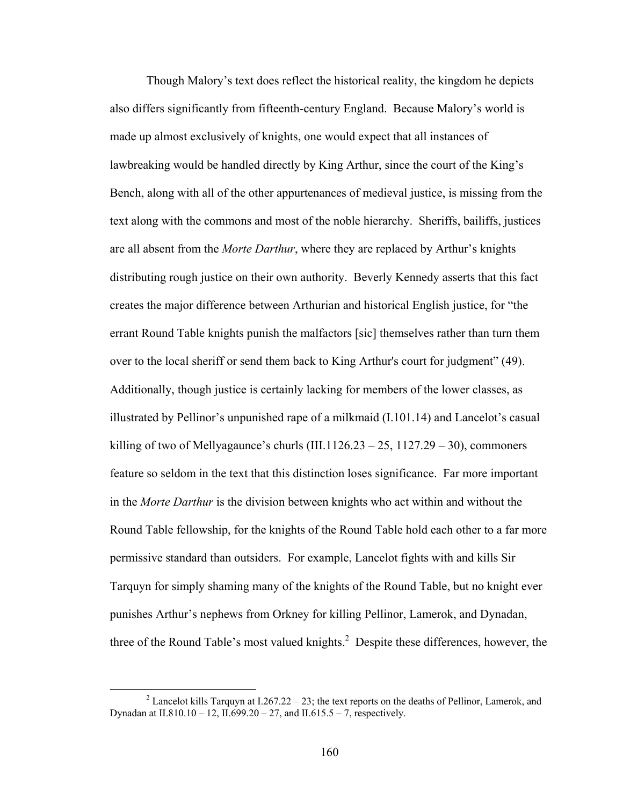Though Malory's text does reflect the historical reality, the kingdom he depicts also differs significantly from fifteenth-century England. Because Malory's world is made up almost exclusively of knights, one would expect that all instances of lawbreaking would be handled directly by King Arthur, since the court of the King's Bench, along with all of the other appurtenances of medieval justice, is missing from the text along with the commons and most of the noble hierarchy. Sheriffs, bailiffs, justices are all absent from the *Morte Darthur*, where they are replaced by Arthur's knights distributing rough justice on their own authority. Beverly Kennedy asserts that this fact creates the major difference between Arthurian and historical English justice, for "the errant Round Table knights punish the malfactors [sic] themselves rather than turn them over to the local sheriff or send them back to King Arthur's court for judgment" (49). Additionally, though justice is certainly lacking for members of the lower classes, as illustrated by Pellinor's unpunished rape of a milkmaid (I.101.14) and Lancelot's casual killing of two of Mellyagaunce's churls  $(III.1126.23 - 25, 1127.29 - 30)$ , commoners feature so seldom in the text that this distinction loses significance. Far more important in the *Morte Darthur* is the division between knights who act within and without the Round Table fellowship, for the knights of the Round Table hold each other to a far more permissive standard than outsiders. For example, Lancelot fights with and kills Sir Tarquyn for simply shaming many of the knights of the Round Table, but no knight ever punishes Arthur's nephews from Orkney for killing Pellinor, Lamerok, and Dynadan, three of the Round Table's most valued knights. $2$  Despite these differences, however, the

 $\frac{1}{2}$ <sup>2</sup> Lancelot kills Tarquyn at I.267.22 – 23; the text reports on the deaths of Pellinor, Lamerok, and Dynadan at II.810.10 – 12, II.699.20 – 27, and II.615.5 – 7, respectively.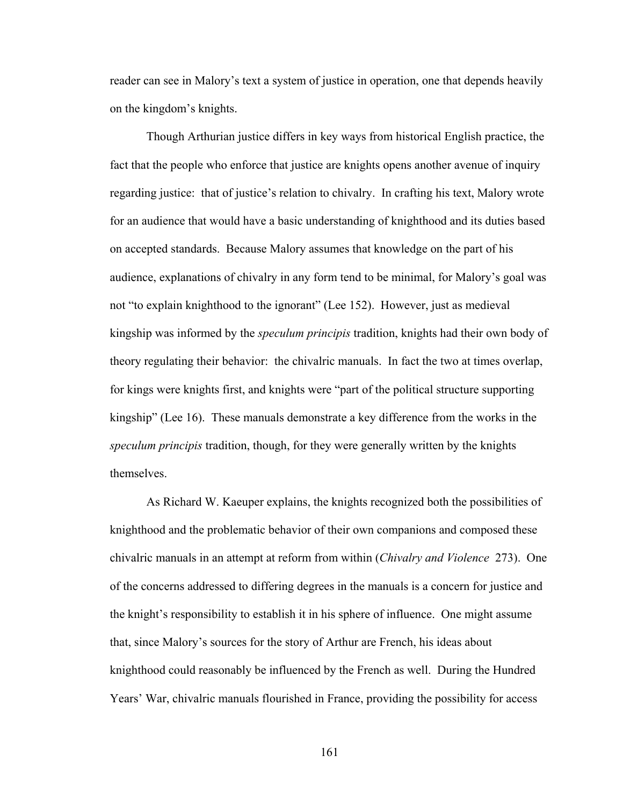reader can see in Malory's text a system of justice in operation, one that depends heavily on the kingdom's knights.

Though Arthurian justice differs in key ways from historical English practice, the fact that the people who enforce that justice are knights opens another avenue of inquiry regarding justice: that of justice's relation to chivalry. In crafting his text, Malory wrote for an audience that would have a basic understanding of knighthood and its duties based on accepted standards. Because Malory assumes that knowledge on the part of his audience, explanations of chivalry in any form tend to be minimal, for Malory's goal was not "to explain knighthood to the ignorant" (Lee 152). However, just as medieval kingship was informed by the *speculum principis* tradition, knights had their own body of theory regulating their behavior: the chivalric manuals. In fact the two at times overlap, for kings were knights first, and knights were "part of the political structure supporting kingship" (Lee 16). These manuals demonstrate a key difference from the works in the *speculum principis* tradition, though, for they were generally written by the knights themselves.

As Richard W. Kaeuper explains, the knights recognized both the possibilities of knighthood and the problematic behavior of their own companions and composed these chivalric manuals in an attempt at reform from within (*Chivalry and Violence* 273). One of the concerns addressed to differing degrees in the manuals is a concern for justice and the knight's responsibility to establish it in his sphere of influence. One might assume that, since Malory's sources for the story of Arthur are French, his ideas about knighthood could reasonably be influenced by the French as well. During the Hundred Years' War, chivalric manuals flourished in France, providing the possibility for access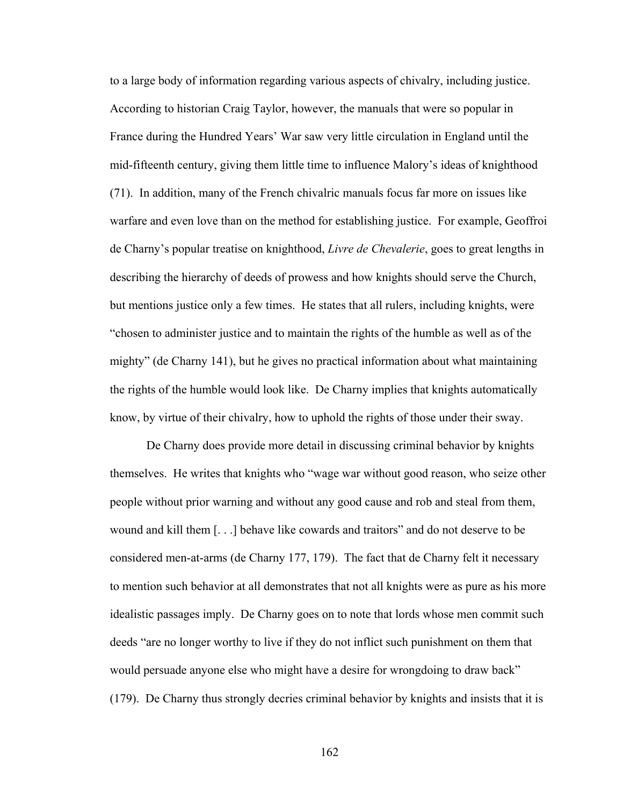to a large body of information regarding various aspects of chivalry, including justice. According to historian Craig Taylor, however, the manuals that were so popular in France during the Hundred Years' War saw very little circulation in England until the mid-fifteenth century, giving them little time to influence Malory's ideas of knighthood (71). In addition, many of the French chivalric manuals focus far more on issues like warfare and even love than on the method for establishing justice. For example, Geoffroi de Charny's popular treatise on knighthood, *Livre de Chevalerie*, goes to great lengths in describing the hierarchy of deeds of prowess and how knights should serve the Church, but mentions justice only a few times. He states that all rulers, including knights, were "chosen to administer justice and to maintain the rights of the humble as well as of the mighty" (de Charny 141), but he gives no practical information about what maintaining the rights of the humble would look like. De Charny implies that knights automatically know, by virtue of their chivalry, how to uphold the rights of those under their sway.

De Charny does provide more detail in discussing criminal behavior by knights themselves. He writes that knights who "wage war without good reason, who seize other people without prior warning and without any good cause and rob and steal from them, wound and kill them [. . .] behave like cowards and traitors" and do not deserve to be considered men-at-arms (de Charny 177, 179). The fact that de Charny felt it necessary to mention such behavior at all demonstrates that not all knights were as pure as his more idealistic passages imply. De Charny goes on to note that lords whose men commit such deeds "are no longer worthy to live if they do not inflict such punishment on them that would persuade anyone else who might have a desire for wrongdoing to draw back" (179). De Charny thus strongly decries criminal behavior by knights and insists that it is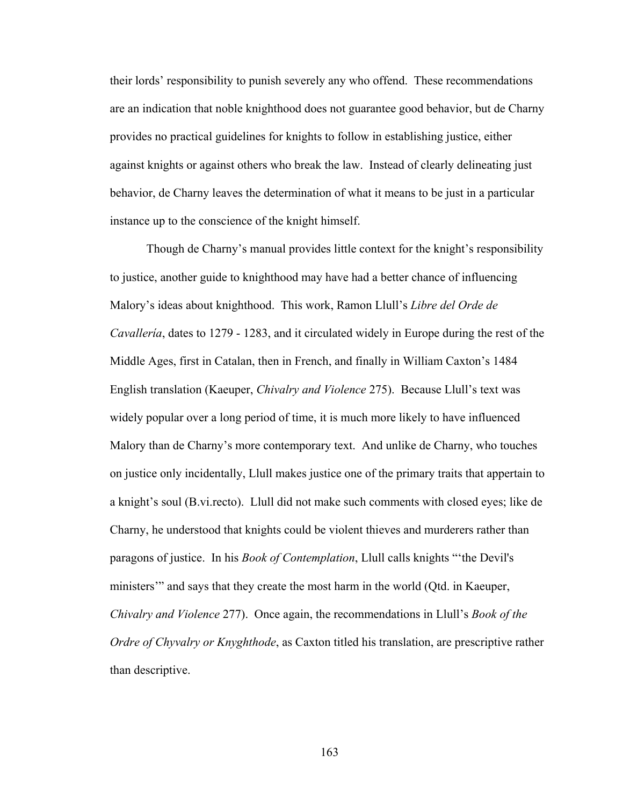their lords' responsibility to punish severely any who offend. These recommendations are an indication that noble knighthood does not guarantee good behavior, but de Charny provides no practical guidelines for knights to follow in establishing justice, either against knights or against others who break the law. Instead of clearly delineating just behavior, de Charny leaves the determination of what it means to be just in a particular instance up to the conscience of the knight himself.

Though de Charny's manual provides little context for the knight's responsibility to justice, another guide to knighthood may have had a better chance of influencing Malory's ideas about knighthood. This work, Ramon Llull's *Libre del Orde de Cavallería*, dates to 1279 - 1283, and it circulated widely in Europe during the rest of the Middle Ages, first in Catalan, then in French, and finally in William Caxton's 1484 English translation (Kaeuper, *Chivalry and Violence* 275). Because Llull's text was widely popular over a long period of time, it is much more likely to have influenced Malory than de Charny's more contemporary text. And unlike de Charny, who touches on justice only incidentally, Llull makes justice one of the primary traits that appertain to a knight's soul (B.vi.recto). Llull did not make such comments with closed eyes; like de Charny, he understood that knights could be violent thieves and murderers rather than paragons of justice. In his *Book of Contemplation*, Llull calls knights "'the Devil's ministers'" and says that they create the most harm in the world (Qtd. in Kaeuper, *Chivalry and Violence* 277). Once again, the recommendations in Llull's *Book of the Ordre of Chyvalry or Knyghthode*, as Caxton titled his translation, are prescriptive rather than descriptive.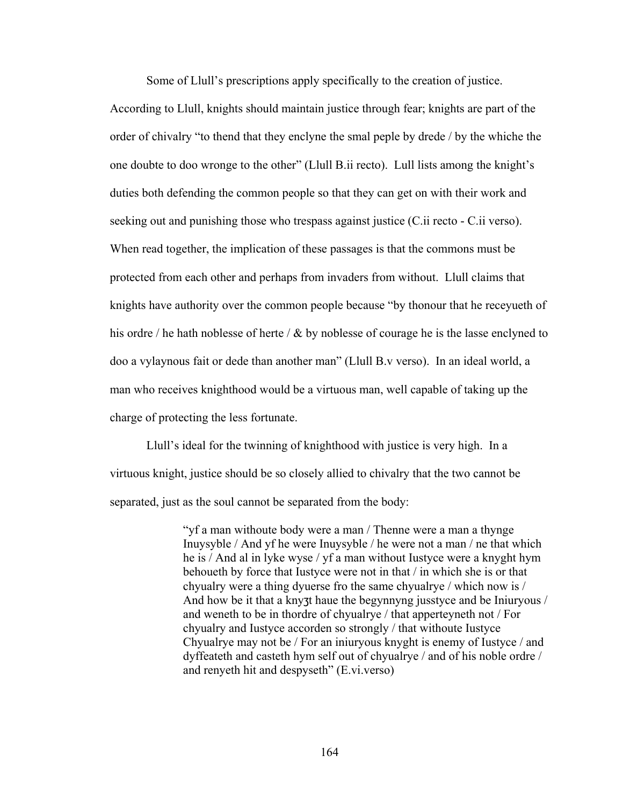Some of Llull's prescriptions apply specifically to the creation of justice.

According to Llull, knights should maintain justice through fear; knights are part of the order of chivalry "to thend that they enclyne the smal peple by drede / by the whiche the one doubte to doo wronge to the other" (Llull B.ii recto). Lull lists among the knight's duties both defending the common people so that they can get on with their work and seeking out and punishing those who trespass against justice (C.ii recto - C.ii verso). When read together, the implication of these passages is that the commons must be protected from each other and perhaps from invaders from without. Llull claims that knights have authority over the common people because "by thonour that he receyueth of his ordre / he hath noblesse of herte /  $\&$  by noblesse of courage he is the lasse enclyned to doo a vylaynous fait or dede than another man" (Llull B.v verso). In an ideal world, a man who receives knighthood would be a virtuous man, well capable of taking up the charge of protecting the less fortunate.

Llull's ideal for the twinning of knighthood with justice is very high. In a virtuous knight, justice should be so closely allied to chivalry that the two cannot be separated, just as the soul cannot be separated from the body:

> "yf a man withoute body were a man / Thenne were a man a thynge Inuysyble / And yf he were Inuysyble / he were not a man / ne that which he is / And al in lyke wyse / yf a man without Iustyce were a knyght hym behoueth by force that Iustyce were not in that / in which she is or that chyualry were a thing dyuerse fro the same chyualrye / which now is / And how be it that a knyzt haue the begynnyng jusstyce and be Iniuryous / and weneth to be in thordre of chyualrye / that apperteyneth not / For chyualry and Iustyce accorden so strongly / that withoute Iustyce Chyualrye may not be / For an iniuryous knyght is enemy of Iustyce / and dyffeateth and casteth hym self out of chyualrye / and of his noble ordre / and renyeth hit and despyseth" (E.vi.verso)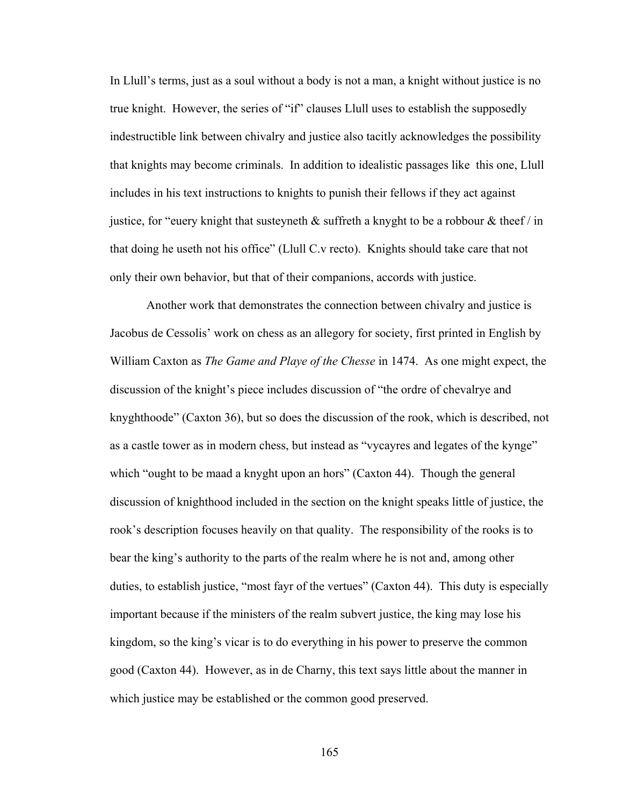In Llull's terms, just as a soul without a body is not a man, a knight without justice is no true knight. However, the series of "if" clauses Llull uses to establish the supposedly indestructible link between chivalry and justice also tacitly acknowledges the possibility that knights may become criminals. In addition to idealistic passages like this one, Llull includes in his text instructions to knights to punish their fellows if they act against justice, for "euery knight that susteyneth  $\&$  suffreth a knyght to be a robbour  $\&$  theef / in that doing he useth not his office" (Llull C.v recto). Knights should take care that not only their own behavior, but that of their companions, accords with justice.

Another work that demonstrates the connection between chivalry and justice is Jacobus de Cessolis' work on chess as an allegory for society, first printed in English by William Caxton as *The Game and Playe of the Chesse* in 1474. As one might expect, the discussion of the knight's piece includes discussion of "the ordre of chevalrye and knyghthoode" (Caxton 36), but so does the discussion of the rook, which is described, not as a castle tower as in modern chess, but instead as "vycayres and legates of the kynge" which "ought to be maad a knyght upon an hors" (Caxton 44). Though the general discussion of knighthood included in the section on the knight speaks little of justice, the rook's description focuses heavily on that quality. The responsibility of the rooks is to bear the king's authority to the parts of the realm where he is not and, among other duties, to establish justice, "most fayr of the vertues" (Caxton 44). This duty is especially important because if the ministers of the realm subvert justice, the king may lose his kingdom, so the king's vicar is to do everything in his power to preserve the common good (Caxton 44). However, as in de Charny, this text says little about the manner in which justice may be established or the common good preserved.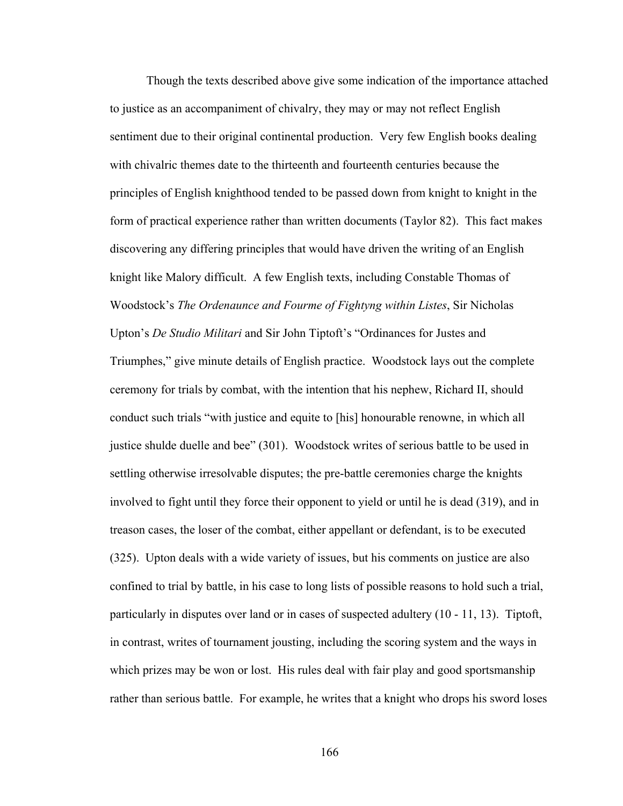Though the texts described above give some indication of the importance attached to justice as an accompaniment of chivalry, they may or may not reflect English sentiment due to their original continental production. Very few English books dealing with chivalric themes date to the thirteenth and fourteenth centuries because the principles of English knighthood tended to be passed down from knight to knight in the form of practical experience rather than written documents (Taylor 82). This fact makes discovering any differing principles that would have driven the writing of an English knight like Malory difficult. A few English texts, including Constable Thomas of Woodstock's *The Ordenaunce and Fourme of Fightyng within Listes*, Sir Nicholas Upton's *De Studio Militari* and Sir John Tiptoft's "Ordinances for Justes and Triumphes," give minute details of English practice. Woodstock lays out the complete ceremony for trials by combat, with the intention that his nephew, Richard II, should conduct such trials "with justice and equite to [his] honourable renowne, in which all justice shulde duelle and bee" (301). Woodstock writes of serious battle to be used in settling otherwise irresolvable disputes; the pre-battle ceremonies charge the knights involved to fight until they force their opponent to yield or until he is dead (319), and in treason cases, the loser of the combat, either appellant or defendant, is to be executed (325). Upton deals with a wide variety of issues, but his comments on justice are also confined to trial by battle, in his case to long lists of possible reasons to hold such a trial, particularly in disputes over land or in cases of suspected adultery (10 - 11, 13). Tiptoft, in contrast, writes of tournament jousting, including the scoring system and the ways in which prizes may be won or lost. His rules deal with fair play and good sportsmanship rather than serious battle. For example, he writes that a knight who drops his sword loses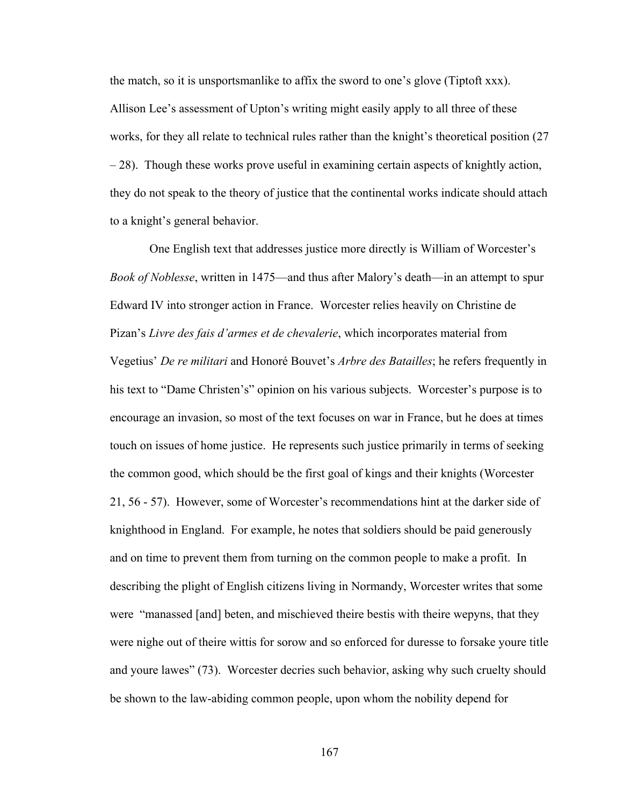the match, so it is unsportsmanlike to affix the sword to one's glove (Tiptoft xxx). Allison Lee's assessment of Upton's writing might easily apply to all three of these works, for they all relate to technical rules rather than the knight's theoretical position (27 – 28). Though these works prove useful in examining certain aspects of knightly action, they do not speak to the theory of justice that the continental works indicate should attach to a knight's general behavior.

 One English text that addresses justice more directly is William of Worcester's *Book of Noblesse*, written in 1475—and thus after Malory's death—in an attempt to spur Edward IV into stronger action in France. Worcester relies heavily on Christine de Pizan's *Livre des fais d'armes et de chevalerie*, which incorporates material from Vegetius' *De re militari* and Honoré Bouvet's *Arbre des Batailles*; he refers frequently in his text to "Dame Christen's" opinion on his various subjects. Worcester's purpose is to encourage an invasion, so most of the text focuses on war in France, but he does at times touch on issues of home justice. He represents such justice primarily in terms of seeking the common good, which should be the first goal of kings and their knights (Worcester 21, 56 - 57). However, some of Worcester's recommendations hint at the darker side of knighthood in England. For example, he notes that soldiers should be paid generously and on time to prevent them from turning on the common people to make a profit. In describing the plight of English citizens living in Normandy, Worcester writes that some were "manassed [and] beten, and mischieved theire bestis with theire wepyns, that they were nighe out of theire wittis for sorow and so enforced for duresse to forsake youre title and youre lawes" (73). Worcester decries such behavior, asking why such cruelty should be shown to the law-abiding common people, upon whom the nobility depend for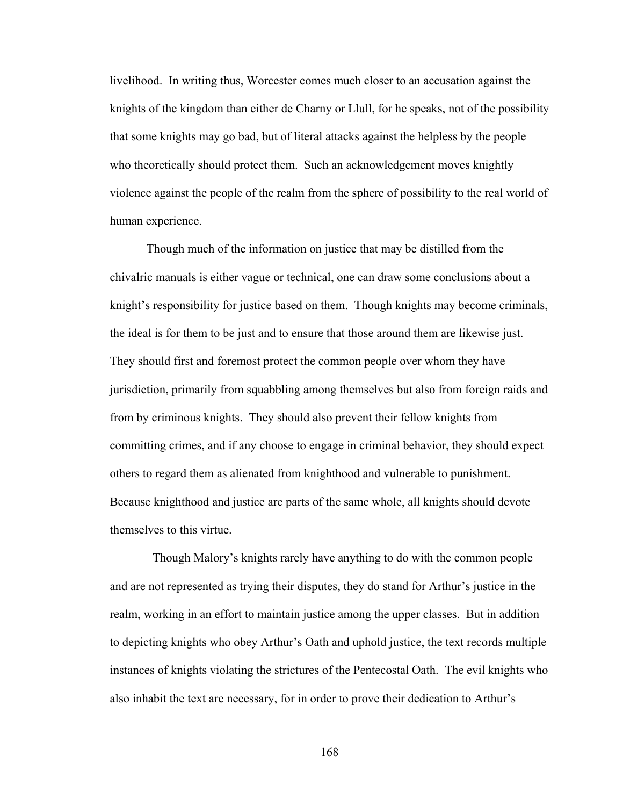livelihood. In writing thus, Worcester comes much closer to an accusation against the knights of the kingdom than either de Charny or Llull, for he speaks, not of the possibility that some knights may go bad, but of literal attacks against the helpless by the people who theoretically should protect them. Such an acknowledgement moves knightly violence against the people of the realm from the sphere of possibility to the real world of human experience.

Though much of the information on justice that may be distilled from the chivalric manuals is either vague or technical, one can draw some conclusions about a knight's responsibility for justice based on them. Though knights may become criminals, the ideal is for them to be just and to ensure that those around them are likewise just. They should first and foremost protect the common people over whom they have jurisdiction, primarily from squabbling among themselves but also from foreign raids and from by criminous knights. They should also prevent their fellow knights from committing crimes, and if any choose to engage in criminal behavior, they should expect others to regard them as alienated from knighthood and vulnerable to punishment. Because knighthood and justice are parts of the same whole, all knights should devote themselves to this virtue.

 Though Malory's knights rarely have anything to do with the common people and are not represented as trying their disputes, they do stand for Arthur's justice in the realm, working in an effort to maintain justice among the upper classes. But in addition to depicting knights who obey Arthur's Oath and uphold justice, the text records multiple instances of knights violating the strictures of the Pentecostal Oath. The evil knights who also inhabit the text are necessary, for in order to prove their dedication to Arthur's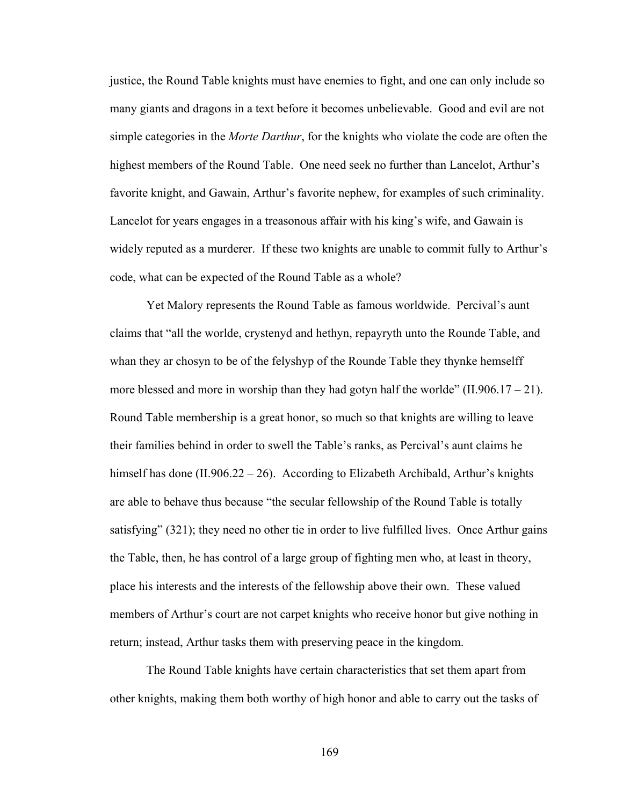justice, the Round Table knights must have enemies to fight, and one can only include so many giants and dragons in a text before it becomes unbelievable. Good and evil are not simple categories in the *Morte Darthur*, for the knights who violate the code are often the highest members of the Round Table. One need seek no further than Lancelot, Arthur's favorite knight, and Gawain, Arthur's favorite nephew, for examples of such criminality. Lancelot for years engages in a treasonous affair with his king's wife, and Gawain is widely reputed as a murderer. If these two knights are unable to commit fully to Arthur's code, what can be expected of the Round Table as a whole?

Yet Malory represents the Round Table as famous worldwide. Percival's aunt claims that "all the worlde, crystenyd and hethyn, repayryth unto the Rounde Table, and whan they ar chosyn to be of the felyshyp of the Rounde Table they thynke hemselff more blessed and more in worship than they had gotyn half the worlde"  $(II.906.17 - 21)$ . Round Table membership is a great honor, so much so that knights are willing to leave their families behind in order to swell the Table's ranks, as Percival's aunt claims he himself has done (II.906.22 – 26). According to Elizabeth Archibald, Arthur's knights are able to behave thus because "the secular fellowship of the Round Table is totally satisfying" (321); they need no other tie in order to live fulfilled lives. Once Arthur gains the Table, then, he has control of a large group of fighting men who, at least in theory, place his interests and the interests of the fellowship above their own. These valued members of Arthur's court are not carpet knights who receive honor but give nothing in return; instead, Arthur tasks them with preserving peace in the kingdom.

The Round Table knights have certain characteristics that set them apart from other knights, making them both worthy of high honor and able to carry out the tasks of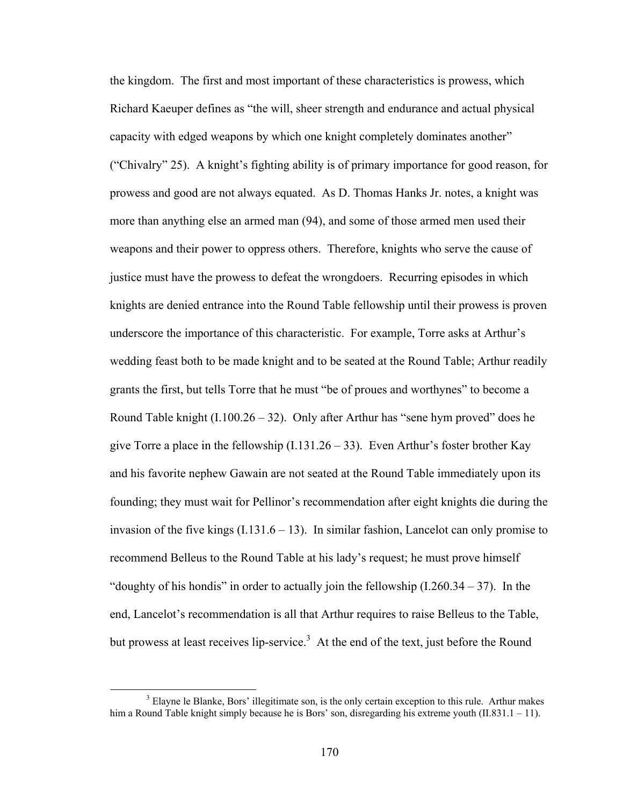the kingdom. The first and most important of these characteristics is prowess, which Richard Kaeuper defines as "the will, sheer strength and endurance and actual physical capacity with edged weapons by which one knight completely dominates another" ("Chivalry" 25). A knight's fighting ability is of primary importance for good reason, for prowess and good are not always equated. As D. Thomas Hanks Jr. notes, a knight was more than anything else an armed man (94), and some of those armed men used their weapons and their power to oppress others. Therefore, knights who serve the cause of justice must have the prowess to defeat the wrongdoers. Recurring episodes in which knights are denied entrance into the Round Table fellowship until their prowess is proven underscore the importance of this characteristic. For example, Torre asks at Arthur's wedding feast both to be made knight and to be seated at the Round Table; Arthur readily grants the first, but tells Torre that he must "be of proues and worthynes" to become a Round Table knight  $(I.100.26 - 32)$ . Only after Arthur has "sene hym proved" does he give Torre a place in the fellowship  $(I.131.26 - 33)$ . Even Arthur's foster brother Kay and his favorite nephew Gawain are not seated at the Round Table immediately upon its founding; they must wait for Pellinor's recommendation after eight knights die during the invasion of the five kings  $(1.131.6 - 13)$ . In similar fashion, Lancelot can only promise to recommend Belleus to the Round Table at his lady's request; he must prove himself "doughty of his hondis" in order to actually join the fellowship  $(1.260.34 - 37)$ . In the end, Lancelot's recommendation is all that Arthur requires to raise Belleus to the Table, but prowess at least receives lip-service.<sup>3</sup> At the end of the text, just before the Round

 <sup>3</sup> <sup>3</sup> Elayne le Blanke, Bors' illegitimate son, is the only certain exception to this rule. Arthur makes him a Round Table knight simply because he is Bors' son, disregarding his extreme youth (II.831.1 – 11).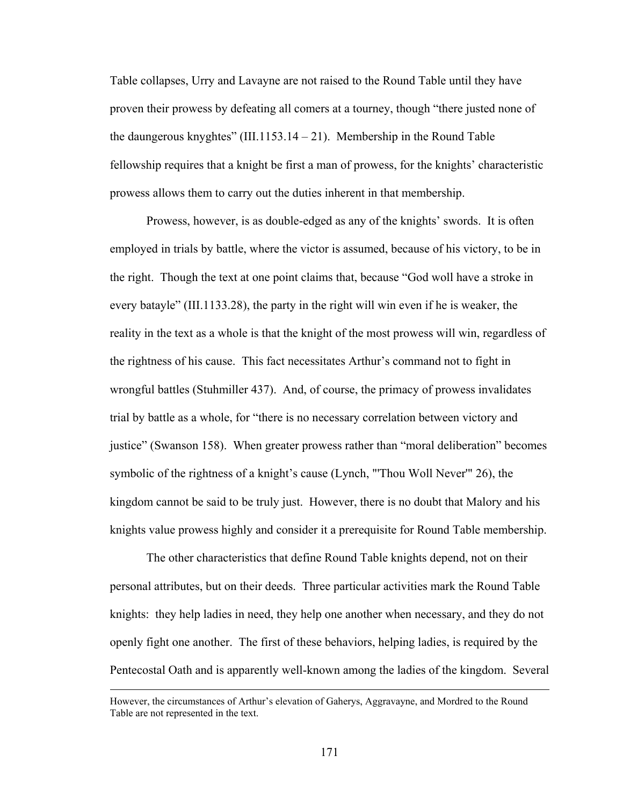Table collapses, Urry and Lavayne are not raised to the Round Table until they have proven their prowess by defeating all comers at a tourney, though "there justed none of the daungerous knyghtes" (III.1153.14 – 21). Membership in the Round Table fellowship requires that a knight be first a man of prowess, for the knights' characteristic prowess allows them to carry out the duties inherent in that membership.

Prowess, however, is as double-edged as any of the knights' swords. It is often employed in trials by battle, where the victor is assumed, because of his victory, to be in the right. Though the text at one point claims that, because "God woll have a stroke in every batayle" (III.1133.28), the party in the right will win even if he is weaker, the reality in the text as a whole is that the knight of the most prowess will win, regardless of the rightness of his cause. This fact necessitates Arthur's command not to fight in wrongful battles (Stuhmiller 437). And, of course, the primacy of prowess invalidates trial by battle as a whole, for "there is no necessary correlation between victory and justice" (Swanson 158). When greater prowess rather than "moral deliberation" becomes symbolic of the rightness of a knight's cause (Lynch, "'Thou Woll Never'" 26), the kingdom cannot be said to be truly just. However, there is no doubt that Malory and his knights value prowess highly and consider it a prerequisite for Round Table membership.

The other characteristics that define Round Table knights depend, not on their personal attributes, but on their deeds. Three particular activities mark the Round Table knights: they help ladies in need, they help one another when necessary, and they do not openly fight one another. The first of these behaviors, helping ladies, is required by the Pentecostal Oath and is apparently well-known among the ladies of the kingdom. Several

However, the circumstances of Arthur's elevation of Gaherys, Aggravayne, and Mordred to the Round Table are not represented in the text.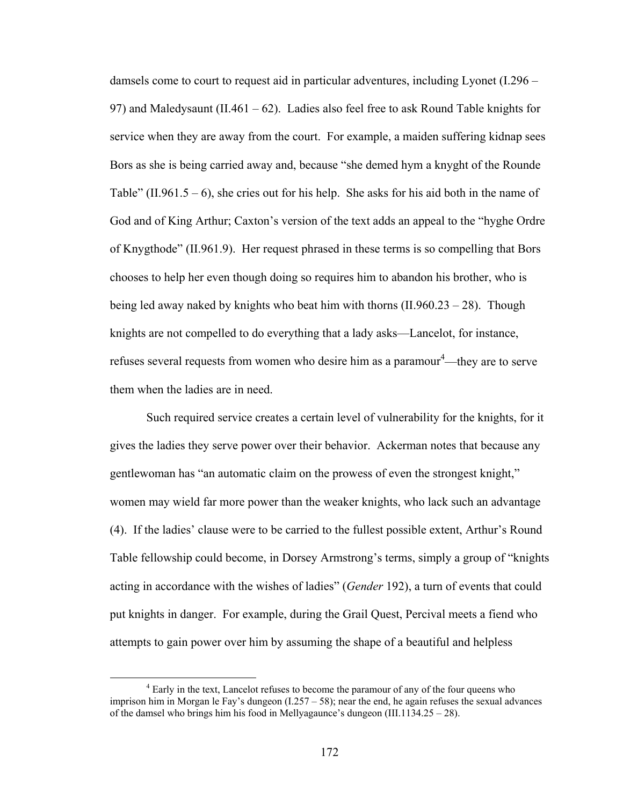damsels come to court to request aid in particular adventures, including Lyonet (I.296 – 97) and Maledysaunt (II.461 – 62). Ladies also feel free to ask Round Table knights for service when they are away from the court. For example, a maiden suffering kidnap sees Bors as she is being carried away and, because "she demed hym a knyght of the Rounde Table" (II.961.5 – 6), she cries out for his help. She asks for his aid both in the name of God and of King Arthur; Caxton's version of the text adds an appeal to the "hyghe Ordre of Knygthode" (II.961.9). Her request phrased in these terms is so compelling that Bors chooses to help her even though doing so requires him to abandon his brother, who is being led away naked by knights who beat him with thorns (II.960.23 – 28). Though knights are not compelled to do everything that a lady asks—Lancelot, for instance, refuses several requests from women who desire him as a paramour<sup>4</sup>—they are to serve them when the ladies are in need.

Such required service creates a certain level of vulnerability for the knights, for it gives the ladies they serve power over their behavior. Ackerman notes that because any gentlewoman has "an automatic claim on the prowess of even the strongest knight," women may wield far more power than the weaker knights, who lack such an advantage (4). If the ladies' clause were to be carried to the fullest possible extent, Arthur's Round Table fellowship could become, in Dorsey Armstrong's terms, simply a group of "knights acting in accordance with the wishes of ladies" (*Gender* 192), a turn of events that could put knights in danger. For example, during the Grail Quest, Percival meets a fiend who attempts to gain power over him by assuming the shape of a beautiful and helpless

 $\frac{1}{4}$ <sup>4</sup> Early in the text, Lancelot refuses to become the paramour of any of the four queens who imprison him in Morgan le Fay's dungeon  $(1.257 - 58)$ ; near the end, he again refuses the sexual advances of the damsel who brings him his food in Mellyagaunce's dungeon (III.1134.25 – 28).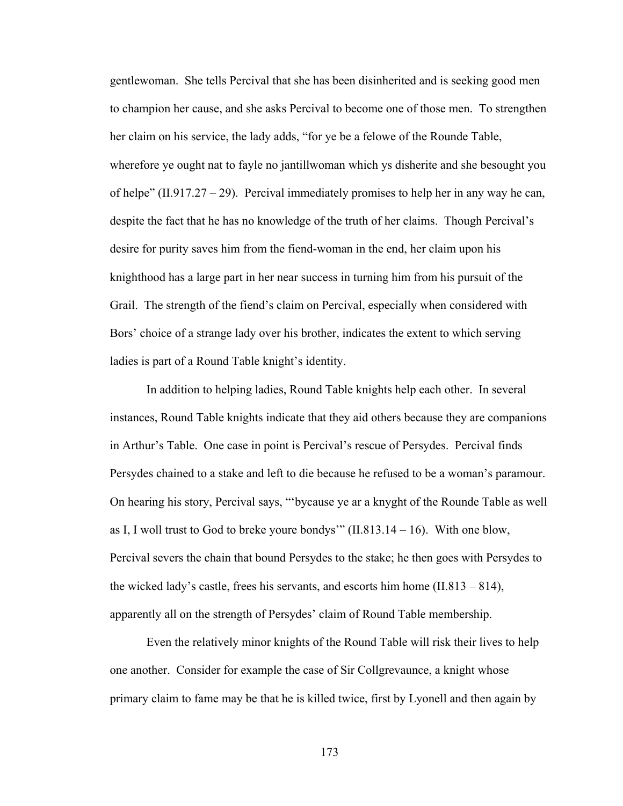gentlewoman. She tells Percival that she has been disinherited and is seeking good men to champion her cause, and she asks Percival to become one of those men. To strengthen her claim on his service, the lady adds, "for ye be a felowe of the Rounde Table, wherefore ye ought nat to fayle no jantillwoman which ys disherite and she besought you of helpe" (II.917.27 – 29). Percival immediately promises to help her in any way he can, despite the fact that he has no knowledge of the truth of her claims. Though Percival's desire for purity saves him from the fiend-woman in the end, her claim upon his knighthood has a large part in her near success in turning him from his pursuit of the Grail. The strength of the fiend's claim on Percival, especially when considered with Bors' choice of a strange lady over his brother, indicates the extent to which serving ladies is part of a Round Table knight's identity.

In addition to helping ladies, Round Table knights help each other. In several instances, Round Table knights indicate that they aid others because they are companions in Arthur's Table. One case in point is Percival's rescue of Persydes. Percival finds Persydes chained to a stake and left to die because he refused to be a woman's paramour. On hearing his story, Percival says, "'bycause ye ar a knyght of the Rounde Table as well as I, I woll trust to God to breke youre bondys'"  $(II.813.14 - 16)$ . With one blow, Percival severs the chain that bound Persydes to the stake; he then goes with Persydes to the wicked lady's castle, frees his servants, and escorts him home  $(II.813 - 814)$ , apparently all on the strength of Persydes' claim of Round Table membership.

Even the relatively minor knights of the Round Table will risk their lives to help one another. Consider for example the case of Sir Collgrevaunce, a knight whose primary claim to fame may be that he is killed twice, first by Lyonell and then again by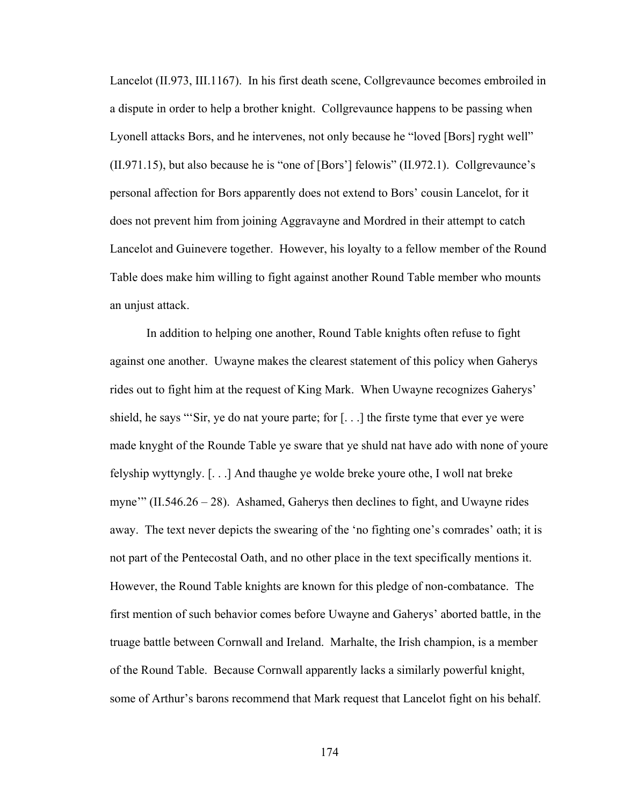Lancelot (II.973, III.1167). In his first death scene, Collgrevaunce becomes embroiled in a dispute in order to help a brother knight. Collgrevaunce happens to be passing when Lyonell attacks Bors, and he intervenes, not only because he "loved [Bors] ryght well" (II.971.15), but also because he is "one of [Bors'] felowis" (II.972.1). Collgrevaunce's personal affection for Bors apparently does not extend to Bors' cousin Lancelot, for it does not prevent him from joining Aggravayne and Mordred in their attempt to catch Lancelot and Guinevere together. However, his loyalty to a fellow member of the Round Table does make him willing to fight against another Round Table member who mounts an unjust attack.

In addition to helping one another, Round Table knights often refuse to fight against one another. Uwayne makes the clearest statement of this policy when Gaherys rides out to fight him at the request of King Mark. When Uwayne recognizes Gaherys' shield, he says "'Sir, ye do nat youre parte; for [. . .] the firste tyme that ever ye were made knyght of the Rounde Table ye sware that ye shuld nat have ado with none of youre felyship wyttyngly. [. . .] And thaughe ye wolde breke youre othe, I woll nat breke myne'"  $(II.546.26 - 28)$ . Ashamed, Gaherys then declines to fight, and Uwayne rides away. The text never depicts the swearing of the 'no fighting one's comrades' oath; it is not part of the Pentecostal Oath, and no other place in the text specifically mentions it. However, the Round Table knights are known for this pledge of non-combatance. The first mention of such behavior comes before Uwayne and Gaherys' aborted battle, in the truage battle between Cornwall and Ireland. Marhalte, the Irish champion, is a member of the Round Table. Because Cornwall apparently lacks a similarly powerful knight, some of Arthur's barons recommend that Mark request that Lancelot fight on his behalf.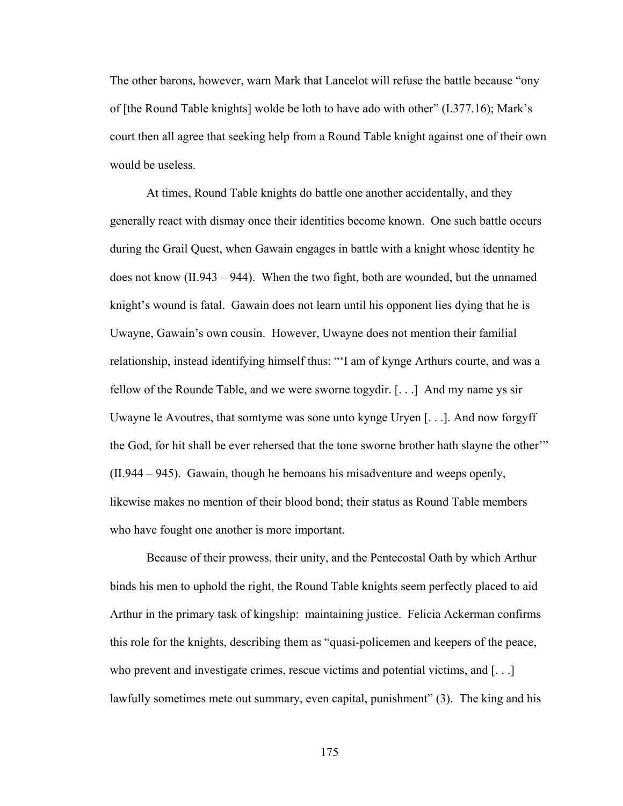The other barons, however, warn Mark that Lancelot will refuse the battle because "ony of [the Round Table knights] wolde be loth to have ado with other" (I.377.16); Mark's court then all agree that seeking help from a Round Table knight against one of their own would be useless.

At times, Round Table knights do battle one another accidentally, and they generally react with dismay once their identities become known. One such battle occurs during the Grail Quest, when Gawain engages in battle with a knight whose identity he does not know (II.943 – 944). When the two fight, both are wounded, but the unnamed knight's wound is fatal. Gawain does not learn until his opponent lies dying that he is Uwayne, Gawain's own cousin. However, Uwayne does not mention their familial relationship, instead identifying himself thus: "'I am of kynge Arthurs courte, and was a fellow of the Rounde Table, and we were sworne togydir. [. . .] And my name ys sir Uwayne le Avoutres, that somtyme was sone unto kynge Uryen [. . .]. And now forgyff the God, for hit shall be ever rehersed that the tone sworne brother hath slayne the other'" (II.944 – 945). Gawain, though he bemoans his misadventure and weeps openly, likewise makes no mention of their blood bond; their status as Round Table members who have fought one another is more important.

Because of their prowess, their unity, and the Pentecostal Oath by which Arthur binds his men to uphold the right, the Round Table knights seem perfectly placed to aid Arthur in the primary task of kingship: maintaining justice. Felicia Ackerman confirms this role for the knights, describing them as "quasi-policemen and keepers of the peace, who prevent and investigate crimes, rescue victims and potential victims, and [...] lawfully sometimes mete out summary, even capital, punishment" (3). The king and his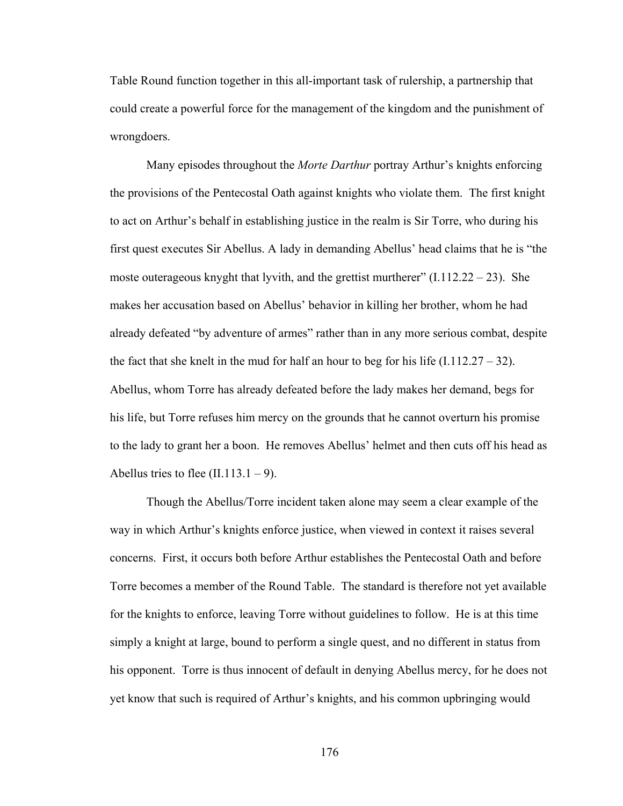Table Round function together in this all-important task of rulership, a partnership that could create a powerful force for the management of the kingdom and the punishment of wrongdoers.

Many episodes throughout the *Morte Darthur* portray Arthur's knights enforcing the provisions of the Pentecostal Oath against knights who violate them. The first knight to act on Arthur's behalf in establishing justice in the realm is Sir Torre, who during his first quest executes Sir Abellus. A lady in demanding Abellus' head claims that he is "the moste outerageous knyght that lyvith, and the grettist murtherer"  $(I.112.22 - 23)$ . She makes her accusation based on Abellus' behavior in killing her brother, whom he had already defeated "by adventure of armes" rather than in any more serious combat, despite the fact that she knelt in the mud for half an hour to beg for his life  $(1.112.27 - 32)$ . Abellus, whom Torre has already defeated before the lady makes her demand, begs for his life, but Torre refuses him mercy on the grounds that he cannot overturn his promise to the lady to grant her a boon. He removes Abellus' helmet and then cuts off his head as Abellus tries to flee  $(II.113.1 - 9)$ .

Though the Abellus/Torre incident taken alone may seem a clear example of the way in which Arthur's knights enforce justice, when viewed in context it raises several concerns. First, it occurs both before Arthur establishes the Pentecostal Oath and before Torre becomes a member of the Round Table. The standard is therefore not yet available for the knights to enforce, leaving Torre without guidelines to follow. He is at this time simply a knight at large, bound to perform a single quest, and no different in status from his opponent. Torre is thus innocent of default in denying Abellus mercy, for he does not yet know that such is required of Arthur's knights, and his common upbringing would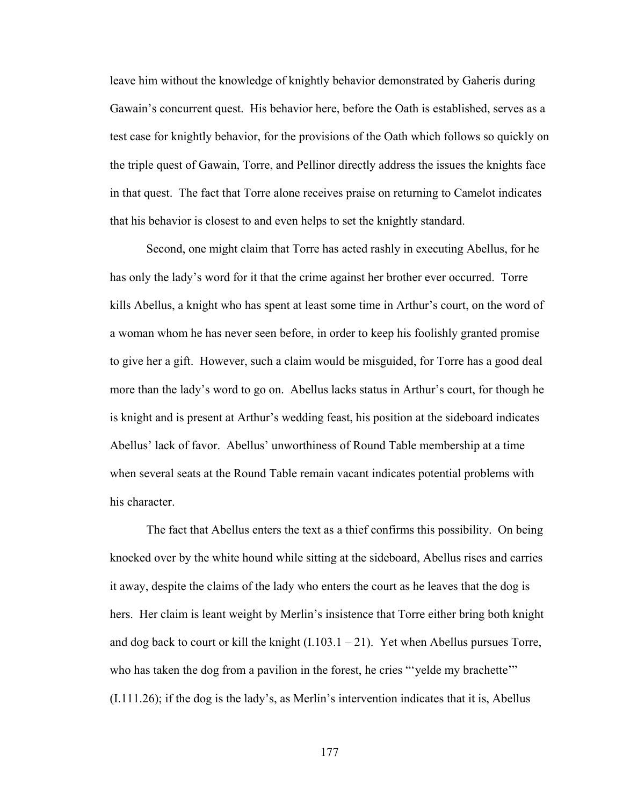leave him without the knowledge of knightly behavior demonstrated by Gaheris during Gawain's concurrent quest. His behavior here, before the Oath is established, serves as a test case for knightly behavior, for the provisions of the Oath which follows so quickly on the triple quest of Gawain, Torre, and Pellinor directly address the issues the knights face in that quest. The fact that Torre alone receives praise on returning to Camelot indicates that his behavior is closest to and even helps to set the knightly standard.

Second, one might claim that Torre has acted rashly in executing Abellus, for he has only the lady's word for it that the crime against her brother ever occurred. Torre kills Abellus, a knight who has spent at least some time in Arthur's court, on the word of a woman whom he has never seen before, in order to keep his foolishly granted promise to give her a gift. However, such a claim would be misguided, for Torre has a good deal more than the lady's word to go on. Abellus lacks status in Arthur's court, for though he is knight and is present at Arthur's wedding feast, his position at the sideboard indicates Abellus' lack of favor. Abellus' unworthiness of Round Table membership at a time when several seats at the Round Table remain vacant indicates potential problems with his character.

The fact that Abellus enters the text as a thief confirms this possibility. On being knocked over by the white hound while sitting at the sideboard, Abellus rises and carries it away, despite the claims of the lady who enters the court as he leaves that the dog is hers. Her claim is leant weight by Merlin's insistence that Torre either bring both knight and dog back to court or kill the knight  $(1.103.1 - 21)$ . Yet when Abellus pursues Torre, who has taken the dog from a pavilion in the forest, he cries "yelde my brachette" (I.111.26); if the dog is the lady's, as Merlin's intervention indicates that it is, Abellus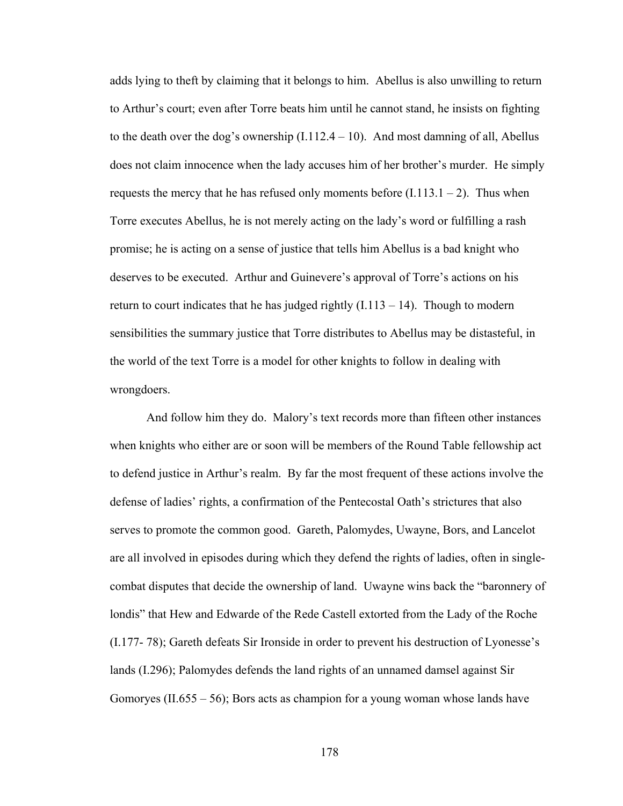adds lying to theft by claiming that it belongs to him. Abellus is also unwilling to return to Arthur's court; even after Torre beats him until he cannot stand, he insists on fighting to the death over the dog's ownership  $(I.112.4 - 10)$ . And most damning of all, Abellus does not claim innocence when the lady accuses him of her brother's murder. He simply requests the mercy that he has refused only moments before  $(I.113.1 - 2)$ . Thus when Torre executes Abellus, he is not merely acting on the lady's word or fulfilling a rash promise; he is acting on a sense of justice that tells him Abellus is a bad knight who deserves to be executed. Arthur and Guinevere's approval of Torre's actions on his return to court indicates that he has judged rightly  $(1.113 - 14)$ . Though to modern sensibilities the summary justice that Torre distributes to Abellus may be distasteful, in the world of the text Torre is a model for other knights to follow in dealing with wrongdoers.

And follow him they do. Malory's text records more than fifteen other instances when knights who either are or soon will be members of the Round Table fellowship act to defend justice in Arthur's realm. By far the most frequent of these actions involve the defense of ladies' rights, a confirmation of the Pentecostal Oath's strictures that also serves to promote the common good. Gareth, Palomydes, Uwayne, Bors, and Lancelot are all involved in episodes during which they defend the rights of ladies, often in singlecombat disputes that decide the ownership of land. Uwayne wins back the "baronnery of londis" that Hew and Edwarde of the Rede Castell extorted from the Lady of the Roche (I.177- 78); Gareth defeats Sir Ironside in order to prevent his destruction of Lyonesse's lands (I.296); Palomydes defends the land rights of an unnamed damsel against Sir Gomoryes (II.655 – 56); Bors acts as champion for a young woman whose lands have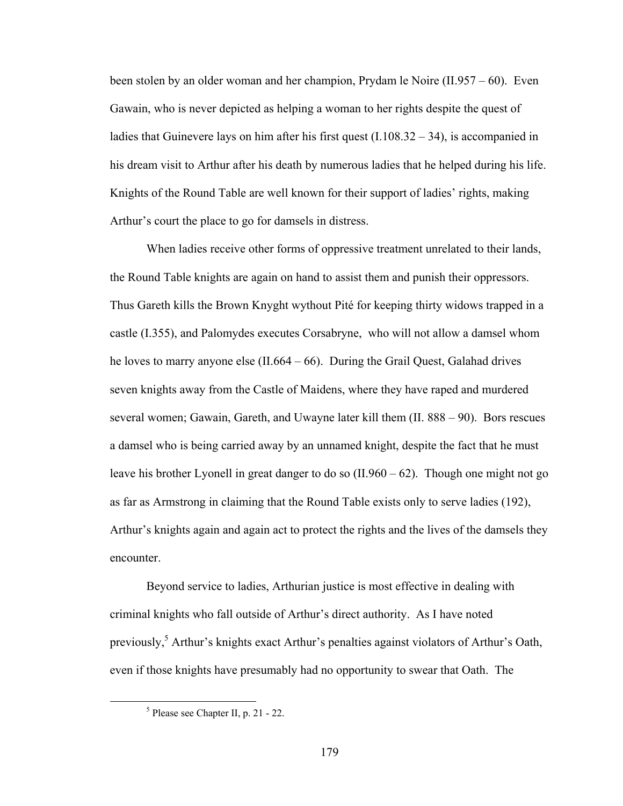been stolen by an older woman and her champion, Prydam le Noire (II.957 – 60). Even Gawain, who is never depicted as helping a woman to her rights despite the quest of ladies that Guinevere lays on him after his first quest  $(I.108.32 - 34)$ , is accompanied in his dream visit to Arthur after his death by numerous ladies that he helped during his life. Knights of the Round Table are well known for their support of ladies' rights, making Arthur's court the place to go for damsels in distress.

When ladies receive other forms of oppressive treatment unrelated to their lands, the Round Table knights are again on hand to assist them and punish their oppressors. Thus Gareth kills the Brown Knyght wythout Pité for keeping thirty widows trapped in a castle (I.355), and Palomydes executes Corsabryne, who will not allow a damsel whom he loves to marry anyone else (II.664 – 66). During the Grail Quest, Galahad drives seven knights away from the Castle of Maidens, where they have raped and murdered several women; Gawain, Gareth, and Uwayne later kill them (II. 888 – 90). Bors rescues a damsel who is being carried away by an unnamed knight, despite the fact that he must leave his brother Lyonell in great danger to do so (II.960 – 62). Though one might not go as far as Armstrong in claiming that the Round Table exists only to serve ladies (192), Arthur's knights again and again act to protect the rights and the lives of the damsels they encounter.

Beyond service to ladies, Arthurian justice is most effective in dealing with criminal knights who fall outside of Arthur's direct authority. As I have noted previously,<sup>5</sup> Arthur's knights exact Arthur's penalties against violators of Arthur's Oath, even if those knights have presumably had no opportunity to swear that Oath. The

 $\frac{1}{5}$  $<sup>5</sup>$  Please see Chapter II, p. 21 - 22.</sup>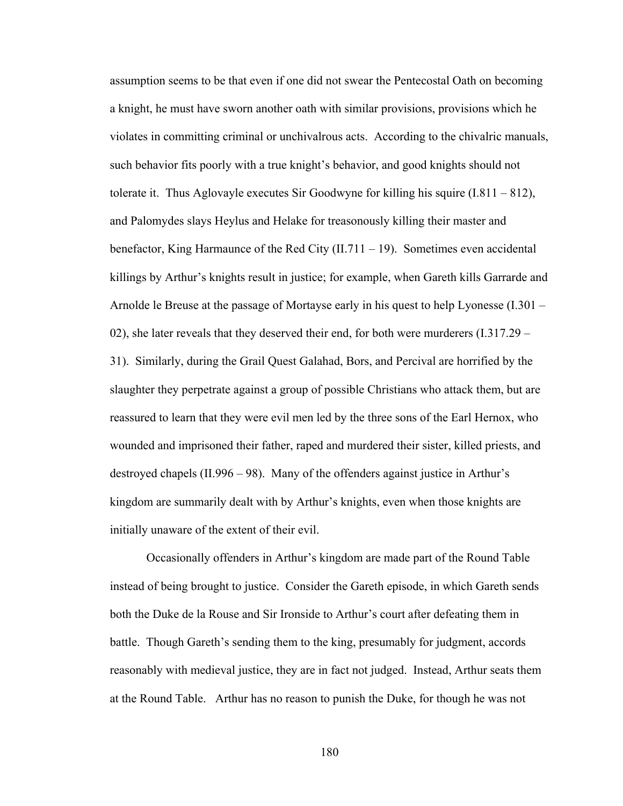assumption seems to be that even if one did not swear the Pentecostal Oath on becoming a knight, he must have sworn another oath with similar provisions, provisions which he violates in committing criminal or unchivalrous acts. According to the chivalric manuals, such behavior fits poorly with a true knight's behavior, and good knights should not tolerate it. Thus Aglovayle executes Sir Goodwyne for killing his squire  $(1.811 - 812)$ , and Palomydes slays Heylus and Helake for treasonously killing their master and benefactor, King Harmaunce of the Red City  $(II.711 - 19)$ . Sometimes even accidental killings by Arthur's knights result in justice; for example, when Gareth kills Garrarde and Arnolde le Breuse at the passage of Mortayse early in his quest to help Lyonesse (I.301 – 02), she later reveals that they deserved their end, for both were murderers (I.317.29 – 31). Similarly, during the Grail Quest Galahad, Bors, and Percival are horrified by the slaughter they perpetrate against a group of possible Christians who attack them, but are reassured to learn that they were evil men led by the three sons of the Earl Hernox, who wounded and imprisoned their father, raped and murdered their sister, killed priests, and destroyed chapels (II.996 – 98). Many of the offenders against justice in Arthur's kingdom are summarily dealt with by Arthur's knights, even when those knights are initially unaware of the extent of their evil.

Occasionally offenders in Arthur's kingdom are made part of the Round Table instead of being brought to justice. Consider the Gareth episode, in which Gareth sends both the Duke de la Rouse and Sir Ironside to Arthur's court after defeating them in battle. Though Gareth's sending them to the king, presumably for judgment, accords reasonably with medieval justice, they are in fact not judged. Instead, Arthur seats them at the Round Table. Arthur has no reason to punish the Duke, for though he was not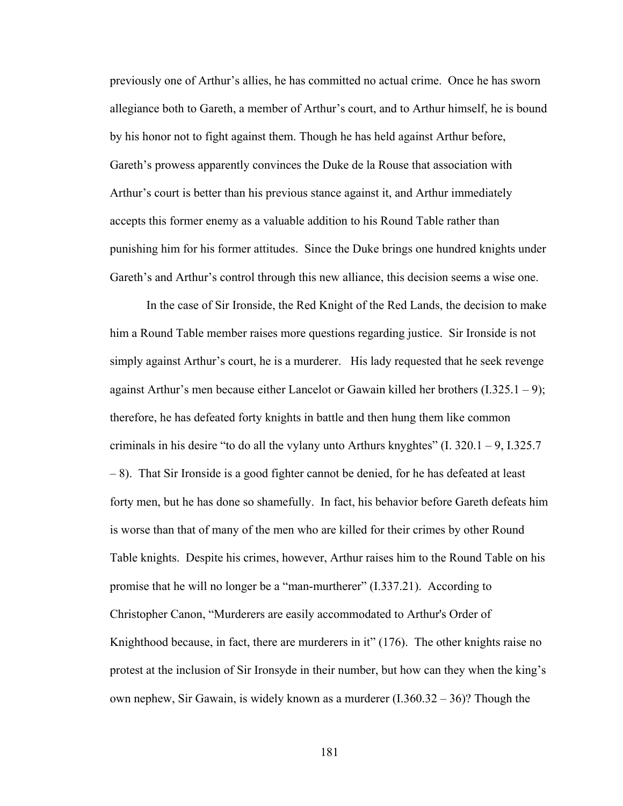previously one of Arthur's allies, he has committed no actual crime. Once he has sworn allegiance both to Gareth, a member of Arthur's court, and to Arthur himself, he is bound by his honor not to fight against them. Though he has held against Arthur before, Gareth's prowess apparently convinces the Duke de la Rouse that association with Arthur's court is better than his previous stance against it, and Arthur immediately accepts this former enemy as a valuable addition to his Round Table rather than punishing him for his former attitudes. Since the Duke brings one hundred knights under Gareth's and Arthur's control through this new alliance, this decision seems a wise one.

In the case of Sir Ironside, the Red Knight of the Red Lands, the decision to make him a Round Table member raises more questions regarding justice. Sir Ironside is not simply against Arthur's court, he is a murderer. His lady requested that he seek revenge against Arthur's men because either Lancelot or Gawain killed her brothers (I.325.1 – 9); therefore, he has defeated forty knights in battle and then hung them like common criminals in his desire "to do all the vylany unto Arthurs knyghtes" (I. 320.1 – 9, I.325.7 – 8). That Sir Ironside is a good fighter cannot be denied, for he has defeated at least forty men, but he has done so shamefully. In fact, his behavior before Gareth defeats him is worse than that of many of the men who are killed for their crimes by other Round Table knights. Despite his crimes, however, Arthur raises him to the Round Table on his promise that he will no longer be a "man-murtherer" (I.337.21). According to Christopher Canon, "Murderers are easily accommodated to Arthur's Order of Knighthood because, in fact, there are murderers in it" (176). The other knights raise no protest at the inclusion of Sir Ironsyde in their number, but how can they when the king's own nephew, Sir Gawain, is widely known as a murderer  $(1.360.32 - 36)$ ? Though the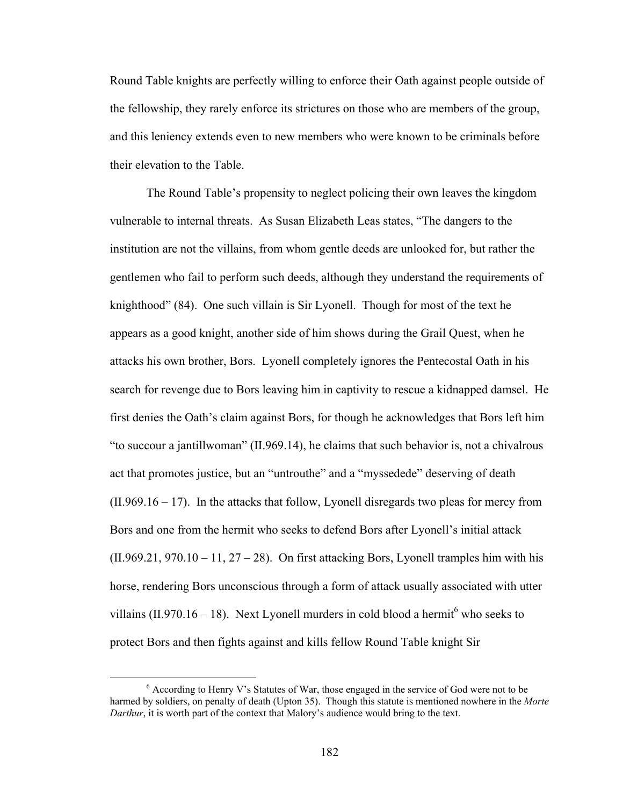Round Table knights are perfectly willing to enforce their Oath against people outside of the fellowship, they rarely enforce its strictures on those who are members of the group, and this leniency extends even to new members who were known to be criminals before their elevation to the Table.

The Round Table's propensity to neglect policing their own leaves the kingdom vulnerable to internal threats. As Susan Elizabeth Leas states, "The dangers to the institution are not the villains, from whom gentle deeds are unlooked for, but rather the gentlemen who fail to perform such deeds, although they understand the requirements of knighthood" (84). One such villain is Sir Lyonell. Though for most of the text he appears as a good knight, another side of him shows during the Grail Quest, when he attacks his own brother, Bors. Lyonell completely ignores the Pentecostal Oath in his search for revenge due to Bors leaving him in captivity to rescue a kidnapped damsel. He first denies the Oath's claim against Bors, for though he acknowledges that Bors left him "to succour a jantillwoman" (II.969.14), he claims that such behavior is, not a chivalrous act that promotes justice, but an "untrouthe" and a "myssedede" deserving of death  $(II.969.16 - 17)$ . In the attacks that follow, Lyonell disregards two pleas for mercy from Bors and one from the hermit who seeks to defend Bors after Lyonell's initial attack  $(II.969.21, 970.10 - 11, 27 - 28)$ . On first attacking Bors, Lyonell tramples him with his horse, rendering Bors unconscious through a form of attack usually associated with utter villains (II.970.16 – 18). Next Lyonell murders in cold blood a hermit<sup>6</sup> who seeks to protect Bors and then fights against and kills fellow Round Table knight Sir

 <sup>6</sup>  $6$  According to Henry V's Statutes of War, those engaged in the service of God were not to be harmed by soldiers, on penalty of death (Upton 35). Though this statute is mentioned nowhere in the *Morte Darthur*, it is worth part of the context that Malory's audience would bring to the text.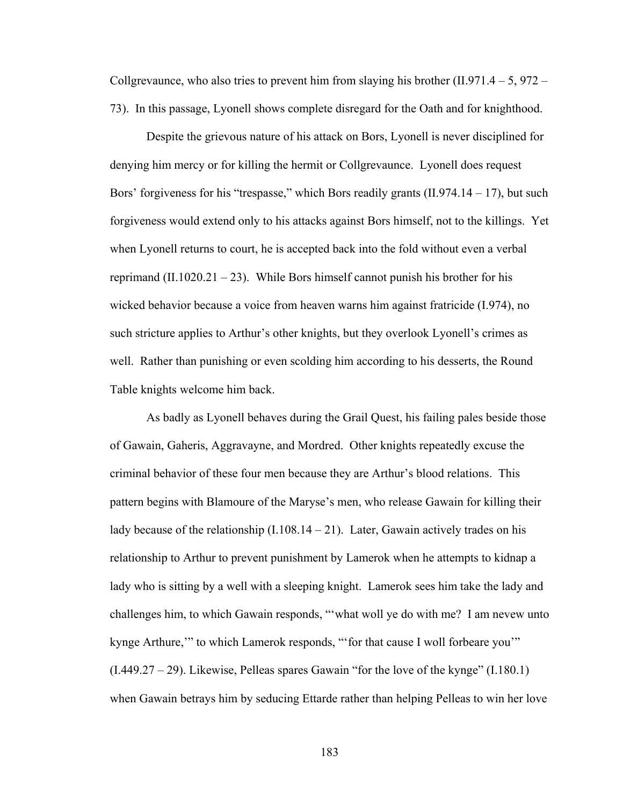Collgrevaunce, who also tries to prevent him from slaying his brother  $(II.971.4 - 5, 972 -$ 73). In this passage, Lyonell shows complete disregard for the Oath and for knighthood.

Despite the grievous nature of his attack on Bors, Lyonell is never disciplined for denying him mercy or for killing the hermit or Collgrevaunce. Lyonell does request Bors' forgiveness for his "trespasse," which Bors readily grants (II.974.14 – 17), but such forgiveness would extend only to his attacks against Bors himself, not to the killings. Yet when Lyonell returns to court, he is accepted back into the fold without even a verbal reprimand  $(II.1020.21 - 23)$ . While Bors himself cannot punish his brother for his wicked behavior because a voice from heaven warns him against fratricide (I.974), no such stricture applies to Arthur's other knights, but they overlook Lyonell's crimes as well. Rather than punishing or even scolding him according to his desserts, the Round Table knights welcome him back.

As badly as Lyonell behaves during the Grail Quest, his failing pales beside those of Gawain, Gaheris, Aggravayne, and Mordred. Other knights repeatedly excuse the criminal behavior of these four men because they are Arthur's blood relations. This pattern begins with Blamoure of the Maryse's men, who release Gawain for killing their lady because of the relationship  $(I.108.14 - 21)$ . Later, Gawain actively trades on his relationship to Arthur to prevent punishment by Lamerok when he attempts to kidnap a lady who is sitting by a well with a sleeping knight. Lamerok sees him take the lady and challenges him, to which Gawain responds, "'what woll ye do with me? I am nevew unto kynge Arthure,'" to which Lamerok responds, "'for that cause I woll forbeare you'" (I.449.27 – 29). Likewise, Pelleas spares Gawain "for the love of the kynge" (I.180.1) when Gawain betrays him by seducing Ettarde rather than helping Pelleas to win her love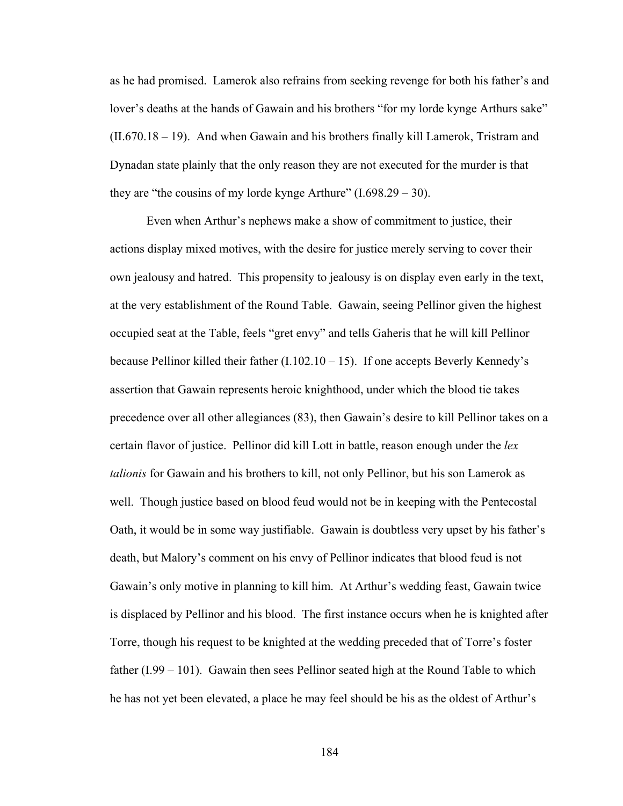as he had promised. Lamerok also refrains from seeking revenge for both his father's and lover's deaths at the hands of Gawain and his brothers "for my lorde kynge Arthurs sake" (II.670.18 – 19). And when Gawain and his brothers finally kill Lamerok, Tristram and Dynadan state plainly that the only reason they are not executed for the murder is that they are "the cousins of my lorde kynge Arthure"  $(1.698.29 - 30)$ .

Even when Arthur's nephews make a show of commitment to justice, their actions display mixed motives, with the desire for justice merely serving to cover their own jealousy and hatred. This propensity to jealousy is on display even early in the text, at the very establishment of the Round Table. Gawain, seeing Pellinor given the highest occupied seat at the Table, feels "gret envy" and tells Gaheris that he will kill Pellinor because Pellinor killed their father (I.102.10 – 15). If one accepts Beverly Kennedy's assertion that Gawain represents heroic knighthood, under which the blood tie takes precedence over all other allegiances (83), then Gawain's desire to kill Pellinor takes on a certain flavor of justice. Pellinor did kill Lott in battle, reason enough under the *lex talionis* for Gawain and his brothers to kill, not only Pellinor, but his son Lamerok as well. Though justice based on blood feud would not be in keeping with the Pentecostal Oath, it would be in some way justifiable. Gawain is doubtless very upset by his father's death, but Malory's comment on his envy of Pellinor indicates that blood feud is not Gawain's only motive in planning to kill him. At Arthur's wedding feast, Gawain twice is displaced by Pellinor and his blood. The first instance occurs when he is knighted after Torre, though his request to be knighted at the wedding preceded that of Torre's foster father  $(1.99 - 101)$ . Gawain then sees Pellinor seated high at the Round Table to which he has not yet been elevated, a place he may feel should be his as the oldest of Arthur's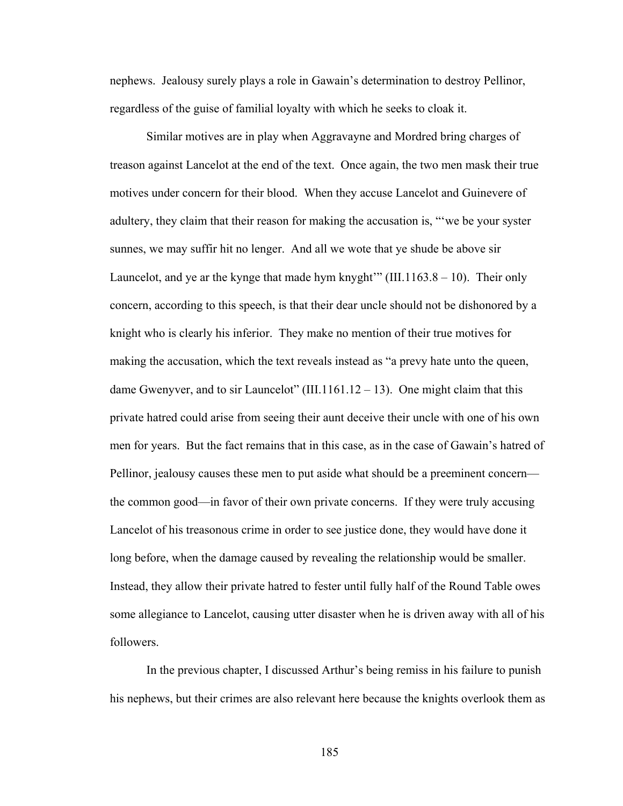nephews. Jealousy surely plays a role in Gawain's determination to destroy Pellinor, regardless of the guise of familial loyalty with which he seeks to cloak it.

Similar motives are in play when Aggravayne and Mordred bring charges of treason against Lancelot at the end of the text. Once again, the two men mask their true motives under concern for their blood. When they accuse Lancelot and Guinevere of adultery, they claim that their reason for making the accusation is, "'we be your syster sunnes, we may suffir hit no lenger. And all we wote that ye shude be above sir Launcelot, and ye ar the kynge that made hym knyght"  $(III.1163.8 - 10)$ . Their only concern, according to this speech, is that their dear uncle should not be dishonored by a knight who is clearly his inferior. They make no mention of their true motives for making the accusation, which the text reveals instead as "a prevy hate unto the queen, dame Gwenyver, and to sir Launcelot" (III.1161.12 – 13). One might claim that this private hatred could arise from seeing their aunt deceive their uncle with one of his own men for years. But the fact remains that in this case, as in the case of Gawain's hatred of Pellinor, jealousy causes these men to put aside what should be a preeminent concern the common good—in favor of their own private concerns. If they were truly accusing Lancelot of his treasonous crime in order to see justice done, they would have done it long before, when the damage caused by revealing the relationship would be smaller. Instead, they allow their private hatred to fester until fully half of the Round Table owes some allegiance to Lancelot, causing utter disaster when he is driven away with all of his followers.

In the previous chapter, I discussed Arthur's being remiss in his failure to punish his nephews, but their crimes are also relevant here because the knights overlook them as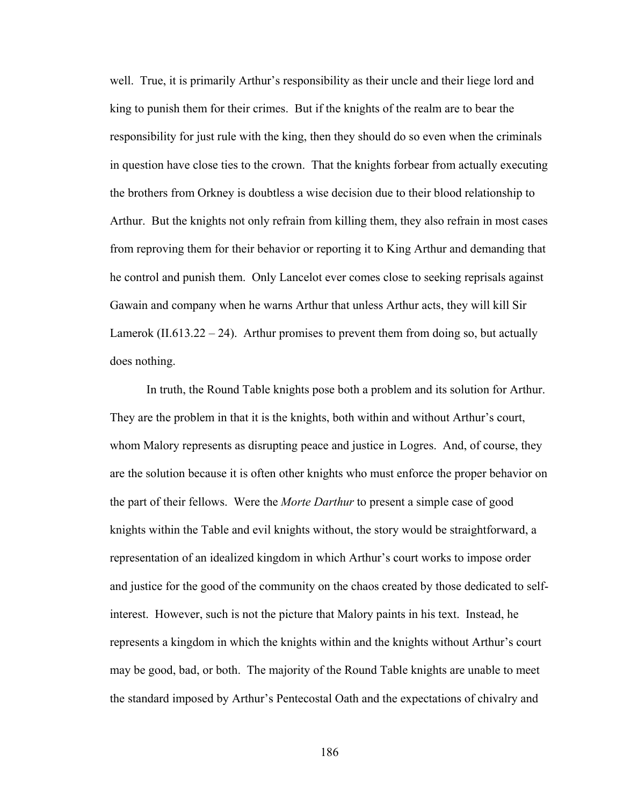well. True, it is primarily Arthur's responsibility as their uncle and their liege lord and king to punish them for their crimes. But if the knights of the realm are to bear the responsibility for just rule with the king, then they should do so even when the criminals in question have close ties to the crown. That the knights forbear from actually executing the brothers from Orkney is doubtless a wise decision due to their blood relationship to Arthur. But the knights not only refrain from killing them, they also refrain in most cases from reproving them for their behavior or reporting it to King Arthur and demanding that he control and punish them. Only Lancelot ever comes close to seeking reprisals against Gawain and company when he warns Arthur that unless Arthur acts, they will kill Sir Lamerok  $(II.613.22 - 24)$ . Arthur promises to prevent them from doing so, but actually does nothing.

In truth, the Round Table knights pose both a problem and its solution for Arthur. They are the problem in that it is the knights, both within and without Arthur's court, whom Malory represents as disrupting peace and justice in Logres. And, of course, they are the solution because it is often other knights who must enforce the proper behavior on the part of their fellows. Were the *Morte Darthur* to present a simple case of good knights within the Table and evil knights without, the story would be straightforward, a representation of an idealized kingdom in which Arthur's court works to impose order and justice for the good of the community on the chaos created by those dedicated to selfinterest. However, such is not the picture that Malory paints in his text. Instead, he represents a kingdom in which the knights within and the knights without Arthur's court may be good, bad, or both. The majority of the Round Table knights are unable to meet the standard imposed by Arthur's Pentecostal Oath and the expectations of chivalry and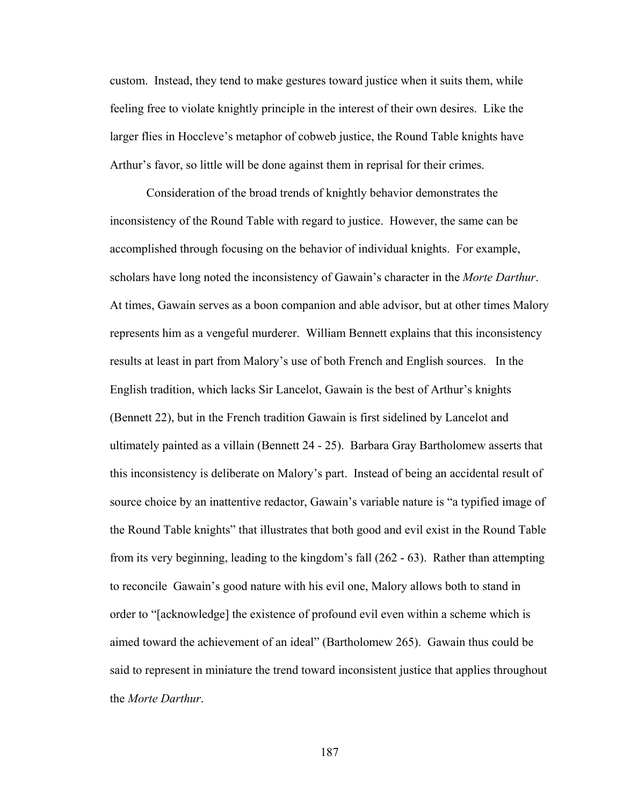custom. Instead, they tend to make gestures toward justice when it suits them, while feeling free to violate knightly principle in the interest of their own desires. Like the larger flies in Hoccleve's metaphor of cobweb justice, the Round Table knights have Arthur's favor, so little will be done against them in reprisal for their crimes.

Consideration of the broad trends of knightly behavior demonstrates the inconsistency of the Round Table with regard to justice. However, the same can be accomplished through focusing on the behavior of individual knights. For example, scholars have long noted the inconsistency of Gawain's character in the *Morte Darthur*. At times, Gawain serves as a boon companion and able advisor, but at other times Malory represents him as a vengeful murderer. William Bennett explains that this inconsistency results at least in part from Malory's use of both French and English sources. In the English tradition, which lacks Sir Lancelot, Gawain is the best of Arthur's knights (Bennett 22), but in the French tradition Gawain is first sidelined by Lancelot and ultimately painted as a villain (Bennett 24 - 25). Barbara Gray Bartholomew asserts that this inconsistency is deliberate on Malory's part. Instead of being an accidental result of source choice by an inattentive redactor, Gawain's variable nature is "a typified image of the Round Table knights" that illustrates that both good and evil exist in the Round Table from its very beginning, leading to the kingdom's fall (262 - 63). Rather than attempting to reconcile Gawain's good nature with his evil one, Malory allows both to stand in order to "[acknowledge] the existence of profound evil even within a scheme which is aimed toward the achievement of an ideal" (Bartholomew 265). Gawain thus could be said to represent in miniature the trend toward inconsistent justice that applies throughout the *Morte Darthur*.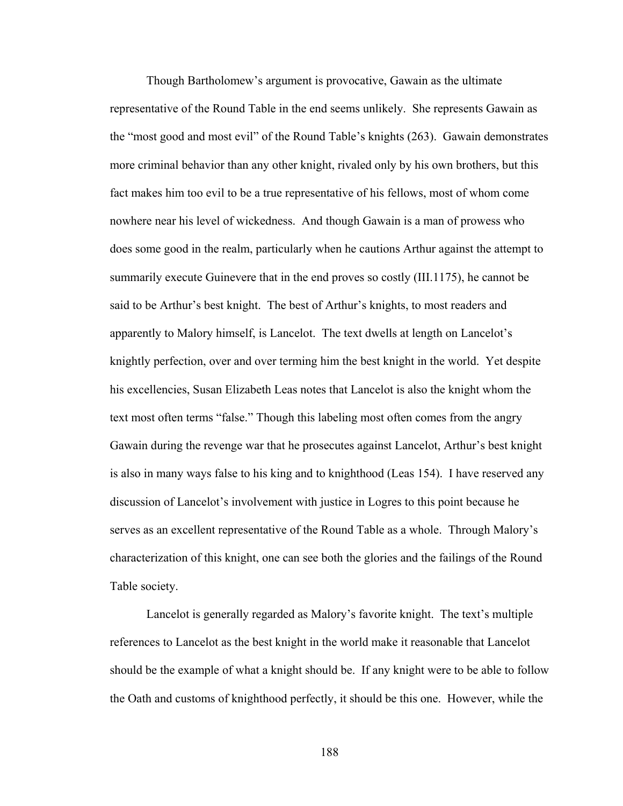Though Bartholomew's argument is provocative, Gawain as the ultimate representative of the Round Table in the end seems unlikely. She represents Gawain as the "most good and most evil" of the Round Table's knights (263). Gawain demonstrates more criminal behavior than any other knight, rivaled only by his own brothers, but this fact makes him too evil to be a true representative of his fellows, most of whom come nowhere near his level of wickedness. And though Gawain is a man of prowess who does some good in the realm, particularly when he cautions Arthur against the attempt to summarily execute Guinevere that in the end proves so costly (III.1175), he cannot be said to be Arthur's best knight. The best of Arthur's knights, to most readers and apparently to Malory himself, is Lancelot. The text dwells at length on Lancelot's knightly perfection, over and over terming him the best knight in the world. Yet despite his excellencies, Susan Elizabeth Leas notes that Lancelot is also the knight whom the text most often terms "false." Though this labeling most often comes from the angry Gawain during the revenge war that he prosecutes against Lancelot, Arthur's best knight is also in many ways false to his king and to knighthood (Leas 154). I have reserved any discussion of Lancelot's involvement with justice in Logres to this point because he serves as an excellent representative of the Round Table as a whole. Through Malory's characterization of this knight, one can see both the glories and the failings of the Round Table society.

Lancelot is generally regarded as Malory's favorite knight. The text's multiple references to Lancelot as the best knight in the world make it reasonable that Lancelot should be the example of what a knight should be. If any knight were to be able to follow the Oath and customs of knighthood perfectly, it should be this one. However, while the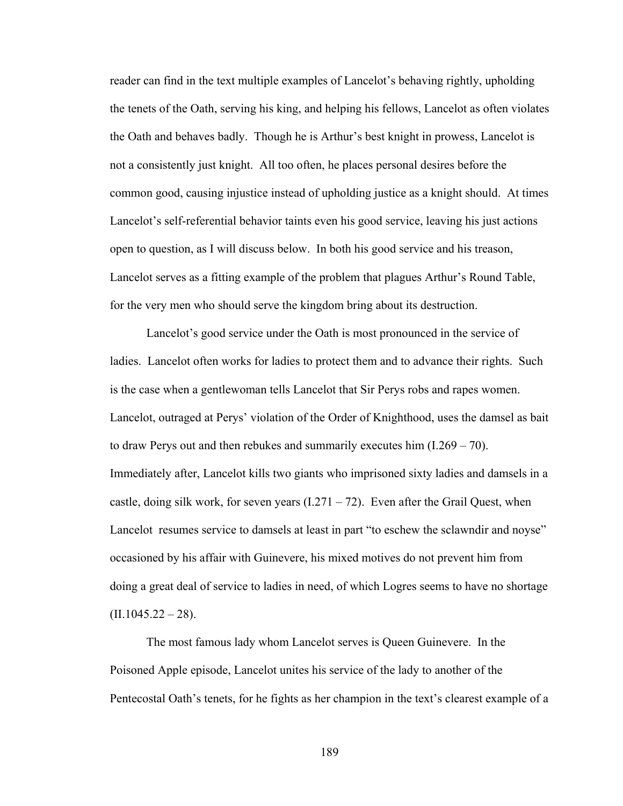reader can find in the text multiple examples of Lancelot's behaving rightly, upholding the tenets of the Oath, serving his king, and helping his fellows, Lancelot as often violates the Oath and behaves badly. Though he is Arthur's best knight in prowess, Lancelot is not a consistently just knight. All too often, he places personal desires before the common good, causing injustice instead of upholding justice as a knight should. At times Lancelot's self-referential behavior taints even his good service, leaving his just actions open to question, as I will discuss below. In both his good service and his treason, Lancelot serves as a fitting example of the problem that plagues Arthur's Round Table, for the very men who should serve the kingdom bring about its destruction.

Lancelot's good service under the Oath is most pronounced in the service of ladies. Lancelot often works for ladies to protect them and to advance their rights. Such is the case when a gentlewoman tells Lancelot that Sir Perys robs and rapes women. Lancelot, outraged at Perys' violation of the Order of Knighthood, uses the damsel as bait to draw Perys out and then rebukes and summarily executes him (I.269 – 70). Immediately after, Lancelot kills two giants who imprisoned sixty ladies and damsels in a castle, doing silk work, for seven years  $(1.271 - 72)$ . Even after the Grail Quest, when Lancelot resumes service to damsels at least in part "to eschew the sclawndir and noyse" occasioned by his affair with Guinevere, his mixed motives do not prevent him from doing a great deal of service to ladies in need, of which Logres seems to have no shortage  $(II.1045.22 - 28).$ 

The most famous lady whom Lancelot serves is Queen Guinevere. In the Poisoned Apple episode, Lancelot unites his service of the lady to another of the Pentecostal Oath's tenets, for he fights as her champion in the text's clearest example of a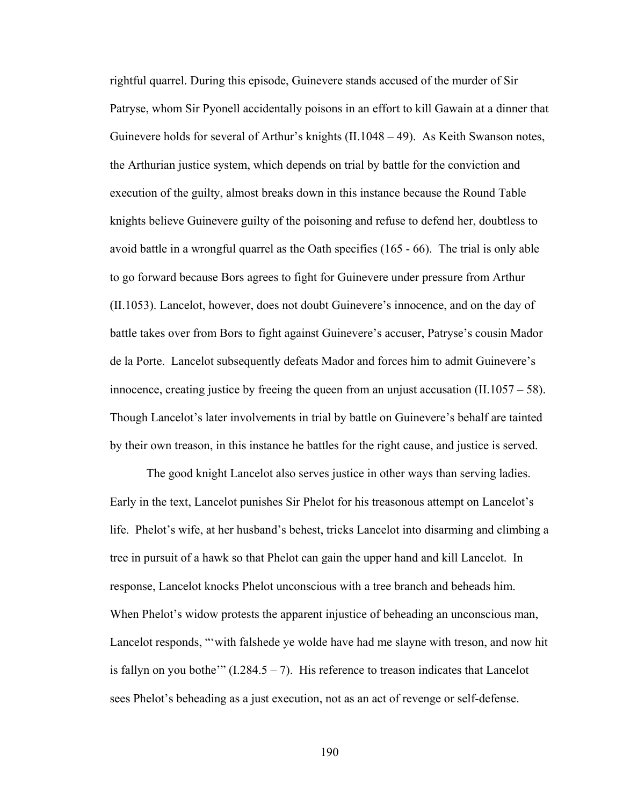rightful quarrel. During this episode, Guinevere stands accused of the murder of Sir Patryse, whom Sir Pyonell accidentally poisons in an effort to kill Gawain at a dinner that Guinevere holds for several of Arthur's knights (II.1048 – 49). As Keith Swanson notes, the Arthurian justice system, which depends on trial by battle for the conviction and execution of the guilty, almost breaks down in this instance because the Round Table knights believe Guinevere guilty of the poisoning and refuse to defend her, doubtless to avoid battle in a wrongful quarrel as the Oath specifies (165 - 66). The trial is only able to go forward because Bors agrees to fight for Guinevere under pressure from Arthur (II.1053). Lancelot, however, does not doubt Guinevere's innocence, and on the day of battle takes over from Bors to fight against Guinevere's accuser, Patryse's cousin Mador de la Porte. Lancelot subsequently defeats Mador and forces him to admit Guinevere's innocence, creating justice by freeing the queen from an unjust accusation  $(II.1057 - 58)$ . Though Lancelot's later involvements in trial by battle on Guinevere's behalf are tainted by their own treason, in this instance he battles for the right cause, and justice is served.

The good knight Lancelot also serves justice in other ways than serving ladies. Early in the text, Lancelot punishes Sir Phelot for his treasonous attempt on Lancelot's life. Phelot's wife, at her husband's behest, tricks Lancelot into disarming and climbing a tree in pursuit of a hawk so that Phelot can gain the upper hand and kill Lancelot. In response, Lancelot knocks Phelot unconscious with a tree branch and beheads him. When Phelot's widow protests the apparent injustice of beheading an unconscious man, Lancelot responds, "'with falshede ye wolde have had me slayne with treson, and now hit is fallyn on you bothe'"  $(1.284.5 - 7)$ . His reference to treason indicates that Lancelot sees Phelot's beheading as a just execution, not as an act of revenge or self-defense.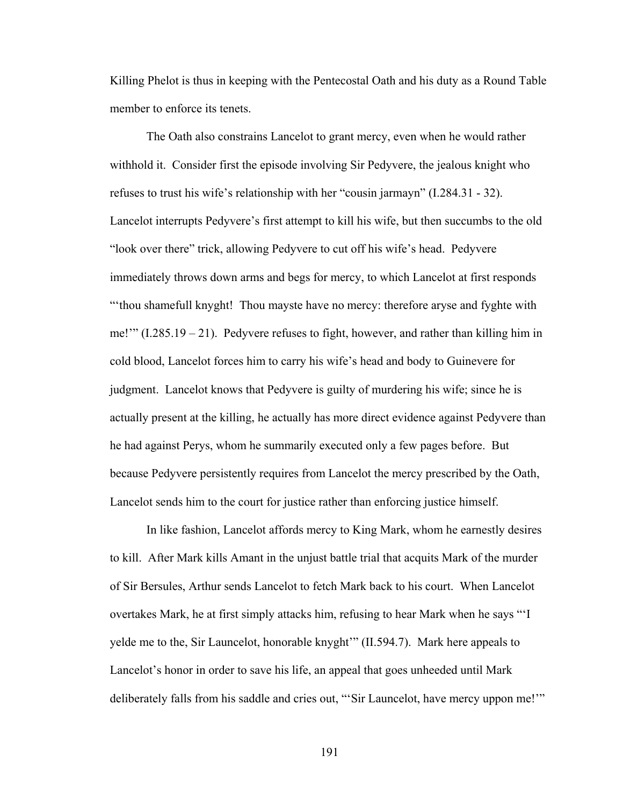Killing Phelot is thus in keeping with the Pentecostal Oath and his duty as a Round Table member to enforce its tenets.

The Oath also constrains Lancelot to grant mercy, even when he would rather withhold it. Consider first the episode involving Sir Pedyvere, the jealous knight who refuses to trust his wife's relationship with her "cousin jarmayn" (I.284.31 - 32). Lancelot interrupts Pedyvere's first attempt to kill his wife, but then succumbs to the old "look over there" trick, allowing Pedyvere to cut off his wife's head. Pedyvere immediately throws down arms and begs for mercy, to which Lancelot at first responds "'thou shamefull knyght! Thou mayste have no mercy: therefore aryse and fyghte with me!'" (I.285.19 – 21). Pedyvere refuses to fight, however, and rather than killing him in cold blood, Lancelot forces him to carry his wife's head and body to Guinevere for judgment. Lancelot knows that Pedyvere is guilty of murdering his wife; since he is actually present at the killing, he actually has more direct evidence against Pedyvere than he had against Perys, whom he summarily executed only a few pages before. But because Pedyvere persistently requires from Lancelot the mercy prescribed by the Oath, Lancelot sends him to the court for justice rather than enforcing justice himself.

In like fashion, Lancelot affords mercy to King Mark, whom he earnestly desires to kill. After Mark kills Amant in the unjust battle trial that acquits Mark of the murder of Sir Bersules, Arthur sends Lancelot to fetch Mark back to his court. When Lancelot overtakes Mark, he at first simply attacks him, refusing to hear Mark when he says "'I yelde me to the, Sir Launcelot, honorable knyght'" (II.594.7). Mark here appeals to Lancelot's honor in order to save his life, an appeal that goes unheeded until Mark deliberately falls from his saddle and cries out, "'Sir Launcelot, have mercy uppon me!'"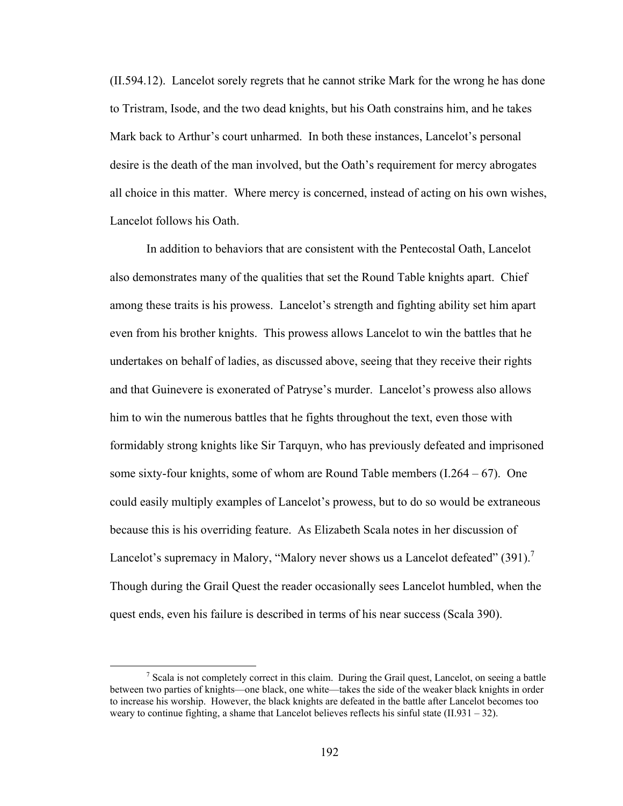(II.594.12). Lancelot sorely regrets that he cannot strike Mark for the wrong he has done to Tristram, Isode, and the two dead knights, but his Oath constrains him, and he takes Mark back to Arthur's court unharmed. In both these instances, Lancelot's personal desire is the death of the man involved, but the Oath's requirement for mercy abrogates all choice in this matter. Where mercy is concerned, instead of acting on his own wishes, Lancelot follows his Oath.

In addition to behaviors that are consistent with the Pentecostal Oath, Lancelot also demonstrates many of the qualities that set the Round Table knights apart. Chief among these traits is his prowess. Lancelot's strength and fighting ability set him apart even from his brother knights. This prowess allows Lancelot to win the battles that he undertakes on behalf of ladies, as discussed above, seeing that they receive their rights and that Guinevere is exonerated of Patryse's murder. Lancelot's prowess also allows him to win the numerous battles that he fights throughout the text, even those with formidably strong knights like Sir Tarquyn, who has previously defeated and imprisoned some sixty-four knights, some of whom are Round Table members  $(1.264 - 67)$ . One could easily multiply examples of Lancelot's prowess, but to do so would be extraneous because this is his overriding feature. As Elizabeth Scala notes in her discussion of Lancelot's supremacy in Malory, "Malory never shows us a Lancelot defeated"  $(391)$ .<sup>7</sup> Though during the Grail Quest the reader occasionally sees Lancelot humbled, when the quest ends, even his failure is described in terms of his near success (Scala 390).

 $\begin{array}{c|c}\n\hline\n\end{array}$  $\frac{7}{1}$  Scala is not completely correct in this claim. During the Grail quest, Lancelot, on seeing a battle between two parties of knights—one black, one white—takes the side of the weaker black knights in order to increase his worship. However, the black knights are defeated in the battle after Lancelot becomes too weary to continue fighting, a shame that Lancelot believes reflects his sinful state (II.931 – 32).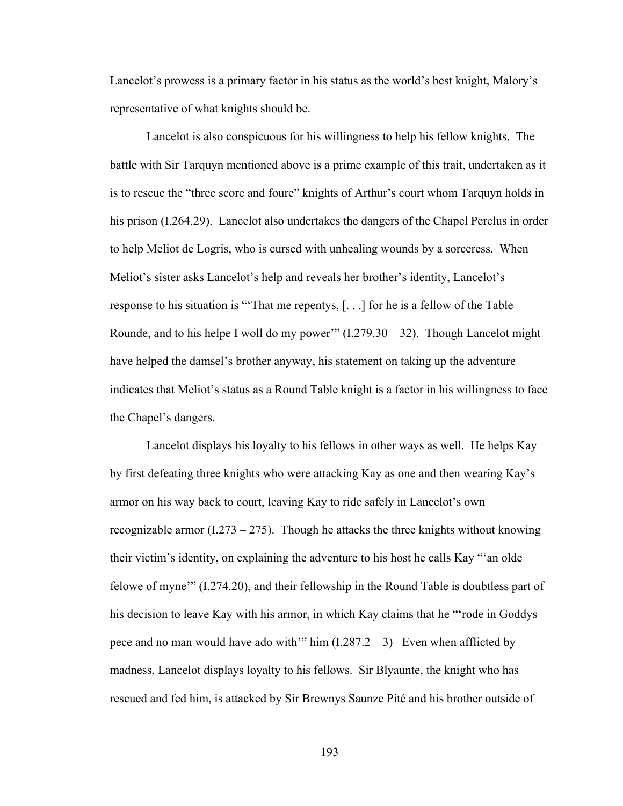Lancelot's prowess is a primary factor in his status as the world's best knight, Malory's representative of what knights should be.

Lancelot is also conspicuous for his willingness to help his fellow knights. The battle with Sir Tarquyn mentioned above is a prime example of this trait, undertaken as it is to rescue the "three score and foure" knights of Arthur's court whom Tarquyn holds in his prison (I.264.29). Lancelot also undertakes the dangers of the Chapel Perelus in order to help Meliot de Logris, who is cursed with unhealing wounds by a sorceress. When Meliot's sister asks Lancelot's help and reveals her brother's identity, Lancelot's response to his situation is "'That me repentys, [. . .] for he is a fellow of the Table Rounde, and to his helpe I woll do my power"  $(I.279.30 - 32)$ . Though Lancelot might have helped the damsel's brother anyway, his statement on taking up the adventure indicates that Meliot's status as a Round Table knight is a factor in his willingness to face the Chapel's dangers.

Lancelot displays his loyalty to his fellows in other ways as well. He helps Kay by first defeating three knights who were attacking Kay as one and then wearing Kay's armor on his way back to court, leaving Kay to ride safely in Lancelot's own recognizable armor  $(1.273 - 275)$ . Though he attacks the three knights without knowing their victim's identity, on explaining the adventure to his host he calls Kay "'an olde felowe of myne'" (I.274.20), and their fellowship in the Round Table is doubtless part of his decision to leave Kay with his armor, in which Kay claims that he "'rode in Goddys pece and no man would have ado with'" him  $(1.287.2 - 3)$  Even when afflicted by madness, Lancelot displays loyalty to his fellows. Sir Blyaunte, the knight who has rescued and fed him, is attacked by Sir Brewnys Saunze Pité and his brother outside of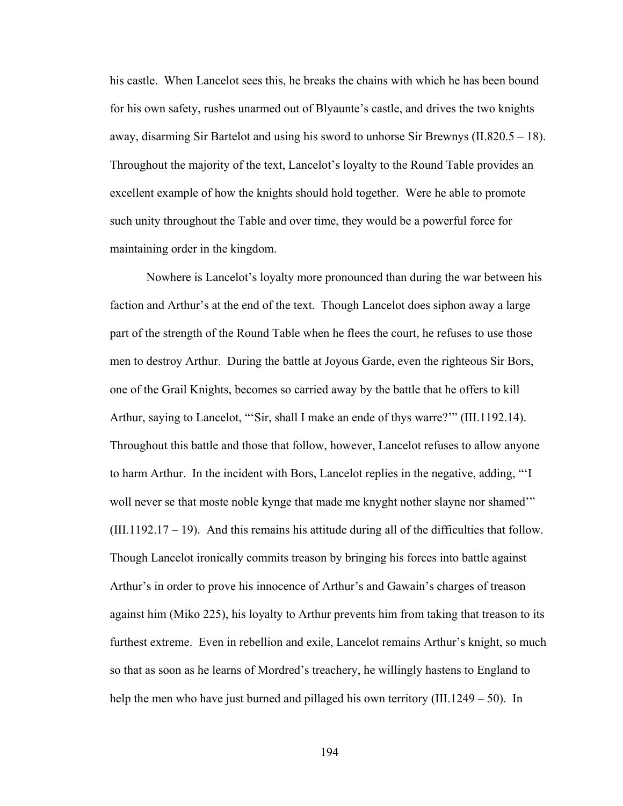his castle. When Lancelot sees this, he breaks the chains with which he has been bound for his own safety, rushes unarmed out of Blyaunte's castle, and drives the two knights away, disarming Sir Bartelot and using his sword to unhorse Sir Brewnys (II.820.5 – 18). Throughout the majority of the text, Lancelot's loyalty to the Round Table provides an excellent example of how the knights should hold together. Were he able to promote such unity throughout the Table and over time, they would be a powerful force for maintaining order in the kingdom.

Nowhere is Lancelot's loyalty more pronounced than during the war between his faction and Arthur's at the end of the text. Though Lancelot does siphon away a large part of the strength of the Round Table when he flees the court, he refuses to use those men to destroy Arthur. During the battle at Joyous Garde, even the righteous Sir Bors, one of the Grail Knights, becomes so carried away by the battle that he offers to kill Arthur, saying to Lancelot, "'Sir, shall I make an ende of thys warre?'" (III.1192.14). Throughout this battle and those that follow, however, Lancelot refuses to allow anyone to harm Arthur. In the incident with Bors, Lancelot replies in the negative, adding, "'I woll never se that moste noble kynge that made me knyght nother slayne nor shamed'"  $(III.1192.17 - 19)$ . And this remains his attitude during all of the difficulties that follow. Though Lancelot ironically commits treason by bringing his forces into battle against Arthur's in order to prove his innocence of Arthur's and Gawain's charges of treason against him (Miko 225), his loyalty to Arthur prevents him from taking that treason to its furthest extreme. Even in rebellion and exile, Lancelot remains Arthur's knight, so much so that as soon as he learns of Mordred's treachery, he willingly hastens to England to help the men who have just burned and pillaged his own territory (III.1249 – 50). In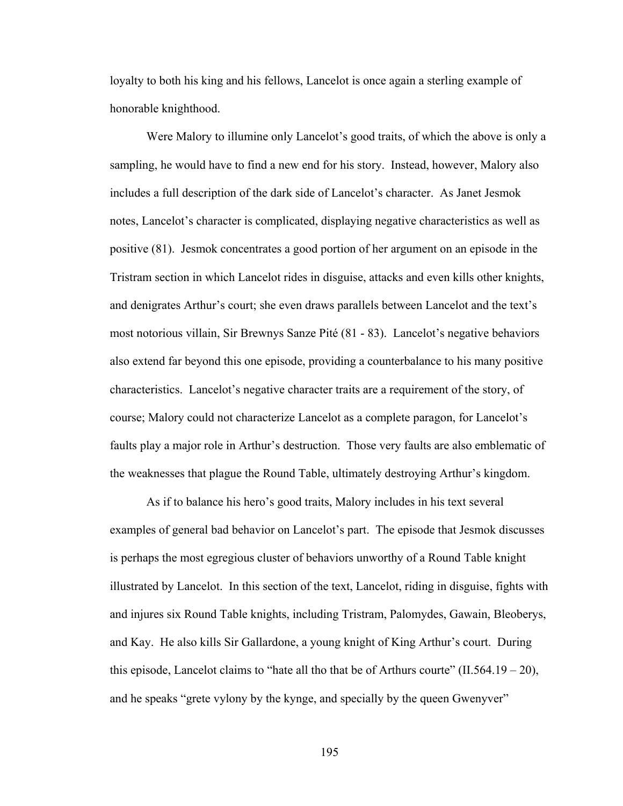loyalty to both his king and his fellows, Lancelot is once again a sterling example of honorable knighthood.

Were Malory to illumine only Lancelot's good traits, of which the above is only a sampling, he would have to find a new end for his story. Instead, however, Malory also includes a full description of the dark side of Lancelot's character. As Janet Jesmok notes, Lancelot's character is complicated, displaying negative characteristics as well as positive (81). Jesmok concentrates a good portion of her argument on an episode in the Tristram section in which Lancelot rides in disguise, attacks and even kills other knights, and denigrates Arthur's court; she even draws parallels between Lancelot and the text's most notorious villain, Sir Brewnys Sanze Pité (81 - 83). Lancelot's negative behaviors also extend far beyond this one episode, providing a counterbalance to his many positive characteristics. Lancelot's negative character traits are a requirement of the story, of course; Malory could not characterize Lancelot as a complete paragon, for Lancelot's faults play a major role in Arthur's destruction. Those very faults are also emblematic of the weaknesses that plague the Round Table, ultimately destroying Arthur's kingdom.

As if to balance his hero's good traits, Malory includes in his text several examples of general bad behavior on Lancelot's part. The episode that Jesmok discusses is perhaps the most egregious cluster of behaviors unworthy of a Round Table knight illustrated by Lancelot. In this section of the text, Lancelot, riding in disguise, fights with and injures six Round Table knights, including Tristram, Palomydes, Gawain, Bleoberys, and Kay. He also kills Sir Gallardone, a young knight of King Arthur's court. During this episode, Lancelot claims to "hate all tho that be of Arthurs courte" (II.564.19 – 20), and he speaks "grete vylony by the kynge, and specially by the queen Gwenyver"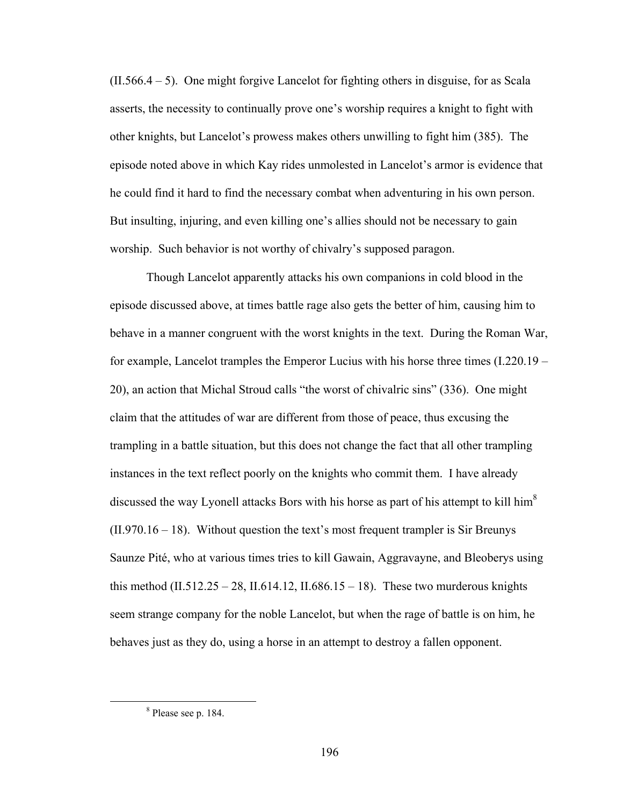$(II.566.4 - 5)$ . One might forgive Lancelot for fighting others in disguise, for as Scala asserts, the necessity to continually prove one's worship requires a knight to fight with other knights, but Lancelot's prowess makes others unwilling to fight him (385). The episode noted above in which Kay rides unmolested in Lancelot's armor is evidence that he could find it hard to find the necessary combat when adventuring in his own person. But insulting, injuring, and even killing one's allies should not be necessary to gain worship. Such behavior is not worthy of chivalry's supposed paragon.

Though Lancelot apparently attacks his own companions in cold blood in the episode discussed above, at times battle rage also gets the better of him, causing him to behave in a manner congruent with the worst knights in the text. During the Roman War, for example, Lancelot tramples the Emperor Lucius with his horse three times (I.220.19 – 20), an action that Michal Stroud calls "the worst of chivalric sins" (336). One might claim that the attitudes of war are different from those of peace, thus excusing the trampling in a battle situation, but this does not change the fact that all other trampling instances in the text reflect poorly on the knights who commit them. I have already discussed the way Lyonell attacks Bors with his horse as part of his attempt to kill him<sup>8</sup>  $(II.970.16 - 18)$ . Without question the text's most frequent trampler is Sir Breunys Saunze Pité, who at various times tries to kill Gawain, Aggravayne, and Bleoberys using this method (II.512.25 – 28, II.614.12, II.686.15 – 18). These two murderous knights seem strange company for the noble Lancelot, but when the rage of battle is on him, he behaves just as they do, using a horse in an attempt to destroy a fallen opponent.

 $\begin{array}{c|c}\n\hline\n\text{1} & \text{2} & \text{3} \\
\hline\n\text{2} & \text{3} & \text{4}\n\end{array}$ <sup>8</sup> Please see p. 184.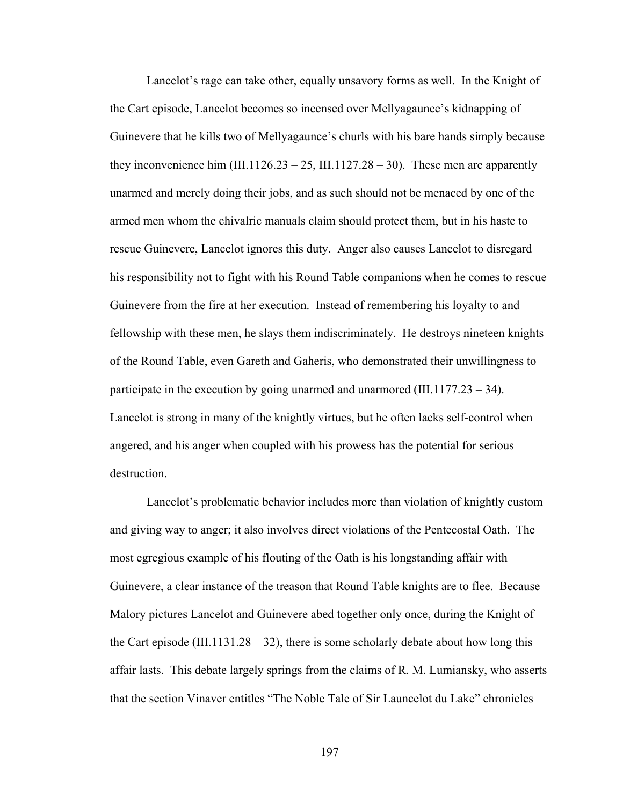Lancelot's rage can take other, equally unsavory forms as well. In the Knight of the Cart episode, Lancelot becomes so incensed over Mellyagaunce's kidnapping of Guinevere that he kills two of Mellyagaunce's churls with his bare hands simply because they inconvenience him  $(III.1126.23 - 25, III.1127.28 - 30)$ . These men are apparently unarmed and merely doing their jobs, and as such should not be menaced by one of the armed men whom the chivalric manuals claim should protect them, but in his haste to rescue Guinevere, Lancelot ignores this duty. Anger also causes Lancelot to disregard his responsibility not to fight with his Round Table companions when he comes to rescue Guinevere from the fire at her execution. Instead of remembering his loyalty to and fellowship with these men, he slays them indiscriminately. He destroys nineteen knights of the Round Table, even Gareth and Gaheris, who demonstrated their unwillingness to participate in the execution by going unarmed and unarmored (III.1177.23 – 34). Lancelot is strong in many of the knightly virtues, but he often lacks self-control when angered, and his anger when coupled with his prowess has the potential for serious destruction.

Lancelot's problematic behavior includes more than violation of knightly custom and giving way to anger; it also involves direct violations of the Pentecostal Oath. The most egregious example of his flouting of the Oath is his longstanding affair with Guinevere, a clear instance of the treason that Round Table knights are to flee. Because Malory pictures Lancelot and Guinevere abed together only once, during the Knight of the Cart episode (III.1131.28 – 32), there is some scholarly debate about how long this affair lasts. This debate largely springs from the claims of R. M. Lumiansky, who asserts that the section Vinaver entitles "The Noble Tale of Sir Launcelot du Lake" chronicles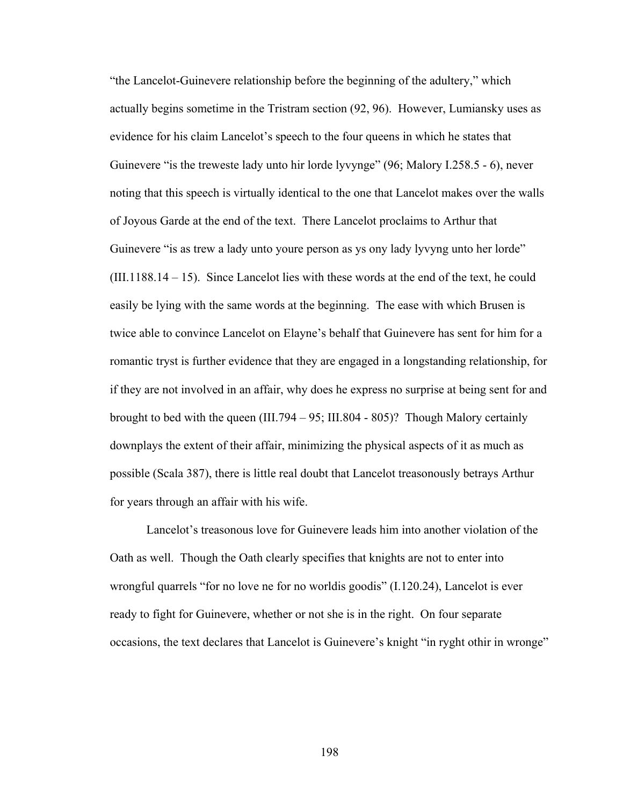"the Lancelot-Guinevere relationship before the beginning of the adultery," which actually begins sometime in the Tristram section (92, 96). However, Lumiansky uses as evidence for his claim Lancelot's speech to the four queens in which he states that Guinevere "is the treweste lady unto hir lorde lyvynge" (96; Malory I.258.5 - 6), never noting that this speech is virtually identical to the one that Lancelot makes over the walls of Joyous Garde at the end of the text. There Lancelot proclaims to Arthur that Guinevere "is as trew a lady unto youre person as ys ony lady lyvyng unto her lorde" (III.1188.14 – 15). Since Lancelot lies with these words at the end of the text, he could easily be lying with the same words at the beginning. The ease with which Brusen is twice able to convince Lancelot on Elayne's behalf that Guinevere has sent for him for a romantic tryst is further evidence that they are engaged in a longstanding relationship, for if they are not involved in an affair, why does he express no surprise at being sent for and brought to bed with the queen (III.794 – 95; III.804 - 805)? Though Malory certainly downplays the extent of their affair, minimizing the physical aspects of it as much as possible (Scala 387), there is little real doubt that Lancelot treasonously betrays Arthur for years through an affair with his wife.

Lancelot's treasonous love for Guinevere leads him into another violation of the Oath as well. Though the Oath clearly specifies that knights are not to enter into wrongful quarrels "for no love ne for no worldis goodis" (I.120.24), Lancelot is ever ready to fight for Guinevere, whether or not she is in the right. On four separate occasions, the text declares that Lancelot is Guinevere's knight "in ryght othir in wronge"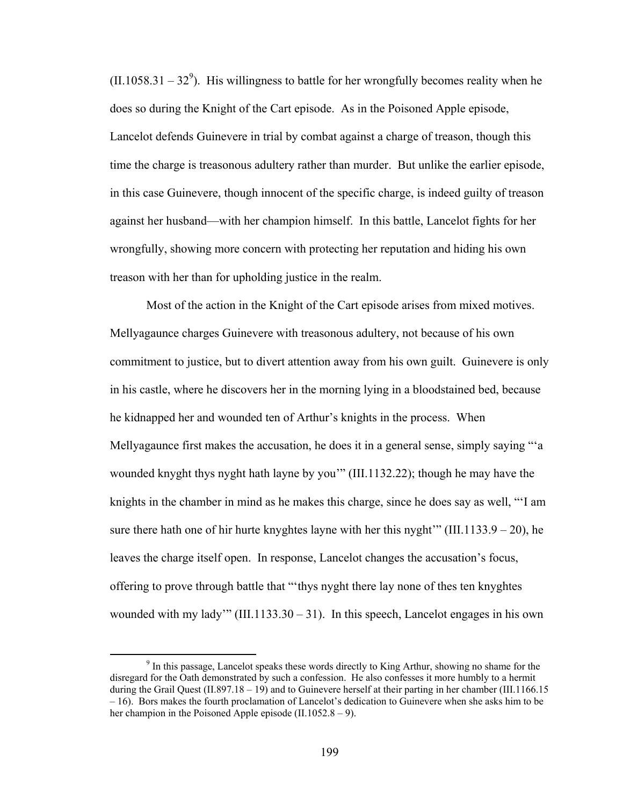$(II.1058.31 - 32^9)$ . His willingness to battle for her wrongfully becomes reality when he does so during the Knight of the Cart episode. As in the Poisoned Apple episode, Lancelot defends Guinevere in trial by combat against a charge of treason, though this time the charge is treasonous adultery rather than murder. But unlike the earlier episode, in this case Guinevere, though innocent of the specific charge, is indeed guilty of treason against her husband—with her champion himself. In this battle, Lancelot fights for her wrongfully, showing more concern with protecting her reputation and hiding his own treason with her than for upholding justice in the realm.

Most of the action in the Knight of the Cart episode arises from mixed motives. Mellyagaunce charges Guinevere with treasonous adultery, not because of his own commitment to justice, but to divert attention away from his own guilt. Guinevere is only in his castle, where he discovers her in the morning lying in a bloodstained bed, because he kidnapped her and wounded ten of Arthur's knights in the process. When Mellyagaunce first makes the accusation, he does it in a general sense, simply saying "'a wounded knyght thys nyght hath layne by you'" (III.1132.22); though he may have the knights in the chamber in mind as he makes this charge, since he does say as well, "'I am sure there hath one of hir hurte knyghtes layne with her this nyght'" (III.1133.9 – 20), he leaves the charge itself open. In response, Lancelot changes the accusation's focus, offering to prove through battle that "'thys nyght there lay none of thes ten knyghtes wounded with my lady'" (III.1133.30 – 31). In this speech, Lancelot engages in his own

 $\frac{1}{9}$ <sup>9</sup> In this passage, Lancelot speaks these words directly to King Arthur, showing no shame for the disregard for the Oath demonstrated by such a confession. He also confesses it more humbly to a hermit during the Grail Quest (II.897.18 – 19) and to Guinevere herself at their parting in her chamber (III.1166.15 – 16). Bors makes the fourth proclamation of Lancelot's dedication to Guinevere when she asks him to be her champion in the Poisoned Apple episode (II.1052.8 – 9).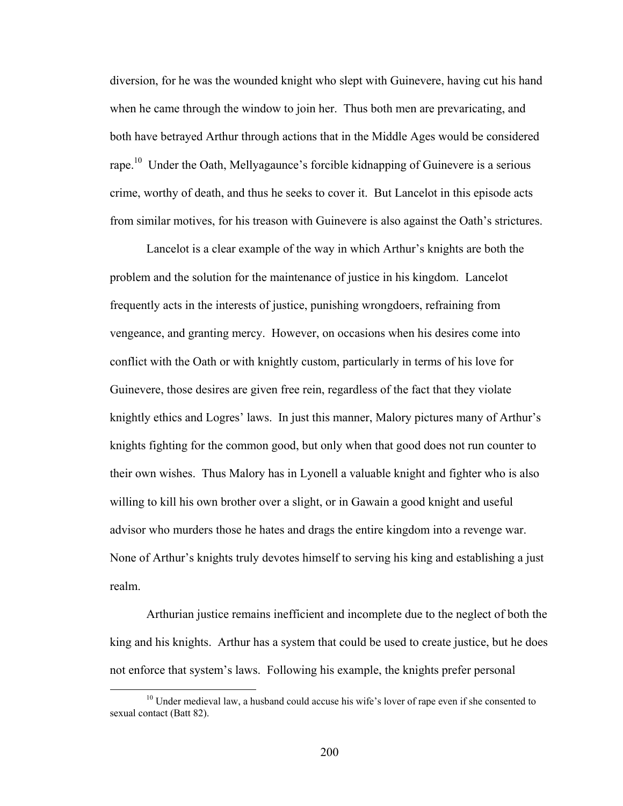diversion, for he was the wounded knight who slept with Guinevere, having cut his hand when he came through the window to join her. Thus both men are prevaricating, and both have betrayed Arthur through actions that in the Middle Ages would be considered rape.10 Under the Oath, Mellyagaunce's forcible kidnapping of Guinevere is a serious crime, worthy of death, and thus he seeks to cover it. But Lancelot in this episode acts from similar motives, for his treason with Guinevere is also against the Oath's strictures.

Lancelot is a clear example of the way in which Arthur's knights are both the problem and the solution for the maintenance of justice in his kingdom. Lancelot frequently acts in the interests of justice, punishing wrongdoers, refraining from vengeance, and granting mercy. However, on occasions when his desires come into conflict with the Oath or with knightly custom, particularly in terms of his love for Guinevere, those desires are given free rein, regardless of the fact that they violate knightly ethics and Logres' laws. In just this manner, Malory pictures many of Arthur's knights fighting for the common good, but only when that good does not run counter to their own wishes. Thus Malory has in Lyonell a valuable knight and fighter who is also willing to kill his own brother over a slight, or in Gawain a good knight and useful advisor who murders those he hates and drags the entire kingdom into a revenge war. None of Arthur's knights truly devotes himself to serving his king and establishing a just realm.

Arthurian justice remains inefficient and incomplete due to the neglect of both the king and his knights. Arthur has a system that could be used to create justice, but he does not enforce that system's laws. Following his example, the knights prefer personal

 $10$  Under medieval law, a husband could accuse his wife's lover of rape even if she consented to sexual contact (Batt 82).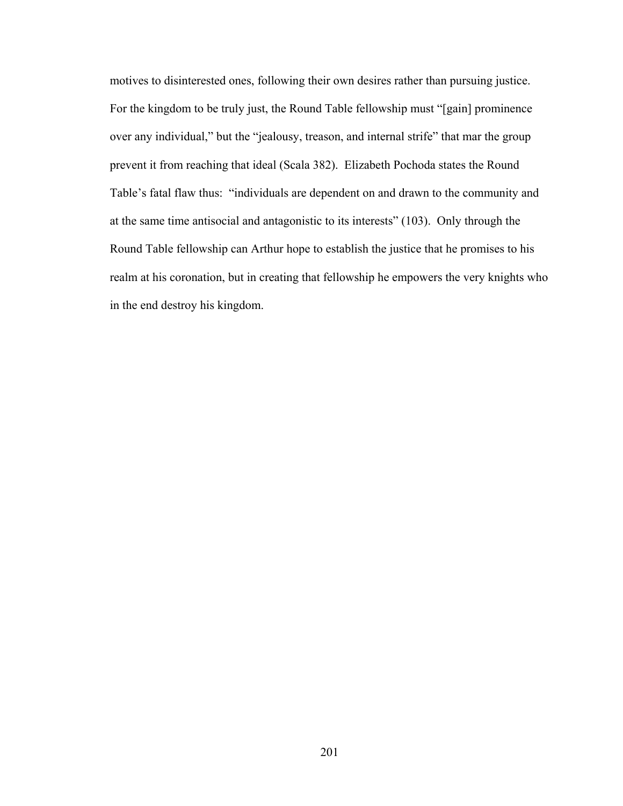motives to disinterested ones, following their own desires rather than pursuing justice. For the kingdom to be truly just, the Round Table fellowship must "[gain] prominence over any individual," but the "jealousy, treason, and internal strife" that mar the group prevent it from reaching that ideal (Scala 382). Elizabeth Pochoda states the Round Table's fatal flaw thus: "individuals are dependent on and drawn to the community and at the same time antisocial and antagonistic to its interests" (103). Only through the Round Table fellowship can Arthur hope to establish the justice that he promises to his realm at his coronation, but in creating that fellowship he empowers the very knights who in the end destroy his kingdom.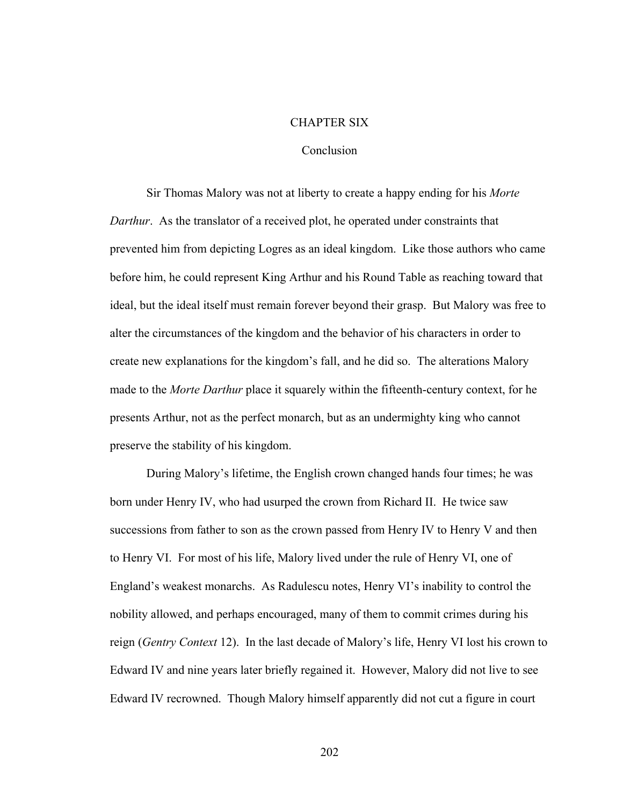## CHAPTER SIX

## Conclusion

Sir Thomas Malory was not at liberty to create a happy ending for his *Morte Darthur*. As the translator of a received plot, he operated under constraints that prevented him from depicting Logres as an ideal kingdom. Like those authors who came before him, he could represent King Arthur and his Round Table as reaching toward that ideal, but the ideal itself must remain forever beyond their grasp. But Malory was free to alter the circumstances of the kingdom and the behavior of his characters in order to create new explanations for the kingdom's fall, and he did so. The alterations Malory made to the *Morte Darthur* place it squarely within the fifteenth-century context, for he presents Arthur, not as the perfect monarch, but as an undermighty king who cannot preserve the stability of his kingdom.

During Malory's lifetime, the English crown changed hands four times; he was born under Henry IV, who had usurped the crown from Richard II. He twice saw successions from father to son as the crown passed from Henry IV to Henry V and then to Henry VI. For most of his life, Malory lived under the rule of Henry VI, one of England's weakest monarchs. As Radulescu notes, Henry VI's inability to control the nobility allowed, and perhaps encouraged, many of them to commit crimes during his reign (*Gentry Context* 12). In the last decade of Malory's life, Henry VI lost his crown to Edward IV and nine years later briefly regained it. However, Malory did not live to see Edward IV recrowned. Though Malory himself apparently did not cut a figure in court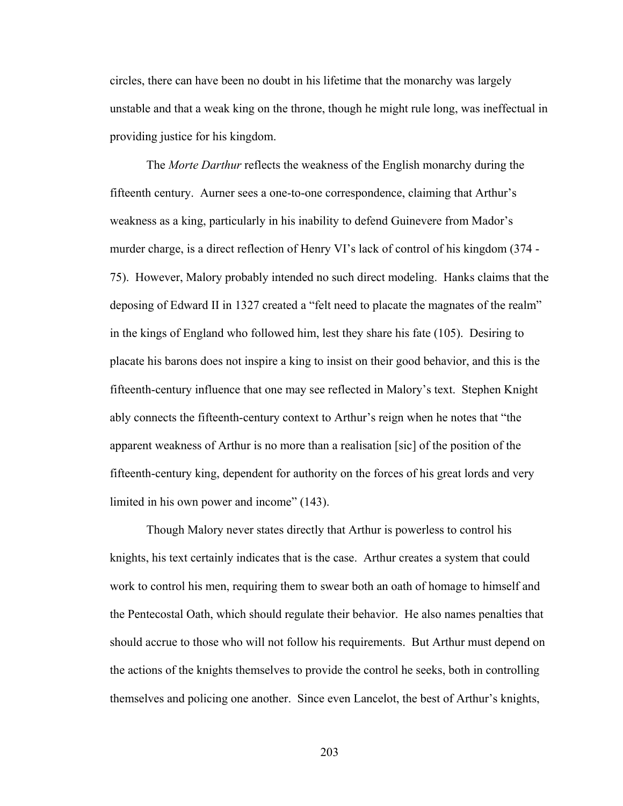circles, there can have been no doubt in his lifetime that the monarchy was largely unstable and that a weak king on the throne, though he might rule long, was ineffectual in providing justice for his kingdom.

The *Morte Darthur* reflects the weakness of the English monarchy during the fifteenth century. Aurner sees a one-to-one correspondence, claiming that Arthur's weakness as a king, particularly in his inability to defend Guinevere from Mador's murder charge, is a direct reflection of Henry VI's lack of control of his kingdom (374 - 75). However, Malory probably intended no such direct modeling. Hanks claims that the deposing of Edward II in 1327 created a "felt need to placate the magnates of the realm" in the kings of England who followed him, lest they share his fate (105). Desiring to placate his barons does not inspire a king to insist on their good behavior, and this is the fifteenth-century influence that one may see reflected in Malory's text. Stephen Knight ably connects the fifteenth-century context to Arthur's reign when he notes that "the apparent weakness of Arthur is no more than a realisation [sic] of the position of the fifteenth-century king, dependent for authority on the forces of his great lords and very limited in his own power and income" (143).

Though Malory never states directly that Arthur is powerless to control his knights, his text certainly indicates that is the case. Arthur creates a system that could work to control his men, requiring them to swear both an oath of homage to himself and the Pentecostal Oath, which should regulate their behavior. He also names penalties that should accrue to those who will not follow his requirements. But Arthur must depend on the actions of the knights themselves to provide the control he seeks, both in controlling themselves and policing one another. Since even Lancelot, the best of Arthur's knights,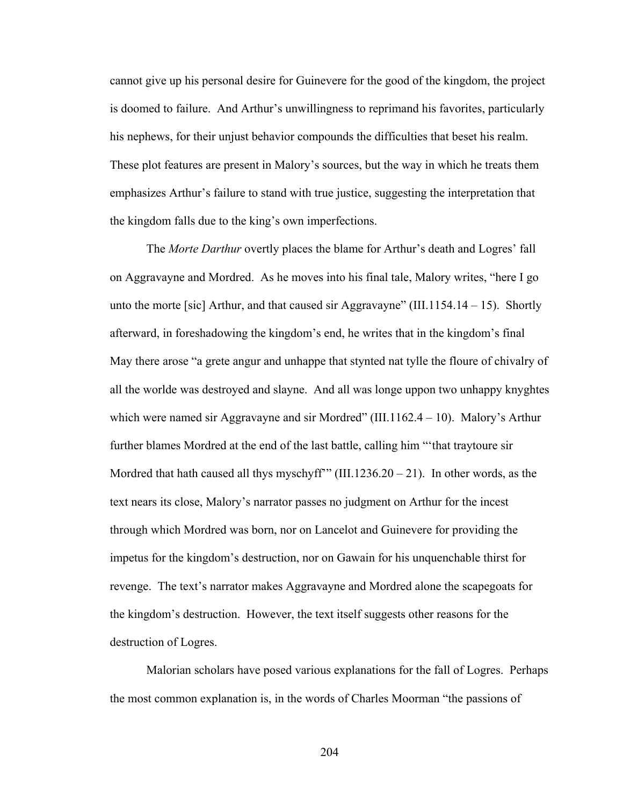cannot give up his personal desire for Guinevere for the good of the kingdom, the project is doomed to failure. And Arthur's unwillingness to reprimand his favorites, particularly his nephews, for their unjust behavior compounds the difficulties that beset his realm. These plot features are present in Malory's sources, but the way in which he treats them emphasizes Arthur's failure to stand with true justice, suggesting the interpretation that the kingdom falls due to the king's own imperfections.

The *Morte Darthur* overtly places the blame for Arthur's death and Logres' fall on Aggravayne and Mordred. As he moves into his final tale, Malory writes, "here I go unto the morte [sic] Arthur, and that caused sir Aggravayne" (III.1154.14 – 15). Shortly afterward, in foreshadowing the kingdom's end, he writes that in the kingdom's final May there arose "a grete angur and unhappe that stynted nat tylle the floure of chivalry of all the worlde was destroyed and slayne. And all was longe uppon two unhappy knyghtes which were named sir Aggravayne and sir Mordred" (III.1162.4 – 10). Malory's Arthur further blames Mordred at the end of the last battle, calling him "'that traytoure sir Mordred that hath caused all thys myschyff"" (III.1236.20 – 21). In other words, as the text nears its close, Malory's narrator passes no judgment on Arthur for the incest through which Mordred was born, nor on Lancelot and Guinevere for providing the impetus for the kingdom's destruction, nor on Gawain for his unquenchable thirst for revenge. The text's narrator makes Aggravayne and Mordred alone the scapegoats for the kingdom's destruction. However, the text itself suggests other reasons for the destruction of Logres.

Malorian scholars have posed various explanations for the fall of Logres. Perhaps the most common explanation is, in the words of Charles Moorman "the passions of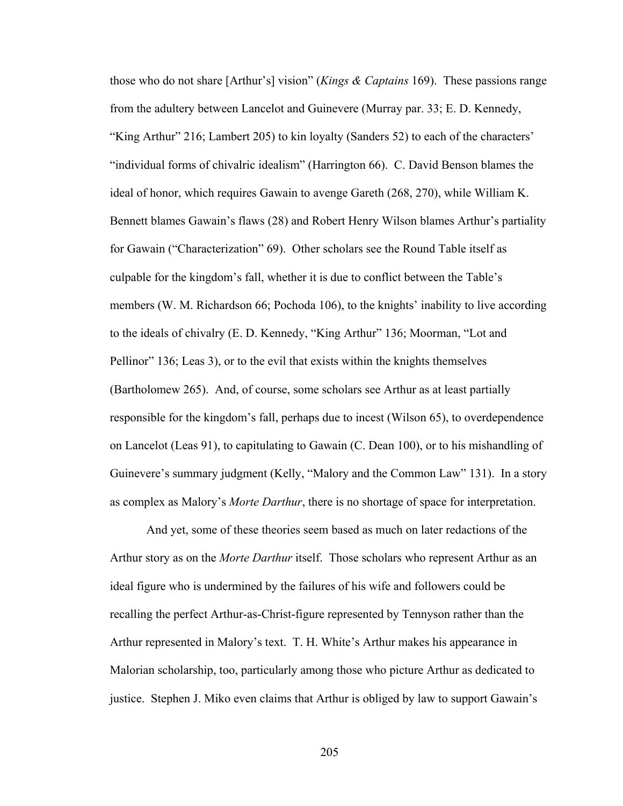those who do not share [Arthur's] vision" (*Kings & Captains* 169). These passions range from the adultery between Lancelot and Guinevere (Murray par. 33; E. D. Kennedy, "King Arthur" 216; Lambert 205) to kin loyalty (Sanders 52) to each of the characters' "individual forms of chivalric idealism" (Harrington 66). C. David Benson blames the ideal of honor, which requires Gawain to avenge Gareth (268, 270), while William K. Bennett blames Gawain's flaws (28) and Robert Henry Wilson blames Arthur's partiality for Gawain ("Characterization" 69). Other scholars see the Round Table itself as culpable for the kingdom's fall, whether it is due to conflict between the Table's members (W. M. Richardson 66; Pochoda 106), to the knights' inability to live according to the ideals of chivalry (E. D. Kennedy, "King Arthur" 136; Moorman, "Lot and Pellinor" 136; Leas 3), or to the evil that exists within the knights themselves (Bartholomew 265). And, of course, some scholars see Arthur as at least partially responsible for the kingdom's fall, perhaps due to incest (Wilson 65), to overdependence on Lancelot (Leas 91), to capitulating to Gawain (C. Dean 100), or to his mishandling of Guinevere's summary judgment (Kelly, "Malory and the Common Law" 131). In a story as complex as Malory's *Morte Darthur*, there is no shortage of space for interpretation.

And yet, some of these theories seem based as much on later redactions of the Arthur story as on the *Morte Darthur* itself. Those scholars who represent Arthur as an ideal figure who is undermined by the failures of his wife and followers could be recalling the perfect Arthur-as-Christ-figure represented by Tennyson rather than the Arthur represented in Malory's text. T. H. White's Arthur makes his appearance in Malorian scholarship, too, particularly among those who picture Arthur as dedicated to justice. Stephen J. Miko even claims that Arthur is obliged by law to support Gawain's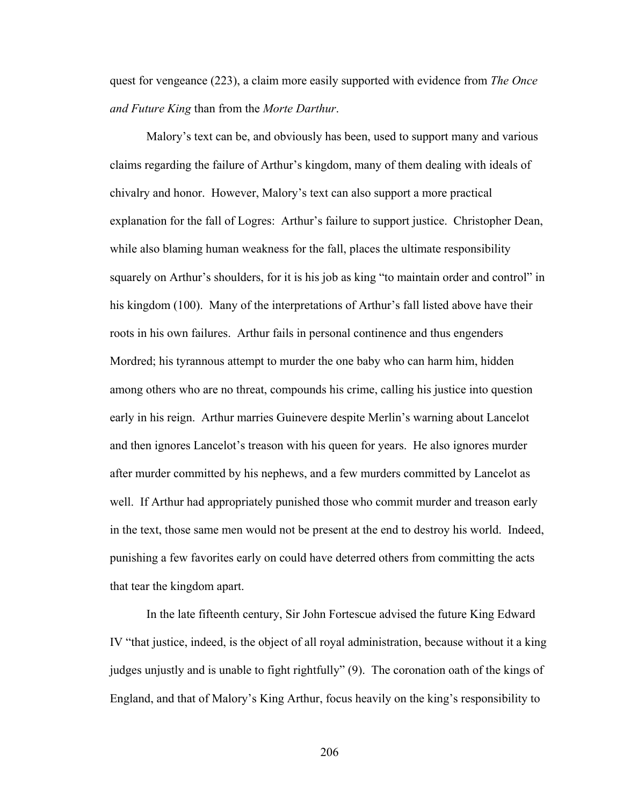quest for vengeance (223), a claim more easily supported with evidence from *The Once and Future King* than from the *Morte Darthur*.

Malory's text can be, and obviously has been, used to support many and various claims regarding the failure of Arthur's kingdom, many of them dealing with ideals of chivalry and honor. However, Malory's text can also support a more practical explanation for the fall of Logres: Arthur's failure to support justice. Christopher Dean, while also blaming human weakness for the fall, places the ultimate responsibility squarely on Arthur's shoulders, for it is his job as king "to maintain order and control" in his kingdom (100). Many of the interpretations of Arthur's fall listed above have their roots in his own failures. Arthur fails in personal continence and thus engenders Mordred; his tyrannous attempt to murder the one baby who can harm him, hidden among others who are no threat, compounds his crime, calling his justice into question early in his reign. Arthur marries Guinevere despite Merlin's warning about Lancelot and then ignores Lancelot's treason with his queen for years. He also ignores murder after murder committed by his nephews, and a few murders committed by Lancelot as well. If Arthur had appropriately punished those who commit murder and treason early in the text, those same men would not be present at the end to destroy his world. Indeed, punishing a few favorites early on could have deterred others from committing the acts that tear the kingdom apart.

In the late fifteenth century, Sir John Fortescue advised the future King Edward IV "that justice, indeed, is the object of all royal administration, because without it a king judges unjustly and is unable to fight rightfully" (9). The coronation oath of the kings of England, and that of Malory's King Arthur, focus heavily on the king's responsibility to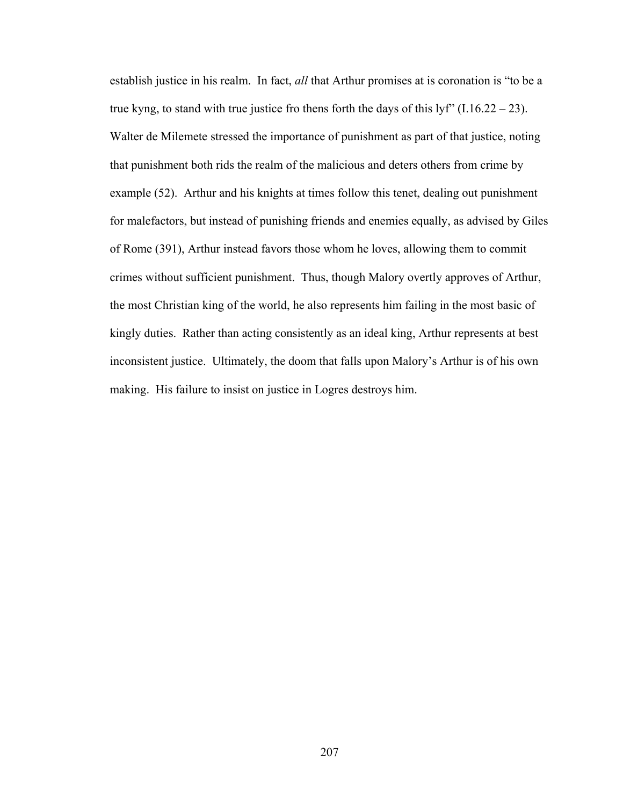establish justice in his realm. In fact, *all* that Arthur promises at is coronation is "to be a true kyng, to stand with true justice fro thens forth the days of this lyf"  $(1.16.22 - 23)$ . Walter de Milemete stressed the importance of punishment as part of that justice, noting that punishment both rids the realm of the malicious and deters others from crime by example (52). Arthur and his knights at times follow this tenet, dealing out punishment for malefactors, but instead of punishing friends and enemies equally, as advised by Giles of Rome (391), Arthur instead favors those whom he loves, allowing them to commit crimes without sufficient punishment. Thus, though Malory overtly approves of Arthur, the most Christian king of the world, he also represents him failing in the most basic of kingly duties. Rather than acting consistently as an ideal king, Arthur represents at best inconsistent justice. Ultimately, the doom that falls upon Malory's Arthur is of his own making. His failure to insist on justice in Logres destroys him.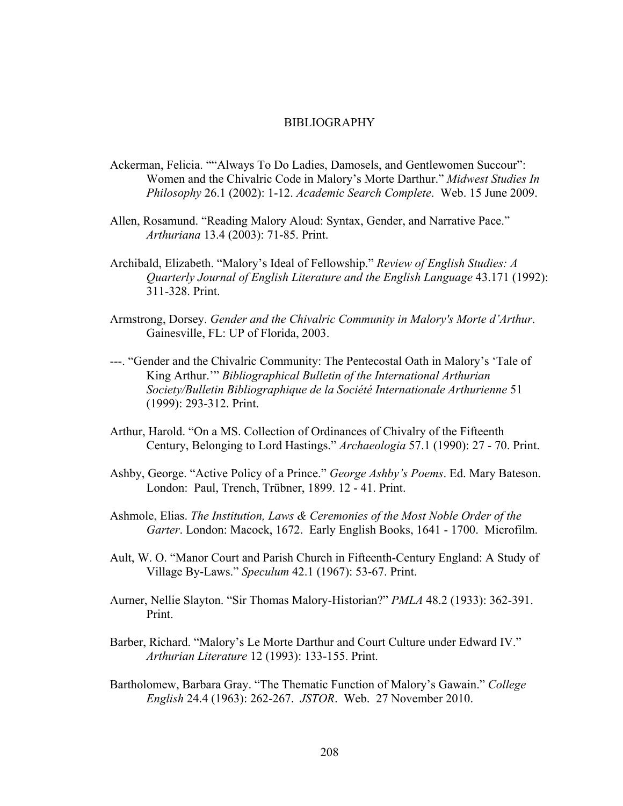## BIBLIOGRAPHY

- Ackerman, Felicia. ""Always To Do Ladies, Damosels, and Gentlewomen Succour": Women and the Chivalric Code in Malory's Morte Darthur." *Midwest Studies In Philosophy* 26.1 (2002): 1-12. *Academic Search Complete*. Web. 15 June 2009.
- Allen, Rosamund. "Reading Malory Aloud: Syntax, Gender, and Narrative Pace." *Arthuriana* 13.4 (2003): 71-85. Print.
- Archibald, Elizabeth. "Malory's Ideal of Fellowship." *Review of English Studies: A Quarterly Journal of English Literature and the English Language* 43.171 (1992): 311-328. Print.
- Armstrong, Dorsey. *Gender and the Chivalric Community in Malory's Morte d'Arthur*. Gainesville, FL: UP of Florida, 2003.
- ---. "Gender and the Chivalric Community: The Pentecostal Oath in Malory's 'Tale of King Arthur.'" *Bibliographical Bulletin of the International Arthurian Society/Bulletin Bibliographique de la Société Internationale Arthurienne* 51 (1999): 293-312. Print.
- Arthur, Harold. "On a MS. Collection of Ordinances of Chivalry of the Fifteenth Century, Belonging to Lord Hastings." *Archaeologia* 57.1 (1990): 27 - 70. Print.
- Ashby, George. "Active Policy of a Prince." *George Ashby's Poems*. Ed. Mary Bateson. London: Paul, Trench, Trübner, 1899. 12 - 41. Print.
- Ashmole, Elias. *The Institution, Laws & Ceremonies of the Most Noble Order of the Garter*. London: Macock, 1672. Early English Books, 1641 - 1700. Microfilm.
- Ault, W. O. "Manor Court and Parish Church in Fifteenth-Century England: A Study of Village By-Laws." *Speculum* 42.1 (1967): 53-67. Print.
- Aurner, Nellie Slayton. "Sir Thomas Malory-Historian?" *PMLA* 48.2 (1933): 362-391. Print.
- Barber, Richard. "Malory's Le Morte Darthur and Court Culture under Edward IV." *Arthurian Literature* 12 (1993): 133-155. Print.
- Bartholomew, Barbara Gray. "The Thematic Function of Malory's Gawain." *College English* 24.4 (1963): 262-267. *JSTOR*. Web. 27 November 2010.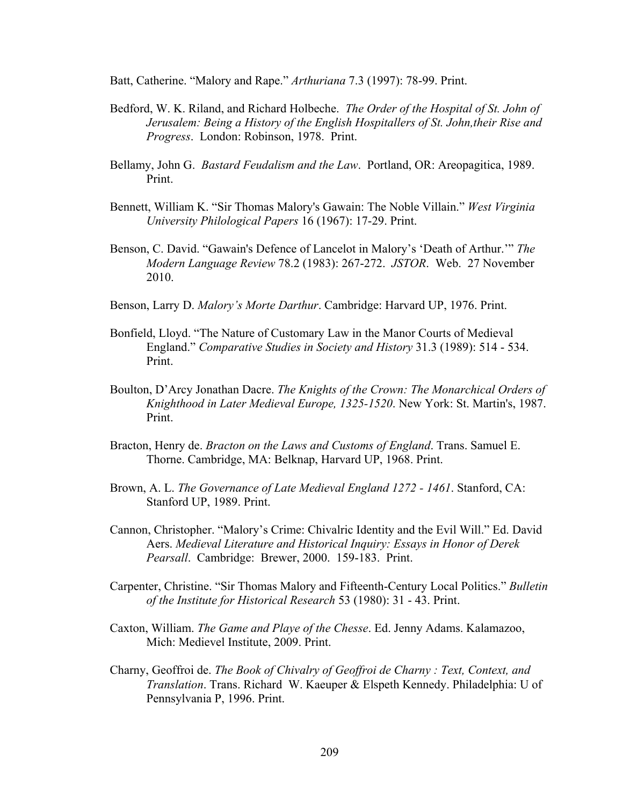Batt, Catherine. "Malory and Rape." *Arthuriana* 7.3 (1997): 78-99. Print.

- Bedford, W. K. Riland, and Richard Holbeche. *The Order of the Hospital of St. John of Jerusalem: Being a History of the English Hospitallers of St. John,their Rise and Progress*. London: Robinson, 1978. Print.
- Bellamy, John G. *Bastard Feudalism and the Law*. Portland, OR: Areopagitica, 1989. Print.
- Bennett, William K. "Sir Thomas Malory's Gawain: The Noble Villain." *West Virginia University Philological Papers* 16 (1967): 17-29. Print.
- Benson, C. David. "Gawain's Defence of Lancelot in Malory's 'Death of Arthur.'" *The Modern Language Review* 78.2 (1983): 267-272. *JSTOR*. Web. 27 November 2010.
- Benson, Larry D. *Malory's Morte Darthur*. Cambridge: Harvard UP, 1976. Print.
- Bonfield, Lloyd. "The Nature of Customary Law in the Manor Courts of Medieval England." *Comparative Studies in Society and History* 31.3 (1989): 514 - 534. Print.
- Boulton, D'Arcy Jonathan Dacre. *The Knights of the Crown: The Monarchical Orders of Knighthood in Later Medieval Europe, 1325-1520*. New York: St. Martin's, 1987. Print.
- Bracton, Henry de. *Bracton on the Laws and Customs of England*. Trans. Samuel E. Thorne. Cambridge, MA: Belknap, Harvard UP, 1968. Print.
- Brown, A. L. *The Governance of Late Medieval England 1272 1461*. Stanford, CA: Stanford UP, 1989. Print.
- Cannon, Christopher. "Malory's Crime: Chivalric Identity and the Evil Will." Ed. David Aers. *Medieval Literature and Historical Inquiry: Essays in Honor of Derek Pearsall*. Cambridge: Brewer, 2000. 159-183. Print.
- Carpenter, Christine. "Sir Thomas Malory and Fifteenth-Century Local Politics." *Bulletin of the Institute for Historical Research* 53 (1980): 31 - 43. Print.
- Caxton, William. *The Game and Playe of the Chesse*. Ed. Jenny Adams. Kalamazoo, Mich: Medievel Institute, 2009. Print.
- Charny, Geoffroi de. *The Book of Chivalry of Geoffroi de Charny : Text, Context, and Translation*. Trans. Richard W. Kaeuper & Elspeth Kennedy. Philadelphia: U of Pennsylvania P, 1996. Print.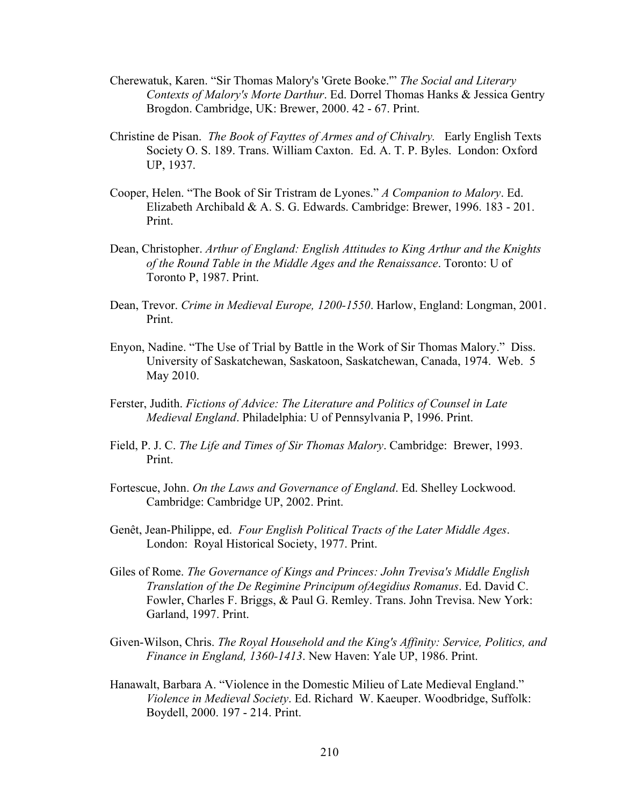- Cherewatuk, Karen. "Sir Thomas Malory's 'Grete Booke.'" *The Social and Literary Contexts of Malory's Morte Darthur*. Ed. Dorrel Thomas Hanks & Jessica Gentry Brogdon. Cambridge, UK: Brewer, 2000. 42 - 67. Print.
- Christine de Pisan. *The Book of Fayttes of Armes and of Chivalry.* Early English Texts Society O. S. 189. Trans. William Caxton. Ed. A. T. P. Byles. London: Oxford UP, 1937.
- Cooper, Helen. "The Book of Sir Tristram de Lyones." *A Companion to Malory*. Ed. Elizabeth Archibald & A. S. G. Edwards. Cambridge: Brewer, 1996. 183 - 201. Print.
- Dean, Christopher. *Arthur of England: English Attitudes to King Arthur and the Knights of the Round Table in the Middle Ages and the Renaissance*. Toronto: U of Toronto P, 1987. Print.
- Dean, Trevor. *Crime in Medieval Europe, 1200-1550*. Harlow, England: Longman, 2001. Print.
- Enyon, Nadine. "The Use of Trial by Battle in the Work of Sir Thomas Malory." Diss. University of Saskatchewan, Saskatoon, Saskatchewan, Canada, 1974. Web. 5 May 2010.
- Ferster, Judith. *Fictions of Advice: The Literature and Politics of Counsel in Late Medieval England*. Philadelphia: U of Pennsylvania P, 1996. Print.
- Field, P. J. C. *The Life and Times of Sir Thomas Malory*. Cambridge: Brewer, 1993. Print.
- Fortescue, John. *On the Laws and Governance of England*. Ed. Shelley Lockwood. Cambridge: Cambridge UP, 2002. Print.
- Genêt, Jean-Philippe, ed. *Four English Political Tracts of the Later Middle Ages*. London: Royal Historical Society, 1977. Print.
- Giles of Rome. *The Governance of Kings and Princes: John Trevisa's Middle English Translation of the De Regimine Principum ofAegidius Romanus*. Ed. David C. Fowler, Charles F. Briggs, & Paul G. Remley. Trans. John Trevisa. New York: Garland, 1997. Print.
- Given-Wilson, Chris. *The Royal Household and the King's Affinity: Service, Politics, and Finance in England, 1360-1413*. New Haven: Yale UP, 1986. Print.
- Hanawalt, Barbara A. "Violence in the Domestic Milieu of Late Medieval England." *Violence in Medieval Society*. Ed. Richard W. Kaeuper. Woodbridge, Suffolk: Boydell, 2000. 197 - 214. Print.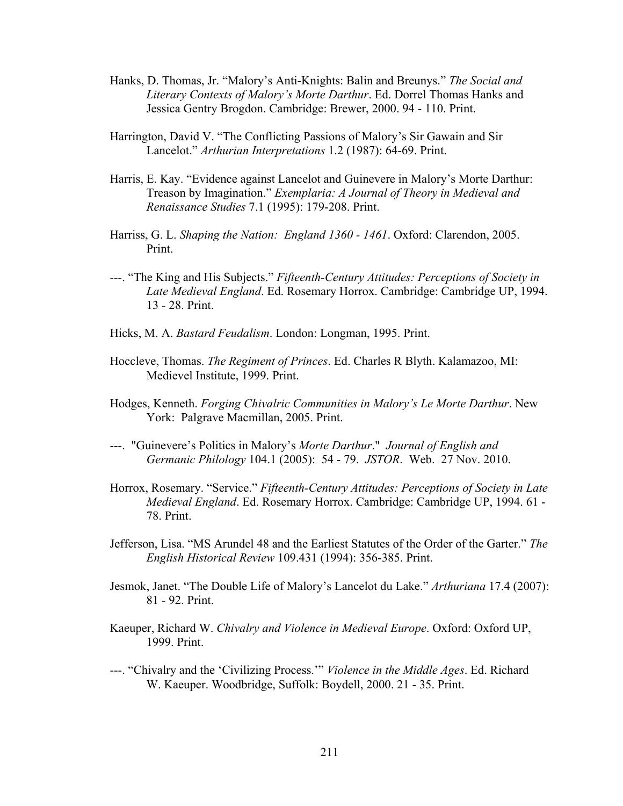- Hanks, D. Thomas, Jr. "Malory's Anti-Knights: Balin and Breunys." *The Social and Literary Contexts of Malory's Morte Darthur*. Ed. Dorrel Thomas Hanks and Jessica Gentry Brogdon. Cambridge: Brewer, 2000. 94 - 110. Print.
- Harrington, David V. "The Conflicting Passions of Malory's Sir Gawain and Sir Lancelot." *Arthurian Interpretations* 1.2 (1987): 64-69. Print.
- Harris, E. Kay. "Evidence against Lancelot and Guinevere in Malory's Morte Darthur: Treason by Imagination." *Exemplaria: A Journal of Theory in Medieval and Renaissance Studies* 7.1 (1995): 179-208. Print.
- Harriss, G. L. *Shaping the Nation: England 1360 1461*. Oxford: Clarendon, 2005. Print.
- ---. "The King and His Subjects." *Fifteenth-Century Attitudes: Perceptions of Society in Late Medieval England*. Ed. Rosemary Horrox. Cambridge: Cambridge UP, 1994. 13 - 28. Print.
- Hicks, M. A. *Bastard Feudalism*. London: Longman, 1995. Print.
- Hoccleve, Thomas. *The Regiment of Princes*. Ed. Charles R Blyth. Kalamazoo, MI: Medievel Institute, 1999. Print.
- Hodges, Kenneth. *Forging Chivalric Communities in Malory's Le Morte Darthur*. New York: Palgrave Macmillan, 2005. Print.
- ---. "Guinevere's Politics in Malory's *Morte Darthur*." *Journal of English and Germanic Philology* 104.1 (2005): 54 - 79. *JSTOR*. Web. 27 Nov. 2010.
- Horrox, Rosemary. "Service." *Fifteenth-Century Attitudes: Perceptions of Society in Late Medieval England*. Ed. Rosemary Horrox. Cambridge: Cambridge UP, 1994. 61 - 78. Print.
- Jefferson, Lisa. "MS Arundel 48 and the Earliest Statutes of the Order of the Garter." *The English Historical Review* 109.431 (1994): 356-385. Print.
- Jesmok, Janet. "The Double Life of Malory's Lancelot du Lake." *Arthuriana* 17.4 (2007): 81 - 92. Print.
- Kaeuper, Richard W. *Chivalry and Violence in Medieval Europe*. Oxford: Oxford UP, 1999. Print.
- ---. "Chivalry and the 'Civilizing Process.'" *Violence in the Middle Ages*. Ed. Richard W. Kaeuper. Woodbridge, Suffolk: Boydell, 2000. 21 - 35. Print.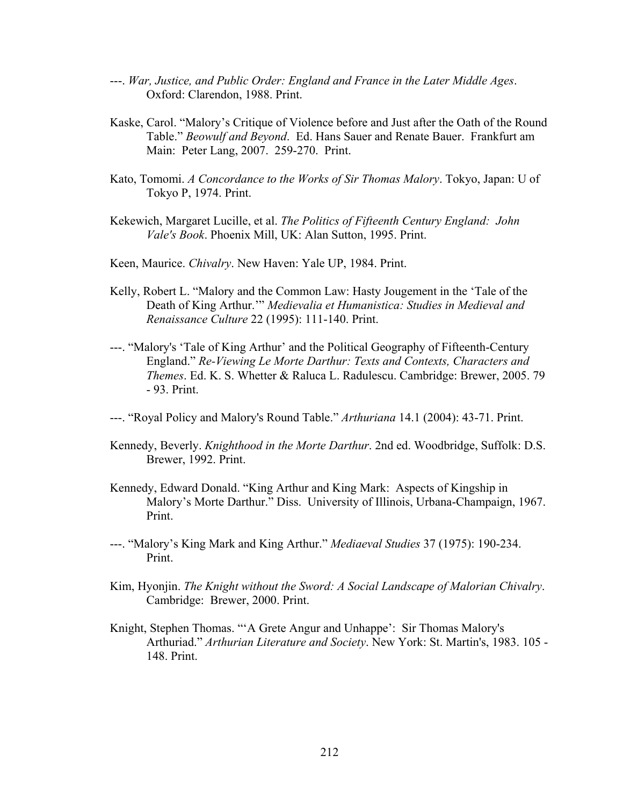- ---. *War, Justice, and Public Order: England and France in the Later Middle Ages*. Oxford: Clarendon, 1988. Print.
- Kaske, Carol. "Malory's Critique of Violence before and Just after the Oath of the Round Table." *Beowulf and Beyond*. Ed. Hans Sauer and Renate Bauer. Frankfurt am Main: Peter Lang, 2007. 259-270. Print.
- Kato, Tomomi. *A Concordance to the Works of Sir Thomas Malory*. Tokyo, Japan: U of Tokyo P, 1974. Print.
- Kekewich, Margaret Lucille, et al. *The Politics of Fifteenth Century England: John Vale's Book*. Phoenix Mill, UK: Alan Sutton, 1995. Print.
- Keen, Maurice. *Chivalry*. New Haven: Yale UP, 1984. Print.
- Kelly, Robert L. "Malory and the Common Law: Hasty Jougement in the 'Tale of the Death of King Arthur.'" *Medievalia et Humanistica: Studies in Medieval and Renaissance Culture* 22 (1995): 111-140. Print.
- ---. "Malory's 'Tale of King Arthur' and the Political Geography of Fifteenth-Century England." *Re-Viewing Le Morte Darthur: Texts and Contexts, Characters and Themes*. Ed. K. S. Whetter & Raluca L. Radulescu. Cambridge: Brewer, 2005. 79 - 93. Print.
- ---. "Royal Policy and Malory's Round Table." *Arthuriana* 14.1 (2004): 43-71. Print.
- Kennedy, Beverly. *Knighthood in the Morte Darthur*. 2nd ed. Woodbridge, Suffolk: D.S. Brewer, 1992. Print.
- Kennedy, Edward Donald. "King Arthur and King Mark: Aspects of Kingship in Malory's Morte Darthur." Diss.University of Illinois, Urbana-Champaign, 1967. Print.
- ---. "Malory's King Mark and King Arthur." *Mediaeval Studies* 37 (1975): 190-234. Print.
- Kim, Hyonjin. *The Knight without the Sword: A Social Landscape of Malorian Chivalry*. Cambridge: Brewer, 2000. Print.
- Knight, Stephen Thomas. "'A Grete Angur and Unhappe': Sir Thomas Malory's Arthuriad." *Arthurian Literature and Society*. New York: St. Martin's, 1983. 105 - 148. Print.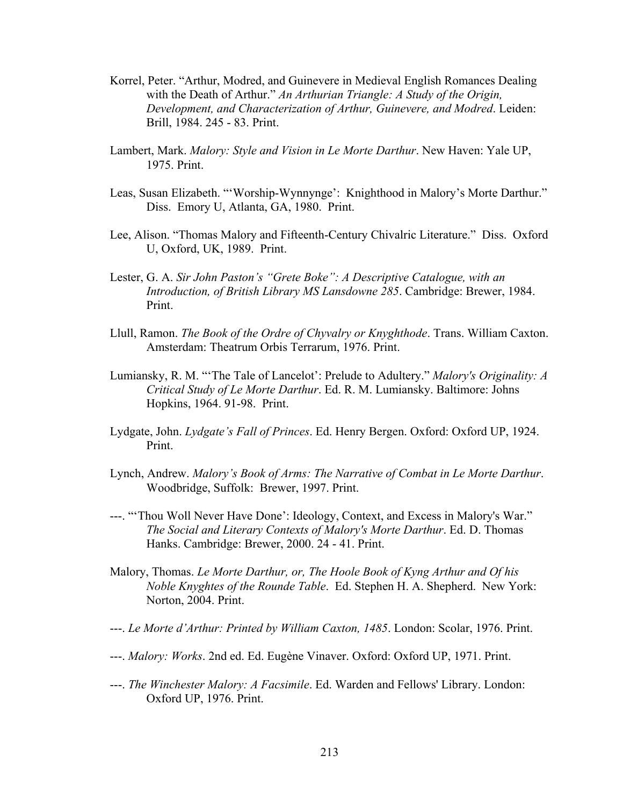- Korrel, Peter. "Arthur, Modred, and Guinevere in Medieval English Romances Dealing with the Death of Arthur." *An Arthurian Triangle: A Study of the Origin, Development, and Characterization of Arthur, Guinevere, and Modred*. Leiden: Brill, 1984. 245 - 83. Print.
- Lambert, Mark. *Malory: Style and Vision in Le Morte Darthur*. New Haven: Yale UP, 1975. Print.
- Leas, Susan Elizabeth. "'Worship-Wynnynge': Knighthood in Malory's Morte Darthur." Diss. Emory U, Atlanta, GA, 1980. Print.
- Lee, Alison. "Thomas Malory and Fifteenth-Century Chivalric Literature." Diss. Oxford U, Oxford, UK, 1989. Print.
- Lester, G. A. *Sir John Paston's "Grete Boke": A Descriptive Catalogue, with an Introduction, of British Library MS Lansdowne 285*. Cambridge: Brewer, 1984. Print.
- Llull, Ramon. *The Book of the Ordre of Chyvalry or Knyghthode*. Trans. William Caxton. Amsterdam: Theatrum Orbis Terrarum, 1976. Print.
- Lumiansky, R. M. "'The Tale of Lancelot': Prelude to Adultery." *Malory's Originality: A Critical Study of Le Morte Darthur*. Ed. R. M. Lumiansky. Baltimore: Johns Hopkins, 1964. 91-98. Print.
- Lydgate, John. *Lydgate's Fall of Princes*. Ed. Henry Bergen. Oxford: Oxford UP, 1924. Print.
- Lynch, Andrew. *Malory's Book of Arms: The Narrative of Combat in Le Morte Darthur*. Woodbridge, Suffolk: Brewer, 1997. Print.
- ---. "'Thou Woll Never Have Done': Ideology, Context, and Excess in Malory's War." *The Social and Literary Contexts of Malory's Morte Darthur*. Ed. D. Thomas Hanks. Cambridge: Brewer, 2000. 24 - 41. Print.
- Malory, Thomas. *Le Morte Darthur, or, The Hoole Book of Kyng Arthur and Of his Noble Knyghtes of the Rounde Table*. Ed. Stephen H. A. Shepherd. New York: Norton, 2004. Print.
- ---. *Le Morte d'Arthur: Printed by William Caxton, 1485*. London: Scolar, 1976. Print.
- ---. *Malory: Works*. 2nd ed. Ed. Eugène Vinaver. Oxford: Oxford UP, 1971. Print.
- ---. *The Winchester Malory: A Facsimile*. Ed. Warden and Fellows' Library. London: Oxford UP, 1976. Print.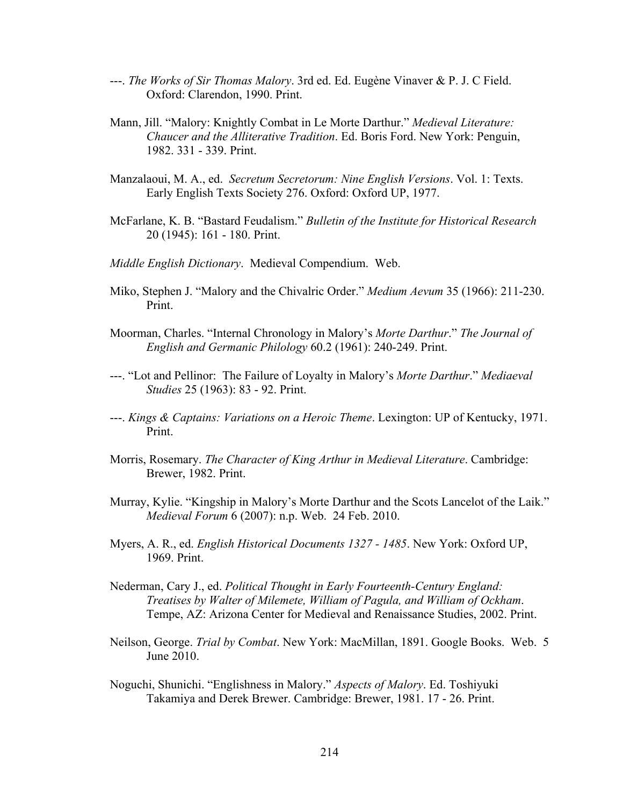- ---. *The Works of Sir Thomas Malory*. 3rd ed. Ed. Eugène Vinaver & P. J. C Field. Oxford: Clarendon, 1990. Print.
- Mann, Jill. "Malory: Knightly Combat in Le Morte Darthur." *Medieval Literature: Chaucer and the Alliterative Tradition*. Ed. Boris Ford. New York: Penguin, 1982. 331 - 339. Print.
- Manzalaoui, M. A., ed. *Secretum Secretorum: Nine English Versions*. Vol. 1: Texts. Early English Texts Society 276. Oxford: Oxford UP, 1977.
- McFarlane, K. B. "Bastard Feudalism." *Bulletin of the Institute for Historical Research* 20 (1945): 161 - 180. Print.
- *Middle English Dictionary*. Medieval Compendium. Web.
- Miko, Stephen J. "Malory and the Chivalric Order." *Medium Aevum* 35 (1966): 211-230. Print.
- Moorman, Charles. "Internal Chronology in Malory's *Morte Darthur*." *The Journal of English and Germanic Philology* 60.2 (1961): 240-249. Print.
- ---. "Lot and Pellinor: The Failure of Loyalty in Malory's *Morte Darthur*." *Mediaeval Studies* 25 (1963): 83 - 92. Print.
- ---. *Kings & Captains: Variations on a Heroic Theme*. Lexington: UP of Kentucky, 1971. Print.
- Morris, Rosemary. *The Character of King Arthur in Medieval Literature*. Cambridge: Brewer, 1982. Print.
- Murray, Kylie. "Kingship in Malory's Morte Darthur and the Scots Lancelot of the Laik." *Medieval Forum* 6 (2007): n.p. Web. 24 Feb. 2010.
- Myers, A. R., ed. *English Historical Documents 1327 1485*. New York: Oxford UP, 1969. Print.
- Nederman, Cary J., ed. *Political Thought in Early Fourteenth-Century England: Treatises by Walter of Milemete, William of Pagula, and William of Ockham*. Tempe, AZ: Arizona Center for Medieval and Renaissance Studies, 2002. Print.
- Neilson, George. *Trial by Combat*. New York: MacMillan, 1891. Google Books. Web. 5 June 2010.
- Noguchi, Shunichi. "Englishness in Malory." *Aspects of Malory*. Ed. Toshiyuki Takamiya and Derek Brewer. Cambridge: Brewer, 1981. 17 - 26. Print.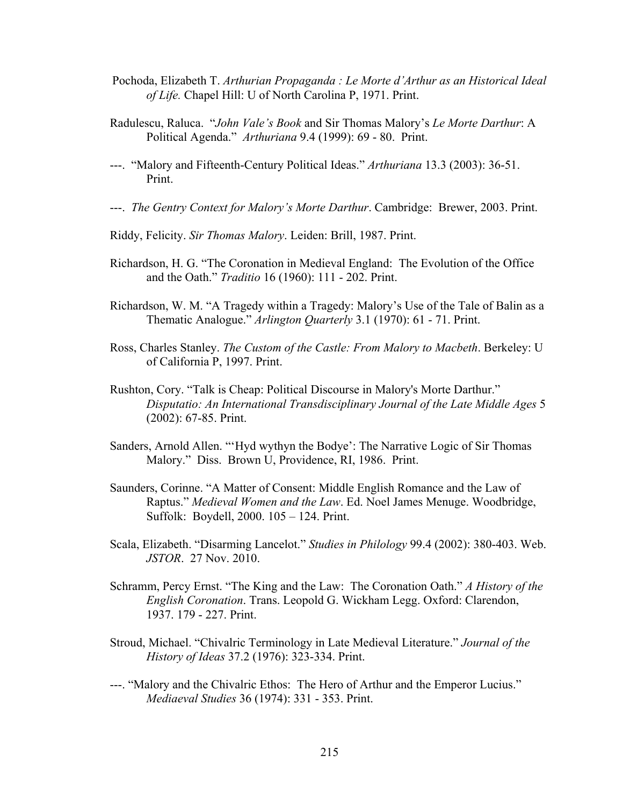- Pochoda, Elizabeth T. *Arthurian Propaganda : Le Morte d'Arthur as an Historical Ideal of Life.* Chapel Hill: U of North Carolina P, 1971. Print.
- Radulescu, Raluca. "*John Vale's Book* and Sir Thomas Malory's *Le Morte Darthur*: A Political Agenda." *Arthuriana* 9.4 (1999): 69 - 80. Print.
- ---. "Malory and Fifteenth-Century Political Ideas." *Arthuriana* 13.3 (2003): 36-51. Print.
- ---. *The Gentry Context for Malory's Morte Darthur*. Cambridge: Brewer, 2003. Print.
- Riddy, Felicity. *Sir Thomas Malory*. Leiden: Brill, 1987. Print.
- Richardson, H. G. "The Coronation in Medieval England: The Evolution of the Office and the Oath." *Traditio* 16 (1960): 111 - 202. Print.
- Richardson, W. M. "A Tragedy within a Tragedy: Malory's Use of the Tale of Balin as a Thematic Analogue." *Arlington Quarterly* 3.1 (1970): 61 - 71. Print.
- Ross, Charles Stanley. *The Custom of the Castle: From Malory to Macbeth*. Berkeley: U of California P, 1997. Print.
- Rushton, Cory. "Talk is Cheap: Political Discourse in Malory's Morte Darthur." *Disputatio: An International Transdisciplinary Journal of the Late Middle Ages* 5 (2002): 67-85. Print.
- Sanders, Arnold Allen. "'Hyd wythyn the Bodye': The Narrative Logic of Sir Thomas Malory." Diss. Brown U, Providence, RI, 1986. Print.
- Saunders, Corinne. "A Matter of Consent: Middle English Romance and the Law of Raptus." *Medieval Women and the Law*. Ed. Noel James Menuge. Woodbridge, Suffolk: Boydell, 2000. 105 – 124. Print.
- Scala, Elizabeth. "Disarming Lancelot." *Studies in Philology* 99.4 (2002): 380-403. Web. *JSTOR*. 27 Nov. 2010.
- Schramm, Percy Ernst. "The King and the Law: The Coronation Oath." *A History of the English Coronation*. Trans. Leopold G. Wickham Legg. Oxford: Clarendon, 1937. 179 - 227. Print.
- Stroud, Michael. "Chivalric Terminology in Late Medieval Literature." *Journal of the History of Ideas* 37.2 (1976): 323-334. Print.
- ---. "Malory and the Chivalric Ethos: The Hero of Arthur and the Emperor Lucius." *Mediaeval Studies* 36 (1974): 331 - 353. Print.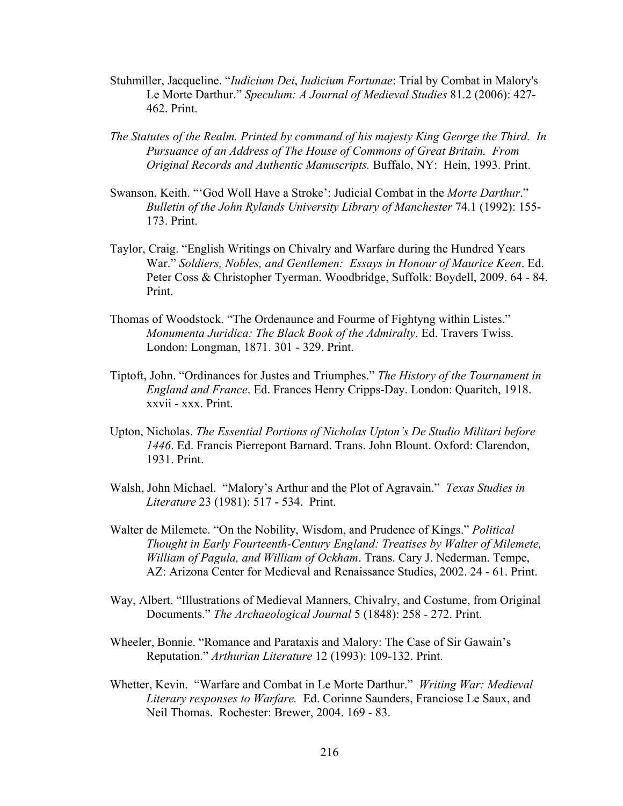- Stuhmiller, Jacqueline. "*Iudicium Dei*, *Iudicium Fortunae*: Trial by Combat in Malory's Le Morte Darthur." *Speculum: A Journal of Medieval Studies* 81.2 (2006): 427- 462. Print.
- *The Statutes of the Realm. Printed by command of his majesty King George the Third. In Pursuance of an Address of The House of Commons of Great Britain. From Original Records and Authentic Manuscripts.* Buffalo, NY: Hein, 1993. Print.
- Swanson, Keith. "'God Woll Have a Stroke': Judicial Combat in the *Morte Darthur*." *Bulletin of the John Rylands University Library of Manchester* 74.1 (1992): 155- 173. Print.
- Taylor, Craig. "English Writings on Chivalry and Warfare during the Hundred Years War." *Soldiers, Nobles, and Gentlemen: Essays in Honour of Maurice Keen*. Ed. Peter Coss & Christopher Tyerman. Woodbridge, Suffolk: Boydell, 2009. 64 - 84. Print.
- Thomas of Woodstock. "The Ordenaunce and Fourme of Fightyng within Listes." *Monumenta Juridica: The Black Book of the Admiralty*. Ed. Travers Twiss. London: Longman, 1871. 301 - 329. Print.
- Tiptoft, John. "Ordinances for Justes and Triumphes." *The History of the Tournament in England and France*. Ed. Frances Henry Cripps-Day. London: Quaritch, 1918. xxvii - xxx. Print.
- Upton, Nicholas. *The Essential Portions of Nicholas Upton's De Studio Militari before 1446*. Ed. Francis Pierrepont Barnard. Trans. John Blount. Oxford: Clarendon, 1931. Print.
- Walsh, John Michael. "Malory's Arthur and the Plot of Agravain." *Texas Studies in Literature* 23 (1981): 517 - 534. Print.
- Walter de Milemete. "On the Nobility, Wisdom, and Prudence of Kings." *Political Thought in Early Fourteenth-Century England: Treatises by Walter of Milemete, William of Pagula, and William of Ockham*. Trans. Cary J. Nederman. Tempe, AZ: Arizona Center for Medieval and Renaissance Studies, 2002. 24 - 61. Print.
- Way, Albert. "Illustrations of Medieval Manners, Chivalry, and Costume, from Original Documents." *The Archaeological Journal* 5 (1848): 258 - 272. Print.
- Wheeler, Bonnie. "Romance and Parataxis and Malory: The Case of Sir Gawain's Reputation." *Arthurian Literature* 12 (1993): 109-132. Print.
- Whetter, Kevin. "Warfare and Combat in Le Morte Darthur." *Writing War: Medieval Literary responses to Warfare.* Ed. Corinne Saunders, Franciose Le Saux, and Neil Thomas. Rochester: Brewer, 2004. 169 - 83.